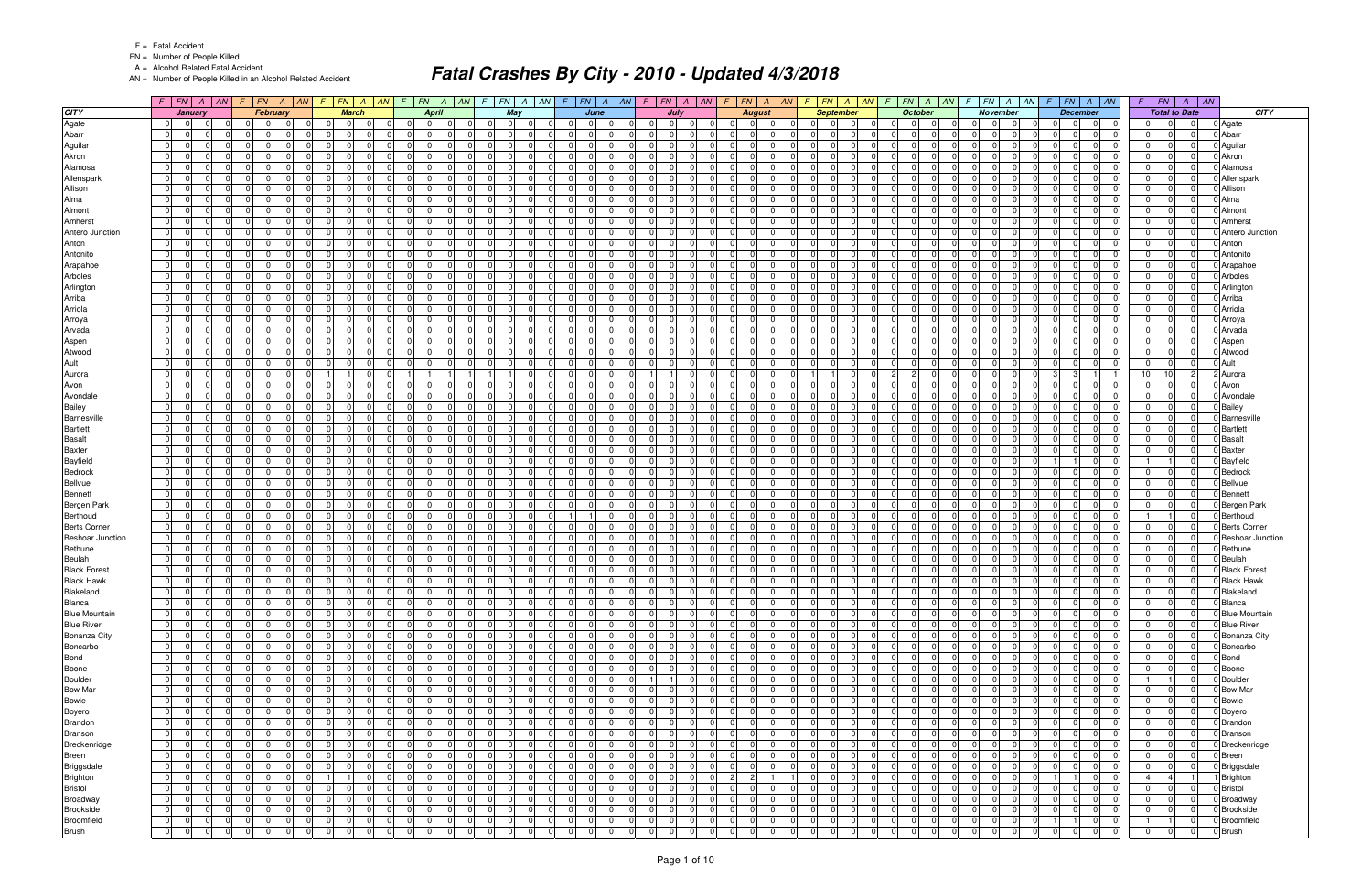FN = Number of People Killed

A = Alcohol Related Fatal Accident

AN = Number of People Killed in an Alcohol Related Accident

|                                   |                                                     | $F$ $ FN$ $ A$ $ AN$ |                                  | $F$   $FN$   $A$   $AN$        |                      |                                  |                      | $F$ $\overline{FN}$ $A$ $\overline{AN}$ $F$ $\overline{FN}$ $A$ $\overline{AN}$ |                            |                      |                      | F                    |                                  |                                  | $FN$   A   AN   F   FN   A   AN |                                  | $F$   $FN$   $A$   $AN$                |                                  | $F$   FN   A   AN   F   FN   A   AN |                                |                                  |                                              |                                              | $F$ $ FN $ $A$ $ AN $            | F.                               |                                  |                      |                   | $ FN $ A $ AN $ F $ FN $ A $ AN$                          | F N<br>$F \perp$  | $A \mid AN$                                  |                                |
|-----------------------------------|-----------------------------------------------------|----------------------|----------------------------------|--------------------------------|----------------------|----------------------------------|----------------------|---------------------------------------------------------------------------------|----------------------------|----------------------|----------------------|----------------------|----------------------------------|----------------------------------|---------------------------------|----------------------------------|----------------------------------------|----------------------------------|-------------------------------------|--------------------------------|----------------------------------|----------------------------------------------|----------------------------------------------|----------------------------------|----------------------------------|----------------------------------|----------------------|-------------------|-----------------------------------------------------------|-------------------|----------------------------------------------|--------------------------------|
| <b>CITY</b>                       |                                                     | <b>January</b>       |                                  | <b>February</b>                |                      |                                  | <b>March</b>         |                                                                                 |                            | <b>April</b>         |                      |                      | May                              |                                  |                                 | June                             | July                                   |                                  |                                     | <b>August</b>                  |                                  | <b>September</b>                             |                                              | October                          |                                  | <b>November</b>                  |                      |                   | <b>December</b>                                           |                   | <b>Total to Date</b>                         | <b>CITY</b>                    |
| Agate                             | $\overline{0}$<br>$\overline{0}$                    |                      | 0                                | $\Omega$                       | - 0                  | $\overline{0}$                   | - 01                 | 0                                                                               |                            | -01                  | $\overline{0}$       | $\Omega$             | $\overline{0}$                   |                                  | n I                             | $\Omega$<br>$\Omega$             | - OI<br>$\Omega$                       | -01                              | n I                                 | $\Omega$                       | - 0                              | $\Omega$                                     | $\overline{0}$<br>$\overline{\mathbf{0}}$    | $\Omega$                         | $\Omega$                         | $\Omega$                         | - 01                 | $\overline{0}$    | 0 <br> 0                                                  |                   | -01                                          | 0 Agate                        |
| Abarr                             | $\overline{0}$<br>$\Omega$                          |                      | $\Omega$                         | $\Omega$                       | $\Omega$             | 0 I                              | $\Omega$             |                                                                                 | $\Omega$                   | $\Omega$             | $\Omega$             | $\Omega$             | $\overline{0}$                   |                                  | $\Omega$                        | $\Omega$                         | 0 I                                    | $\Omega$                         | $\Omega$<br>$\Omega$                |                                | $\Omega$                         | $\Omega$<br>$\Omega$                         | 0 I<br>$\Omega$                              | $\Omega$                         | $\Omega$                         | $\Omega$                         | $\Omega$             | 0 I               | 0 <br>$\Omega$                                            |                   | $\overline{0}$                               | 0 Abarr                        |
| Aguilar                           | - Ol<br>$\Omega$                                    |                      | $\Omega$                         |                                |                      | 0                                | $\Omega$             | U                                                                               |                            | $\Omega$             | $\Omega$             | $\Omega$             | -01                              |                                  | $\Omega$                        | $\Omega$                         | $\Omega$                               | $\Omega$                         | $\Omega$                            | $\Omega$                       | $\Omega$                         |                                              | $\Omega$                                     | $\Omega$                         | $\Omega$                         | $\Omega$                         | $\Omega$             | $\Omega$          | $\Omega$                                                  |                   | $\Omega$                                     | 0 Aguilar                      |
| Akron                             | $\overline{0}$<br>$\Omega$                          |                      | $\Omega$                         |                                | $\Omega$             | 0 I                              | $\Omega$             | $\Omega$                                                                        | $\Omega$                   | $\Omega$             | $\Omega$             | $\Omega$             | 0                                |                                  | $\overline{0}$                  | $\Omega$                         | $\mathbf 0$                            | $\Omega$                         | $\Omega$                            | $\Omega$                       | $\Omega$                         | $\Omega$                                     | $\mathbf 0$<br>$\Omega$                      | $\Omega$                         | $\Omega$                         | $\Omega$                         | $\mathbf 0$          | - 0 I             | $\overline{0}$<br>$\Omega$                                |                   | $\Omega$                                     | 0 Akron                        |
| Alamosa                           | $\overline{0}$<br>- 0                               |                      | $\Omega$                         |                                |                      | 0                                |                      |                                                                                 | $\Omega$                   |                      | $\Omega$             | $\Omega$             | $\overline{0}$                   |                                  | $\Omega$                        | $\Omega$                         | $\Omega$                               | $\Omega$                         | $\Omega$<br>$\Omega$                |                                | $\Omega$                         | $\Omega$                                     | $\Omega$                                     | $\Omega$                         | $\Omega$                         | $\Omega$                         | 0                    | $\Omega$          | $\Omega$                                                  |                   | $\Omega$                                     | 0 Alamosa                      |
| Allenspark                        | $\overline{0}$<br>$\Omega$<br>$\Omega$              |                      | $\Omega$<br>0                    |                                | - 0                  | $\overline{0}$<br>$\Omega$       | $\Omega$             | $\Omega$                                                                        | $\Omega$                   | $\Omega$             | $\Omega$<br>$\Omega$ | $\Omega$             | - 01<br>-01                      | - റ                              | $\Omega$<br>$\Omega$            | $\Omega$<br>$\Omega$             | $\mathbf 0$<br>$\Omega$                | $\Omega$<br>$\Omega$             | $\Omega$<br>$\Omega$<br>$\Omega$    | <sup>0</sup>                   | $\Omega$<br>$\Omega$             | $\Omega$                                     | $\mathbf 0$<br>$\Omega$<br>$\Omega$          | $\Omega$<br>$\Omega$             | $\Omega$                         | $\Omega$<br><sup>0</sup>         | $\Omega$<br>$\Omega$ | - 0 I<br>$\Omega$ | $\overline{0}$<br>$\Omega$<br>$\Omega$                    |                   | $\Omega$<br>$\Omega$                         | 0 Allenspark                   |
| Allison<br>Alma                   | $\overline{0}$<br>$\Omega$                          |                      | $\Omega$                         |                                | $\Omega$             | 0 I                              | $\Omega$             | $\Omega$                                                                        | $\Omega$                   | $\Omega$             | $\Omega$             | $\Omega$             | $\overline{0}$                   | $\Omega$                         | -01                             | $\Omega$                         | $\mathbf 0$                            | $\Omega$                         | $\Omega$<br>$\Omega$                |                                | $\Omega$                         | $\Omega$                                     | $\Omega$<br>- 0                              | $\Omega$                         | $\Omega$                         | $\Omega$                         | $\Omega$             | 0 I               | $\overline{0}$<br>$\Omega$                                |                   | $\Omega$                                     | 0 Allison<br>0 Alma            |
| Almont                            | -01<br>$\Omega$                                     | $\Omega$             | $\Omega$                         |                                | $\Omega$             | $\overline{0}$                   | $\Omega$             | $\Omega$                                                                        | $\Omega$                   | $\Omega$             | $\Omega$             | $\Omega$             | -01                              | - 0                              | $\Omega$                        | $\Omega$                         | $\Omega$                               | $\Omega$                         | - 0 I<br>$\Omega$                   |                                | $\Omega$                         | $\Omega$                                     | $\Omega$<br>$\Omega$                         | $\Omega$                         | $\Omega$                         | $\Omega$                         | $\Omega$             | - 0 I             | $\overline{0}$<br>$\Omega$                                | $\Omega$          | $\Omega$<br>$\Omega$                         | 0 Almont                       |
| Amherst                           | $\overline{0}$<br>- 0                               |                      | 0                                | $\Omega$                       | $\Omega$             | $\overline{0}$                   | $\Omega$             |                                                                                 | $\Omega$                   | $\Omega$             | $\Omega$             | $\Omega$             | $\overline{0}$                   |                                  | $\Omega$                        | $\Omega$                         | $\mathbf 0$                            | $\Omega$                         | $\Omega$<br>$\Omega$                |                                | $\Omega$                         | $\Omega$                                     | $\mathbf 0$<br>- 0                           | $\Omega$                         | $\Omega$                         | $\Omega$                         | $\Omega$             | - 0 I             | $\overline{0}$<br>$\Omega$                                |                   | $\Omega$                                     | 0 Amherst                      |
| Antero Junction                   | $\Omega$<br>$\Omega$                                |                      | $\Omega$                         |                                |                      | $\overline{0}$                   | $\Omega$             | U                                                                               |                            | $\Omega$             | $\Omega$             | $\Omega$             | -01                              |                                  | $\Omega$                        | $\Omega$                         | $\Omega$                               | $\Omega$                         | $\Omega$                            | $\Omega$                       | $\Omega$                         | $\Omega$                                     | $\Omega$                                     | $\Omega$                         | $\Omega$                         | $\Omega$                         | $\Omega$             | $\Omega$          | $\Omega$                                                  |                   | $\Omega$                                     | 0 Antero Junction              |
| Anton                             | $\overline{0}$<br>$\Omega$                          |                      | $\Omega$                         |                                | $\Omega$             | 0 I                              | $\Omega$             | $\Omega$                                                                        | $\Omega$                   | $\Omega$             | $\Omega$             | $\Omega$             | 0                                |                                  | $\overline{0}$                  | $\Omega$                         | $\mathbf 0$                            | $\Omega$                         | $\Omega$                            | $\Omega$                       | $\overline{0}$                   | $\Omega$                                     | - 0 I<br>$\Omega$                            | $\Omega$                         | $\Omega$                         | $\Omega$                         | $\mathbf 0$          | - 0 I             | $\mathbf 0$                                               |                   | 0                                            | 0 Anton                        |
| Antonito                          | $\overline{0}$<br>$\Omega$                          | $\Omega$             | $\Omega$                         |                                | $\Omega$             | 0 I                              | $\Omega$             | $\Omega$                                                                        | $\Omega$                   | $\Omega$             | $\Omega$             | $\Omega$             | $\overline{0}$                   |                                  | $\Omega$                        | $\Omega$                         | $\Omega$<br>$\Omega$                   | $\Omega$                         | $\Omega$<br>$\Omega$                |                                | $\Omega$                         | $\Omega$                                     | - 0 I                                        | $\Omega$<br>$\Omega$             | $\Omega$                         | $\Omega$                         | $\Omega$             | $\Omega$          | $\overline{0}$<br>$\Omega$                                | $\Omega$          | $\Omega$                                     | 0 Antonito                     |
| Arapahoe                          | $\overline{0}$<br>- 0                               |                      | $\Omega$                         |                                | $\Omega$             | 0 I                              | $\Omega$             | <sup>0</sup>                                                                    |                            | $\Omega$             | $\Omega$             | $\Omega$             | - 01                             |                                  | $\Omega$                        | $\Omega$                         | $\mathbf 0$                            | $\Omega$                         | $\Omega$<br>$\Omega$                |                                | $\Omega$                         | $\Omega$                                     | $\Omega$<br>- 0                              | $\Omega$                         | $\Omega$                         | $\Omega$                         | $\Omega$             | - 0 I             | $\mathbf 0$<br>$\Omega$                                   |                   | $\Omega$                                     | 0 Arapahoe                     |
| Arboles                           | $\overline{0}$<br>$\Omega$                          | $\Omega$             | $\Omega$                         | $\Omega$                       | - 0                  | $\overline{0}$                   | $\Omega$             | $\Omega$                                                                        | $\Omega$                   | $\Omega$             | $\Omega$             | $\Omega$             | -01                              | $\Omega$                         | $\Omega$                        | $\Omega$                         | $\Omega$<br>$\mathbf 0$                | $\Omega$                         | $\Omega$                            | $\Omega$                       | $\Omega$                         | $\Omega$<br>$\Omega$                         | - 0 I<br>- 0                                 | $\Omega$                         | $\Omega$                         | $\Omega$                         | $\Omega$             | $\overline{0}$    | $\overline{0}$<br>$\Omega$                                | $\Omega$          | $\Omega$<br>$\Omega$                         | 0 Arboles                      |
| Arlington                         | $\overline{0}$<br>$\Omega$                          | <sup>0</sup>         | $\Omega$                         |                                |                      | $\Omega$                         | $\Omega$             | U                                                                               |                            | $\Omega$             | $\Omega$             | $\Omega$             | -01                              |                                  | $\Omega$                        | $\Omega$                         | $\Omega$                               | $\Omega$                         | $\Omega$<br>$\Omega$                |                                | $\Omega$                         | $\Omega$                                     | $\Omega$                                     | $\Omega$                         | $\Omega$                         | $\Omega$                         | $\Omega$             | $\Omega$          | $\Omega$                                                  |                   | $\Omega$                                     | 0 Arlington                    |
| Arriba                            | $\overline{0}$<br>$\Omega$                          | $\Omega$             | 0 I                              | $\Omega$                       | - 0                  | $\overline{0}$                   | $\Omega$             | $\Omega$                                                                        | $\Omega$                   | -01                  | $\Omega$             | $\overline{0}$       | $\overline{0}$                   | - 0                              | -01                             | $\Omega$<br>$\Omega$             | $\Omega$<br>0 I                        | $\Omega$                         | - 0 I                               | $\Omega$                       | $\Omega$                         | $\Omega$<br>$\overline{0}$                   | - 0 I<br>$\Omega$                            | $\Omega$                         | $\Omega$                         | $\Omega$                         | $\Omega$             | 0 I               | $\overline{0}$<br>$\Omega$                                | $\Omega$          | $\overline{0}$<br>$\Omega$                   | 0 Arriba                       |
| Arriola                           | $\overline{0}$<br>- 0                               |                      | $\Omega$                         |                                |                      | 0                                | <sup>n</sup>         | U                                                                               |                            | $\Omega$             | $\Omega$             | $\Omega$             | $\overline{0}$                   |                                  | $\Omega$                        | $\Omega$                         | $\Omega$                               | $\Omega$                         | $\Omega$<br>$\Omega$                |                                | $\Omega$                         | $\Omega$                                     | $\Omega$<br>$\cap$                           | $\Omega$                         | $\Omega$                         | $\Omega$                         | 0                    | $\Omega$          | $\Omega$<br>$\Omega$                                      |                   | $\Omega$                                     | 0 Arriola                      |
| Arroya                            | $\overline{0}$<br>$\Omega$                          | $\Omega$             | $\Omega$                         | $\Omega$                       | - 0                  | $\overline{0}$                   | $\Omega$             | $\Omega$                                                                        | $\Omega$                   | $\Omega$             | $\Omega$             | $\Omega$             | 0                                | $\Omega$                         | $\Omega$                        | $\Omega$                         | $\Omega$<br>$\mathbf 0$                | $\Omega$                         | $\Omega$                            | $\Omega$                       | $\Omega$                         | $\Omega$<br>$\Omega$                         | - 0 I<br>- 0                                 | $\Omega$                         | $\Omega$                         | $\Omega$                         | $\Omega$             | $\Omega$          | $\overline{0}$<br>$\Omega$                                | $\Omega$          | $\Omega$<br>$\cap$                           | 0 Arroya                       |
| Arvada                            | $\overline{0}$<br>$\Omega$                          | $\Omega$             | $\Omega$                         | $\Omega$                       |                      | 0                                | $\Omega$<br>$\Omega$ | <sup>0</sup>                                                                    |                            | $\Omega$             | $\Omega$             | $\Omega$             | -01                              |                                  | $\overline{0}$                  | $\Omega$                         | .0<br>$\Omega$                         | $\Omega$<br>$\Omega$             | $\Omega$                            | $\Omega$                       | $\Omega$                         | $\Omega$<br>$\Omega$<br>$\Omega$             | - 0 I<br>$\Omega$                            | $\Omega$                         | $\Omega$<br>$\Omega$             | $\Omega$<br>$\Omega$             | $\mathbf 0$          | $\Omega$          | $\Omega$                                                  | $\Omega$          | $\Omega$                                     | 0 Arvada                       |
| Aspen                             | $\overline{0}$<br>$\Omega$<br>$\overline{0}$<br>- 0 | <sup>n</sup>         | $\Omega$<br>$\Omega$             |                                | - 0<br>$\Omega$      | 0 I<br>$\overline{0}$            | $\Omega$             | $\Omega$<br>$\Omega$                                                            | $\Omega$<br>$\Omega$       | $\Omega$<br>$\Omega$ | $\Omega$<br>$\Omega$ | $\Omega$<br>$\Omega$ | $\overline{0}$                   | $\Omega$<br>- റ                  | -01<br>$\Omega$                 | $\Omega$<br>$\Omega$             | $\mathbf 0$<br>$\mathbf 0$             | $\Omega$                         | $\Omega$<br>$\Omega$<br>$\Omega$    | $\Omega$                       | $\Omega$<br>$\Omega$             | $\Omega$<br><sup>n</sup>                     | 0 <br>$\Omega$<br>$\mathbf 0$<br>- 0         | $\Omega$<br>$\Omega$             | $\Omega$                         | $\Omega$                         | $\Omega$<br>$\Omega$ | $\Omega$<br>- 0 I | $\overline{0}$<br>$\Omega$<br>$\overline{0}$<br>$\Omega$  | $\Omega$          | $\Omega$<br>$\Omega$<br>$\Omega$             | 0 Aspen                        |
| Atwood<br>Ault                    | $\overline{0}$<br>- 0                               | $\Omega$             | $\Omega$                         | $\Omega$                       | - 0                  | $\overline{0}$                   | $\Omega$             | $\Omega$                                                                        | $\Omega$                   | $\Omega$             | $\Omega$             | $\Omega$             | -01<br>$\overline{0}$            | - 0                              | $\Omega$                        | $\Omega$                         | $\Omega$<br>$\mathbf 0$                | $\Omega$                         | $\Omega$                            | $\Omega$                       | $\Omega$                         | $\Omega$<br>$\Omega$                         | - 0 I<br>- 0                                 | $\Omega$                         | $\Omega$                         | $\Omega$                         | $\Omega$             | $\overline{0}$    | $\overline{0}$<br>$\Omega$                                | $\Omega$          | $\Omega$<br>$\Omega$                         | 0 Atwood<br>0 Ault             |
| Aurora                            | 0 <br>$\Omega$                                      | <sup>n</sup>         | $\Omega$                         |                                |                      | $1 \vert$                        |                      | <sup>0</sup>                                                                    |                            |                      |                      |                      |                                  |                                  | $\Omega$                        | $\Omega$                         |                                        | $\Omega$                         | $\Omega$<br>$\Omega$                |                                |                                  | $\Omega$                                     | $\vert$ 2                                    | $\overline{2}$<br>$\Omega$       | $\Omega$                         | $\Omega$                         | $\Omega$             | $\mathbf{3}$      | $\mathbf{3}$                                              | 10 <sup>1</sup>   | $\overline{2}$<br>10 <sup>1</sup>            | 2 Aurora                       |
| Avon                              | $\overline{0}$<br>$\Omega$                          | $\Omega$             | $\Omega$                         | $\Omega$                       | - 0                  | 0 I                              | $\Omega$             | $\Omega$                                                                        | $\Omega$                   | -01                  | $\Omega$             | $\overline{0}$       | $\overline{0}$                   | - 0                              | -01                             | $\Omega$                         | $\Omega$<br>0 I                        | $\Omega$                         | $\overline{0}$                      | $\Omega$                       | $\Omega$                         | $\Omega$<br>$\Omega$                         | 0 <br>$\Omega$                               | $\Omega$                         | $\Omega$                         | $\Omega$                         | $\Omega$             | 0 I               | 0 <br>$\Omega$                                            | $\Omega$          | $\overline{0}$<br>$\Omega$                   | 0 Avon                         |
| Avondale                          | 0 I<br>- 0                                          |                      | $\Omega$                         |                                |                      | - 0 I                            | <sup>n</sup>         |                                                                                 |                            | n                    | $\Omega$             | $\Omega$             | $\overline{0}$                   |                                  | $\Omega$                        | $\Omega$                         | $\Omega$                               | $\Omega$                         | $\Omega$<br>$\Omega$                |                                | $\Omega$                         | - 0                                          | $\Omega$                                     | $\Omega$                         | $\Omega$                         | $\Omega$                         | $\Omega$             | 0I                | $\Omega$<br>$\Omega$                                      |                   | $\Omega$                                     | 0 Avondale                     |
| Bailey                            | $\overline{0}$<br>$\Omega$                          | $\Omega$             | $\Omega$                         | $\Omega$                       | - 0                  | $\overline{0}$                   | $\Omega$             | <sup>0</sup>                                                                    | $\Omega$                   | $\Omega$             | $\Omega$             | $\Omega$             | - 01                             | - 0                              | -01                             | $\Omega$                         | $\mathbf 0$                            | $\Omega$                         | $\Omega$                            | $\Omega$                       | $\Omega$                         | $\Omega$<br>$\Omega$                         | - 0 I<br>- 0                                 | $\Omega$                         | $\Omega$                         | $\Omega$                         | $\Omega$             | - 0 I             | $\overline{0}$<br>$\Omega$                                | $\Omega$          | U<br>$\Omega$                                | 0 Bailey                       |
| <b>Barnesville</b>                | 0 <br>$\Omega$                                      |                      | $\Omega$                         |                                |                      | $\overline{0}$                   | $\Omega$             | <sup>0</sup>                                                                    |                            | $\Omega$             | $\Omega$             | $\Omega$             | 0                                |                                  | $\Omega$                        | $\mathbf 0$                      | $\Omega$                               | $\Omega$                         | $\Omega$<br>$\Omega$                |                                | $\Omega$                         | $\Omega$                                     | 0 <br>$\Omega$                               | $\Omega$                         | $\Omega$                         | $\Omega$                         | $\Omega$             | $\Omega$          | $\Omega$                                                  |                   | $\Omega$                                     | 0 Barnesville                  |
| <b>Bartlett</b>                   | $\overline{0}$<br>$\Omega$                          | $\cap$               | $\Omega$                         |                                |                      | 0 I                              | $\Omega$             | U                                                                               | $\Omega$                   | $\Omega$             | $\Omega$             | $\Omega$             | -01                              |                                  | $\Omega$                        | $\Omega$                         | $\mathbf 0$                            | $\Omega$                         | $\Omega$<br>$\Omega$                |                                | $\Omega$                         | $\Omega$                                     | $\Omega$                                     | $\Omega$<br>$\Omega$             | $\Omega$                         | $\Omega$                         | $\Omega$             | 0 I               | $\overline{0}$<br>$\Omega$                                |                   | $\Omega$                                     | 0 Bartlett                     |
| <b>Basalt</b>                     | $\overline{0}$<br>$\Omega$                          | $\Omega$             | $\Omega$                         |                                | $\Omega$             | $\overline{0}$                   | $\Omega$             | $\Omega$                                                                        | $\Omega$                   | $\Omega$             | $\Omega$             | $\Omega$             | -01                              | - 0                              | $\Omega$                        | $\Omega$                         | $\Omega$                               | $\Omega$                         | $\Omega$<br>$\Omega$                |                                | $\Omega$                         | $\Omega$                                     | $\Omega$<br>$\Omega$                         | $\Omega$                         | $\Omega$                         | $\Omega$                         | $\Omega$             | $\Omega$          | $\Omega$<br>- 0                                           |                   | $\Omega$<br>$\Omega$                         | 0 Basalt                       |
| Baxter                            | $\overline{0}$<br>$\Omega$                          | $\Omega$             | $\Omega$                         | $\Omega$                       | $\Omega$             | 0 I                              | $\Omega$             | <sup>0</sup>                                                                    |                            | $\Omega$             | $\Omega$             | $\Omega$             | $\overline{0}$                   |                                  | $\Omega$                        | $\Omega$                         | $\mathbf 0$                            | $\Omega$                         | $\Omega$                            | $\Omega$                       | $\Omega$                         | $\Omega$                                     | - 0 I<br>- 0                                 | $\Omega$                         | $\Omega$                         | $\Omega$                         | $\Omega$             | - 0 I             | $\overline{0}$<br>$\Omega$                                |                   | $\Omega$                                     | 0 Baxter                       |
| <b>Bayfield</b>                   | 0 <br>$\Omega$                                      | $\Omega$             | $\Omega$                         |                                |                      | $\overline{0}$                   | $\Omega$             | $\Omega$                                                                        |                            | $\Omega$             | $\Omega$             | $\Omega$             | -01                              | $\Omega$                         | $\Omega$                        | $\Omega$                         | $\Omega$                               | $\Omega$                         | $\Omega$                            | $\Omega$                       | $\Omega$                         | $\Omega$                                     | $\Omega$<br>$\Omega$                         | $\Omega$                         | $\Omega$                         | $\Omega$                         | $\Omega$             |                   | $\Omega$                                                  |                   | $\Omega$                                     | 0 Bayfield                     |
| Bedrock                           | $\overline{0}$<br>$\Omega$                          | $\Omega$             | $\Omega$                         |                                | $\Omega$             | 0 I                              | $\Omega$             | <sup>0</sup>                                                                    | $\Omega$                   | $\Omega$             | $\Omega$             | $\Omega$             | 0                                |                                  | $\Omega$                        | $\Omega$                         | $\mathbf 0$                            | $\Omega$                         | $\Omega$                            | $\Omega$                       | $\Omega$                         | $\Omega$                                     | - 0 I<br>$\Omega$                            | $\Omega$                         | $\Omega$                         | $\Omega$                         | $\mathbf 0$          | - 0 I             | $\overline{0}$                                            |                   | $\Omega$                                     | 0 Bedrock                      |
| <b>Bellvue</b>                    | $\overline{0}$<br>- 0<br>$\overline{0}$<br>$\Omega$ | $\Omega$             | $\Omega$<br>$\Omega$             | $\Omega$                       | $\Omega$             | $\Omega$<br>$\overline{0}$       | $\Omega$<br>$\Omega$ | <sup>0</sup>                                                                    | $\Omega$<br>$\Omega$       | $\Omega$<br>$\Omega$ | $\Omega$<br>$\Omega$ | $\Omega$<br>$\Omega$ | -01<br>- 01                      |                                  | $\Omega$<br>-01                 | $\Omega$<br>$\Omega$             | $\Omega$<br>$\mathbf 0$                | $\Omega$<br>$\Omega$             | $\Omega$<br>$\Omega$<br>$\Omega$    | $\Omega$                       | $\Omega$<br>$\Omega$             | - 0<br>$\Omega$<br>$\Omega$                  | $\Omega$<br>$\Omega$<br>$\Omega$<br>$\Omega$ | $\Omega$<br>$\Omega$             | $\Omega$<br>$\Omega$             | $\Omega$<br>$\Omega$             | $\Omega$             | $\Omega$<br>0 I   | $\Omega$<br>$\Omega$<br>$\overline{0}$<br>$\Omega$        | $\Omega$          | $\Omega$<br>$\Omega$<br>$\Omega$             | 0 Bellvue                      |
| Bennett<br>Bergen Park            | $\overline{0}$<br>$\Omega$                          | $\cap$               | 0                                |                                |                      | 0                                | $\Omega$             |                                                                                 |                            | $\Omega$             | $\Omega$             | $\Omega$             | -01                              |                                  | $\Omega$                        | $\Omega$                         | $\Omega$                               | $\Omega$                         | $\Omega$                            | $\Omega$                       | $\Omega$                         | $\Omega$                                     | 0 <br>$\Omega$                               | $\Omega$                         | $\Omega$                         | 0                                | $\Omega$             | $\Omega$          | $\Omega$                                                  |                   | $\Omega$                                     | 0 Bennett<br>0 Bergen Park     |
| Berthoud                          | $\overline{0}$<br>$\Omega$                          | $\Omega$             | $\Omega$                         | $\Omega$                       | $\Omega$             | 0 I                              | $\Omega$             | $\Omega$                                                                        | $\Omega$                   | $\Omega$             | $\Omega$             | 0                    | 0                                |                                  |                                 | $\Omega$                         | $\mathbf 0$                            | $\Omega$                         | $\Omega$                            | $\Omega$                       | $\Omega$                         | $\Omega$<br>$\Omega$                         | - 0 I<br>$\Omega$                            | $\Omega$                         | $\Omega$                         | $\Omega$                         | $\Omega$             | 0 I               | $\overline{0}$<br>$\Omega$                                |                   | $\Omega$                                     | 0 Berthoud                     |
| <b>Berts Corner</b>               | $\overline{0}$<br>$\Omega$                          | $\Omega$             | $\Omega$                         |                                | $\Omega$             | 0 I                              | $\Omega$             | $\Omega$                                                                        | $\Omega$                   | $\Omega$             | $\Omega$             | $\Omega$             | -01                              | - 0                              | $\Omega$                        | $\Omega$                         | $\Omega$                               | $\Omega$                         | $\Omega$<br>$\Omega$                |                                | $\Omega$                         | $\Omega$                                     | - 0 I<br>$\Omega$                            | $\Omega$                         | $\Omega$                         | $\Omega$                         | $\Omega$             | - 0 I             | $\Omega$                                                  |                   | $\Omega$                                     | 0 Berts Corner                 |
| <b>Beshoar Junction</b>           | $\overline{0}$<br>-0                                | <sup>0</sup>         | $\Omega$                         |                                |                      | - 0 I                            |                      | U                                                                               |                            | $\Omega$             | $\Omega$             | $\Omega$             | $\overline{0}$                   |                                  | $\Omega$                        | $\Omega$                         | .0                                     | $\Omega$                         | $\Omega$<br>$\Omega$                |                                | $\Omega$                         | $\Omega$                                     | $\Omega$<br>$\Omega$                         | $\Omega$                         | $\Omega$                         | $\Omega$                         | $\Omega$             | - 0 I             | $\mathbf 0$<br>$\Omega$                                   |                   | $\Omega$                                     | 0 Beshoar Junction             |
| Bethune                           | $\overline{0}$<br>$\Omega$                          | $\Omega$             | $\Omega$                         | $\Omega$                       | $\Omega$             | $\overline{0}$                   | $\Omega$             | $\Omega$                                                                        | $\Omega$                   | $\Omega$             | $\Omega$             | $\Omega$             | -01                              | $\Omega$                         | $\Omega$                        | - 0 I                            | 0 I                                    | $\Omega$                         | $\overline{0}$                      | $\Omega$                       | $\Omega$                         | $\Omega$<br>$\Omega$                         | $\Omega$<br>$\Omega$                         | $\Omega$                         | $\Omega$                         | $\Omega$                         | $\Omega$             | $\Omega$          | $\overline{0}$<br>$\Omega$                                | $\Omega$          | $\Omega$                                     | 0 Bethune                      |
| Beulah                            | $\overline{0}$<br>-0                                |                      | $\Omega$                         |                                | $\Omega$             | 0                                | $\Omega$             | 0                                                                               |                            | $\Omega$             | $\Omega$             | $\Omega$             | 0                                |                                  | $\mathbf 0$                     | $\mathbf 0$                      | $\overline{0}$                         | $\Omega$                         | $\Omega$                            | $\Omega$                       | 0                                | $\Omega$                                     | - 0 I<br>- 0                                 | $\Omega$                         | $\Omega$                         | $\Omega$                         | $\mathbf 0$          | $\Omega$          | $\mathbf 0$                                               |                   | $\Omega$                                     | 0 Beulah                       |
| <b>Black Forest</b>               | $\overline{0}$<br>- 01                              | $\Omega$             | $\Omega$                         | $\Omega$                       | $\Omega$             | 0                                | $\Omega$             | $\Omega$                                                                        | $\Omega$                   | . OI                 | $\Omega$             | $\Omega$             | $\overline{0}$                   | $\Omega$                         | $\overline{0}$                  | $\Omega$                         | $\Omega$<br>0 I                        | $\Omega$                         | $\Omega$                            | $\Omega$                       | $\overline{0}$                   | $\Omega$<br>$\Omega$                         | $\overline{0}$<br>$\Omega$                   | $\Omega$                         | $\Omega$                         | $\Omega$                         | $\Omega$             | 0 I               | $\overline{0}$<br>$\Omega$                                | $\Omega$          | $\Omega$                                     | 0 Black Forest                 |
| <b>Black Hawk</b>                 | $\overline{0}$<br>$\Omega$                          | $\Omega$             | $\Omega$                         | $\Omega$                       | $\Omega$             | $\overline{0}$                   | $\Omega$             | $\Omega$                                                                        | $\Omega$                   | -01                  | $\overline{0}$       | $\Omega$             | 0                                | - 0                              | $\Omega$                        | $\mathbf 0$                      | $\Omega$<br>$\overline{0}$             | $\Omega$                         | $\mathbf 0$                         | $\Omega$                       | $\overline{0}$                   | $\Omega$                                     | 0 <br>$\Omega$                               | $\Omega$                         | $\Omega$                         | $\overline{0}$                   | $\overline{0}$       | $\overline{0}$    | $\mathbf 0$<br>$\Omega$                                   | $\Omega$          | $\Omega$                                     | 0 Black Hawk                   |
| Blakeland                         | 0 <br>$\overline{0}$                                | $\Omega$             | $\overline{0}$                   | - 0 I                          | $\Omega$             | $\overline{0}$                   | $\Omega$             | $\Omega$                                                                        | $\Omega$                   | 0 I                  | $\overline{0}$       | 0                    | -01                              |                                  | $\Omega$                        | $\Omega$                         | $\Omega$<br>0 I                        | $\Omega$                         | $\overline{0}$<br>$\Omega$          |                                | $\Omega$                         | $\Omega$<br>$\Omega$                         | 0 <br>$\Omega$                               | <sup>0</sup>                     | $\overline{0}$                   | $\overline{0}$                   | $\Omega$             | 0 I               | $\Omega$                                                  |                   | $\Omega$                                     | 0 Blakeland                    |
| Blanca                            | 0 <br> 0                                            |                      | $\overline{0}$                   | $\mathbf{0}$                   | - 01                 | 0                                | 0                    | $\overline{0}$                                                                  | 0                          | -01                  | 01                   | $\overline{0}$       | 0                                |                                  | 0                               | 0                                | - 0 I                                  | 0                                | $\overline{0}$                      | 0                              | $\overline{0}$                   | 0                                            | 0                                            | - 01<br> 0                       | 01                               | $\overline{0}$                   | $\overline{0}$       | 0                 | 0 <br>$\overline{0}$                                      |                   | -0                                           | 0 Blanca                       |
| <b>Blue Mountain</b>              | $\overline{0}$<br>$\overline{0}$                    | $\Omega$             | $\overline{0}$                   | $\overline{0}$                 | - 01                 | $\overline{0}$                   | 0                    | 0                                                                               | $\overline{0}$<br>$\Omega$ | 0 I                  | 0                    | 0                    | $\overline{0}$                   | $\Omega$                         | $\overline{0}$                  | $\Omega$<br> 0                   | $\Omega$<br>$\overline{0}$<br>$\Omega$ | $\overline{0}$                   | 0                                   | $\mathbf 0$                    | $\overline{0}$                   | 0 I<br> 0                                    | $\overline{0}$                               | $\overline{0}$<br>- 01           | $\overline{0}$                   | $\overline{0}$                   | 0                    | 0 I               | 0 <br>$\overline{0}$                                      | $\Omega$          | $\overline{0}$<br>$\Omega$                   | 0 Blue Mountain                |
| <b>Blue River</b><br>Bonanza City | 0 <br>- 01<br>$\overline{0}$<br>0 I                 | $\Omega$<br> 0       | $\Omega$<br>$\overline{0}$       | $\mathbf{0}$<br>$\overline{0}$ | $\Omega$<br>$\Omega$ | $\overline{0}$<br>$\overline{0}$ | $\mathbf 0$<br> 0    | $\overline{0}$<br>$\overline{0}$                                                | $\Omega$                   | -01<br>0 I           | 0 <br> 0             | 0 <br>$\overline{0}$ | $\overline{0}$<br>$\overline{0}$ | $\overline{0}$<br>$\overline{0}$ | 0 <br> 0                        | 0 <br>$\Omega$<br>$\overline{0}$ | 01<br>$\Omega$<br>0 I                  | $\overline{0}$<br>$\overline{0}$ | 0 <br> 0                            | $\mathbf 0$<br>$\overline{0}$  | $\overline{0}$<br>$\overline{0}$ | $\overline{0}$<br>$\Omega$<br>0 I<br> 0      | $\overline{0}$<br>$\Omega$<br> 0             | 0 I<br>- 01<br>0 I               | $\Omega$<br>$\Omega$             | $\mathbf 0$<br>$\overline{0}$    | 0 <br>$\overline{0}$ | 0 I<br>0 I        | $\overline{O}$<br>$\overline{0}$<br> 0 <br>$\overline{0}$ | $\Omega$<br>- 0 I | 0 <br>$\Omega$<br>$\Omega$<br>$\overline{0}$ | 0 Blue River<br>0 Bonanza City |
| Boncarbo                          | 0 <br>$\Omega$                                      |                      | $\overline{0}$                   | $\mathbf 0$                    | $\Omega$             | $\overline{0}$                   | $\Omega$             | 0                                                                               |                            | $\overline{0}$       | 0                    | $\overline{0}$       | 0                                |                                  | $\overline{0}$                  | $\mathbf 0$                      | 01                                     | $\overline{0}$                   | $\overline{0}$                      | $\mathbf 0$                    | $\overline{0}$                   | $\overline{0}$                               | 0 <br>$\Omega$                               | $\Omega$                         | $\overline{0}$                   | 0                                | 0                    | 01                | 0 <br>0                                                   | $\Omega$          | $\mathbf 0$                                  | 0 Boncarbo                     |
| Bond                              | $\overline{0}$<br>$\overline{0}$                    | 0 I                  | $\overline{0}$                   | $\overline{0}$                 | - 01                 | $\overline{0}$                   | 0                    | $\overline{0}$                                                                  | $\overline{0}$             | 0 I                  | 0                    | $\overline{0}$       | $\overline{0}$                   | $\overline{0}$                   | $\overline{0}$                  | $\Omega$<br> 0                   | $\Omega$<br> 0                         | 0                                | 0                                   | $\overline{0}$                 | $\overline{0}$                   | 0 I<br> 0                                    | $\overline{0}$                               | $\overline{0}$<br>$\overline{0}$ | 0                                | $\overline{0}$                   | $\overline{0}$       | $\overline{0}$    | 0 <br>$\overline{0}$                                      | $\Omega$          | $\Omega$<br>$\overline{0}$                   | 0 Bond                         |
| Boone                             | 0 <br>$\Omega$                                      | $\Omega$             | $\Omega$                         | $\Omega$                       | $\Omega$             | $\overline{0}$                   | $\Omega$             | $\Omega$                                                                        | $\Omega$                   | - 0 I                | 0                    | 0                    | 0                                | $\overline{\mathbf{0}}$          | 0                               | $\overline{0}$                   | 01<br>$\Omega$                         | $\overline{0}$                   | 0                                   | $\mathbf 0$                    | $\overline{0}$                   | $\overline{0}$                               | $\overline{0}$<br>$\Omega$                   | $\Omega$                         | $\Omega$                         | $\overline{0}$                   | 0                    | $\overline{0}$    | 0 <br>$\overline{0}$                                      |                   | $\Omega$                                     | 0 Boone                        |
| <b>Boulder</b>                    | $\overline{0}$<br>$\Omega$                          | $\Omega$             | $\overline{0}$                   | 0 I                            | $\Omega$             | $\overline{0}$                   | $\Omega$             | $\Omega$                                                                        | $\Omega$                   | 0 I                  | 0                    | $\overline{0}$       | $\overline{0}$                   | $\Omega$                         | 0                               | 0                                |                                        | $\overline{0}$                   | $\overline{0}$                      | $\overline{0}$                 | $\Omega$                         | 0 <br>$\Omega$                               | 0 <br>$\Omega$                               | 0 I                              | $\overline{0}$                   | 0                                | 0                    | 0 I               | 0 <br>- 01                                                |                   | 0                                            | 0 Boulder                      |
| <b>Bow Mar</b>                    | 0 <br>$\Omega$                                      | $\Omega$             | $\overline{0}$                   | - 0 I                          |                      | $\overline{0}$                   | $\Omega$             | $\Omega$                                                                        |                            | $\Omega$             | 0                    | $\overline{0}$       | $\overline{0}$                   |                                  | $\mathbf{0}$                    | 0                                | 0                                      | $\overline{0}$                   | 0                                   | $\mathbf 0$                    | $\mathbf 0$                      | $\Omega$<br>$\mathbf 0$                      | $\overline{0}$<br>- 0                        | $\Omega$                         | $\Omega$                         | $\overline{0}$                   | 0                    | 0 I               | 0 <br>$\mathbf 0$                                         |                   | $\Omega$                                     | 0 Bow Mar                      |
| <b>Bowie</b>                      | 0 <br>$\Omega$                                      |                      | $\overline{0}$                   | $\mathbf 0$                    | $\Omega$             | 0                                | $\Omega$             | $\Omega$                                                                        | $\Omega$                   | 01                   | 0                    | 0                    | 0                                | $\Omega$                         | 0                               | 0                                | $\Omega$<br>01                         | 0                                | $\overline{0}$                      | $\mathbf 0$                    | $\overline{0}$                   | $\overline{0}$<br>$\Omega$                   | $\overline{0}$                               | 0 I<br>- 01                      | $\overline{0}$                   | $\overline{0}$                   | 0                    | 01                | 0 <br>$\overline{0}$                                      |                   | $\overline{0}$<br>0                          | 0 Bowie                        |
| Boyero                            | 0 <br>$\Omega$                                      | $\Omega$             | $\overline{0}$                   | 0                              | $\Omega$             | $\overline{0}$                   | $\Omega$             | $\Omega$                                                                        | $\Omega$                   | - 0 I                | 0                    | 0                    | $\overline{0}$                   | $\Omega$                         | 0                               | 0                                | $\Omega$<br>$\mathbf 0$                | 0                                | 0                                   | $\overline{0}$                 | $\overline{0}$                   | $\Omega$<br>$\overline{0}$                   | $\overline{0}$<br>$\Omega$                   | <sup>0</sup>                     | $\Omega$                         | $\overline{0}$                   | 0                    | 0 I               | 0 <br>$\overline{0}$                                      |                   | $\Omega$                                     | 0 Boyero                       |
| Brandon                           | 0 <br>$\Omega$                                      | $\Omega$             | $\overline{0}$                   | $\mathbf 0$                    | $\Omega$             | 0                                | $\overline{0}$       | $\overline{0}$                                                                  | $\Omega$                   | 01                   | 0                    | 0                    | 0                                | $\overline{0}$                   | $\overline{0}$                  | 0 <br>$\Omega$                   | $\overline{0}$<br>$\Omega$             | $\overline{0}$                   | 0                                   | $\overline{0}$                 | $\overline{0}$                   | 0 <br>$\Omega$                               | $\overline{0}$                               | - 01<br>0 I                      | $\overline{0}$                   | $\overline{0}$                   | 0                    | 0 I               | 0 <br>$\overline{0}$                                      | $\Omega$          | $\Omega$<br>$\Omega$                         | 0 Brandon                      |
| <b>Branson</b>                    | 0 <br>$\Omega$                                      | $\Omega$             | $\overline{0}$                   | $\mathbf 0$                    | - 0                  | $\overline{0}$                   | $\Omega$             | $\overline{0}$                                                                  |                            | $\overline{0}$       | 0                    | 0                    | 0                                |                                  | $\overline{0}$                  | 0                                | $\overline{0}$<br>01                   | $\overline{0}$                   | $\overline{0}$                      | $\mathbf 0$                    | $\overline{0}$                   | $\Omega$<br>$\overline{0}$                   | $\overline{0}$<br>$\Omega$                   | $\Omega$                         | $\overline{0}$                   | $\overline{0}$                   | 0                    | $\overline{0}$    | 0 <br>$\mathbf 0$                                         |                   | $\Omega$                                     | 0 Branson                      |
| Breckenridge                      | 0 <br>$\Omega$                                      | $\Omega$             | $\overline{0}$                   | - 0 I                          | $\Omega$             | $\overline{0}$                   | $\Omega$             | $\Omega$                                                                        | $\Omega$                   | 0 I                  | $\overline{0}$       | $\overline{0}$       | $\overline{0}$                   | $\Omega$                         | 0                               | 0                                | $\Omega$<br>01                         | 0                                | 0                                   | $\overline{0}$                 | $\overline{0}$                   | $\Omega$<br>$\overline{0}$                   | $\overline{0}$<br>$\Omega$                   | 0 I                              | $\overline{0}$                   | $\overline{0}$                   | 0                    | 0 I               | 0 <br>$\overline{0}$                                      | $\Omega$          | $\Omega$                                     | 0 Breckenridge                 |
| <b>Breen</b>                      | 0 <br>$\Omega$                                      | $\Omega$             | $\overline{0}$                   | - 0 I                          | $\Omega$             | $\overline{0}$                   | $\overline{0}$       | $\Omega$                                                                        | $\Omega$                   | - 0 I                | 0                    | 0                    | $\overline{0}$                   | $\overline{\mathbf{0}}$          | 0                               | 0                                | $\Omega$<br>01                         | 0                                | 0                                   | $\overline{0}$                 | $\overline{0}$                   | $\overline{0}$<br>$\Omega$                   | $\overline{0}$<br>$\Omega$                   | $\Omega$                         | $\Omega$                         | $\overline{0}$                   | 0                    | 0 I               | 0 <br>$\overline{0}$                                      |                   | $\Omega$<br>$\Omega$                         | 0 Breen                        |
| Briggsdale                        | 0 <br>$\Omega$                                      | $\Omega$<br>$\Omega$ | $\Omega$                         | $\mathbf 0$                    | $\Omega$             | $\overline{0}$<br>1              | $\Omega$             | $\Omega$                                                                        | $\Omega$<br>$\Omega$       | - 0 I                | 0                    | $\overline{0}$       | 0                                | $\Omega$                         | - Ol                            | 0                                | $\Omega$<br>0 I<br>$\Omega$            | $\overline{0}$                   | $\overline{0}$                      | $\overline{0}$                 | $\Omega$                         | $\overline{0}$<br>$\Omega$<br>$\overline{0}$ | $\overline{0}$<br>$\Omega$                   | $\Omega$                         | $\Omega$                         | $\overline{0}$                   | 0                    | 0 I               | 0 <br>$\overline{0}$                                      | 4                 | $\Omega$<br>$\Omega$                         | 0 Briggsdale                   |
| Brighton<br><b>Bristol</b>        | 0 <br>$\overline{0}$<br> 0 <br>$\Omega$             | $\Omega$             | $\overline{0}$<br>$\overline{0}$ | - 01<br>$\mathbf 0$            | $\Omega$<br>$\Omega$ | 0                                | $\Omega$             | $\overline{0}$<br>$\Omega$                                                      | $\Omega$                   | 0 I<br>01            | 0 <br> 0             | 0 <br> 0             | $\overline{0}$<br> 0             | $\Omega$                         | 0 <br> 0                        | 0 <br> 0                         | 01<br>01<br>$\Omega$                   | 0 <br> 0                         | $\overline{2}$<br> 0                | $\vert$ 2<br>$\mathbf 0$       | 0 <br>$\overline{0}$             | 0 <br>$\overline{0}$                         | $\overline{0}$<br>$\Omega$<br>$\overline{0}$ | 0 I<br>0 I<br>- 01               | $\overline{0}$<br>$\overline{0}$ | $\overline{0}$<br>$\overline{0}$ | 0 <br> 0             | 01                | $\mathbf{0}$<br>1<br> 0 <br>$\Omega$                      | $\Omega$          | $\Omega$                                     | 1 Brighton<br>0 Bristol        |
| Broadway                          | 0 <br>$\Omega$                                      | $\Omega$             | 0 I                              | $\overline{0}$                 | - 0                  | $\overline{0}$                   | $\Omega$             | $\Omega$                                                                        | $\Omega$                   | -01                  | 0                    | 0                    | 0                                | - 0                              | 0                               | 0                                | $\Omega$<br>$\mathbf 0$                | 0                                | $\overline{0}$                      | $\overline{0}$                 | $\overline{0}$                   | $\Omega$<br>$\Omega$                         | $\overline{0}$<br>$\Omega$                   | 0 I                              | $\Omega$                         | $\overline{0}$                   | $\mathbf 0$          | 0 I               | 0 <br>$\overline{0}$                                      |                   | $\Omega$                                     | 0 Broadway                     |
| <b>Brookside</b>                  | 0 <br>$\overline{0}$                                | $\Omega$             | 0                                | $\overline{0}$                 | $\Omega$             | $\overline{0}$                   | $\Omega$             | $\overline{0}$                                                                  | - 01                       | 01                   | 0                    | 0                    | 0                                | $\overline{\mathbf{0}}$          | 0                               | 0 <br>$\Omega$                   | $\Omega$<br>01                         | $\overline{0}$                   | 0                                   | $\mathbf 0$                    | $\overline{0}$                   | $\Omega$<br>$\overline{0}$                   | $\overline{0}$                               | - 01<br>0 I                      | $\Omega$                         | $\overline{0}$                   | 0                    | $\overline{0}$    | $\overline{0}$<br>$\mathbf 0$                             | $\mathbf 0$       | 0 <br>$\Omega$                               | 0 Brookside                    |
| Broomfield                        | 0 <br>$\Omega$                                      | 0                    | $\overline{0}$                   | 0                              | $\Omega$             | 0                                | $\overline{0}$       | $\overline{0}$                                                                  | $\overline{0}$             | $\overline{0}$       | 0                    | 0                    | 0                                | $\Omega$                         | 0                               | 0 <br>$\Omega$                   | $\overline{0}$<br>01                   | $\overline{0}$                   | 0                                   | $\overline{0}$                 | 0                                | 0 <br> 0                                     | $\overline{0}$<br>$\Omega$                   | 0 I                              | $\overline{0}$                   | $\overline{0}$                   | 0                    |                   | $\mathbf 0$<br>1                                          |                   | $\overline{0}$                               | 0 Broomfield                   |
| <b>Brush</b>                      | 0 <br>$\overline{0}$                                | 0                    | $\overline{0}$                   | $\overline{0}$                 | $\overline{0}$       | $\overline{0}$                   | $\overline{0}$       | $\overline{0}$                                                                  | 0                          | $\overline{0}$       | 0                    | 0                    | $\overline{0}$                   | $\overline{0}$<br>$\Omega$       | $\overline{0}$                  | $\overline{0}$<br>$\overline{0}$ | $\overline{0}$<br> 0                   | $\overline{0}$                   | $\overline{0}$                      | $\overline{0}$<br>$\mathbf{0}$ | $\overline{0}$                   | 0 <br>$\overline{0}$                         | $\overline{0}$                               | $\overline{0}$<br>$\overline{0}$ | $\overline{0}$<br>$\Omega$       | $\overline{0}$                   | $\overline{0}$       | $\overline{0}$    | 0 <br>$\overline{0}$                                      | $\Omega$          | $\overline{0}$<br>$\Omega$                   | 0 Brush                        |
|                                   |                                                     |                      |                                  |                                |                      |                                  |                      |                                                                                 |                            |                      |                      |                      |                                  |                                  |                                 |                                  |                                        |                                  |                                     |                                |                                  |                                              |                                              |                                  |                                  |                                  |                      |                   |                                                           |                   |                                              |                                |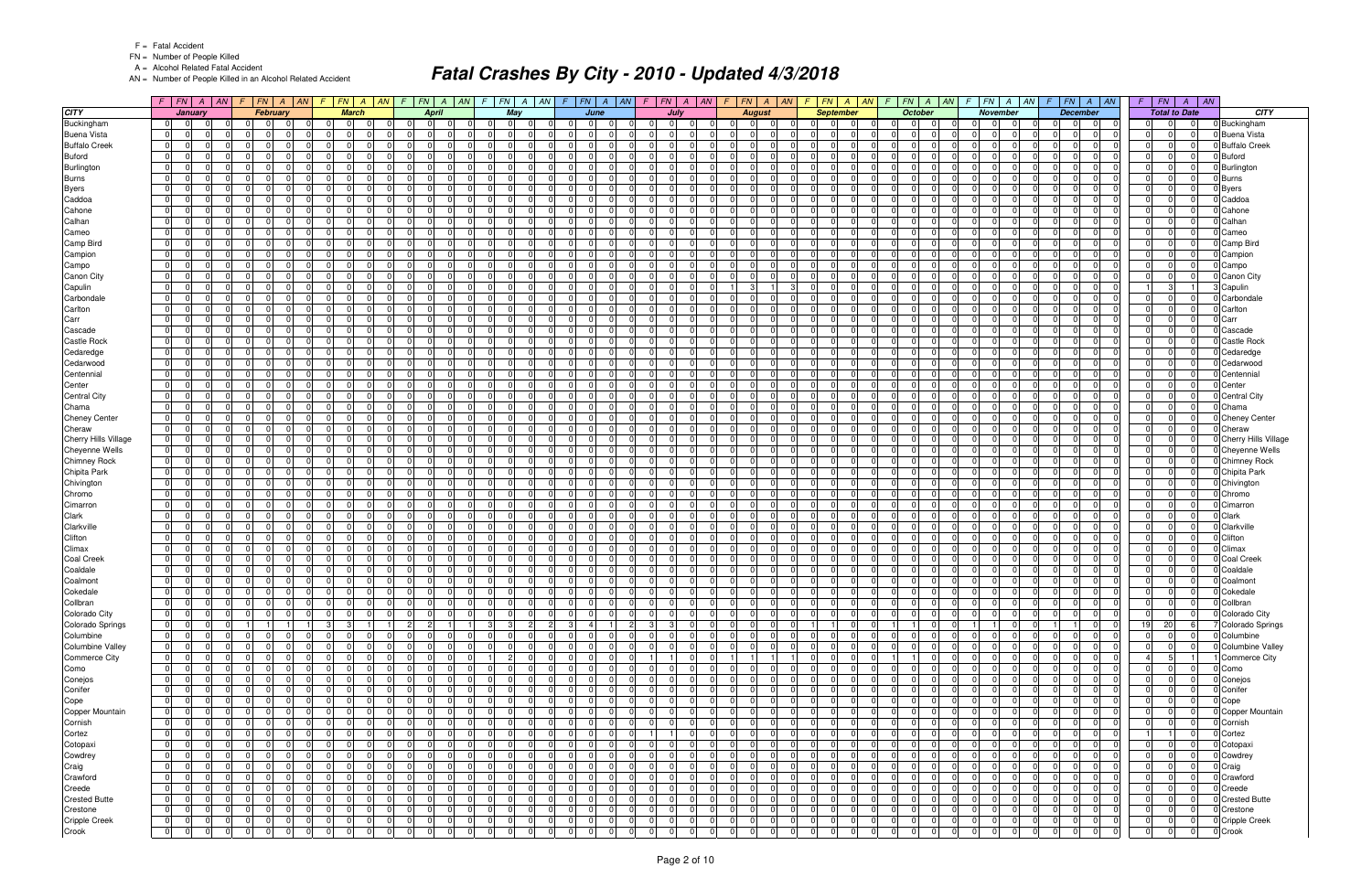FN = Number of People Killed

A = Alcohol Related Fatal Accident

AN = Number of People Killed in an Alcohol Related Accident

|                                          |                                                                | $F$   $FN$   $A$   $AN$ | F.                         | F N A AN                        |                            | $FN \mid A \mid AN$                          |                                                    | $FN \mid A \mid AN$        | F.                               | $FN \mid A \mid AN$                             |                         | $F$ $FN$ $A$ $AN$                                              |                               |                         | $F$   $FN$   $A$   $AN$ | F.                         | $FN \mid A \mid AN$  |                               |                                                   | $FN \mid A \mid AN$        |                            | $FN \mid A \mid AN$  |                          |                                                    | $FN$ $A$ $AN$                 |                                  | $F$ $FN$ $A$ $AN$                                     | FN                                                       | $\overline{A}$             | $\vert$ AN                               |
|------------------------------------------|----------------------------------------------------------------|-------------------------|----------------------------|---------------------------------|----------------------------|----------------------------------------------|----------------------------------------------------|----------------------------|----------------------------------|-------------------------------------------------|-------------------------|----------------------------------------------------------------|-------------------------------|-------------------------|-------------------------|----------------------------|----------------------|-------------------------------|---------------------------------------------------|----------------------------|----------------------------|----------------------|--------------------------|----------------------------------------------------|-------------------------------|----------------------------------|-------------------------------------------------------|----------------------------------------------------------|----------------------------|------------------------------------------|
| <b>CITY</b>                              | January                                                        |                         |                            | <b>February</b>                 |                            | <b>March</b>                                 | <b>April</b>                                       |                            |                                  | May                                             |                         | June                                                           |                               | July                    |                         |                            | <b>August</b>        |                               | <b>September</b>                                  |                            |                            | October              |                          |                                                    | <b>November</b>               |                                  | <b>December</b>                                       |                                                          | <b>Total to Date</b>       | <b>CITY</b>                              |
| Buckingham                               | 01<br>$\overline{0}$                                           |                         |                            | $\Omega$<br>$\Omega$            | 0 I                        | $\Omega$<br>$\Omega$                         | 0 <br>$\Omega$                                     | 0I                         | $\Omega$                         | $\overline{0}$<br>$\Omega$                      | - 01                    | 01<br>-01                                                      | $\Omega$                      | $\overline{0}$          |                         | $\Omega$                   | $\Omega$<br>$\Omega$ |                               | -01<br>$\Omega$                                   | $\Omega$                   | $\Omega$                   | $\overline{0}$       |                          | $\Omega$<br>$\Omega$                               | 0                             | -01                              | $\overline{0}$<br>$\Omega$                            | 0 I<br>$\Omega$                                          | 0                          | Buckingham                               |
| <b>Buena Vista</b>                       | 0 I<br>$\Omega$                                                |                         |                            | $\cap$<br>$\Omega$              | $\Omega$                   | $\Omega$                                     | $\Omega$<br>$\Omega$                               |                            | <sup>0</sup>                     | $\Omega$<br>$\cap$                              | $\Omega$                | $\Omega$<br>$\Omega$                                           | $\Omega$                      | $\Omega$                |                         | <sup>0</sup>               |                      | $\Omega$                      | $\Omega$<br>$\Omega$                              |                            | $\Omega$                   | $\Omega$             | $\Omega$                 | $\Omega$                                           | $\Omega$                      | $\Omega$                         | $\Omega$<br>$\Omega$                                  | $\overline{0}$<br>$\Omega$                               | $\Omega$                   | Buena Vista                              |
| <b>Buffalo Creek</b>                     | $\overline{0}$<br>$\Omega$                                     |                         | $\Omega$                   | $\Omega$                        | $\Omega$                   | $\Omega$<br>$\Omega$                         | 0 <br>$\Omega$                                     | $\Omega$                   | $\Omega$<br>$\Omega$             | $\Omega$                                        | $\Omega$                | $\Omega$<br>$\Omega$                                           | - 0 I                         | $\Omega$                | $\Omega$                | $\Omega$                   | $\Omega$             |                               | $\Omega$<br>$\Omega$                              | $\Omega$                   | 0                          | $\Omega$             | $\Omega$                 | $\Omega$                                           | $\Omega$                      | $\Omega$                         | $\Omega$<br>$\Omega$                                  | $\Omega$<br>$\Omega$                                     | $\Omega$                   | <b>Buffalo Creek</b>                     |
| <b>Buford</b>                            | 0 I<br>$\overline{0}$                                          |                         | $\Omega$                   | $\Omega$                        | $\Omega$                   | $\Omega$<br>$\Omega$                         | 0 <br>$\Omega$                                     | $\Omega$                   | $\Omega$                         | - 0 I<br>$\Omega$                               | $\Omega$                | $\Omega$<br>$\Omega$                                           | - 0 I                         | $\Omega$                | $\Omega$                | $\Omega$                   |                      | $\Omega$                      | $\Omega$<br>$\Omega$                              | $\Omega$                   | $\overline{0}$             | $\Omega$             | $\Omega$                 | $\Omega$                                           | $\mathbf 0$                   | $\Omega$                         | $\overline{0}$<br>$\Omega$                            | $\overline{0}$<br>$\Omega$                               | $\overline{0}$             | <b>Buford</b>                            |
| Burlington                               | 01<br>- 0                                                      |                         | $\Omega$                   | $\Omega$                        | $\Omega$                   | $\Omega$<br>$\Omega$                         | $\overline{0}$<br>$\Omega$                         | $\Omega$                   | $\Omega$                         | $\Omega$                                        | $\Omega$                | $\Omega$<br>$\Omega$                                           | $\mathbf 0$                   | - 0                     | <sup>0</sup>            | $\Omega$                   | $\Omega$             |                               | $\Omega$<br>0                                     | $\Omega$                   | $\overline{0}$             | - 0                  | $\Omega$                 | $\Omega$                                           | $\Omega$                      | $\Omega$                         | $\Omega$<br>$\Omega$                                  | $\overline{0}$<br>$\Omega$                               | $\Omega$                   | Burlington                               |
| <b>Burns</b>                             | 0 I<br>$\Omega$                                                | $\Omega$                | $\Omega$                   | $\Omega$                        | $\Omega$                   | - 0 I<br>$\Omega$                            | 0 <br>$\Omega$                                     | $\Omega$                   | $\Omega$                         | $\Omega$<br>- 0 I                               | $\Omega$                | $\Omega$<br>$\Omega$<br>$\Omega$                               | $\overline{0}$                | $\Omega$                | $\Omega$                | $\Omega$                   | $\Omega$             | $\Omega$                      | $\Omega$<br>$\Omega$<br>$\Omega$                  | $\Omega$                   | $\Omega$                   | $\Omega$             | $\Omega$                 | $\Omega$<br>$\Omega$                               | - 0 I                         | $\Omega$                         | $\Omega$<br>$\Omega$                                  | 0 I<br>$\Omega$                                          | $\Omega$                   | <b>Burns</b>                             |
| <b>Byers</b><br>Caddoa                   | 01<br>-0<br>0 I<br>$\overline{0}$                              | $\Omega$                | $\Omega$<br>$\Omega$       | $\Omega$<br>$\Omega$            | $\Omega$<br>$\Omega$       | $\Omega$<br>$\Omega$<br>$\Omega$             | $\overline{0}$<br>$\Omega$<br> 0 <br>$\Omega$      | $\Omega$                   | 0<br>0l                          | $\Omega$<br>- 0 I<br>$\Omega$                   | $\Omega$<br>$\Omega$    | $\Omega$<br>$\Omega$<br>$\Omega$                               | $\Omega$<br>$\overline{0}$    | $\Omega$                | $\Omega$                | $\Omega$<br>$\Omega$       | $\Omega$<br>$\Omega$ | $\Omega$                      | $\mathbf 0$<br>$\Omega$<br>$\Omega$               | $\Omega$                   | $\Omega$<br>$\overline{0}$ | $\Omega$<br>$\Omega$ | $\Omega$                 | $\overline{0}$<br>$\Omega$                         | $\Omega$<br>- 0 I             | $\Omega$<br>$\Omega$             | $\Omega$<br>$\Omega$<br>$\overline{0}$<br>$\Omega$    | $\Omega$<br>$\Omega$<br>$\overline{0}$<br>$\Omega$       | $\Omega$<br>$\Omega$       | <b>Byers</b><br>Caddoa                   |
| Cahone                                   | 01<br>$\Omega$                                                 |                         | $\Omega$                   | $\Omega$                        | $\Omega$                   | $\Omega$<br>$\Omega$                         | 0 <br>$\Omega$                                     | $\Omega$                   | $\Omega$<br>$\cap$               | $\mathbf 0$                                     | $\Omega$                | $\Omega$<br>$\Omega$                                           | $\mathbf 0$                   | $\Omega$                | $\Omega$                | $\Omega$                   | $\Omega$             |                               | $\Omega$<br>$\Omega$                              | $\Omega$                   | $\Omega$                   | $\Omega$             | $\Omega$                 | $\Omega$                                           | $\Omega$                      | $\Omega$                         | $\Omega$<br>$\Omega$                                  | $\overline{0}$<br>$\Omega$                               | $\Omega$                   | Cahone                                   |
| Calhan                                   | $\overline{0}$<br>$\Omega$                                     | $\cap$                  | $\Omega$                   | $\cap$<br>$\Omega$              | $\Omega$                   | $\Omega$<br>$\Omega$                         | 0 <br>$\Omega$                                     | $\Omega$                   | $\Omega$                         | - 0 I<br>$\Omega$                               | $\Omega$                | $\Omega$<br>$\Omega$                                           | 0                             | $\Omega$                | $\Omega$                | $\Omega$                   | $\Omega$             | $\Omega$                      | $\overline{0}$<br>$\Omega$                        | $\Omega$                   | 0                          | $\Omega$             | $\Omega$                 | $\Omega$<br>$\Omega$                               | - 0 I                         | $\Omega$                         | $\Omega$<br>$\Omega$                                  | $\overline{0}$<br>$\Omega$                               | $\Omega$                   | Calhan                                   |
| Cameo                                    | $\overline{0}$<br>$\Omega$                                     |                         | $\Omega$                   | $\Omega$                        | $\Omega$                   | $\Omega$                                     | $\Omega$<br>$\Omega$                               | <sup>0</sup>               | $\Omega$                         | $\Omega$                                        | $\Omega$                | $\Omega$<br>$\Omega$                                           | $\Omega$                      | $\Omega$                |                         | $\Omega$                   |                      | $\Omega$                      | $\Omega$<br>$\Omega$                              |                            | $\Omega$                   | $\Omega$             | <sup>0</sup>             | $\Omega$                                           | $\Omega$                      | $\Omega$                         | $\Omega$<br>$\Omega$                                  | $\Omega$<br>0                                            | $\Omega$                   | Cameo                                    |
| Camp Bird                                | 0 I<br>$\overline{0}$                                          | $\Omega$                | $\Omega$                   | $\mathbf 0$                     | $\Omega$                   | - 0 I<br>$\Omega$                            | 0 <br>$\Omega$                                     | $\Omega$                   | $\Omega$                         | $\Omega$<br>$\mathbf 0$                         | $\Omega$                | $\Omega$<br>$\overline{0}$                                     | - 0 I                         | $\Omega$                | $\Omega$                | $\Omega$                   | $\Omega$             | $\mathbf 0$                   | $\Omega$<br>$\Omega$                              | $\Omega$                   | $\overline{0}$             | $\Omega$             | $\Omega$                 | $\Omega$<br>$\Omega$                               | $\mathbf 0$                   | $\Omega$                         | $\overline{0}$<br>$\overline{0}$                      | $\overline{0}$<br>$\Omega$                               | $\Omega$                   | Camp Bird                                |
| Campion                                  | 01<br>- 0                                                      |                         | $\Omega$                   | $\Omega$                        | $\Omega$                   | $\Omega$<br>$\Omega$                         | $\overline{0}$<br>- 0                              |                            | $\Omega$                         | $\Omega$                                        | $\Omega$                | 0<br>$\Omega$                                                  | $\Omega$                      |                         |                         | $\Omega$                   | $\Omega$             |                               | $\Omega$<br>0                                     | $\Omega$                   | $\Omega$                   | - 0                  |                          | $\Omega$                                           | $\Omega$                      | $\Omega$                         | $\Omega$<br>$\Omega$                                  | $\Omega$<br>$\Omega$                                     | $\Omega$                   | Campion                                  |
| Campo                                    | 01<br>$\Omega$                                                 |                         | $\Omega$                   | $\Omega$                        | $\Omega$                   | $\Omega$<br>$\Omega$                         | 0 <br>$\Omega$                                     | $\Omega$                   | $\Omega$                         | $\mathbf 0$                                     | $\Omega$                | $\Omega$<br>$\Omega$                                           | - 0 I                         | $\Omega$                | $\Omega$                | $\Omega$                   |                      | $\Omega$                      | $\Omega$<br>$\Omega$                              | $\Omega$                   | $\overline{0}$             | $\Omega$             | $\Omega$                 | $\Omega$                                           | $\mathbf 0$                   | $\Omega$                         | $\Omega$<br>$\Omega$                                  | 0 I<br>$\Omega$                                          | 0                          | Campo                                    |
| Canon City                               | 0 <br>- 0                                                      |                         | $\Omega$                   | $\Omega$                        | $\Omega$                   | $\Omega$<br>$\Omega$                         | 0 <br>$\Omega$                                     |                            | $\overline{0}$                   | $\Omega$                                        | $\Omega$                | $\Omega$<br>$\Omega$                                           | $\Omega$                      | n                       |                         | $\mathbf 0$                |                      | $\Omega$                      | $\Omega$<br>$\Omega$                              | $\Omega$                   | 0                          | - 0                  |                          | $\Omega$                                           | - 0 I                         | $\Omega$                         | $\Omega$<br>$\overline{0}$                            | $\Omega$<br>$\overline{0}$                               | $\mathbf 0$                | Canon City                               |
| Capulin                                  | 0 I<br>$\Omega$                                                | <sup>n</sup>            | $\Omega$                   | $\Omega$                        | $\Omega$                   | $\Omega$<br>$\Omega$                         | 0 <br>$\Omega$                                     | $\Omega$                   | $\Omega$                         | $\Omega$                                        | $\Omega$                | $\Omega$<br>$\Omega$                                           | - 0 I                         | $\Omega$                | $\Omega$                | 11                         | -3                   |                               | $\Omega$<br>$\Omega$                              |                            | $\overline{0}$             | $\Omega$             | $\Omega$                 | $\Omega$                                           | $\Omega$                      | $\Omega$                         | $\Omega$<br>$\Omega$                                  | 3                                                        |                            | Capulin                                  |
| Carbondale                               | $\overline{0}$<br>$\Omega$                                     |                         | $\Omega$                   | $\Omega$                        | $\Omega$                   | $\Omega$<br>$\Omega$                         | 0 <br>$\Omega$                                     | $\Omega$                   | $\Omega$                         | $\Omega$                                        | $\Omega$                | $\Omega$<br>$\overline{0}$                                     | - 0 I                         | - 0                     | $\Omega$                | $\Omega$                   | $\Omega$             |                               | $\Omega$<br>$\Omega$                              | $\Omega$                   | $\overline{0}$             | $\Omega$             | $\Omega$                 | $\Omega$                                           | $\Omega$                      | $\Omega$                         | $\Omega$<br>$\Omega$                                  | $\overline{0}$<br>$\Omega$                               | $\Omega$                   | Carbondale                               |
| Carlton                                  | 0 I<br>$\Omega$<br>$\overline{0}$<br>$\Omega$                  |                         | $\Omega$<br>$\Omega$       | $\Omega$<br>$\Omega$            | $\Omega$<br>$\Omega$       | $\Omega$<br>$\Omega$<br>$\Omega$<br>$\Omega$ | $\overline{0}$<br>$\Omega$<br> 0 <br>$\Omega$      | <sup>0</sup><br>$\Omega$   | $\Omega$<br>$\Omega$             | $\Omega$<br>$\Omega$                            | $\Omega$<br>$\Omega$    | $\Omega$<br>$\Omega$<br>$\Omega$<br>$\Omega$                   | - 0 I<br> 0                   | $\Omega$<br>$\Omega$    | $\cap$                  | $\Omega$<br>$\Omega$       | $\Omega$<br>$\Omega$ | $\Omega$                      | $\Omega$<br>$\Omega$<br>$\Omega$<br>$\Omega$      | $\Omega$<br>$\Omega$       | $\overline{0}$<br>$\Omega$ | $\Omega$<br>$\Omega$ | <sup>0</sup><br>$\Omega$ | $\Omega$<br>$\Omega$                               | $\Omega$<br>$\Omega$          | $\Omega$<br>$\Omega$             | $\Omega$<br>$\Omega$<br>$\Omega$<br>$\Omega$          | $\overline{0}$<br>$\Omega$<br>$\overline{0}$<br>$\Omega$ | $\overline{0}$<br>$\Omega$ | Carlton                                  |
| Carr<br>Cascade                          | 01<br>$\Omega$                                                 |                         | $\Omega$                   | $\Omega$                        | $\Omega$                   | $\Omega$<br>$\Omega$                         | 0 <br>$\Omega$                                     | $\Omega$                   | $\Omega$                         | $\mathbf 0$                                     | $\Omega$                | $\Omega$<br>$\Omega$                                           | - 0 I                         | $\Omega$                | $\Omega$                | $\Omega$                   | $\Omega$             |                               | $\Omega$<br>$\Omega$                              | $\Omega$                   | $\overline{0}$             | $\Omega$             | $\Omega$                 | $\Omega$                                           | $\mathbf 0$                   | $\Omega$                         | $\Omega$<br>$\Omega$                                  | $\overline{0}$<br>$\Omega$                               | $\overline{0}$             | Carr<br>Cascade                          |
| <b>Castle Rock</b>                       | $\overline{0}$<br>$\Omega$                                     |                         | $\Omega$                   | $\Omega$                        | $\Omega$                   | $\Omega$<br>$\Omega$                         | 0 <br>$\Omega$                                     | $\Omega$                   | $\Omega$                         | $\Omega$                                        | $\Omega$                | $\Omega$<br>$\Omega$                                           | - 0 I                         | $\Omega$                |                         | $\Omega$                   | $\Omega$             |                               | $\Omega$<br>$\Omega$                              | $\Omega$                   | 0                          | $\Omega$             |                          | $\Omega$                                           | $\Omega$                      | $\Omega$                         | $\Omega$<br>$\Omega$                                  | $\Omega$<br>$\Omega$                                     | $\Omega$                   | Castle Rock                              |
| Cedaredge                                | 0 I<br>$\Omega$                                                | $\Omega$                | $\Omega$                   | $\mathbf 0$                     | $\Omega$                   | - 0 I<br>$\Omega$                            | $\overline{0}$<br>$\Omega$                         | $\Omega$                   | $\Omega$                         | - 0 I<br>ി                                      | $\Omega$                | $\Omega$<br>$\Omega$                                           | - 0 I                         | $\Omega$                | $\Omega$                | $\Omega$                   |                      | $\Omega$                      | $\overline{0}$<br>$\Omega$                        | $\Omega$                   | $\overline{0}$             | $\Omega$             | $\Omega$                 | $\Omega$<br>$\cap$                                 | - 0 I                         | $\Omega$                         | $\Omega$<br>$\Omega$                                  | 0 I<br>$\Omega$                                          | $\Omega$                   | Cedaredge                                |
| Cedarwood                                | 0 <br>$\Omega$                                                 |                         | $\Omega$                   | $\Omega$                        | $\Omega$                   | $\Omega$                                     | $\Omega$<br>$\Omega$                               |                            | $\Omega$                         | $\Omega$                                        | $\Omega$                | $\Omega$<br>$\Omega$                                           | $\Omega$                      |                         |                         | $\Omega$                   | $\Omega$             |                               | $\Omega$<br>$\Omega$                              |                            | $\Omega$                   | $\Omega$             |                          | $\Omega$                                           | $\Omega$                      | $\Omega$                         | $\Omega$<br>$\Omega$                                  | $\Omega$<br>$\Omega$                                     | $\Omega$                   | Cedarwood                                |
| Centennial                               | $\overline{0}$<br>$\Omega$                                     |                         | $\Omega$                   | $\Omega$                        | $\Omega$                   | $\Omega$<br>$\Omega$                         | 0 <br>$\Omega$                                     | <sup>0</sup>               | $\Omega$                         | $\Omega$                                        | $\Omega$                | $\Omega$<br>$\Omega$                                           | - 0 I                         | $\Omega$                | <sup>0</sup>            | $\Omega$                   |                      | $\Omega$                      | $\Omega$<br>$\Omega$                              | $\Omega$                   | $\overline{0}$             | $\Omega$             | <sup>0</sup>             | $\Omega$                                           | $\Omega$                      | $\Omega$                         | $\Omega$<br>$\Omega$                                  | - 0 I<br>$\Omega$                                        | $\overline{0}$             | Centennial                               |
| Center                                   | $\overline{0}$<br>$\Omega$                                     |                         | $\Omega$                   | $\Omega$                        | $\Omega$                   | $\Omega$<br>$\Omega$                         | 0 <br>$\Omega$                                     |                            | $\Omega$                         | $\Omega$                                        | $\Omega$                | $\Omega$<br>$\Omega$                                           | - 0 I                         | $\Omega$                |                         | $\Omega$                   | $\Omega$             |                               | $\Omega$<br>$\Omega$                              | $\Omega$                   | - 0 I                      | $\Omega$             | $\Omega$                 | $\Omega$                                           | $\Omega$                      | $\Omega$                         | $\Omega$<br>$\Omega$                                  | $\overline{0}$<br>$\Omega$                               | $\Omega$                   | Center                                   |
| <b>Central City</b>                      | 0 <br>-0                                                       |                         | $\Omega$                   | $\Omega$                        | $\Omega$                   | 0                                            | $\overline{0}$<br>- 0                              |                            | $\Omega$                         | $\Omega$                                        | $\Omega$                | 0<br>$\Omega$                                                  | $\mathbf 0$                   | n                       |                         | $\Omega$                   |                      | $\Omega$                      | $\Omega$<br>0                                     |                            | $\overline{0}$             | - 0                  |                          | $\Omega$                                           | $\Omega$                      | $\Omega$                         | $\Omega$<br>$\Omega$                                  | $\Omega$<br>$\Omega$                                     | $\Omega$                   | Central City                             |
| Chama                                    | 0 I<br>$\Omega$                                                |                         | $\Omega$                   | $\Omega$                        | $\Omega$                   | $\Omega$                                     | 0 <br>$\Omega$                                     | $\cap$                     | $\Omega$                         | - 0 I                                           | $\Omega$                | $\Omega$<br>$\Omega$                                           | - 0 I                         | $\Omega$                |                         | $\Omega$                   |                      | $\Omega$                      | $\Omega$<br>$\Omega$                              | $\Omega$                   | $\Omega$                   | $\Omega$             | $\Omega$                 | $\Omega$                                           | - 0 I                         | $\Omega$                         | $\Omega$<br>$\Omega$                                  | 0 I<br>$\Omega$                                          | $\Omega$                   | Chama                                    |
| <b>Cheney Center</b>                     | $\overline{0}$<br>$\Omega$                                     | $\cap$                  | $\overline{0}$<br>$\Omega$ | $\Omega$                        | $\Omega$<br>$\Omega$       | $\Omega$<br>$\Omega$                         | 0 <br>O                                            | $\Omega$                   | $\overline{0}$<br>$\Omega$       | $\Omega$<br>$\Omega$                            | $\Omega$<br>$\Omega$    | $\Omega$<br>$\Omega$<br>$\Omega$                               | $\Omega$                      |                         | $\Omega$                | $\overline{0}$             | $\Omega$<br>$\Omega$ |                               | $\mathbf 0$<br>$\Omega$<br>$\Omega$<br>$\Omega$   | $\Omega$                   | $\Omega$                   | $\Omega$<br>$\Omega$ | $\Omega$                 | $\overline{0}$<br>$\Omega$                         | $\Omega$                      | $\Omega$<br>$\Omega$             | $\Omega$<br>$\Omega$<br>$\Omega$                      | $\overline{0}$<br>0<br>$\Omega$                          | $\Omega$                   | Cheney Center                            |
| Cheraw<br><b>Cherry Hills Village</b>    | 0 I<br>$\overline{0}$<br>01<br>$\Omega$                        | $\Omega$                | $\Omega$                   | $\Omega$<br>$\Omega$            | $\Omega$                   | $\Omega$<br>$\Omega$<br>$\Omega$             | 0 <br>$\Omega$<br> 0 <br>$\Omega$                  | $\Omega$                   | $\Omega$                         | - 0 I<br>$\mathbf 0$<br>$\Omega$                | $\Omega$                | $\Omega$<br>$\Omega$<br>$\Omega$                               | $\overline{0}$<br>$\mathbf 0$ | $\Omega$<br>$\Omega$    | $\Omega$                | $\Omega$<br>$\Omega$       | $\Omega$             | $\Omega$                      | - 0 l<br>$\Omega$                                 | $\Omega$                   | 0 <br>$\Omega$             | $\Omega$             | $\Omega$                 | $\Omega$                                           | - 0 I<br>$\mathbf 0$          | $\Omega$                         | $\overline{0}$<br>$\Omega$<br>$\Omega$                | $\overline{0}$<br>$\overline{0}$<br>$\Omega$             | $\overline{0}$<br>$\Omega$ | Cheraw<br>Cherry Hills Village           |
| Cheyenne Wells                           | $\overline{0}$<br>- 01                                         | $\Omega$                | $\Omega$                   | $\cap$<br>$\Omega$              | $\Omega$                   | $\Omega$<br>$\Omega$                         | 0 <br>$\Omega$                                     | $\Omega$                   | $\Omega$                         | - 0 I<br>$\Omega$                               | $\Omega$                | $\Omega$<br>$\Omega$                                           | - 0 I                         | $\Omega$                | $\Omega$                | $\Omega$                   | $\Omega$             | $\Omega$                      | $\overline{0}$<br>$\Omega$                        | $\Omega$                   | 0                          | $\Omega$             | $\Omega$                 | $\Omega$<br>$\Omega$                               | - 0 I                         | $\overline{0}$                   | $\Omega$<br>$\Omega$                                  | $\overline{0}$<br>$\Omega$                               | $\Omega$                   | Cheyenne Wells                           |
| Chimney Rock                             | $\overline{0}$<br>$\Omega$                                     |                         | $\Omega$                   | $\Omega$                        | $\Omega$                   | $\Omega$<br>$\Omega$                         | $\overline{0}$<br>$\Omega$                         | <sup>0</sup>               | $\Omega$                         | $\Omega$                                        | $\Omega$                | $\Omega$<br>$\Omega$                                           | $\Omega$                      | $\Omega$                | <sup>n</sup>            | $\Omega$                   |                      | $\Omega$                      | $\Omega$<br>$\Omega$                              |                            | $\Omega$                   | $\Omega$             | <sup>0</sup>             | $\Omega$                                           | $\Omega$                      | $\Omega$                         | $\Omega$<br>$\Omega$                                  | $\Omega$<br>$\Omega$                                     | $\Omega$                   | Chimney Rock                             |
| Chipita Park                             | 0 I<br>$\overline{0}$                                          | $\Omega$                | $\Omega$                   | $\mathbf 0$                     | $\Omega$                   | - 0 I<br>$\Omega$                            | 0 <br>$\Omega$                                     | $\Omega$                   | $\Omega$                         | $\Omega$<br>$\mathbf 0$                         | $\Omega$                | $\Omega$<br>$\overline{0}$                                     | - 0 I                         | $\Omega$                | $\Omega$                | $\Omega$                   | $\Omega$             | $\mathbf 0$                   | $\Omega$<br>$\Omega$                              | $\Omega$                   | $\overline{0}$             | $\Omega$             | $\Omega$                 | $\Omega$<br>$\Omega$                               | $\mathbf 0$                   | $\Omega$                         | $\overline{0}$<br>$\overline{0}$                      | $\overline{0}$<br>$\Omega$                               | $\overline{0}$             | Chipita Park                             |
| Chivington                               | 01<br>$\Omega$                                                 |                         | $\Omega$                   | $\Omega$                        | $\Omega$                   | 0<br>$\Omega$                                | 0 <br>$\Omega$                                     | $\Omega$                   | $\Omega$                         | $\Omega$                                        | $\Omega$                | $\Omega$<br>$\Omega$                                           | $\Omega$                      | n                       |                         | $\Omega$                   |                      | $\Omega$                      | $\Omega$<br><sup>0</sup>                          | $\Omega$                   | $\Omega$                   | - 0                  | <sup>0</sup>             | $\Omega$                                           | $\Omega$                      | $\Omega$                         | $\Omega$<br>$\Omega$                                  | $\overline{0}$<br>$\Omega$                               | $\Omega$                   | Chivington                               |
| Chromo                                   | 0 I<br>$\Omega$                                                | $\cap$                  | $\Omega$                   | $\Omega$                        | $\Omega$                   | - 0 I<br>$\Omega$                            | 0 <br>$\Omega$                                     | $\Omega$                   | $\Omega$                         | - 0 I<br>$\Omega$                               | $\Omega$                | $\Omega$<br>$\Omega$                                           | - 0 I                         | $\Omega$                | $\Omega$                | $\Omega$                   | $\Omega$             | $\Omega$                      | $\Omega$<br>$\Omega$                              | $\Omega$                   | 0                          | $\Omega$             | $\Omega$                 | $\Omega$<br>$\cap$                                 | - 0 I                         | $\Omega$                         | $\Omega$<br>$\Omega$                                  | 0 I<br>$\Omega$                                          | $\Omega$                   | Chromo                                   |
| Cimarron                                 | 01<br>$\Omega$                                                 |                         | $\Omega$                   | $\Omega$                        | $\Omega$                   | $\Omega$<br>$\Omega$                         | 0 <br>$\Omega$                                     |                            | $\overline{0}$                   | $\Omega$                                        | $\Omega$                | $\Omega$<br>$\Omega$                                           | $\overline{0}$                | n                       |                         | $\overline{0}$             |                      | $\Omega$                      | $\mathbf 0$<br>$\Omega$                           | $\Omega$                   | $\overline{0}$             | $\Omega$             |                          | $\overline{0}$                                     | $\Omega$                      | $\Omega$                         | $\Omega$<br>$\overline{0}$                            | $\overline{0}$<br>$\Omega$                               | $\Omega$                   | Cimarron                                 |
| Clark                                    | 0 I<br>$\Omega$                                                | $\Omega$                | $\Omega$                   | $\Omega$                        | $\Omega$                   | $\Omega$<br>$\Omega$                         | 0 <br>- 0                                          | $\Omega$                   | $\Omega$                         | $\Omega$<br>$\mathbf 0$                         | $\Omega$                | $\Omega$<br>$\overline{0}$                                     | - 0 I                         | $\Omega$                | $\Omega$                | $\Omega$                   | $\Omega$<br>$\Omega$ |                               | $\Omega$<br>$\Omega$                              | $\Omega$                   | 0                          | $\Omega$             | $\Omega$                 | $\Omega$                                           | - 0 I                         | $\Omega$                         | -01<br>$\Omega$                                       | $\overline{0}$<br>$\Omega$                               | $\Omega$                   | Clark                                    |
| Clarkville                               | 01<br>-0<br>$\Omega$                                           |                         | $\Omega$<br>$\Omega$       | $\Omega$<br>$\Omega$            | 0<br>$\Omega$              | $\Omega$<br>$\Omega$<br>0<br>$\Omega$        | $\overline{0}$<br>-0<br>$\Omega$                   | $\Omega$                   | $\Omega$<br>$\Omega$<br>$\Omega$ | $\Omega$                                        | $\Omega$<br>$\Omega$    | $\Omega$<br>- 01<br>$\Omega$<br>$\Omega$                       | $\mathbf 0$                   | - 0<br>$\Omega$         | $\Omega$                | $\Omega$<br>$\Omega$       | $\Omega$             | $\Omega$                      | $\mathbf{0}$<br>$\Omega$<br>$\Omega$<br>0         | - 0<br>$\Omega$            | $\overline{0}$             | -0<br>$\Omega$       | $\Omega$                 | $\Omega$<br>$\Omega$                               | $\Omega$                      | $\Omega$<br>$\Omega$             | $\Omega$<br>-01<br>$\Omega$                           | $\overline{0}$<br>$\Omega$                               | $\Omega$                   | Clarkville<br>Clifton                    |
| Clifton<br>Climax                        | 0 I<br>$\overline{0}$<br>$\Omega$                              |                         | $\Omega$                   | $\Omega$                        | $\Omega$                   | $\Omega$<br>$\Omega$                         | $\overline{0}$<br> 0 <br>$\Omega$                  | $\Omega$                   | $\Omega$                         | $\Omega$<br>$\Omega$                            | $\Omega$                | $\Omega$<br>$\Omega$                                           | - 0 I<br> 0                   | $\Omega$                | $\cap$                  | $\Omega$                   |                      | $\Omega$                      | $\Omega$<br>$\Omega$                              | $\Omega$                   | $\overline{0}$<br>$\Omega$ | $\Omega$             | $\Omega$                 | $\Omega$                                           | $\Omega$<br>$\Omega$          | $\Omega$                         | $\Omega$<br>$\Omega$<br>$\Omega$                      | $\overline{0}$<br>$\Omega$<br>$\overline{0}$<br>$\Omega$ | $\overline{0}$<br>$\Omega$ | Climax                                   |
| <b>Coal Creek</b>                        | 0 I<br>$\Omega$                                                |                         | $\Omega$                   | $\mathbf 0$                     | $\Omega$                   | $\Omega$<br>$\Omega$                         | 0 <br>$\Omega$                                     | $\Omega$                   | $\Omega$                         | $\mathbf 0$                                     | $\Omega$                | $\Omega$<br>$\Omega$                                           | 0                             | $\Omega$                | $\Omega$                | $\Omega$                   | $\Omega$             |                               | $\Omega$<br>$\Omega$                              | $\Omega$                   | $\overline{0}$             | $\Omega$             | $\Omega$                 | $\Omega$                                           | $\mathbf 0$                   | $\Omega$                         | $\Omega$<br>$\Omega$                                  | $\overline{0}$<br>$\Omega$                               | $\overline{0}$             | Coal Creek                               |
| Coaldale                                 | 0 I<br>$\Omega$                                                |                         | $\Omega$                   | $\Omega$                        | $\Omega$                   | $\Omega$<br>$\Omega$                         | 0 <br>$\Omega$                                     | $\Omega$                   | $\Omega$                         | $\Omega$                                        | $\Omega$                | $\Omega$<br>$\Omega$                                           | - 0 I                         | $\Omega$                |                         | $\Omega$                   | $\Omega$             |                               | $\Omega$<br>$\Omega$                              | $\Omega$                   | 0                          | $\Omega$             |                          | $\Omega$                                           | $\Omega$                      | $\Omega$                         | $\Omega$<br>$\Omega$                                  | $\Omega$<br>$\Omega$                                     | $\Omega$                   | Coaldale                                 |
| Coalmont                                 | 01<br>$\Omega$                                                 |                         | $\Omega$                   | $\mathbf 0$                     | $\overline{0}$             | $\Omega$<br>$\Omega$                         | 0 <br>$\Omega$                                     | $\Omega$                   | $\Omega$                         | $\mathbf 0$                                     | $\Omega$                | $\Omega$<br>$\Omega$                                           | - 0 I                         | $\Omega$                |                         | $\Omega$                   |                      | $\mathbf 0$                   | $\overline{0}$<br>$\Omega$                        | $\Omega$                   | $\overline{0}$             | $\Omega$             |                          | $\Omega$                                           | $\mathbf 0$<br>$\Omega$       | $\Omega$                         | $\Omega$<br>$\Omega$                                  | $\overline{0}$<br>$\Omega$                               | $\Omega$                   | Coalmont                                 |
| Cokedale                                 | $\overline{0}$<br>$\Omega$                                     |                         | $\Omega$                   |                                 |                            | $\Omega$                                     | $\Omega$<br>$\Omega$                               |                            | <sup>0</sup>                     | $\Omega$                                        |                         | $\Omega$                                                       | $\Omega$                      |                         |                         | $\Omega$                   |                      |                               | $\Omega$                                          |                            | $\Omega$                   |                      |                          | $\Omega$                                           |                               |                                  | $\Omega$                                              | $\Omega$                                                 |                            | Cokedale                                 |
| Collbran                                 | 0 <br> 0                                                       | $\Omega$                | 0                          | $\Omega$                        |                            | $\overline{0}$<br>$\mathbf 0$                | $\overline{0}$<br>$\overline{0}$                   | $\Omega$                   | 0                                | 0                                               |                         | $\overline{0}$<br>$\mathbf 0$                                  | $\overline{0}$                | $\Omega$                |                         | 0                          |                      | $\Omega$                      | 0                                                 | $\Omega$                   | 0                          | $\Omega$             |                          | 01                                                 | $\Omega$                      |                                  | $\overline{0}$<br>$\overline{0}$                      | $\overline{0}$<br>$\Omega$                               | $\Omega$                   | 0 Collbran                               |
| Colorado City                            | $\overline{0}$<br> 0                                           |                         | $\Omega$                   | $\Omega$                        |                            | 0 <br>$\Omega$                               | 0 <br>$\Omega$                                     |                            | $\Omega$                         | 0                                               | $\Omega$                | $\overline{0}$<br>$\overline{0}$                               | - 0 I                         | $\Omega$                |                         | $\Omega$                   | $\Omega$             |                               | $\overline{0}$                                    | $\Omega$                   | 0                          | $\Omega$             |                          | $\Omega$                                           | - 0 I                         | $\Omega$                         | 0 <br>$\overline{0}$                                  | $\overline{0}$<br>$\overline{0}$                         | $\Omega$                   | Colorado City                            |
| Colorado Springs                         | 0 <br>$\overline{0}$                                           |                         |                            |                                 | -3                         | 3                                            | $2 \mid$<br>$\overline{2}$                         |                            | $\vert$ 3                        | $\overline{2}$<br>$3 \mid$                      | -31                     | $\vert 4 \vert$                                                | 3                             | 3                       |                         | $\mathbf 0$                | $\Omega$             | $\overline{0}$                | $\overline{1}$<br>$\overline{1}$                  | - 01                       | 11                         |                      | $\Omega$                 |                                                    | 0                             | $\overline{1}$                   | $\overline{1}$<br> 0                                  | 19<br>20                                                 | 6                          | Colorado Springs                         |
| Columbine                                | $\overline{0}$<br>$\mathbf 0$                                  |                         | $\mathbf 0$                | $\Omega$                        |                            | $\overline{0}$<br>$\Omega$                   | $\overline{0}$<br>$\Omega$                         |                            | $\overline{0}$                   | - 0 I                                           |                         | $\Omega$<br>$\Omega$                                           | - 0 I                         | $\Omega$                |                         | $\mathbf 0$                |                      | $\Omega$                      | $\Omega$<br>$\overline{0}$                        | $\Omega$                   | $\overline{0}$             | $\Omega$             |                          | $\Omega$                                           | - 0 I                         | $\mathbf 0$                      | $\overline{0}$<br>$\overline{0}$                      | $\overline{0}$<br>$\Omega$                               | $\Omega$                   | Columbine                                |
| Columbine Valley<br><b>Commerce City</b> | 0 <br> 0 <br>$\overline{0}$<br>$\overline{0}$                  |                         | $\mathbf 0$<br>$\Omega$    | $\overline{0}$<br>$\Omega$      | $\Omega$<br>$\Omega$       | 0 <br>$\Omega$<br>$\overline{0}$<br>$\Omega$ | 0 <br>$\overline{0}$<br> 0 <br>$\Omega$            | $\Omega$<br>$\Omega$       | $\overline{0}$                   | 0 <br>- 01<br>$\overline{2}$<br>$\Omega$        | $\Omega$<br>$\Omega$    | 0 <br>$\mathbf 0$<br>$\overline{0}$<br>$\overline{0}$          | $\mathbf 0$<br>11             | $\Omega$                | $\Omega$                | $\mathbf 0$<br>11          |                      | $\overline{0}$                | $\mathbf{0}$<br> 0 <br>$\Omega$<br>$\overline{0}$ | $\Omega$<br>$\Omega$       | 0 <br>$1 \vert$            | $\mathbf 0$          | $\Omega$                 | $\overline{0}$<br>$\Omega$<br>$\Omega$<br>$\Omega$ | 0 <br>- 0 I                   | $\mathbf 0$<br>$\mathbf{0}$      | 0 <br>$\mathbf 0$<br>$\overline{0}$<br>$\overline{0}$ | 01<br>$\overline{0}$<br>5<br>$\overline{4}$              | 0 <br>11                   | Columbine Valley<br><b>Commerce City</b> |
| Como                                     | $\overline{0}$<br>$\Omega$                                     |                         | $\mathbf 0$                | $\overline{0}$                  | $\Omega$                   | $\overline{0}$<br>$\Omega$                   | 0 <br>$\Omega$                                     | $\Omega$                   | $\Omega$                         | 0 <br>$\Omega$                                  | $\Omega$                | $\overline{0}$<br>$\mathbf 0$                                  | $\mathbf 0$                   | $\Omega$                | $\Omega$                | 0                          | $\Omega$             |                               | $\mathbf 0$<br>$\overline{0}$                     | $\Omega$                   | 0                          | $\Omega$             |                          | $\Omega$<br>$\Omega$                               | $\mathbf 0$                   | $\mathbf 0$                      | $\overline{0}$<br>$\mathbf 0$                         | $\overline{0}$<br>$\Omega$                               | $\overline{0}$             | Como                                     |
| Conejos                                  | 0 <br>$\Omega$                                                 |                         | $\Omega$                   | $\Omega$                        | $\Omega$                   | $\overline{0}$<br>$\Omega$                   | $\overline{0}$<br>$\Omega$                         | $\Omega$                   | $\overline{0}$                   | $\Omega$<br>$\mathbf 0$                         | $\mathbf{0}$            | $\overline{0}$<br>$\mathbf 0$                                  | $\Omega$                      | $\Omega$                | $\Omega$                | $\Omega$                   | $\Omega$             | $\mathbf 0$                   | $\Omega$<br>$\overline{0}$                        | $\Omega$                   | 0                          | $\Omega$             |                          | $\Omega$<br>$\mathbf 0$                            | $\mathbf 0$                   | $\mathbf 0$                      | 0 <br>$\overline{0}$                                  | $\Omega$<br>$\Omega$                                     | $\overline{0}$             | Conejos                                  |
| Conifer                                  | $\overline{0}$<br>$\Omega$                                     |                         | $\overline{0}$             | $\Omega$                        | $\Omega$                   | $\overline{0}$<br>$\Omega$                   | $\overline{0}$<br>$\mathbf 0$                      | $\Omega$                   | $\overline{0}$                   | $\mathbf 0$                                     | $\Omega$                | $\overline{0}$<br>$\mathbf 0$                                  | 0                             | $\Omega$                |                         | $\overline{0}$             |                      | $\Omega$                      | $\overline{0}$<br>$\overline{0}$                  | $\Omega$                   | $\overline{0}$             | $\Omega$             |                          | $\overline{0}$                                     | $\Omega$                      | $\overline{0}$                   | $\overline{0}$<br>$\overline{0}$                      | $\Omega$<br>$\Omega$                                     | $\Omega$                   | Conifer                                  |
| Cope                                     | $\overline{0}$<br>- 01                                         | $\Omega$                | $\overline{0}$             | $\Omega$<br>$\mathbf 0$         | $\overline{0}$             | 0 <br>$\Omega$                               | 0 <br>$\overline{0}$                               | - 0 l                      | $\overline{0}$                   | $\overline{0}$<br>$\mathbf 0$                   | 0                       | 0 <br>$\overline{0}$                                           | $\overline{0}$                | $\Omega$                | $\overline{0}$          | $\overline{0}$             | $\Omega$             | $\mathbf 0$                   | $\mathbf 0$<br> 0                                 | - 01                       | 0                          | $\overline{0}$       | $\Omega$                 | $\overline{0}$<br>- 0 l                            | $\mathbf 0$                   | 0                                | $\overline{0}$<br>$\overline{0}$                      | $\Omega$<br>0 I                                          | 0 I                        | Cope                                     |
| Copper Mountain                          | $\overline{0}$<br>$\overline{0}$                               |                         | $\Omega$                   | $\mathbf 0$<br>$\Omega$         | $\overline{0}$             | $\overline{0}$<br>$\Omega$                   | 0 <br>$\overline{0}$                               | $\Omega$                   | $\overline{0}$                   | 0 <br>$\Omega$                                  | 0                       | $\overline{0}$<br>$\overline{0}$                               | 0                             | $\Omega$                | $\Omega$                | $\Omega$                   | $\Omega$             | $\mathbf 0$                   | 0 <br>$\Omega$                                    | - 01                       | 0                          | $\Omega$             | $\Omega$                 | $\Omega$<br>$\Omega$                               | 0                             | 0                                | 0 <br>$\overline{0}$                                  | $\Omega$<br>$\overline{0}$                               | $\mathbf 0$                | Copper Mountain                          |
| Cornish                                  | $\overline{0}$<br>$\overline{0}$                               | $\Omega$                | $\Omega$                   | $\Omega$<br>$\mathbf 0$         | $\mathbf 0$                | 0 <br>- 01                                   | $\overline{0}$<br>- 01                             | $\overline{0}$             | $\overline{0}$                   | 0 <br>$\overline{0}$                            | $\overline{0}$          | 0 <br>$\overline{0}$                                           | $\overline{0}$                | $\Omega$                | $\overline{0}$          | $\Omega$                   | - 0 I                | $\mathbf 0$                   | $\mathbf 0$<br> 0                                 | $\overline{0}$             | 0                          | - 01                 | $\overline{0}$           | $\overline{0}$                                     | $\overline{0}$<br> 0          | $\mathbf 0$                      | $\overline{0}$<br>$\overline{0}$                      | 0 I<br>0 I                                               | $\overline{0}$             | Cornish                                  |
| Cortez                                   | $\overline{0}$<br>0                                            |                         | $\overline{0}$             | $\overline{0}$                  | $\overline{0}$             | $\overline{0}$<br>$\Omega$                   | 0 <br>$\mathbf 0$                                  | $\Omega$                   | $\overline{0}$                   | 0 <br>- 01                                      | $\mathbf 0$             | $\overline{0}$<br>$\mathbf 0$                                  | <b>11</b>                     |                         | $\Omega$                | $\overline{0}$             | $\Omega$             |                               | $\mathbf{0}$<br>$\overline{0}$                    | $\mathbf 0$                | 0                          | $\Omega$             |                          | $\overline{0}$<br>$\overline{0}$                   | 0                             | $\mathbf 0$                      | $\overline{0}$<br>$\overline{0}$                      |                                                          | 0                          | Cortez                                   |
| Cotopaxi                                 | $\overline{0}$<br>$\overline{0}$                               | $\Omega$                | $\overline{0}$             | $\Omega$<br>$\overline{0}$      | $\Omega$                   | $\overline{0}$<br>$\Omega$                   | 0 <br>$\overline{0}$                               | $\overline{0}$             | $\overline{0}$                   | $\overline{0}$<br>$\mathbf 0$                   | - 0 l                   | 0 <br>$\overline{0}$                                           | $\overline{0}$                | - 01                    | $\overline{0}$          | $\overline{0}$             | $\Omega$             | $\overline{0}$                | $\Omega$<br>$\overline{0}$                        | $\overline{0}$             | 0                          | - 01                 | $\Omega$                 | $\Omega$<br>- 0 l                                  | - 0 I                         | $\Omega$                         | $\overline{0}$<br>$\overline{0}$                      | $\Omega$<br>0 I                                          | $\overline{0}$             | Cotopaxi                                 |
| Cowdrey                                  | 01<br>0                                                        |                         | $\mathbf 0$                | $\mathbf 0$                     | $\overline{0}$             | 0 <br>$\Omega$                               | 0 <br>$\mathbf 0$                                  | $\Omega$                   | $\mathbf 0$                      | 0 <br>- 01                                      | 0                       | $\overline{0}$<br>$\overline{0}$                               | $\mathbf 0$                   | $\Omega$                | $\Omega$                | $\mathbf 0$                | $\Omega$             | $\mathbf 0$                   | $\overline{0}$<br>$\overline{0}$                  | $\Omega$                   | 0                          | $\Omega$             | $\Omega$                 | $\Omega$<br>$\Omega$                               | 0                             | $\mathbf 0$                      | $\overline{0}$<br>$\overline{0}$                      | $\overline{0}$<br>$\overline{0}$                         | 0                          | Cowdrey                                  |
| Craig                                    | $\overline{0}$<br>$\Omega$<br>$\overline{0}$<br>$\overline{0}$ | $\Omega$                | $\Omega$<br>$\overline{0}$ | $\Omega$<br>$\mathbf 0$<br>- 01 | $\Omega$<br>$\overline{0}$ | - 0 I<br>$\Omega$<br>$\mathbf 0$<br>- 01     | 0 <br>$\Omega$<br>$\overline{0}$<br>$\overline{0}$ | $\Omega$<br>$\overline{0}$ | $\Omega$<br>$\overline{0}$       | $\Omega$<br>$\mathbf 0$<br>$\overline{0}$<br> 0 | $\Omega$<br>$\mathbf 0$ | $\Omega$<br>$\overline{0}$<br>$\overline{0}$<br>$\overline{0}$ | - 0 I<br> 0                   | $\Omega$<br>$\mathbf 0$ | $\Omega$<br>$\Omega$    | $\Omega$<br>$\overline{0}$ | $\Omega$<br>- 01     | $\mathbf 0$<br>$\overline{0}$ | $\Omega$<br>$\Omega$<br>$\overline{0}$<br> 0      | $\Omega$<br>$\overline{0}$ | $\overline{0}$<br> 0       | $\Omega$<br>0        | $\Omega$<br>$\Omega$     | $\Omega$<br>$\Omega$<br> 0                         | - 0 I<br>$\overline{0}$<br> 0 | $\overline{0}$<br>$\overline{0}$ | 0 <br>$\overline{0}$<br>$\overline{0}$<br>$\mathbf 0$ | $\overline{0}$<br>$\Omega$<br>01<br>$\overline{0}$       | $\overline{0}$<br> 0       | Craig                                    |
| Crawford<br>Creede                       | $\overline{0}$<br>- 01                                         | $\Omega$                | $\overline{0}$             | $\mathbf{0}$<br>$\mathbf 0$     | $\overline{0}$             | 0 <br>$\Omega$                               | 0 <br>$\overline{0}$                               | $\overline{0}$             | $\overline{0}$                   | $\overline{0}$<br>$\mathbf 0$                   | 0                       | 0 <br>$\overline{0}$                                           | - 0 I                         | $\Omega$                | $\overline{0}$          | $\overline{0}$             |                      | $\mathbf 0$                   | $\mathbf 0$<br> 0                                 | $\overline{0}$             | 0                          | $\Omega$             | $\Omega$                 | $\overline{0}$<br>$\Omega$                         | $\mathbf 0$                   | 0                                | 0 <br>$\overline{0}$                                  | - 0 I<br>$\Omega$                                        | $\overline{0}$             | Crawford<br>Creede                       |
| <b>Crested Butte</b>                     | 0 <br>0                                                        |                         | $\Omega$                   | - 0                             | 0                          | $\Omega$<br>$\Omega$                         | $\mathbf 0$<br>0                                   | $\Omega$                   | $\Omega$                         | 0                                               | 0                       | $\Omega$<br> 0                                                 | $\overline{0}$                | $\Omega$                |                         | $\Omega$                   | $\Omega$             |                               | 0<br>$\Omega$                                     | $\Omega$                   | $\mathbf 0$                | $\Omega$             |                          | $\Omega$                                           | 0                             | 0                                | 0<br> 0                                               | $\Omega$<br>$\overline{0}$                               | $\Omega$                   | <b>Crested Butte</b>                     |
| Crestone                                 | $\overline{0}$<br>- 01                                         | $\Omega$                | $\Omega$                   | $\mathbf 0$                     | $\overline{0}$             | 0 <br>$\Omega$                               | 0 <br>- 01                                         | $\Omega$                   | $\Omega$                         | $\overline{0}$<br> 0                            | $\Omega$                | $\overline{0}$<br>- 01                                         | $\overline{0}$                | $\Omega$                | $\Omega$                | $\mathbf 0$                | $\Omega$             | $\mathbf 0$                   | $\overline{0}$<br> 0                              | $\Omega$                   | 0                          | $\Omega$             | $\Omega$                 | $\Omega$                                           | 0 <br>- 0 I                   | $\overline{0}$                   | $\overline{0}$<br>$\overline{0}$                      | $\overline{0}$<br>$\overline{0}$                         | $\overline{0}$             | Crestone                                 |
| Cripple Creek                            | $\overline{0}$<br>$\Omega$                                     |                         | $\mathbf 0$                | 0                               | $\mathbf 0$                | $\mathbf 0$                                  | 0 <br>0                                            |                            | $\mathbf 0$                      | 0                                               | $\mathbf{0}$            | $\mathbf{0}$<br>$\mathbf 0$                                    | 0                             | $\Omega$                |                         | $\mathbf 0$                |                      | 0                             | $\mathbf 0$<br>$\mathbf{0}$                       |                            | 0                          | 0                    |                          | $\mathbf 0$<br>$\mathbf 0$                         | 0                             | $\mathbf 0$                      | $\mathbf{0}$<br>$\overline{0}$                        | $\overline{0}$<br>$\overline{0}$                         | $\Omega$                   | Cripple Creek                            |
| Crook                                    | $\overline{0}$<br>$\overline{0}$                               | 0 <br>$\Omega$          | $\overline{0}$             | $\overline{0}$<br> 0            | $\overline{0}$             | $\overline{0}$<br>$\overline{0}$             | $\overline{0}$<br> 0                               | $\overline{0}$<br>$\Omega$ | $\overline{0}$                   | $\overline{0}$<br> 0                            | $\overline{0}$          | $\overline{0}$<br>$\overline{0}$                               | $\overline{0}$                | 0                       | $\Omega$                | $\overline{0}$<br>$\Omega$ | $\overline{0}$       | 0                             | $\overline{0}$<br>$\overline{0}$                  | $\overline{0}$             | $\overline{0}$             | $\overline{0}$       | $\Omega$<br>$\Omega$     | $\overline{0}$                                     | $\overline{0}$<br> 0          |                                  | $\overline{0}$<br> 0 <br>$\overline{0}$               | $\overline{0}$<br>$\overline{0}$                         | 0                          | 0 Crook                                  |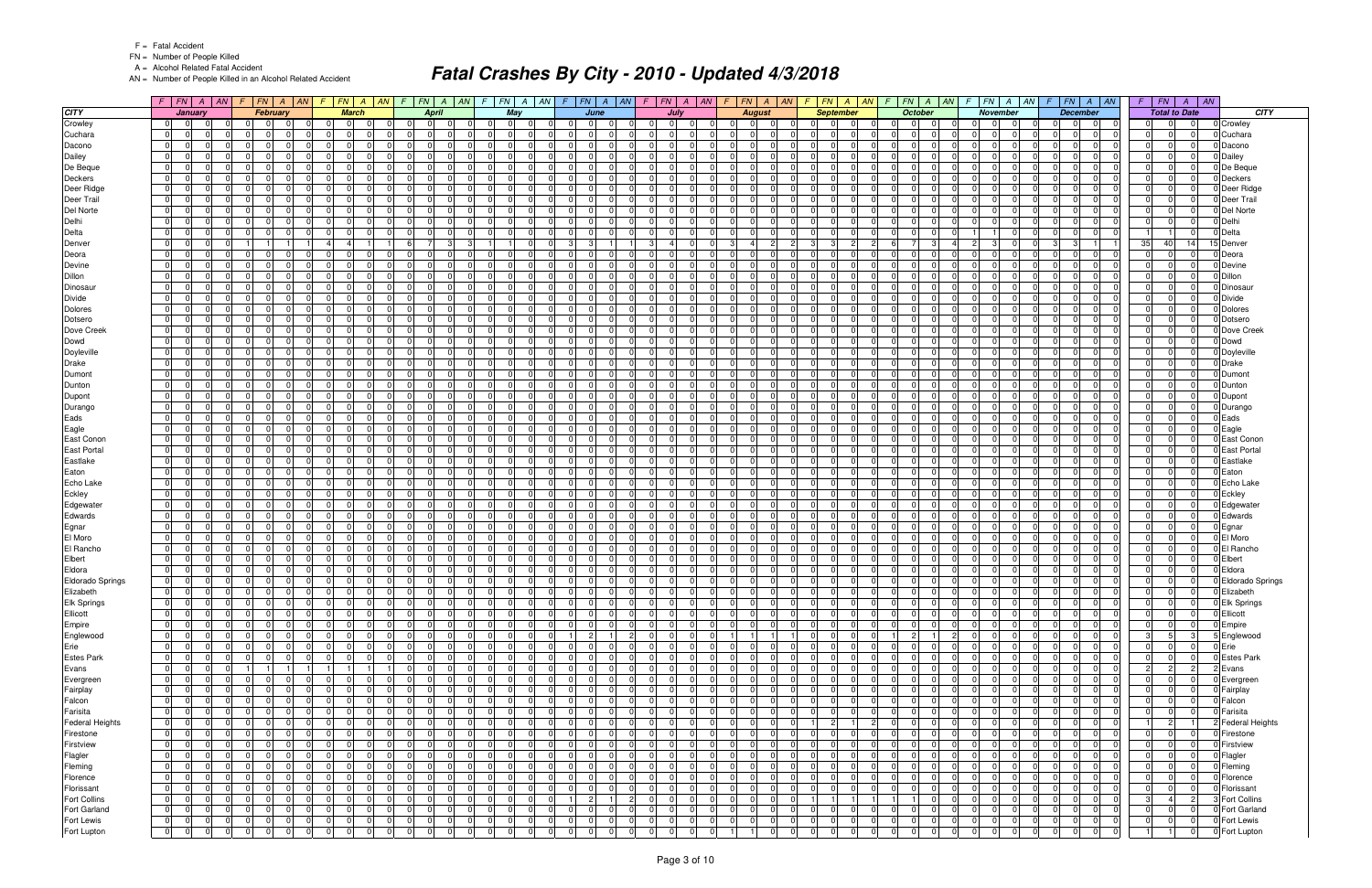FN = Number of People Killed

A = Alcohol Related Fatal Accident

AN = Number of People Killed in an Alcohol Related Accident

|                         |                                  | $F$   $FN$  <br>$\overline{A}$ | AN |                | $FN \mid A \mid AN$              |                      | $\mid FN \mid A \mid AN$                        | F | $FN \mid A$                                        | $\vert$ AN     | F.                               | $FN$ $A$ $AN$        |                      | $F$ $FN$ $A$         | AN                   | $F$ $FN$                                     | $A \parallel AN$     |                                  | $FN \mid A \mid AN$ |                            | $F$ $FN$<br>A   AN         | $FN$ $A$                                           | $\mid AN$ | <b>FN</b><br>$A \mid AN$                           |                      | $F$ $FN$ $A$ $AN$                            | $\sqrt{F}$ | FN<br>$\overline{A}$             | $\parallel AN$ |                             |
|-------------------------|----------------------------------|--------------------------------|----|----------------|----------------------------------|----------------------|-------------------------------------------------|---|----------------------------------------------------|----------------|----------------------------------|----------------------|----------------------|----------------------|----------------------|----------------------------------------------|----------------------|----------------------------------|---------------------|----------------------------|----------------------------|----------------------------------------------------|-----------|----------------------------------------------------|----------------------|----------------------------------------------|------------|----------------------------------|----------------|-----------------------------|
| <b>CITY</b>             |                                  | <b>January</b>                 |    |                | <b>February</b>                  |                      | <b>March</b>                                    |   | <b>April</b>                                       |                |                                  | May                  |                      | June                 |                      |                                              | July                 | <b>August</b>                    |                     |                            | <b>September</b>           | <b>October</b>                                     |           | November                                           |                      | <b>December</b>                              |            | <b>Total to Date</b>             |                | <b>CITY</b>                 |
| Crowley                 | $\overline{0}$                   | $\Omega$<br>$\Omega$           |    |                | $\Omega$<br>$\overline{0}$       | $\Omega$             | $\Omega$<br>$\Omega$                            |   | 0 <br>$\Omega$                                     |                | $\Omega$<br>$\Omega$             | $\mathbf 0$          |                      | $\overline{0}$       | $\Omega$             | $\Omega$<br>$\Omega$                         | $\Omega$             | - 0 I<br>$\Omega$                | - 0                 | $\Omega$                   | $\Omega$                   | 0 I<br>- 0                                         |           | $\Omega$<br>$\Omega$<br>$\Omega$                   | $\Omega$             | $\Omega$<br>$\Omega$                         |            | $\Omega$                         | $\Omega$       | 0 Crowley                   |
| Cuchara                 | $\overline{0}$                   |                                |    |                | $\Omega$                         | $\Omega$             | $\Omega$<br>$\Omega$                            |   | $\overline{0}$<br>- 0                              |                | ΩI                               | - 0                  |                      | $\Omega$             |                      | $\Omega$<br>$\Omega$                         |                      | $\Omega$<br>$\overline{0}$       |                     | $\Omega$                   | <sup>0</sup>               | $\mathbf 0$<br>$\Omega$                            |           | $\Omega$<br><sup>n</sup>                           | $\Omega$             | $\Omega$<br>$\Omega$                         |            | $\Omega$                         |                | 0 Cuchara                   |
| Dacono                  | 0                                | $\Omega$<br>$\Omega$           |    | $\Omega$       | $\Omega$<br>$\Omega$             | $\Omega$             | $\Omega$<br>$\Omega$                            |   | 0 I<br>$\Omega$                                    | $\Omega$       | $\Omega$<br>$\Omega$             | - 0 I                | $\Omega$             | $\Omega$             | $\Omega$             | $\overline{0}$<br>$\Omega$                   | $\Omega$             | 0 I<br> 0                        |                     | 0                          | $\Omega$<br>$\Omega$       | $\Omega$<br>- 0 I<br>$\Omega$                      |           | $\Omega$<br>$\Omega$<br>$\Omega$                   | $\Omega$             | $\Omega$<br>$\Omega$                         |            | $\Omega$<br>$\Omega$             |                | 0 Dacono                    |
| Dailey                  | $\Omega$                         | $\Omega$                       |    |                |                                  |                      | $\Omega$                                        |   | $\Omega$<br>$\Omega$                               |                | 0                                | $\Omega$             |                      | $\Omega$             |                      | $\Omega$                                     | 0                    | $\Omega$<br>0                    |                     | $\mathbf 0$                | 0                          | $\Omega$<br>n                                      |           | $\Omega$                                           | $\Omega$             | 0<br>$\Omega$                                |            | $\Omega$                         |                | Dailey                      |
| De Beque                | $\overline{0}$                   | $\Omega$<br>$\Omega$           |    | $\Omega$       | $\Omega$<br>$\Omega$             | $\Omega$             | $\Omega$<br>$\Omega$                            |   | 0 I<br>$\overline{0}$                              | $\Omega$       | $\Omega$<br>$\Omega$             | $\mathbf 0$          | $\Omega$             | $\Omega$             | $\Omega$             | $\overline{0}$<br>$\Omega$                   | $\Omega$             | $\Omega$<br>- 0 I                |                     | $\overline{0}$             | $\Omega$                   | $\Omega$<br>$\Omega$<br>$\mathbf 0$                |           | $\overline{0}$<br>$\overline{0}$<br>$\Omega$       | $\Omega$             | $\Omega$<br>$\Omega$                         |            | $\Omega$<br>$\Omega$             |                | 0 De Beque                  |
| Deckers                 | $\overline{0}$                   | $\Omega$<br>$\Omega$           |    |                | $\Omega$<br>$\Omega$             | $\Omega$             | $\Omega$<br>$\Omega$                            |   | 0 I<br>$\Omega$                                    | $\Omega$       | $\Omega$                         | $\mathbf 0$          | $\Omega$             | $\Omega$             | $\Omega$             | $\Omega$<br>$\Omega$                         | $\Omega$             | $\Omega$<br>$\mathbf 0$          |                     | - Ol                       | $\Omega$                   | $\mathbf 0$<br>$\Omega$                            |           | $\Omega$<br>$\Omega$                               | $\Omega$             | $\Omega$<br>$\Omega$                         |            | $\Omega$<br>$\Omega$             |                | Deckers                     |
| Deer Ridge              | $\overline{0}$                   | $\Omega$                       |    |                | $\Omega$<br>$\Omega$             | $\Omega$             | $\Omega$<br>$\Omega$                            |   | 0 I<br>-01                                         | $\Omega$       | $\Omega$<br>$\cap$               | $\mathbf 0$          | $\Omega$             | $\Omega$             | $\Omega$             | $\Omega$<br>$\Omega$                         | $\Omega$             | $\Omega$<br>- 0 I                |                     | - Ol                       | $\Omega$                   | $\Omega$<br>$\mathbf 0$                            |           | $\Omega$<br>$\Omega$                               | $\Omega$             | $\Omega$<br>$\Omega$                         |            | $\Omega$                         |                | Deer Ridge                  |
| Deer Trail              | $\Omega$                         | $\Omega$                       |    |                | $\Omega$                         | $\Omega$             | $\Omega$<br>$\Omega$                            |   | $\Omega$<br>$\Omega$                               |                | ΩI                               | $\Omega$             |                      | $\Omega$             | $\Omega$             | $\Omega$                                     | <sup>0</sup>         | $\Omega$<br>- 0 I                |                     | $\Omega$                   | $\Omega$                   | $\Omega$<br>$\Omega$                               |           | $\Omega$<br>U                                      | $\Omega$             | 0<br>$\Omega$                                |            | $\Omega$                         |                | 0 Deer Trail                |
| Del Norte               | $\overline{0}$                   | $\Omega$<br>$\Omega$           |    | $\Omega$       | $\Omega$<br>$\Omega$             | $\Omega$             | $\Omega$<br>- 0 I                               |   | 0 I<br>-01                                         | $\Omega$       | $\overline{0}$<br>$\Omega$       | $\mathbf 0$          | $\Omega$             | $\Omega$             | $\Omega$             | $\overline{0}$<br>$\Omega$                   | $\Omega$             | 0 I<br>- 0 I                     | $\Omega$            | 0                          | $\Omega$                   | $\Omega$<br>$\Omega$<br>0 I                        |           | $\Omega$<br>$\Omega$<br>$\Omega$                   | 0 I                  | 0 I<br>$\Omega$                              |            | $\Omega$                         | $\overline{0}$ | 0 Del Norte                 |
| Delhi                   | $\overline{0}$                   | $\Omega$                       |    |                | $\Omega$                         | $\Omega$             | $\Omega$<br>$\Omega$                            |   | $\Omega$<br>- 0                                    |                | $\Omega$                         | $\Omega$             | $\Omega$             | $\Omega$             | $\Omega$             | $\Omega$<br>$\Omega$                         | $\Omega$             | $\Omega$<br>$\mathbf 0$          |                     | - Ol                       | $\Omega$                   | $\Omega$<br>$\Omega$                               |           | $\Omega$<br><sup>n</sup>                           | $\Omega$             | $\Omega$<br>$\Omega$                         |            | $\Omega$                         |                | Delhi                       |
| Delta                   | $\overline{0}$                   | $\Omega$<br>$\Omega$           |    | $\Omega$       | $\Omega$<br>$\Omega$             | $\Omega$             | $\Omega$<br>$\mathbf 0$                         |   | 0 I<br>$\Omega$                                    | $\Omega$       | $\Omega$<br>$\cap$               | - 0 I                | $\Omega$             | $\Omega$             | $\Omega$             | $\overline{0}$<br>$\Omega$                   | $\Omega$             | $\overline{0}$<br>- 0 I          | $\cap$              | 0                          | $\Omega$<br><sup>n</sup>   | $\cap$<br>$\mathbf 0$<br>$\Omega$                  |           | $\mathbf{1}$<br>$\Omega$                           | $\Omega$             | $\Omega$<br>$\Omega$                         |            |                                  | $\Omega$       | 0 Delta                     |
| Denver                  | $\Omega$                         | $\Omega$                       |    |                |                                  | 4                    | $\overline{4}$                                  |   | 6                                                  | 3              |                                  | $\Omega$             | 3                    | 3                    |                      | 3                                            | $\Omega$             | 3<br>$\overline{4}$              |                     | 3                          | $\overline{c}$             | 3                                                  |           | $2 \mid$<br>3                                      | 3                    | -3 I                                         |            | 35<br>40<br>14                   |                | Denver                      |
| Deora                   | $\Omega$                         | $\Omega$                       |    |                | $\Omega$                         | $\Omega$             | $\Omega$<br>$\Omega$                            |   | $\Omega$<br>$\Omega$                               | $\Omega$       | $\Omega$                         | $\Omega$             | $\Omega$             | $\Omega$             | $\Omega$             | - 01<br>n                                    | $\Omega$             | $\Omega$<br>$\Omega$             |                     | $\Omega$                   | $\Omega$                   | $\Omega$<br>$\overline{0}$                         |           | $\Omega$<br>$\Omega$                               | $\Omega$             | $\Omega$<br>$\Omega$                         |            | $\Omega$                         |                | 0 Deora                     |
| Devine                  | $\overline{0}$                   | $\Omega$                       |    |                | $\Omega$<br>n                    | $\Omega$             | $\Omega$<br>$\Omega$                            |   | 0 I<br>$\Omega$                                    | $\Omega$       | $\Omega$                         | $\mathbf 0$          | $\Omega$             | $\Omega$             | $\Omega$             | $\Omega$<br>n                                | $\Omega$             | $\Omega$<br>$\mathbf 0$          |                     | 0                          | $\Omega$                   | $\mathbf 0$<br>$\Omega$                            |           | - 0 I<br>$\Omega$                                  | $\Omega$             | $\Omega$<br>$\Omega$                         |            | $\Omega$<br>$\Omega$             |                | Devine                      |
| Dillon                  | $\overline{0}$                   | $\Omega$                       |    |                | $\Omega$                         | $\Omega$             | $\Omega$<br>$\Omega$                            |   | 0 I<br>$\Omega$                                    | $\Omega$       | ΩI                               | $\Omega$             | $\Omega$             | $\Omega$             | $\Omega$             | $\overline{0}$<br>$\Omega$                   | $\Omega$             | $\Omega$<br>$\mathbf 0$          |                     | - Ol                       | $\Omega$                   | $\mathbf 0$<br>$\Omega$                            |           | $\Omega$<br>$\Omega$                               | $\Omega$             | $\Omega$<br>$\Omega$                         |            | $\Omega$                         |                | Dillon                      |
| Dinosaur                | $\overline{0}$                   | $\Omega$                       |    |                | $\Omega$<br>$\Omega$             | $\Omega$             | $\Omega$<br>$\Omega$                            |   | 0 <br>$\Omega$                                     | $\Omega$       | $\Omega$                         | - 0 I                | $\Omega$             | $\Omega$             | $\Omega$             | $\overline{0}$<br>$\Omega$                   | $\Omega$             | $\Omega$<br>- 0 I                |                     | $\Omega$                   | $\Omega$                   | $\mathbf 0$<br>$\Omega$                            |           | $\Omega$<br>$\Omega$                               | $\Omega$             | $\Omega$<br>$\Omega$                         |            | $\Omega$                         |                | 0 Dinosau                   |
| <b>Divide</b>           | $\overline{0}$                   | $\Omega$                       |    |                | $\Omega$<br>$\Omega$             | $\Omega$             | $\Omega$<br>$\Omega$                            |   | 0 I<br>$\overline{0}$                              |                | $\Omega$                         | $\Omega$             |                      | $\Omega$             | $\Omega$             | $\Omega$<br>$\Omega$                         | $\Omega$             | - 0 I<br>$\Omega$                |                     | $\overline{0}$             | $\Omega$                   | $\mathbf 0$<br>$\Omega$                            |           | $\Omega$<br>$\Omega$                               | $\Omega$             | $\Omega$<br>$\Omega$                         |            | $\Omega$                         |                | <b>Divide</b>               |
| <b>Dolores</b>          | $\overline{0}$                   | $\Omega$                       |    |                | $\Omega$                         | $\Omega$             | $\Omega$<br>$\Omega$                            |   | $\Omega$<br>$\Omega$                               | $\Omega$       | $\Omega$                         | $\Omega$             | $\Omega$             | $\Omega$             | $\Omega$             | $\Omega$<br>$\Omega$                         | $\Omega$             | $\Omega$<br>$\mathbf 0$          |                     | - Ol                       | $\Omega$                   | $\Omega$<br>$\Omega$                               |           | $\Omega$<br>$\Omega$                               | $\Omega$             | $\Omega$<br>$\Omega$                         |            | $\Omega$                         |                | 0 Dolores                   |
| Dotsero                 | $\overline{0}$                   | $\Omega$                       |    | $\Omega$       | $\Omega$<br>$\Omega$             | $\Omega$             | $\Omega$<br>$\Omega$                            |   | 0 I<br>$\overline{0}$                              | $\Omega$       | $\Omega$                         | - 0 I                | $\Omega$             | $\Omega$             | $\Omega$             | $\overline{0}$<br>$\Omega$                   | $\Omega$             | $\Omega$<br>- 0 I                |                     | - Ol                       | $\Omega$                   | $\mathbf 0$<br>$\Omega$                            |           | $\Omega$<br>$\Omega$<br>$\Omega$                   | $\Omega$             | $\Omega$<br>$\Omega$                         |            | $\Omega$                         |                | 0 Dotsero                   |
| Dove Creek              | $\mathbf 0$                      | $\Omega$                       |    |                | $\Omega$                         | $\mathbf 0$          | $\Omega$<br>$\Omega$                            |   | 0 <br>$\Omega$                                     | $\Omega$       | $\overline{0}$                   | $\Omega$             | $\Omega$             | $\Omega$             | $\Omega$             | $\Omega$<br>$\Omega$                         | $\Omega$             | - 0 I<br>$\Omega$                |                     | $\mathbf{0}$               | $\Omega$                   | $\Omega$<br>$\Omega$                               |           | $\Omega$<br>$\Omega$                               | $\Omega$             | $\Omega$<br>$\mathbf 0$                      |            | $\Omega$                         |                | 0 Dove Creek                |
| Dowd                    | $\overline{0}$                   | $\Omega$                       |    |                | $\Omega$                         | $\Omega$             | $\Omega$<br>$\Omega$                            |   | 0 I<br>-01                                         | <sup>n</sup>   | $\Omega$                         | $\Omega$             | $\Omega$             | $\Omega$             | $\Omega$             | $\overline{0}$<br>$\Omega$                   | $\Omega$             | $\Omega$<br>- 0 I                |                     | -01                        | $\Omega$                   | $\mathbf 0$<br>$\Omega$                            |           | $\Omega$<br>$\Omega$                               | $\Omega$             | $\Omega$<br>$\Omega$                         |            | $\Omega$                         |                | 0 Dowd                      |
| Doyleville              | $\overline{0}$                   | $\Omega$                       |    |                | $\Omega$<br>$\Omega$             | $\Omega$             | $\Omega$<br>$\Omega$                            |   | $\Omega$<br>$\overline{0}$                         | $\Omega$       | $\Omega$                         | $\Omega$             | $\Omega$             | $\Omega$             | $\Omega$             | $\Omega$<br>$\Omega$                         | $\Omega$             | $\Omega$<br>$\mathbf 0$          |                     | 0                          | $\Omega$                   | $\mathbf 0$<br>$\Omega$                            |           | $\Omega$<br>$\Omega$                               | $\Omega$             | $\Omega$<br>$\Omega$                         |            | $\Omega$<br>$\Omega$             |                | Doyleville                  |
| <b>Drake</b>            | $\overline{0}$                   | $\Omega$                       |    |                | $\Omega$<br>$\Omega$             | $\Omega$             | $\Omega$<br>$\Omega$                            |   | 0 <br>$\Omega$                                     | <sup>0</sup>   | ΩI                               | $\Omega$             | $\Omega$             | $\Omega$             | $\Omega$             | $\Omega$<br>$\Omega$                         | $\Omega$             | - 0 I<br>$\Omega$                |                     | - Ol                       | $\Omega$                   | $\Omega$<br>$\Omega$                               |           | $\Omega$<br>$\Omega$                               | $\Omega$             | $\Omega$<br>$\Omega$                         |            | $\Omega$                         |                | Drake                       |
| Dumont                  | $\overline{0}$                   | $\Omega$                       |    |                | $\Omega$                         | $\Omega$             | $\Omega$<br>$\Omega$                            |   | $\Omega$<br>$\Omega$                               | $\Omega$       | $\Omega$                         | $\Omega$             | $\Omega$             | $\Omega$             | $\Omega$             | $\Omega$<br>$\Omega$                         | $\Omega$             | $\Omega$<br>- 0 I                |                     | $\Omega$                   | $\Omega$                   | $\Omega$<br>$\Omega$                               |           | $\Omega$<br>$\Omega$                               | $\Omega$             | $\Omega$<br>$\Omega$                         |            | $\Omega$                         |                | 0 Dumon                     |
| Dunton                  | $\overline{0}$                   | $\Omega$                       |    |                | $\Omega$                         | $\Omega$             | $\Omega$<br>$\Omega$                            |   | 01<br>$\overline{0}$                               |                | $\Omega$                         | $\Omega$             |                      | $\Omega$             | $\Omega$             | $\Omega$<br>$\Omega$                         | $\Omega$             | - 0 I<br>$\Omega$                |                     | $\Omega$                   | $\Omega$                   | $\mathbf 0$<br>$\Omega$                            |           | $\Omega$<br>$\Omega$                               | $\Omega$             | $\Omega$<br>$\Omega$                         |            | $\Omega$                         |                | 0 Dunton                    |
| Dupont                  | $\Omega$                         | $\Omega$                       |    |                | $\Omega$                         | $\Omega$             | $\Omega$<br>$\Omega$                            |   | $\Omega$<br>$\Omega$                               |                | ΩI                               | $\Omega$             |                      | $\Omega$             | $\Omega$             | $\Omega$<br>n                                | $\Omega$             | $\Omega$<br>$\Omega$             |                     | $\Omega$                   | $\Omega$                   | $\Omega$<br>$\Omega$                               |           | $\Omega$<br>$\Omega$                               | $\Omega$             | $\Omega$<br>$\Omega$                         |            | $\Omega$                         |                | 0 Dupont                    |
| Durango                 | $\overline{0}$                   | $\Omega$<br>$\Omega$           |    | $\Omega$       | $\Omega$<br>$\Omega$             | $\Omega$             | $\Omega$<br>$\Omega$                            |   | 0 I<br> 0                                          | $\Omega$<br>U  | $\Omega$<br>$\Omega$             | $\mathbf 0$          | $\Omega$             | $\Omega$             | $\Omega$             | - 01<br>$\Omega$                             | $\Omega$             | 0 I<br>$\mathbf 0$               |                     | 0                          | $\Omega$                   | $\mathbf 0$<br>$\Omega$<br>$\Omega$<br>$\Omega$    |           | $\Omega$<br>$\Omega$<br>$\Omega$                   | $\Omega$             | $\overline{0}$<br>$\Omega$                   |            | $\Omega$<br>$\Omega$             |                | 0 Durango                   |
| Eads                    | $\overline{0}$                   | $\Omega$                       |    |                | $\Omega$<br>$\Omega$             | $\Omega$             | $\Omega$<br>$\Omega$                            |   | $\Omega$<br>$\Omega$                               |                | ΩI                               | $\Omega$             | $\Omega$             | $\Omega$             | $\Omega$             | $\Omega$<br>$\Omega$                         | $\Omega$             | $\Omega$<br>- 0 I                |                     | - Ol                       | $\Omega$                   | $\Omega$                                           |           | $\Omega$<br>$\Omega$                               | $\Omega$             | $\Omega$<br>$\Omega$                         |            |                                  | $\Omega$       | Eads                        |
| Eagle                   | $\overline{0}$                   | $\Omega$<br>$\Omega$           |    |                | $\Omega$<br>$\Omega$             | $\Omega$             | $\Omega$<br>$\Omega$<br>$\Omega$                |   | 0 <br>$\Omega$                                     | $\Omega$       | $\Omega$                         | $\Omega$             | $\Omega$             | $\Omega$<br>$\Omega$ | $\Omega$<br>$\Omega$ | - 01<br>$\Omega$                             | $\Omega$             | $\Omega$<br>$\mathbf 0$          |                     | $\mathbf{0}$               | $\Omega$                   | $\Omega$<br>$\Omega$<br>$\Omega$                   |           | $\Omega$<br>$\Omega$<br>$\Omega$                   | $\Omega$             | $\Omega$<br>$\Omega$                         |            | $\Omega$<br>$\Omega$             |                | 0 Eagle                     |
| East Conon              | $\overline{0}$                   | $\Omega$<br>$\Omega$           |    |                | $\Omega$<br>$\Omega$<br>$\Omega$ | $\Omega$<br>$\Omega$ | $\Omega$                                        |   | 0 I<br>-01                                         | $\Omega$       | $\Omega$                         | $\mathbf 0$          | $\Omega$             | $\Omega$             | $\Omega$             | $\Omega$<br>$\Omega$                         | $\Omega$             | $\Omega$<br>- 0 I<br>$\Omega$    |                     | $\overline{0}$             | $\Omega$                   | $\mathbf 0$<br>$\Omega$                            |           | $\Omega$<br>$\Omega$<br>$\Omega$                   | $\Omega$             | $\Omega$<br>$\Omega$                         |            | $\Omega$<br>$\Omega$<br>$\Omega$ |                | 0 East Conon                |
| <b>East Portal</b>      | $\overline{0}$<br>$\overline{0}$ | $\Omega$<br>$\cap$<br>$\Omega$ |    | $\Omega$       | $\Omega$<br>$\Omega$<br>$\Omega$ | $\Omega$             | $\mathbf 0$<br>$\Omega$<br>$\Omega$<br>$\Omega$ |   | $\overline{0}$<br>$\Omega$<br>$\Omega$<br>$\Omega$ | $\Omega$       | $\Omega$<br>$\Omega$             | $\Omega$<br>$\Omega$ | $\Omega$<br>$\Omega$ | $\Omega$             | $\Omega$             | $\Omega$<br>$\Omega$<br>$\Omega$<br>$\Omega$ | $\Omega$<br>$\Omega$ | 0 <br>$\Omega$<br>- 0 I          |                     | 0 <br>$\Omega$             | $\Omega$<br>$\Omega$       | $\Omega$<br>$\Omega$<br>$\Omega$                   |           | $\Omega$<br>$\Omega$<br>$\Omega$                   | $\Omega$<br>$\Omega$ | $\Omega$<br>$\Omega$<br>$\Omega$<br>$\Omega$ |            | $\Omega$                         |                | 0 East Portal<br>0 Eastlake |
| Eastlake<br>Eaton       | $\mathbf 0$                      | $\Omega$                       |    |                | $\Omega$<br>$\Omega$             | 0                    | $\Omega$<br>$\Omega$                            |   | $\overline{0}$<br>0                                | O              | 01                               | 0                    | $\Omega$             | $\Omega$             | $\Omega$             | $\Omega$<br>$\Omega$                         | $\Omega$             | $\mathbf 0$<br>$\Omega$          |                     | $\overline{0}$             | $\Omega$                   | $\Omega$<br>$\overline{0}$                         |           | $\Omega$<br>0                                      | $\Omega$             | $\Omega$<br>$\Omega$                         |            | $\Omega$                         |                | Eaton                       |
| Echo Lake               | $\overline{0}$                   | $\Omega$<br>$\Omega$           |    |                | $\Omega$<br>$\Omega$             | $\Omega$             | $\Omega$<br>$\Omega$                            |   | 0 I<br>-01                                         |                | $\Omega$                         | $\mathbf 0$          | $\Omega$             | $\Omega$             | $\Omega$             | $\Omega$<br>$\Omega$                         | n l                  | $\Omega$<br>- 0 I                |                     | 0                          | $\Omega$                   | $\Omega$<br>$\mathbf 0$                            |           | $\Omega$<br>$\Omega$                               | $\Omega$             | $\Omega$<br>$\Omega$                         |            | $\Omega$                         |                | 0 Echo Lake                 |
| Eckley                  | $\overline{0}$                   | $\Omega$<br>$\Omega$           |    | $\Omega$       | $\Omega$<br>$\Omega$             | $\Omega$             | $\Omega$<br>$\mathbf 0$                         |   | 0 I<br>$\Omega$                                    | $\Omega$       | $\Omega$                         | $\mathbf 0$          | $\Omega$             | $\Omega$             | $\Omega$             | - 01<br>$\Omega$                             | $\Omega$             | 0 I<br> 0                        | - C                 | 0                          | $\Omega$                   | $\mathbf 0$<br>$\Omega$                            |           | $\Omega$<br>$\Omega$                               | $\Omega$             | $\Omega$<br>$\Omega$                         |            | $\Omega$<br>$\Omega$             |                | 0 Eckley                    |
| Edgewater               | $\overline{0}$                   | $\Omega$<br>$\Omega$           |    |                | $\Omega$<br>$\Omega$             | $\Omega$             | $\Omega$<br>$\Omega$                            |   | $\overline{0}$<br>$\Omega$                         | U              | ΩI                               | - 0 I                | $\Omega$             | $\Omega$             | $\Omega$             | $\Omega$<br>$\Omega$                         | n l                  | $\Omega$<br>- 0 I                |                     | - Ol                       | $\Omega$                   | $\Omega$<br>$\Omega$                               |           | $\Omega$<br>$\Omega$                               | $\Omega$             | $\Omega$<br>$\Omega$                         |            | $\Omega$<br>$\Omega$             |                | <b>Edgewater</b>            |
| Edwards                 | $\overline{0}$                   | $\Omega$                       |    |                | $\Omega$<br>$\Omega$             | $\Omega$             | $\Omega$<br>$\Omega$                            |   | 0 <br>$\Omega$                                     | $\Omega$       | $\Omega$                         | $\mathbf 0$          | $\Omega$             | $\Omega$             | $\Omega$             | - 01<br>$\Omega$                             | $\Omega$             | - 0 I<br>$\Omega$                |                     | $\mathbf{0}$               | $\Omega$                   | $\Omega$<br>$\Omega$                               |           | $\Omega$<br>$\Omega$                               | $\Omega$             | $\Omega$<br>$\Omega$                         |            | $\Omega$                         |                | 0 Edwards                   |
| Egnar                   | $\overline{0}$                   | $\Omega$                       |    | $\Omega$       | $\Omega$<br>$\Omega$             | $\mathbf 0$          | $\Omega$<br>$\Omega$                            |   | 01<br>$\overline{0}$                               | $\Omega$       | $\overline{0}$                   | $\mathbf 0$          | $\Omega$             | $\Omega$             | $\Omega$             | - 01<br>$\Omega$                             | 0                    | 0 <br>$\Omega$                   |                     | 0                          | $\Omega$                   | $\mathbf 0$<br>$\Omega$                            |           | $\Omega$<br>$\Omega$<br>$\Omega$                   | 0 I                  | $\overline{0}$<br>$\Omega$                   |            | $\Omega$                         | $\overline{0}$ | D Egnar                     |
| El Moro                 | $\overline{0}$                   |                                |    |                | $\Omega$                         | $\Omega$             |                                                 |   | $\Omega$<br>$\Omega$                               |                | ΩI                               | $\Omega$             |                      | $\Omega$             | $\Omega$             | $\Omega$                                     | <sup>0</sup>         | $\Omega$<br>$\Omega$             |                     | $\Omega$                   | <sup>0</sup>               | $\Omega$                                           |           | $\Omega$<br>$\Omega$                               | $\Omega$             | $\Omega$                                     |            | $\Omega$                         |                | 0 El Moro                   |
| El Rancho               | $\overline{0}$                   | $\Omega$                       |    | $\Omega$       | $\Omega$<br>$\Omega$             | $\Omega$             | $\Omega$<br>$\mathbf 0$                         |   | 0 I<br>- 01                                        | $\Omega$       | $\Omega$                         | $\mathbf 0$          | $\Omega$             | $\Omega$             | $\Omega$             | $\overline{0}$<br>$\Omega$                   | $\Omega$             | $\Omega$<br>$\mathbf 0$          |                     | 0                          | $\Omega$                   | $\cap$<br>$\mathbf 0$<br>$\Omega$                  |           | $\Omega$<br>$\Omega$<br>$\Omega$                   | $\Omega$             | $\Omega$<br>$\Omega$                         |            | $\Omega$                         |                | 0 El Rancho                 |
| Elbert                  | $\Omega$                         | $\Omega$                       |    |                | $\Omega$                         | $\Omega$             | $\Omega$<br>$\Omega$                            |   | $\Omega$<br>$\Omega$                               |                | ΩI                               | $\Omega$             |                      | $\Omega$             | $\Omega$             | $\Omega$                                     | $\Omega$             | - 0 I                            |                     | $\Omega$                   |                            | $\Omega$<br>$\Omega$                               |           | $\Omega$<br>U                                      | $\Omega$             | n l<br>$\Omega$                              |            | $\Omega$                         |                | Elbert                      |
| Eldora                  | $\overline{0}$                   | $\Omega$                       |    |                | - 01<br>$\Omega$                 | $\Omega$             | $\Omega$<br>$\Omega$                            |   | 0 I<br>$\overline{0}$                              | $\Omega$       | $\Omega$                         | $\mathbf 0$          | $\Omega$             | $\Omega$             | $\Omega$             | $\overline{0}$<br>$\Omega$                   | n l                  | $\Omega$<br>- 0 I                |                     | $\overline{0}$             | $\Omega$                   | $\mathbf 0$<br>$\Omega$                            |           | $\Omega$<br>$\Omega$                               | $\Omega$             | n l<br>$\Omega$                              |            | $\Omega$                         |                | 0 Eldora                    |
| <b>Eldorado Springs</b> | $\overline{0}$                   | $\Omega$                       |    | $\Omega$       | $\Omega$<br>$\Omega$             | $\mathbf 0$          | $\Omega$<br>$\Omega$                            |   | $\Omega$<br>$\overline{0}$                         |                | $\Omega$                         | $\mathbf 0$          |                      | $\Omega$             | $\Omega$             | - 01<br>$\Omega$                             | $\Omega$             | $\Omega$<br>$\Omega$             |                     | $\mathbf{0}$               | $\Omega$                   | $\mathbf 0$<br>$\Omega$                            |           | $\Omega$<br>$\Omega$                               | $\Omega$             | 0<br>$\Omega$                                |            | $\Omega$                         |                | Eldorado Springs            |
| Elizabeth               | $\overline{0}$                   | $\Omega$<br>$\overline{0}$     |    | $\Omega$       | $\overline{0}$<br>$\Omega$       | $\Omega$             | $\Omega$<br>$\Omega$                            |   | 0 I<br>$\overline{0}$                              | $\Omega$       | $\Omega$                         | $\mathbf 0$          | $\Omega$             | $\Omega$             | $\Omega$             | $\overline{0}$<br>$\Omega$                   | $\Omega$             | $\Omega$<br>$\mathbf 0$          |                     | - 0 l                      | $\Omega$<br>$\Omega$       | - 0 I<br>$\Omega$<br>$\Omega$                      |           | $\Omega$<br>$\Omega$                               | $\Omega$             | $\Omega$<br>$\Omega$                         |            |                                  | $\Omega$       | 0 Elizabeth                 |
| Elk Springs             | 0                                |                                |    |                | $\Omega$                         |                      | 0<br>$\mathbf{0}$                               |   | $\mathbf 0$<br>0                                   |                |                                  | $\Omega$             |                      |                      | $\Omega$             |                                              |                      | 0<br>0                           |                     |                            | 0                          |                                                    |           | $\Omega$                                           |                      | $\Omega$                                     |            |                                  |                | 0 Elk Springs               |
| Ellicott                | $\overline{0}$                   | $\Omega$                       |    |                | $\overline{0}$<br>$\Omega$       | $\mathbf 0$          | 0 <br>$\overline{0}$                            |   | $\overline{0}$<br> 0                               |                | $\overline{0}$<br>$\Omega$       | 0                    | $\Omega$             | $\Omega$             | $\Omega$             | $\overline{0}$<br>$\Omega$                   | - 0 I                | $\overline{0}$<br>$\Omega$       | - 0                 | 0                          | $\mathbf 0$                | $\Omega$<br> 0                                     |           | $\mathbf{0}$<br>$\overline{0}$                     | $\Omega$             | 0 <br>$\overline{0}$                         |            | $\Omega$                         | $\overline{0}$ | 0 Ellicott                  |
| Empire                  | $\overline{0}$                   | $\Omega$                       |    |                | - 01<br>$\Omega$                 | $\overline{0}$       | 0 <br>$\Omega$                                  |   | $\overline{0}$<br> 0                               | $\Omega$       | $\overline{0}$<br>$\Omega$       | 0                    | $\Omega$             | $\overline{0}$       | $\overline{0}$       | $\overline{0}$<br>$\Omega$                   | $\overline{0}$       | $\Omega$<br> 0                   |                     | 0                          | $\Omega$                   | $\Omega$<br>$\mathbf 0$                            |           | $\overline{0}$<br>$\overline{0}$                   | $\Omega$             | 0 <br>$\overline{0}$                         |            | $\Omega$<br>$\Omega$             |                | 0 Empire                    |
| Englewood               | 0                                | $\Omega$<br>$\Omega$           |    | $\mathbf 0$    | - 01<br>$\Omega$                 | $\overline{0}$       | $\overline{0}$<br> 0                            |   | 0 <br>$\overline{0}$                               | $\overline{0}$ | $\overline{0}$<br>$\Omega$       | 0                    | $\overline{1}$       | $2 \mid$             |                      | $\overline{0}$<br>0 I                        | $\overline{0}$       | 11                               |                     | $\overline{0}$             | $\overline{0}$<br>$\Omega$ | $\overline{2}$                                     |           | 0 <br>$\overline{0}$<br>$\overline{0}$             | $\overline{0}$       | 0 I<br>$\overline{0}$                        |            | -3<br>5                          | $\mathbf{3}$   | 5 Englewood                 |
| Erie                    | $\overline{0}$                   | $\Omega$                       |    |                | $\Omega$                         | $\mathbf 0$          | 0 <br>$\overline{0}$                            |   | 0 <br> 0                                           | $\Omega$       | $\overline{0}$                   | 0                    | $\mathbf 0$          | $\mathbf{0}$         | $\overline{0}$       | $\mathbf{0}$<br>$\Omega$                     | $\overline{0}$       | $\overline{0}$<br>$\overline{0}$ |                     | 0                          | $\overline{0}$             | 0 <br>$\Omega$                                     |           | $\mathbf{0}$<br>$\overline{0}$                     | $\overline{0}$       | $\overline{0}$<br>$\mathbf 0$                |            |                                  | $\mathbf 0$    | 0 Erie                      |
| <b>Estes Park</b>       | $\overline{0}$                   | $\Omega$<br>$\Omega$           |    | - 0 I          | $\overline{0}$<br>$\Omega$       | $\overline{0}$       | $\overline{0}$<br> 0                            |   | $\overline{0}$<br> 0                               | $\Omega$       | $\overline{0}$<br>$\overline{0}$ | 0                    | $\Omega$             | 0                    | $\overline{0}$       | $\overline{0}$<br> 0                         | $\overline{0}$       | $\overline{0}$<br>0 I            | - 0                 | $\overline{0}$             | $\overline{0}$<br>$\Omega$ | $\overline{0}$<br>$\Omega$<br>$\Omega$             |           | $\overline{0}$<br>$\overline{0}$<br>$\Omega$       | $\overline{0}$       | $\overline{0}$<br>$\overline{0}$             |            | $\Omega$                         | $\overline{0}$ | 0 Estes Park                |
| Evans                   | 0                                | $\Omega$<br>0                  |    | -1             | 11                               | $\overline{1}$       | $\overline{1}$                                  |   | $\overline{0}$<br> 0                               | $\overline{0}$ | $\overline{0}$<br>$\overline{0}$ | 0                    | 0                    | 0                    | $\overline{0}$       | $\overline{0}$<br> 0                         | $\overline{0}$       | 0 <br> 0                         | $\Omega$            | 0                          | 0 <br>$\Omega$             | $\overline{0}$<br>$\Omega$<br>$\Omega$             |           | 0 <br>$\mathbf{0}$<br>$\Omega$                     | $\overline{0}$       | $\overline{0}$<br>$\overline{0}$             |            | $\overline{2}$<br>$\overline{2}$ | $\overline{2}$ | 2 Evans                     |
| Evergreen               | $\overline{0}$                   | $\Omega$<br>- 0                |    | $\Omega$       | - 01<br>$\Omega$                 | $\mathbf 0$          | $\Omega$<br> 0                                  |   | 0 <br> 0                                           | $\Omega$       | $\overline{0}$<br>$\Omega$       | 0                    | 0                    | $\Omega$             | $\overline{0}$       | $\overline{0}$<br>$\Omega$                   | 0                    | $\Omega$<br> 0                   |                     | 0                          | $\mathbf 0$                | $\Omega$<br> 0 <br>$\Omega$                        |           | $\Omega$<br>$\overline{0}$<br>$\Omega$             | $\Omega$             | 0 <br>$\overline{0}$                         |            | $\Omega$<br>$\Omega$             |                | 0 Evergreer                 |
| Fairplay                | 0                                | $\Omega$<br>$\Omega$           |    | - 0 I          | $\overline{0}$<br>$\Omega$       | $\mathbf 0$          | $\overline{0}$<br> 0                            |   | $\overline{0}$<br>$\overline{0}$                   | $\overline{0}$ | $\overline{0}$<br>$\Omega$       | 0                    | $\overline{0}$       | $\overline{0}$       | $\overline{0}$       | $\overline{0}$<br>0 I                        | 0 I                  | $\overline{0}$<br> 0             | $\Omega$            | $\overline{0}$             | $\Omega$<br> 0             | $\Omega$<br>$\overline{0}$<br>$\Omega$             |           | $\overline{0}$<br>$\overline{0}$<br>$\Omega$       | $\overline{0}$       | 0 I<br>$\overline{0}$                        |            | $\Omega$<br>$\Omega$             | $\Omega$       | 0 Fairplay                  |
| Falcon                  | $\overline{0}$                   | $\Omega$                       |    | $\Omega$       | - 01<br>$\Omega$                 | $\mathbf 0$          | 0 <br>$\overline{0}$                            |   | $\overline{0}$<br> 0                               | $\Omega$       | 0                                | 0                    | $\overline{0}$       | $\overline{0}$       | $\overline{0}$       | $\overline{0}$<br>$\Omega$                   | 0                    | 0 <br>0                          |                     | $\overline{0}$             | $\mathbf 0$                | 0 <br>$\Omega$                                     |           | $\overline{0}$<br>$\overline{0}$<br>$\Omega$       | 0                    | $\overline{0}$<br>$\overline{0}$             |            | $\Omega$                         | $\mathbf 0$    | 0 Falcon                    |
| Farisita                | $\overline{0}$                   | - 0 l<br>$\overline{0}$        |    | - 0 I          | $\overline{0}$<br>$\Omega$       | $\overline{0}$       | 0 I<br> 0                                       |   | $\overline{0}$<br>$\overline{0}$                   | $\overline{0}$ | $\overline{0}$<br>- 0 l          | 0                    | 0                    | $\overline{0}$       | $\mathbf 0$          | $\overline{0}$<br>0 I                        | $\overline{0}$       | $\overline{0}$<br>0 I            | - 0                 | $\overline{0}$             | $\Omega$<br> 0             | $\Omega$<br>$\overline{0}$<br>$\overline{0}$       |           | $\overline{0}$<br>$\mathbf 0$<br>- 0 I             | $\overline{0}$       | $\overline{0}$<br>$\overline{0}$             |            | $\Omega$                         | $\overline{0}$ | 0 Farisita                  |
| <b>Federal Heights</b>  | $\overline{0}$                   | $\Omega$<br>$\mathbf 0$        |    | $\mathbf 0$    | - 01<br>$\Omega$                 | $\overline{0}$       | $\overline{0}$<br> 0                            |   | $\overline{0}$<br> 0                               | $\Omega$       | $\overline{0}$<br>$\Omega$       | 0                    | 0                    | $\Omega$             | $\overline{0}$       | $\mathbf 0$<br>$\Omega$                      | $\overline{0}$       | $\overline{0}$<br> 0             | - 0                 | $1 \vert$                  | $\overline{2}$<br>-1       | $\Omega$<br> 0 <br>$\Omega$                        |           | $\overline{0}$<br>$\overline{0}$<br>$\Omega$       | $\overline{0}$       | $\overline{0}$<br>01                         |            | $\overline{2}$                   |                | <b>2</b> Federal Heights    |
| Firestone               | $\overline{0}$                   | $\Omega$<br>$\Omega$           |    | - 0 I          | $\overline{0}$<br>$\Omega$       | $\mathbf 0$          | 0 <br>$\overline{0}$                            |   | $\overline{0}$<br> 0                               | $\Omega$       | $\overline{0}$<br>$\overline{0}$ | 0                    | $\mathbf 0$          | -01                  | $\overline{0}$       | $\overline{0}$<br>$\Omega$                   | $\overline{0}$       | $\overline{0}$<br> 0             | - 0                 | $\overline{0}$             | $\Omega$<br>$\mathbf 0$    | $\Omega$<br> 0 <br>$\Omega$                        |           | $\overline{0}$<br>$\overline{0}$<br>$\Omega$       | $\overline{0}$       | 0 I<br>$\overline{0}$                        |            | $\Omega$                         | $\overline{0}$ | 0 Firestone                 |
| Firstview               | $\overline{0}$                   | $\Omega$<br>$\Omega$           |    | - 0 I          | $\overline{0}$<br>$\Omega$       | $\mathbf 0$          | 0 <br>$\overline{0}$                            |   | $\overline{0}$<br> 0                               | $\Omega$       | $\overline{0}$<br>$\overline{0}$ | 0                    | $\mathbf 0$          | $\Omega$             | $\overline{0}$       | $\overline{0}$<br>$\Omega$                   | 0                    | 0 <br>$\overline{0}$             |                     | 0                          | $\Omega$<br>$\mathbf 0$    | $\Omega$<br> 0 <br>$\Omega$                        |           | $\overline{0}$<br>$\overline{0}$<br>$\Omega$       | 0                    | 0 <br>$\overline{0}$                         |            | $\Omega$<br>$\Omega$             |                | 0 Firstview                 |
| Flagler                 | $\overline{0}$                   | $\Omega$<br>$\Omega$           |    | - 0 I          | $\overline{0}$<br>$\Omega$       | $\overline{0}$       | 0 <br> 0                                        |   | $\overline{0}$<br> 0                               | $\overline{0}$ | $\overline{0}$<br>$\overline{0}$ | 0                    | 0                    | 0                    | $\overline{0}$       | $\overline{0}$<br>0 I                        | $\overline{0}$       | $\overline{0}$<br>$\overline{0}$ | $\Omega$            | 0                          | $\Omega$<br> 0             | $\Omega$<br>$\overline{0}$<br>$\Omega$             |           | 0 <br>$\mathbf 0$<br>$\Omega$                      | $\overline{0}$       | $\overline{0}$<br>$\overline{0}$             |            | $\Omega$                         | $\overline{0}$ | 0 Flagler                   |
| Fleming                 | $\overline{0}$                   | 0<br>$\Omega$                  |    | $\Omega$       | - 01<br>$\Omega$                 | $\mathbf{0}$         | $\Omega$<br> 0                                  |   | $\overline{0}$<br> 0                               | $\Omega$       | $\overline{0}$<br>- 01           | 0                    | 0                    | $\Omega$             | $\mathbf 0$          | $\overline{0}$<br>$\Omega$                   | $\overline{0}$       | $\Omega$<br> 0                   | - 0                 | 0                          | $\overline{0}$<br>$\Omega$ | $\Omega$<br> 0 <br>$\Omega$                        |           | $\overline{0}$<br>$\mathbf 0$<br>$\Omega$          | $\overline{0}$       | $\overline{0}$<br>01                         |            | $\Omega$<br>$\Omega$             |                | 0 Fleming                   |
| Florence                | 0                                | $\Omega$<br>$\Omega$           |    | - 0 I          | $\overline{0}$<br>$\Omega$       | $\mathbf{0}$         | $\overline{0}$<br>$\overline{0}$                |   | $\overline{0}$<br> 0                               | $\Omega$       | $\overline{0}$<br>$\Omega$       | 0                    | $\overline{0}$       | $\overline{0}$       | $\overline{0}$       | $\overline{0}$<br>0 I                        | 0 I                  | $\overline{0}$<br> 0             | $\Omega$            | $\overline{0}$             | $\Omega$<br> 0             | $\Omega$<br>$\overline{0}$<br>$\Omega$             |           | $\overline{0}$<br>$\overline{0}$<br>$\overline{0}$ | $\overline{0}$       | 0 <br>$\overline{0}$                         |            | $\Omega$<br>$\Omega$             | $\Omega$       | 0 Florence                  |
| Florissant              | $\overline{0}$                   | $\Omega$                       |    | $\Omega$       | $\overline{0}$<br>$\Omega$       | $\mathbf 0$          | $\overline{0}$<br> 0                            |   | $\overline{0}$<br>$\overline{0}$                   | $\Omega$       | $\overline{0}$<br>- 01           | 0                    | $\mathbf 0$          | $\overline{0}$       | $\overline{0}$       | $\overline{0}$<br>$\overline{0}$             | $\overline{0}$       | 0 <br>$\overline{0}$             |                     | 0                          | $\mathbf 0$                | $\Omega$<br>01<br>$\Omega$                         |           | $\overline{0}$<br>$\overline{0}$<br>$\Omega$       | 0                    | 0 <br>$\overline{0}$                         |            | $\overline{0}$<br>0              |                | 0 Florissant                |
| Fort Collins            | $\overline{0}$                   | $\Omega$<br>$\Omega$           |    | $\Omega$       | $\overline{0}$<br>$\Omega$       | $\overline{0}$       | - 0 I<br>$\Omega$                               |   | $\overline{0}$<br> 0                               | $\Omega$       | $\overline{0}$<br>$\Omega$       | 0                    | $\overline{1}$       | $\overline{2}$       | $\overline{1}$       | $\overline{0}$<br>$\Omega$                   | 0                    | $\Omega$<br> 0                   |                     | 11                         | $\overline{1}$             | $\Omega$<br>$\mathbf{1}$                           |           | $\overline{0}$<br>$\overline{0}$<br>$\Omega$       | $\Omega$             | 0 <br>$\overline{0}$                         |            | -3                               | $\overline{2}$ | <b>Fort Collins</b>         |
| Fort Garland            | 0                                | $\Omega$                       |    | $\overline{0}$ | - 01<br>$\Omega$                 | $\mathbf 0$          | 0<br>$\mathbf{0}$                               |   | $\overline{0}$<br> 0                               | $\overline{0}$ | $\overline{0}$<br>$\Omega$       | 0                    | 0                    | $\overline{0}$       | $\mathbf 0$          | $\mathbf 0$<br>$\Omega$                      | 0                    | 0 <br> 0                         | - 0                 | 0                          | $\mathbf 0$<br>$\Omega$    | $\Omega$<br>$\mathbf{0}$<br>$\Omega$               |           | $\overline{0}$<br>$\mathbf 0$                      | $\overline{0}$       | 0 <br>$\mathbf 0$                            |            | $\Omega$                         | 0              | 0 Fort Garland              |
| Fort Lewis              | $\overline{0}$                   | $\overline{0}$<br>$\Omega$     |    | $\mathbf 0$    | $\mathbf 0$<br>$\Omega$          | $\overline{0}$       | $\overline{0}$<br> 0                            |   | $\overline{0}$<br>$\overline{0}$                   | $\Omega$       | $\overline{0}$<br> 0             | 0                    | $\overline{0}$       | $\overline{0}$       | $\overline{0}$       | $\overline{0}$<br> 0                         | $\overline{0}$       | $\overline{0}$<br> 0             | $\Omega$            | $\overline{0}$             | $\mathbf 0$<br>$\Omega$    | $\overline{0}$<br> 0 <br>$\Omega$                  |           | $\overline{0}$<br>$\overline{0}$                   | $\overline{0}$       | $\overline{0}$<br>$\mathbf{0}$               |            | $\Omega$                         | $\overline{0}$ | 0 Fort Lewis                |
| Fort Lupton             | 0                                | $\overline{0}$<br>$\mathbf{0}$ |    | 0              | $\mathbf 0$<br>$\Omega$<br>0     | 0                    | 0 <br> 0                                        |   | $\overline{0}$<br> 0                               | $\mathbf 0$    | 0 <br> 0                         | 0                    | $\overline{0}$       | 0                    | $\mathbf 0$          | 0 <br>$\overline{0}$                         | $\overline{0}$       |                                  | $\mathbf 0$         | $\overline{0}$<br>$\Omega$ | 0 <br> 0                   | $\overline{0}$<br>$\overline{0}$<br>$\overline{0}$ |           | 0 <br>$\mathbf 0$<br>$\mathbf 0$                   | $\overline{0}$       | 0 <br>$\mathbf 0$                            |            |                                  | $\mathbf 0$    | 0 Fort Lupton               |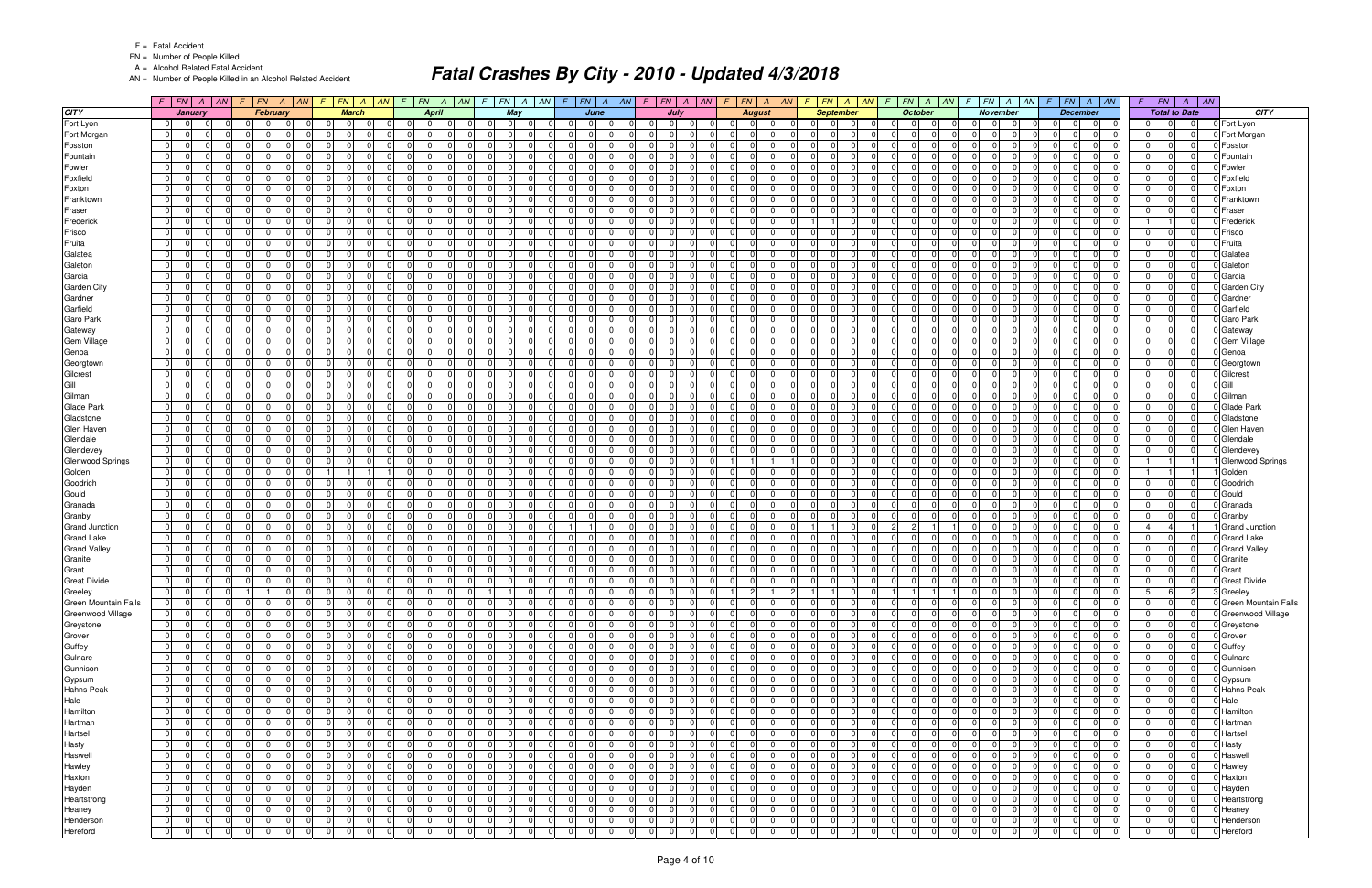FN = Number of People Killed

A = Alcohol Related Fatal Accident

AN = Number of People Killed in an Alcohol Related Accident

|                                            |                                  | $F$ $ FN $<br> AN <br>$\overline{A}$ | $\mathsf{F}$ |                         | $FN \mid A \mid AN$              |                      | $F$ $FN$ $A$                  | AN                            | FN<br>-F                         | $\mathcal{A}$                    | AN | $\mathcal{F}$ | $FN$ $A$                                     | AM |                                             | $F$   $FN$   $A$   $AN$ | -F                    | $F_N$                | $A$ $AN$              |                | $FN \mid A$<br> AN                                 |                             | $F$ $FN$ $A$                                  | AN | $FN \mid A$<br> AN                                                          | FN                                                                   | $A$ $AN$       | $\mathcal{F}$                    | FN A AN                                      | FN<br> AN<br>A                                                               |                                 |
|--------------------------------------------|----------------------------------|--------------------------------------|--------------|-------------------------|----------------------------------|----------------------|-------------------------------|-------------------------------|----------------------------------|----------------------------------|----|---------------|----------------------------------------------|----|---------------------------------------------|-------------------------|-----------------------|----------------------|-----------------------|----------------|----------------------------------------------------|-----------------------------|-----------------------------------------------|----|-----------------------------------------------------------------------------|----------------------------------------------------------------------|----------------|----------------------------------|----------------------------------------------|------------------------------------------------------------------------------|---------------------------------|
| <b>CITY</b>                                |                                  | January                              |              | <b>February</b>         |                                  |                      | <b>March</b>                  |                               |                                  | <b>April</b>                     |    |               | May                                          |    |                                             | June                    |                       | July                 |                       |                | <b>August</b>                                      |                             | <b>September</b>                              |    | October                                                                     | November                                                             |                |                                  | <b>December</b>                              | <b>Total to Date</b>                                                         | CITY                            |
| Fort Lyon                                  | 01                               | $\Omega$                             |              | $\Omega$                | $\Omega$                         | $\Omega$             | $\overline{0}$                |                               | $\Omega$                         | $\Omega$<br>$\Omega$             |    |               | $\overline{0}$<br>$\Omega$                   |    | $\Omega$<br>$\Omega$                        |                         | $\Omega$              | $\Omega$             | $\Omega$              |                | -01<br>$\Omega$                                    | -01                         | $\Omega$<br>$\Omega$                          |    | - 0 I<br>$\Omega$<br>$\Omega$                                               | $\Omega$<br>- 0<br>$\Omega$                                          |                | $\Omega$                         | $\Omega$<br> 0                               | $\mathbf 0$<br>$\overline{0}$<br>$\Omega$                                    | 0 Fort Lyon                     |
| Fort Morgan                                | $\overline{0}$                   | n                                    |              | $\Omega$                | $\Omega$                         | $\Omega$             | 0                             |                               | $\Omega$                         | <sup>n</sup>                     |    |               | $\mathbf 0$<br>- 0                           |    | $\Omega$                                    |                         | <sup>n</sup>          |                      |                       |                | $\Omega$                                           | $\Omega$                    | <sup>n</sup>                                  |    | $\Omega$<br>$\Omega$                                                        | $\Omega$<br>$\Omega$                                                 |                | $\Omega$                         | $\Omega$<br>$\overline{0}$                   | $\Omega$<br> 0                                                               | Fort Morgan                     |
| Fosston                                    | 0                                | $\Omega$<br>$\Omega$                 |              | $\Omega$                | $\Omega$                         | $\overline{0}$       | $\Omega$                      | $\cap$                        | $\Omega$                         | $\Omega$<br>$\Omega$             |    |               | $\overline{0}$<br>$\Omega$                   |    | 0 <br>$\Omega$                              | $\Omega$                | $\Omega$              | $\cap$               | $\Omega$              | n l            | -01<br>$\Omega$                                    | - Ol                        | $\Omega$<br>$\Omega$                          |    | $\Omega$<br>$\Omega$<br>$\Omega$                                            | $\Omega$<br>$\Omega$<br>$\Omega$                                     |                | $\Omega$                         | $\Omega$<br>$\overline{0}$                   | $\overline{0}$<br>$\overline{0}$<br>$\Omega$                                 | Fosston                         |
| Fountain                                   | $\overline{0}$                   | 0                                    |              | $\Omega$                |                                  | $\Omega$             |                               |                               | $\Omega$                         | $\Omega$                         |    |               | $\Omega$<br>$\Omega$                         |    | $\Omega$<br>0                               |                         | $\Omega$              |                      | $\Omega$              |                | $\Omega$                                           | $\mathbf 0$                 | n                                             |    | $\Omega$<br>$\Omega$                                                        |                                                                      |                | $\Omega$                         | $\Omega$<br>0                                | 0 <br>$\Omega$<br>$\Omega$                                                   | Fountain                        |
| Fowler                                     | $\overline{0}$                   | $\Omega$<br>$\Omega$                 |              | - 0 I                   | $\Omega$                         | $\overline{0}$       | $\Omega$                      | $\Omega$                      | $\overline{0}$                   | $\Omega$                         |    |               | $\overline{0}$<br>$\Omega$                   |    | $\overline{0}$<br>$\Omega$                  | $\Omega$                | $\Omega$              | $\Omega$             | $\Omega$              | $\Omega$       | -01<br>$\Omega$                                    | - Ol                        | $\Omega$<br>$\Omega$                          |    | $\Omega$<br>$\Omega$<br>$\Omega$                                            | n l<br>$\Omega$<br>$\Omega$                                          |                | $\Omega$                         | - 0 I<br>$\Omega$                            | $\overline{0}$<br> 0 <br>$\Omega$                                            | Fowler                          |
| Foxfield                                   | $\overline{0}$                   | 0<br>$\Omega$                        |              | $\Omega$<br>n l         | $\Omega$<br>$\Omega$             | 0                    | $\Omega$                      | $\cap$                        | $\Omega$                         | 0<br>$\Omega$                    |    |               | $\Omega$<br>$\Omega$                         |    | $\Omega$<br>0<br>$\Omega$                   | $\Omega$                | $\Omega$<br>$\Omega$  | <sup>0</sup>         | $\Omega$<br>$\Omega$  |                | $\Omega$<br>$\Omega$                               | $\Omega$                    | 0                                             |    | <sup>0</sup><br>$\Omega$<br>$\Omega$<br>$\Omega$<br>$\Omega$                | $\Omega$<br>$\Omega$<br>$\Omega$<br>n l                              |                | $\Omega$                         | $\Omega$<br>$\mathbf 0$                      | $\Omega$<br> 0 <br>$\Omega$<br>$\Omega$                                      | Foxfield                        |
| Foxton<br>Franktown                        | $\overline{0}$<br>$\overline{0}$ | <sup>0</sup>                         |              | $\Omega$                | $\Omega$                         | 0 <br>$\Omega$       | $\Omega$<br>0                 |                               | $\Omega$<br>$\Omega$             | <sup>0</sup>                     |    |               | - 0 I<br>$\Omega$<br>$\Omega$<br>$\Omega$    |    | $\Omega$<br>$\Omega$<br>U                   |                         | $\Omega$              |                      | $\Omega$              |                | $\Omega$<br>$\Omega$<br>$\Omega$                   | $\mathbf{0}$<br>$\Omega$    | $\Omega$<br>$\Omega$<br>U                     |    | $\Omega$<br>$\Omega$<br>$\Omega$                                            | $\Omega$<br>$\Omega$<br>$\Omega$<br>$\Omega$<br>$\Omega$             |                | $\Omega$<br>$\Omega$             | - 0 I<br>$\Omega$<br>$\Omega$<br>$\Omega$    | $\Omega$<br> 0 <br>$\Omega$<br> 0 <br>$\Omega$                               | Foxton<br>Franktowr             |
| Fraser                                     | $\overline{0}$                   | $\Omega$<br>$\Omega$                 |              | - 0 I                   | $\Omega$                         | - 0                  | $\Omega$                      | $\Omega$                      | $\overline{0}$                   | $\Omega$                         |    |               | - 0 I<br>$\Omega$                            |    | - 0<br>$\Omega$                             | $\Omega$                | $\overline{0}$        | $\Omega$             | $\Omega$              | $\Omega$       | -01<br>$\Omega$                                    | 0                           | $\Omega$<br>$\Omega$                          |    | $\overline{0}$<br>$\Omega$<br>$\Omega$                                      | n l<br>$\Omega$<br>$\Omega$                                          |                | $\Omega$                         | $\Omega$<br>- 0 I                            | 0 <br> 0 <br>$\Omega$                                                        | Fraser                          |
| Frederick                                  | 01                               | 0                                    |              | $\Omega$                | $\Omega$                         | $\Omega$             | $\Omega$                      |                               | $\Omega$                         | 0                                |    |               | $\Omega$<br>$\Omega$                         |    | $\Omega$<br>0                               |                         | $\Omega$              |                      | $\Omega$              |                | $\Omega$<br>$\Omega$                               | $\mathbf{1}$                | $\Omega$                                      |    | $\Omega$<br>$\Omega$<br>$\Omega$                                            | $\Omega$<br>$\Omega$                                                 |                | $\Omega$                         | $\mathbf 0$<br>0                             | $\Omega$<br>11                                                               | Frederick                       |
| Frisco                                     | 0                                | $\Omega$                             |              | $\Omega$                | $\Omega$                         | $\overline{0}$       | $\Omega$                      | $\cap$                        | $\Omega$                         | $\Omega$                         |    |               | $\overline{0}$<br>$\Omega$                   |    | 0 <br>$\Omega$                              | $\Omega$                | $\Omega$              | $\Omega$             | $\Omega$              | n l            | -01<br>$\Omega$                                    | - Ol                        | $\Omega$<br>$\Omega$                          |    | $\Omega$<br>$\Omega$<br>$\Omega$                                            | n l<br>$\Omega$<br>$\Omega$                                          |                | $\Omega$                         | - 0 I<br>$\Omega$                            | $\overline{0}$<br>$\overline{0}$<br>$\Omega$                                 | Frisco                          |
| Fruita                                     | $\overline{0}$                   | 0                                    |              | $\Omega$                |                                  | $\mathbf 0$          | $\Omega$                      |                               | $\Omega$                         | 0                                |    |               | $\Omega$<br>$\Omega$                         |    | $\Omega$<br>0                               |                         | $\Omega$              |                      | $\Omega$              |                | $\Omega$                                           | $\mathbf 0$                 | U                                             |    | $\Omega$<br>$\Omega$<br>$\Omega$                                            | $\Omega$<br>-C<br>$\Omega$                                           |                | $\Omega$                         | $\Omega$<br>$\mathbf 0$                      | 0 <br>$\Omega$<br>$\Omega$                                                   | Fruita                          |
| Galatea                                    | 01                               | 0                                    |              | $\mathbf 0$             | $\Omega$                         | $\Omega$             | $\Omega$                      |                               | $\Omega$                         | <sup>0</sup>                     |    |               | $\mathbf 0$<br>$\Omega$                      |    | $\Omega$<br>U                               |                         | $\Omega$              |                      | $\Omega$              |                | $\overline{0}$<br>$\Omega$                         | $\Omega$                    | $\Omega$                                      |    | $\Omega$<br>$\Omega$                                                        | $\Omega$<br>$\Omega$<br>$\Omega$                                     |                | $\Omega$                         | $\Omega$<br>$\Omega$                         | $\Omega$<br> 0                                                               | Galatea                         |
| Galeton                                    | 0                                | 0                                    |              | 0                       | $\Omega$                         | - 0                  | $\Omega$                      |                               | $\Omega$                         | $\Omega$                         |    |               | $\Omega$<br>$\Omega$                         |    | $\overline{0}$<br>$\Omega$                  |                         | $\Omega$              |                      | $\Omega$              |                | $\Omega$<br>$\Omega$                               | $\Omega$                    | 0                                             |    | $\Omega$<br>$\Omega$                                                        | $\Omega$<br>$\Omega$<br>$\Omega$                                     |                | $\Omega$                         | $\mathbf 0$<br>0                             | $\mathbf 0$<br> 0 <br>$\Omega$                                               | Galeton                         |
| Garcia                                     | $\overline{0}$                   | $\Omega$<br>0                        |              | $\Omega$                | $\Omega$                         | $\Omega$             | 0                             |                               | $\Omega$                         | 0                                |    |               | - 0 I<br>$\Omega$                            |    | $\Omega$<br>0                               |                         | $\Omega$              |                      | $\Omega$              |                | $\Omega$                                           | $\Omega$                    | U                                             |    | <sup>0</sup><br>$\Omega$                                                    | $\Omega$<br>$\Omega$                                                 |                | $\Omega$                         | $\Omega$<br>$\mathbf 0$                      | $\Omega$<br> 0 <br> 0                                                        | Garcia                          |
| <b>Garden City</b>                         | $\overline{0}$                   | $\Omega$                             |              | $\Omega$                | $\Omega$                         | 0                    | $\Omega$                      |                               | $\Omega$                         | $\Omega$                         |    |               | $\Omega$<br>$\Omega$                         |    | $\Omega$<br>$\Omega$                        |                         | $\Omega$              |                      | $\Omega$              |                | -01<br>$\Omega$                                    | $\mathbf 0$                 | $\Omega$                                      |    | $\Omega$<br>$\Omega$                                                        | $\Omega$<br>$\Omega$<br>$\Omega$                                     |                | $\Omega$                         | - 0 I<br>$\Omega$                            | 0 <br>$\Omega$<br>$\Omega$                                                   | <b>Garden City</b>              |
| Gardner                                    | $\overline{0}$                   | 0                                    |              | $\Omega$                | $\Omega$                         | $\overline{0}$       | $\Omega$                      |                               | $\Omega$                         | 0                                |    |               | - 0 I<br>$\Omega$                            |    | $\Omega$<br>$\Omega$                        |                         | $\Omega$              |                      | $\Omega$              |                | $\Omega$                                           | $\mathbf 0$                 | $\Omega$                                      |    | $\Omega$<br>0 I<br>$\Omega$                                                 | $\Omega$<br>$\Omega$<br>$\Omega$                                     |                | $\Omega$                         | - 0 I<br>$\Omega$                            | $\Omega$<br> 0 <br>$\Omega$                                                  | Gardner                         |
| Garfield                                   | $\overline{0}$                   | 0                                    |              | $\Omega$                | $\Omega$                         | $\Omega$             | $\Omega$                      |                               | $\Omega$                         | <sup>0</sup>                     |    |               | $\Omega$<br>$\Omega$                         |    | $\Omega$<br>$\Omega$                        |                         | $\Omega$              |                      | $\Omega$              |                | $\Omega$<br>$\Omega$                               | $\Omega$                    | <sup>n</sup>                                  |    | <sup>0</sup><br>$\Omega$                                                    | $\Omega$<br>$\Omega$                                                 |                | $\Omega$                         | $\mathbf 0$<br>0                             | $\Omega$<br> 0 <br>$\Omega$                                                  | Garfield                        |
| Garo Park                                  | $\overline{0}$                   | $\Omega$<br>0                        |              | $\Omega$                | $\Omega$                         | 0                    | $\Omega$                      |                               | $\Omega$                         | $\Omega$                         |    |               | - 0 I<br>$\Omega$                            |    | $\Omega$<br>$\Omega$                        | $\Omega$                | $\Omega$              | <sup>0</sup>         | $\Omega$              |                | -01<br>$\Omega$                                    | $\Omega$                    | $\Omega$                                      |    | $\Omega$<br>$\Omega$<br>$\Omega$                                            | $\Omega$<br>$\Omega$<br>$\Omega$                                     |                | $\Omega$                         | - 0 I<br>$\Omega$                            | $\Omega$<br>$\overline{0}$<br>$\Omega$                                       | Garo Park                       |
| Gateway                                    | $\overline{0}$                   | $\Omega$                             |              | $\Omega$                | $\Omega$                         | 0                    | $\Omega$                      |                               | $\Omega$                         | $\Omega$                         |    |               | 0 <br>$\Omega$                               |    | $\Omega$<br>$\Omega$                        |                         | $\Omega$              |                      | $\Omega$              |                | $\Omega$<br>$\Omega$                               | $\mathbf 0$                 | $\Omega$                                      |    | $\overline{0}$<br>$\Omega$                                                  | $\Omega$<br>$\Omega$<br>$\Omega$                                     |                | $\mathbf 0$                      | 0 <br>$\Omega$                               | 0 <br>$\mathbf 0$<br>$\Omega$                                                | Gateway                         |
| Gem Village                                | $\overline{0}$                   | 0                                    |              | $\mathbf 0$             | $\Omega$                         | $\Omega$             | $\Omega$                      |                               | $\Omega$                         | $\Omega$                         |    |               | - 0 I<br>$\Omega$                            |    | $\Omega$<br>0                               |                         | $\Omega$              |                      | $\Omega$              |                | -01                                                | $\Omega$                    | $\Omega$                                      |    | $\Omega$<br>$\Omega$<br>$\Omega$                                            | <sup>0</sup><br>$\Omega$<br>$\Omega$                                 |                | $\Omega$                         | $\Omega$<br>$\Omega$                         | $\Omega$<br> 0 <br>$\Omega$                                                  | <b>Gem Village</b>              |
| Genoa                                      | 0                                | 0<br>0                               |              | $\Omega$<br>$\Omega$    | $\Omega$<br>$\Omega$             | - 0<br> 0            | $\Omega$<br>$\Omega$          |                               | $\Omega$<br>$\Omega$             | $\Omega$<br>0                    |    |               | $\Omega$<br>$\Omega$<br>$\Omega$             |    | $\overline{0}$<br>$\Omega$<br>$\Omega$<br>0 | - 0                     | $\Omega$<br>$\Omega$  |                      | $\Omega$<br>$\Omega$  |                | $\Omega$<br>$\Omega$<br>$\Omega$<br>$\Omega$       | $\mathbf 0$<br>$\Omega$     | $\Omega$<br>U                                 |    | $\Omega$<br>$\Omega$<br>$\Omega$<br><sup>0</sup><br>$\Omega$<br>$\Omega$    | $\Omega$<br>$\Omega$<br>$\Omega$<br>$\Omega$<br>$\Omega$             |                | $\Omega$<br>$\Omega$             | $\Omega$<br>$\mathbf 0$<br>$\Omega$          | 0 <br>$\mathbf 0$<br> 0 <br>$\Omega$<br>$\Omega$                             | Genoa                           |
| Georgtown<br>Gilcrest                      | 01<br>$\overline{0}$             | $\Omega$                             |              | $\Omega$                | $\Omega$                         | 0                    | $\Omega$                      |                               | $\Omega$                         | $\Omega$                         |    |               | - 0 I<br>$\Omega$<br>$\Omega$                |    | $\Omega$<br>$\Omega$                        |                         | $\Omega$              |                      | $\Omega$              |                | $\Omega$<br>$\Omega$                               | $\Omega$                    | $\Omega$                                      |    | $\Omega$<br>$\Omega$                                                        | $\Omega$<br>$\Omega$                                                 |                | $\Omega$                         | $\mathbf 0$<br>- 0 I<br>$\Omega$             | 0 <br>$\mathbf 0$<br> 0 <br>$\Omega$                                         | Georgtown<br>Gilcrest           |
| Gill                                       | $\overline{0}$                   | 0                                    |              | $\Omega$                | $\Omega$                         | $\overline{0}$       | $\Omega$                      |                               | $\Omega$                         | 0                                |    |               | - 0 I<br>$\Omega$                            |    | $\Omega$<br>$\Omega$                        |                         | $\Omega$              |                      | $\Omega$              |                | $\Omega$<br>$\Omega$                               | $\mathbf 0$                 | $\Omega$                                      |    | $\Omega$<br>0 I<br>$\Omega$                                                 | $\Omega$<br>$\Omega$<br>$\Omega$                                     |                | $\Omega$                         | - 0 I<br>$\Omega$                            | 0 <br>$\Omega$<br>$\Omega$                                                   | Gill                            |
| Gilman                                     | $\overline{0}$                   | 0                                    |              | $\Omega$                |                                  | $\Omega$             | 0                             |                               | $\Omega$                         | 0                                |    |               | $\Omega$<br>$\Omega$                         |    | $\Omega$<br>0                               |                         | $\Omega$              |                      | $\Omega$              |                | $\Omega$                                           | $\Omega$                    | <sup>n</sup>                                  |    | $\Omega$<br>$\Omega$                                                        | $\Omega$<br>$\Omega$                                                 |                | $\Omega$                         | $\Omega$<br>0                                | $\Omega$<br> 0                                                               | Gilman                          |
| Glade Park                                 | $\overline{0}$                   | 0<br>$\Omega$                        |              | $\mathbf 0$             | $\Omega$                         | - 0 I                | $\Omega$                      |                               | $\Omega$                         | $\Omega$                         |    |               | $\mathbf 0$<br>$\Omega$                      |    | $\Omega$<br>$\Omega$                        | $\Omega$                | $\Omega$              | $\Omega$             | $\Omega$              | $\Omega$       | $\overline{0}$<br>- 0                              | $\Omega$                    | $\Omega$<br>$\Omega$                          |    | 0 I<br>$\Omega$<br>$\Omega$                                                 | $\Omega$<br>$\Omega$<br>0                                            |                | $\Omega$                         | $\Omega$<br>$\mathbf 0$                      | $\mathbf 0$<br>$\mathbf{0}$<br>$\Omega$                                      | Glade Park                      |
| Gladstone                                  | $\overline{0}$                   | $\Omega$                             |              | $\Omega$                | $\Omega$                         | 0                    | <sup>0</sup>                  |                               | $\Omega$                         | $\Omega$                         |    |               | $\Omega$<br>$\Omega$                         |    | $\Omega$<br><sup>0</sup>                    | $\Omega$                | $\Omega$              |                      | $\Omega$              |                | $\Omega$<br>$\Omega$                               | $\Omega$                    | $\Omega$<br><sup>0</sup>                      |    | $\Omega$<br>$\Omega$<br>$\Omega$                                            | $\Omega$<br>$\Omega$<br>$\Omega$                                     |                | $\Omega$                         | - 0 I<br>$\Omega$                            | 0 <br>$\Omega$<br>$\Omega$                                                   | Gladstone                       |
| Glen Haven                                 | $\overline{0}$                   | 0                                    |              | $\mathbf 0$             | $\Omega$                         | $\Omega$             | $\Omega$                      |                               | $\Omega$                         | 0                                |    |               | $\mathbf 0$<br>$\Omega$                      |    | $\Omega$<br>$\Omega$                        |                         | $\Omega$              |                      | $\Omega$              |                | $\overline{0}$<br>$\Omega$                         | $\mathbf 0$                 | $\Omega$                                      |    | $\Omega$<br>$\Omega$<br>$\Omega$                                            | $\Omega$<br>$\Omega$<br>$\Omega$                                     |                | $\Omega$                         | - 0 I<br>$\Omega$                            | $\mathbf 0$<br> 0 <br>$\Omega$                                               | Glen Haven                      |
| Glendale                                   | $\overline{0}$                   | $\Omega$                             |              | - 0 I                   | $\Omega$                         | 0                    | $\Omega$                      |                               | $\Omega$                         | $\Omega$                         |    |               | - 0 I<br>$\Omega$                            |    | $\Omega$<br>$\Omega$                        |                         | $\Omega$              |                      | $\Omega$              |                | $\Omega$<br>$\Omega$                               | $\mathbf{0}$                | $\Omega$                                      |    | $\overline{0}$<br>$\Omega$<br>$\Omega$                                      | $\Omega$<br>$\Omega$<br>$\Omega$                                     |                | $\Omega$                         | $\Omega$<br>- 0 I                            | 0 <br>$\overline{0}$<br> 0                                                   | Glendale                        |
| Glendevey                                  | $\overline{0}$                   | 0<br>$\Omega$                        |              | $\mathbf 0$             | $\Omega$                         | $\Omega$             | $\Omega$                      | $\Omega$                      | $\Omega$                         | 0                                |    |               | $\mathbf 0$<br>$\Omega$                      |    | $\Omega$<br>0                               |                         | $\Omega$              | $\Omega$             | $\Omega$              |                | $\Omega$<br>$\Omega$                               | $\Omega$                    | 0<br>$\Omega$                                 |    | $\Omega$<br>$\Omega$<br>$\Omega$                                            | $\Omega$<br>- 0<br>$\Omega$                                          |                | $\Omega$                         | 0 <br>0                                      | $\Omega$<br> 0 <br>$\Omega$                                                  | Glendevey                       |
| <b>Glenwood Springs</b>                    | $\overline{0}$                   | $\Omega$                             |              | $\Omega$                | $\Omega$                         | 0                    | $\Omega$                      |                               | $\Omega$                         | $\Omega$                         |    |               | $\Omega$<br>$\Omega$                         |    | $\Omega$<br>ΩI                              | $\Omega$                | $\Omega$              | $\cap$               | $\Omega$              |                |                                                    | - Ol                        | $\Omega$<br>$\Omega$                          |    | $\Omega$<br>$\Omega$<br>$\Omega$                                            | nl<br>$\Omega$<br>$\Omega$                                           |                | $\Omega$                         | $\Omega$<br>- 0 I                            |                                                                              | <b>Glenwood Springs</b>         |
| Golden                                     | $\overline{0}$                   | $\Omega$                             |              | $\Omega$                | $\Omega$                         |                      |                               |                               | $\mathbf 0$                      | $\Omega$                         |    |               | $\mathbf 0$<br>$\Omega$                      |    | $\overline{0}$<br>$\Omega$                  |                         | $\Omega$              |                      | $\Omega$              |                | $\Omega$<br>$\Omega$                               | $\mathbf 0$                 | 0                                             |    | $\Omega$<br>$\Omega$<br>$\Omega$                                            | $\Omega$<br>$\Omega$<br>$\Omega$                                     |                | 0                                | 0 <br>$\Omega$                               |                                                                              | Golden                          |
| Goodrich                                   | $\overline{0}$                   | $\Omega$<br>$\Omega$                 |              | $\Omega$                | $\Omega$                         | - 0                  | $\Omega$                      |                               | $\Omega$                         | $\Omega$                         |    |               | - 0 I<br>$\Omega$                            |    | $\Omega$<br>$\Omega$                        |                         | $\Omega$              |                      | $\Omega$              |                | -01<br>$\Omega$                                    | $\Omega$                    | $\Omega$                                      |    | $\Omega$<br>$\Omega$<br>$\Omega$                                            | $\Omega$<br>$\Omega$                                                 | $\Omega$       | $\Omega$                         | $\Omega$<br>- 0 I                            | 0 <br>$\overline{0}$<br>$\Omega$                                             | Goodrich                        |
| Gould                                      | $\overline{0}$                   | 0<br>$\Omega$                        |              | $\mathbf 0$             | $\Omega$                         | - 0 I                | $\Omega$                      | $\Omega$                      | $\Omega$                         | $\Omega$                         |    |               | $\mathbf 0$<br>$\Omega$                      |    | $\overline{0}$<br>$\Omega$                  | $\Omega$                | $\Omega$              | $\Omega$             | $\Omega$              |                | $\Omega$<br>- 0                                    | $\mathbf 0$                 | $\Omega$<br>$\Omega$                          |    | 0 I<br>$\Omega$<br>$\Omega$                                                 | $\Omega$<br>$\Omega$<br>$\Omega$                                     |                | $\Omega$                         | $\Omega$<br>$\mathbf 0$                      | $\Omega$<br> 0 <br>$\mathbf{0}$                                              | Gould                           |
| Granada                                    | $\overline{0}$                   | $\Omega$                             |              | $\Omega$                | $\Omega$                         | 0                    | ΩI                            |                               | $\Omega$                         | $\Omega$                         |    |               | $\Omega$<br>$\cap$                           |    | $\Omega$<br><sup>0</sup>                    |                         | $\Omega$              | $\Omega$             | $\Omega$              |                | $\Omega$<br>$\Omega$                               | $\Omega$                    | <sup>0</sup>                                  |    | $\Omega$<br>$\Omega$<br>$\Omega$                                            | $\Omega$<br>$\Omega$<br>$\Omega$                                     |                | $\Omega$                         | $\Omega$<br>- 0 I                            | 0 <br>$\Omega$<br>$\Omega$                                                   | Granada                         |
| Granby                                     | $\overline{0}$                   | 0<br>$\Omega$                        |              | $\Omega$<br>$\mathbf 0$ | $\Omega$<br>$\Omega$             | $\Omega$<br> 0       | $\Omega$<br>$\Omega$          |                               | $\Omega$<br>$\overline{0}$       | 0<br>$\Omega$                    |    |               | $\mathbf 0$<br>$\Omega$<br>- 0 I<br>$\Omega$ |    | $\Omega$<br>0<br>$\mathbf{1}$               |                         | $\Omega$<br>$\Omega$  |                      | $\Omega$<br>$\Omega$  | $\Omega$       | $\Omega$<br>$\Omega$<br>$\overline{0}$<br>$\Omega$ | $\mathbf 0$<br>$\mathbf{1}$ | $\Omega$<br>$\Omega$                          |    | $\Omega$<br>$\Omega$<br>$\Omega$<br>$\overline{2}$<br>$\overline{2}$        | $\Omega$<br>$\Omega$<br>$\Omega$<br>$\Omega$<br>- 01<br>$\Omega$     |                | $\Omega$<br>$\overline{0}$       | - 0 I<br>$\Omega$<br>$\Omega$<br>$\mathbf 0$ | 0 <br>$\Omega$<br>$\Omega$<br>$\overline{4}$<br>$\overline{4}$               | Granby<br><b>Grand Junction</b> |
| <b>Grand Junction</b><br><b>Grand Lake</b> | $\overline{0}$<br>$\overline{0}$ | 0                                    |              | $\Omega$                |                                  | $\Omega$             | 0                             |                               | $\Omega$                         |                                  |    |               | $\Omega$<br>$\Omega$                         |    | $\Omega$                                    |                         | <sup>n</sup>          |                      |                       |                | $\Omega$                                           | $\Omega$                    |                                               |    | $\Omega$<br>$\Omega$                                                        |                                                                      |                | $\Omega$                         | $\Omega$                                     | $\Omega$<br>$\overline{0}$                                                   | <b>Grand Lake</b>               |
| <b>Grand Valley</b>                        | 0                                | $\Omega$<br>0                        |              | $\mathbf 0$             | $\Omega$                         | 0 I                  | $\Omega$                      |                               | $\Omega$                         | $\Omega$                         |    |               | - 0 I<br>$\Omega$                            |    | $\Omega$<br>$\Omega$                        | $\Omega$                | $\Omega$              | $\Omega$             | $\Omega$              | $\Omega$       | -01<br>$\Omega$                                    | $\Omega$                    | $\Omega$<br>$\Omega$                          |    | $\Omega$<br>0 I<br>$\Omega$                                                 | $\Omega$<br>$\Omega$<br>$\Omega$                                     |                | $\Omega$                         | $\Omega$<br>$\mathbf 0$                      | $\Omega$<br>$\overline{0}$<br>$\Omega$                                       | <b>Grand Valley</b>             |
| Granite                                    | $\overline{0}$                   | 0                                    |              | $\Omega$                |                                  | $\mathbf 0$          | $\Omega$                      |                               | $\Omega$                         | $\Omega$                         |    |               | $\Omega$<br>$\Omega$                         |    | $\Omega$<br>$\Omega$                        |                         | $\Omega$              |                      | $\Omega$              |                | $\Omega$                                           | $\mathbf 0$                 | U                                             |    | $\Omega$<br>$\Omega$                                                        | $\Omega$<br>$\Omega$<br>$\Omega$                                     |                | $\Omega$                         | $\Omega$<br>$\Omega$                         | 0 <br>$\Omega$                                                               | Granite                         |
| Grant                                      | 01                               | 0                                    |              | $\mathbf 0$             | $\Omega$                         | - 0 I                | $\Omega$                      |                               | $\Omega$                         | $\Omega$                         |    |               | - 0 I<br>$\Omega$                            |    | $\Omega$<br>$\Omega$                        |                         | $\Omega$              |                      | $\Omega$              |                | -01<br>$\Omega$                                    | $\overline{0}$              | $\Omega$                                      |    | $\overline{0}$<br>$\Omega$<br>$\Omega$                                      | $\Omega$<br>$\Omega$<br>$\Omega$                                     |                | $\Omega$                         | - 0 I<br>$\Omega$                            | $\Omega$<br> 0 <br>$\Omega$                                                  | Grant                           |
| <b>Great Divide</b>                        | $\overline{0}$                   | $\Omega$                             |              | $\Omega$                | $\Omega$                         | 0                    | $\Omega$                      |                               | $\Omega$                         | $\Omega$                         |    |               | $\Omega$<br>$\Omega$                         |    | $\overline{0}$<br>$\Omega$                  |                         | $\Omega$              |                      | $\Omega$              |                | $\Omega$<br>$\Omega$                               | $\mathbf 0$                 | $\Omega$                                      |    | $\Omega$<br>$\Omega$                                                        | $\Omega$<br>$\Omega$<br>$\Omega$                                     |                | $\overline{0}$                   | $\Omega$<br>$\Omega$                         | $\mathbf 0$<br> 0 <br>0                                                      | <b>Great Divide</b>             |
| Greeley                                    | 0                                | $\overline{0}$<br>$\Omega$           |              |                         | $\Omega$                         | 0                    | $\Omega$                      |                               | $\Omega$                         | $\Omega$<br>$\Omega$             |    |               | $\Omega$                                     |    | $\Omega$<br>0                               |                         | $\Omega$              |                      | $\Omega$              |                | 2                                                  |                             |                                               |    |                                                                             | $\Omega$<br>- 01<br>$\Omega$                                         |                | $\Omega$                         | $\Omega$<br>$\Omega$                         | -5<br>6<br>2 <sup>1</sup>                                                    | 3 Greeley                       |
| Green Mountain Falls                       | 0                                |                                      |              |                         |                                  |                      |                               |                               |                                  |                                  |    |               |                                              |    |                                             |                         |                       |                      |                       |                |                                                    |                             |                                               |    |                                                                             |                                                                      |                |                                  | 0<br>0.                                      | $\overline{0}$                                                               | 0 Green Mountain Falls          |
| Greenwood Village                          | $\overline{0}$                   | $\Omega$<br>$\Omega$                 |              | $\mathbf 0$             | $\Omega$                         | $\overline{0}$       | $\Omega$                      |                               | $\Omega$                         | $\Omega$                         |    |               | 0 <br>0                                      |    | $\overline{0}$<br>$\Omega$                  |                         | $\Omega$              |                      | $\Omega$              |                | $\overline{0}$<br>$\Omega$                         | $\overline{0}$              | $\Omega$                                      |    | $\overline{0}$<br>$\Omega$<br>$\Omega$                                      | $\Omega$<br>- 01<br>$\Omega$                                         |                | 0                                | $\overline{0}$<br>$\Omega$                   | 0 <br>$\Omega$<br>$\overline{0}$                                             | Greenwood Village               |
| Greystone                                  | 0                                | $\Omega$                             |              | $\mathbf 0$             | $\Omega$                         | 0                    | $\Omega$                      | $\Omega$                      | $\Omega$                         | $\Omega$                         |    |               | 0 <br>$\mathbf 0$                            |    | $\overline{0}$<br>$\Omega$                  | $\Omega$                | $\Omega$              |                      | $\Omega$              |                | -01<br>- 0                                         | $\overline{0}$              | $\Omega$<br>$\Omega$                          |    | $\overline{0}$<br>$\Omega$<br>0                                             | - 01<br>$\Omega$                                                     |                | $\overline{0}$                   | 0 <br>$\Omega$                               | $\mathbf 0$<br> 0 <br>$\overline{0}$                                         | Greystone                       |
| Grover                                     | 0                                | $\Omega$<br>$\Omega$                 |              | 0 I                     | $\Omega$                         | $\overline{0}$       | - 01                          | $\Omega$                      | $\overline{0}$                   | $\mathbf 0$                      |    |               | 0 <br>$\overline{0}$                         |    | 0 <br>$\Omega$                              | $\overline{0}$          | $\Omega$              | $\Omega$             | -01                   |                | $\overline{0}$<br>$\Omega$                         | 0                           | $\Omega$<br>$\Omega$                          |    | $\overline{0}$<br>$\overline{0}$<br>- 01                                    | $\overline{0}$<br>- 01<br>$\Omega$                                   |                | $\overline{0}$                   | $\overline{0}$<br>$\overline{0}$             | $\overline{0}$<br>$\overline{0}$<br>$\overline{0}$                           | 0 Grover                        |
| Guffey                                     | $\overline{0}$                   | $\Omega$                             |              | $\Omega$                |                                  | 0                    | $\Omega$                      |                               | $\mathbf 0$                      | $\Omega$                         |    |               | 0 <br>$\Omega$                               |    | $\mathbf 0$<br>$\Omega$                     | $\Omega$                | $\Omega$              |                      | $\Omega$              |                | -01                                                | 0                           | $\Omega$                                      |    | $\overline{0}$<br>$\Omega$                                                  | $\Omega$<br>$\overline{0}$<br>$\Omega$                               |                | $\mathbf 0$                      | 0 <br>0                                      | 0 <br>$\mathbf 0$<br>0                                                       | Guffey                          |
| Gulnare<br>Gunnison                        | 0 <br> 0                         | 0 <br>$\Omega$<br>$\Omega$           |              | $\overline{0}$<br> 0    | $\overline{0}$<br>$\overline{0}$ | 0 <br>$\overline{0}$ | $\mathbf 0$<br>$\overline{0}$ | $\Omega$                      | $\overline{0}$<br>$\overline{0}$ | 0 <br>$\Omega$<br> 0             |    |               | 0 <br>$\overline{0}$<br> 0 <br>$\mathbf{0}$  |    | 0 <br>$\mathbf 0$<br>$\overline{0}$<br> 0   | $\Omega$<br>$\mathbf 0$ | $\Omega$<br> 0        | $\Omega$<br>$\Omega$ | -01<br>$\overline{0}$ | $\Omega$       | 0 <br>$\Omega$<br>-01<br>$\Omega$                  | 0 <br> 0                    | $\overline{0}$<br>$\Omega$<br> 0 <br>$\Omega$ |    | $\overline{0}$<br>$\overline{0}$<br>$\Omega$<br> 0 <br>$\overline{0}$<br> 0 | 0 <br>$\overline{0}$<br>$\overline{0}$<br>$\overline{0}$<br>$\Omega$ | 0              | $\overline{0}$<br>$\overline{0}$ | $\overline{0}$<br> 0 <br> 0 <br> 0           | $\overline{0}$<br> 0 <br>$\Omega$<br>$\overline{0}$<br> 0 <br>$\overline{0}$ | 0 Gulnare<br>Gunnison           |
| Gypsum                                     | $\overline{0}$                   | $\Omega$<br>$\Omega$                 |              | $\mathbf 0$             | $\Omega$                         | 0                    | $\Omega$                      |                               | $\Omega$                         | $\Omega$                         |    |               | 0 <br>$\Omega$                               |    | $\Omega$<br>$\Omega$                        | $\Omega$                | $\Omega$              | $\Omega$             | $\Omega$              |                | $\overline{0}$<br>$\Omega$                         | $\mathbf{0}$                | $\Omega$<br>$\Omega$                          |    | 0 I<br>$\Omega$<br>$\Omega$                                                 | $\Omega$<br>- 01<br>$\Omega$                                         |                | $\Omega$                         | $\Omega$<br> 0                               | $\mathbf 0$<br> 0 <br>$\Omega$                                               | Gypsum                          |
| Hahns Peak                                 | 0                                | $\Omega$<br>$\Omega$                 |              | - 0 I<br>$\Omega$       | $\overline{0}$                   | $\overline{0}$       | - 01                          | $\Omega$                      | $\overline{0}$                   | $\Omega$<br>$\Omega$             |    |               | $\overline{0}$<br>$\overline{0}$             |    | 0 <br>$\Omega$                              | - 0 l                   | $\overline{0}$        | $\Omega$             | -01                   | $\Omega$       | -01<br>$\Omega$                                    | 0                           | $\Omega$<br>$\overline{0}$                    |    | $\overline{0}$<br>$\overline{0}$<br>$\Omega$                                | 0 <br>$\overline{0}$<br>$\Omega$                                     |                | $\overline{0}$                   | $\overline{0}$<br>$\Omega$                   | $\overline{0}$<br> 0 <br> 0                                                  | 0 Hahns Peak                    |
| Hale                                       | $\overline{0}$                   | $\Omega$                             |              | 0                       | $\Omega$                         | 0                    | $\overline{0}$                |                               | $\mathbf 0$                      | $\Omega$                         |    |               | 0 <br>0                                      |    | $\mathbf 0$<br>$\overline{0}$               | $\Omega$                | $\overline{0}$        |                      | $\Omega$              |                | $\overline{0}$<br>$\Omega$                         | 0                           | $\overline{0}$<br>$\Omega$                    |    | 0 <br>0<br>$\Omega$                                                         | 0 <br>$\mathbf 0$<br>$\Omega$                                        |                | 0                                | $\overline{0}$<br>0                          | 0 <br>$\overline{0}$<br>$\overline{0}$                                       | Hale                            |
| Hamilton                                   | $\overline{0}$                   | $\Omega$<br> 0                       |              | 0 I<br>$\Omega$         | $\overline{0}$                   | $\overline{0}$       | $\overline{0}$                | $\Omega$                      | $\overline{0}$                   | - 0 I<br>$\Omega$                |    |               | 0 <br>$\overline{0}$                         |    | 0 <br>0 I                                   | - 0 l                   | $\overline{0}$        | $\Omega$             | $\overline{0}$        | $\Omega$       | 0 <br>$\Omega$                                     | 0                           | $\overline{0}$<br>- 0 l                       |    | $\overline{0}$<br>- 01<br>$\overline{0}$                                    | 0 <br>$\overline{0}$                                                 | $\overline{0}$ | $\overline{0}$                   | 0 I<br>$\overline{0}$                        | 0 <br>$\overline{0}$<br> 0                                                   | 0 Hamilton                      |
| Hartman                                    | 0                                | $\Omega$<br>$\Omega$                 |              | $\mathbf 0$<br>$\Omega$ | $\Omega$                         | $\overline{0}$       | $\overline{0}$                |                               | $\overline{0}$                   | $\Omega$<br>$\Omega$             |    |               | 0 <br>$\mathbf 0$                            |    | $\mathbf 0$<br>$\mathbf 0$                  | $\Omega$                | $\Omega$              | $\Omega$             | $\Omega$              | $\Omega$       | $\overline{0}$<br>$\Omega$                         | 0                           | $\Omega$<br>$\Omega$                          |    | 0 I<br> 0 <br>$\Omega$                                                      | $\mathbf 0$<br>- 01<br>$\Omega$                                      |                | $\overline{0}$                   | $\overline{0}$<br> 0                         | $\overline{0}$<br> 0 <br>$\Omega$                                            | Hartmar                         |
| Hartsel                                    | 0                                | $\Omega$                             |              | - 0 I                   | $\Omega$                         | $\overline{0}$       | $\Omega$                      | $\Omega$                      | $\overline{0}$                   | $\Omega$<br>$\Omega$             |    |               | $\overline{0}$<br>$\Omega$                   |    | $\mathbf 0$<br>$\Omega$                     | $\Omega$                | $\Omega$              | $\Omega$             | -01                   |                | -01<br>$\Omega$                                    | 0                           | $\Omega$<br>$\Omega$                          |    | $\overline{0}$<br>$\overline{0}$<br>$\overline{0}$                          | 0 <br>$\overline{0}$<br>$\Omega$                                     |                | $\mathbf{0}$                     | 0 <br>$\Omega$                               | $\mathbf 0$<br> 0 <br> 0                                                     | Hartsel                         |
| Hasty                                      | $\overline{0}$                   | $\Omega$                             |              | 01                      | $\Omega$                         | $\overline{0}$       | $\overline{0}$                | $\Omega$                      | $\overline{0}$                   | $\Omega$                         |    |               | 0 <br>$\mathbf 0$                            |    | 0 <br>$\overline{0}$                        | $\Omega$                | $\overline{0}$        | $\Omega$             | $\Omega$              | $\Omega$       | -01<br>$\Omega$                                    | 0                           | $\overline{0}$<br>$\Omega$                    |    | $\overline{0}$<br>$\Omega$<br>$\mathbf 0$                                   | 0 <br>$\mathbf 0$<br>$\Omega$                                        |                | 0                                | $\overline{0}$<br>0                          | $\overline{0}$<br> 0 <br>$\Omega$                                            | 0 Hasty                         |
| Haswell                                    | 0                                | $\Omega$                             |              | - 0 l                   | - 01                             | $\overline{0}$       | $\overline{0}$                | $\Omega$                      | $\overline{0}$                   | - 0 l<br>$\Omega$                |    |               | 0 <br>$\overline{0}$                         |    | 0 <br>$\overline{0}$                        | - 0 l                   | $\overline{0}$        | $\Omega$             | $\overline{0}$        |                | -01<br>$\Omega$                                    | 0                           | $\overline{0}$<br>$\Omega$                    |    | $\overline{0}$<br>- 0 l<br>$\overline{0}$                                   | 0 <br>$\overline{0}$<br>$\Omega$                                     |                | $\overline{0}$                   | 0 <br> 0                                     | 0 <br> 0 <br> 0                                                              | Haswell                         |
| Hawley                                     | $\overline{0}$                   | $\Omega$<br>$\Omega$                 |              | $\mathbf 0$             | $\Omega$                         | 0                    | $\Omega$                      | $\Omega$                      | $\Omega$                         | $\Omega$<br>$\Omega$             |    |               | $\mathbf 0$<br>$\overline{0}$                |    | $\Omega$<br>$\Omega$                        | $\Omega$                | $\Omega$              | $\Omega$             | $\Omega$              |                | $\overline{0}$<br>-0                               | 0                           | $\Omega$<br>$\Omega$                          |    | 0 I<br>$\mathbf 0$<br>$\Omega$                                              | $\Omega$<br>- 01<br>$\Omega$                                         |                | $\overline{0}$                   | $\overline{0}$<br> 0                         | $\mathbf 0$<br> 0 <br>$\Omega$                                               | Hawley                          |
| Haxton                                     | 0                                | $\Omega$<br>$\Omega$                 |              | $\Omega$<br>- 0 l       | $\overline{0}$                   | $\overline{0}$       | - 01                          | $\Omega$                      | $\overline{0}$                   | $\Omega$<br>$\overline{0}$       |    |               | $\overline{0}$<br>$\overline{0}$             |    | 0 <br>$\Omega$                              | - 0 l                   | $\overline{0}$        | $\Omega$             | $\overline{0}$        | $\Omega$       | -01<br>$\Omega$                                    | 0                           | $\Omega$<br>$\overline{0}$                    |    | $\overline{0}$<br>$\overline{0}$<br>$\overline{0}$                          | 0 I<br>$\overline{0}$                                                | $\overline{0}$ | $\mathbf{0}$                     | $\Omega$<br>$\overline{0}$                   | $\overline{0}$<br> 0 <br>$\Omega$                                            | Haxton                          |
| Hayden                                     | $\overline{0}$                   | $\Omega$                             |              | 0                       | 0                                | $\overline{0}$       | $\mathbf 0$                   |                               | $\overline{0}$                   | $\mathbf 0$                      |    |               | 0 <br>0                                      |    | 0 <br>$\overline{0}$                        | $\Omega$                | $\overline{0}$        |                      | $\Omega$              | $\Omega$       | 0 <br>$\Omega$                                     | 0                           | $\overline{0}$<br>$\Omega$                    |    | $\Omega$<br> 0 <br> 0                                                       | 0 <br>$\mathbf 0$<br>$\overline{0}$                                  |                | $\overline{0}$                   | $\overline{0}$<br>$\overline{0}$             | 0 <br>$\mathbf 0$<br>$\Omega$                                                | Hayden                          |
| Heartstrong                                | 0                                | $\Omega$                             |              | $\mathbf 0$             | $\Omega$                         | 0                    | $\Omega$                      |                               | $\overline{0}$                   | - 0 I                            |    |               | 0 <br>$\Omega$                               |    | $\overline{0}$<br>$\Omega$                  | $\Omega$                | $\Omega$              | $\Omega$             | $\Omega$              |                | 0 <br>$\Omega$                                     | 0                           | $\Omega$                                      |    | $\overline{0}$<br>$\Omega$<br>$\Omega$                                      | 0 <br>$\overline{0}$<br>$\Omega$                                     |                | $\overline{0}$                   | 0 <br>$\Omega$                               | $\Omega$<br> 0 <br>$\Omega$                                                  | 0 Heartstrong                   |
| Heaney                                     | 0                                | $\Omega$                             |              | $\overline{0}$          | 0                                | 0                    | 0                             | $\Omega$                      | $\overline{0}$                   | $\mathbf 0$<br>$\Omega$          |    |               | $\mathbf 0$<br>- 0                           |    | 0 <br>0                                     | $\Omega$                | $\overline{0}$        |                      | $\Omega$              |                | $\overline{0}$<br>$\Omega$                         | 0                           | $\overline{0}$<br>$\Omega$                    |    | 0 I<br>$\mathbf 0$<br>0                                                     | $\overline{0}$<br>- 01<br>$\overline{0}$                             |                | 0                                | 0 <br>0                                      | $\mathbf 0$<br> 0 <br>$\overline{0}$                                         | Heaney                          |
| Henderson                                  | 0                                | $\Omega$<br>$\overline{0}$           |              | 0                       | $\Omega$                         | 0                    | $\Omega$                      | $\Omega$                      | $\overline{0}$                   | $\overline{0}$<br>$\overline{0}$ |    |               | 0 <br>$\mathbf 0$                            |    | 0 <br>$\overline{0}$                        | $\mathbf 0$             | $\overline{0}$        | - 0 I                | $\overline{0}$        | - 0 I          | 0 <br>$\Omega$                                     | $\overline{0}$              | $\overline{0}$<br>$\Omega$                    |    | 0 <br>$\overline{0}$<br>$\overline{0}$                                      | $\overline{0}$<br>01<br>$\overline{0}$                               |                | $\mathbf 0$                      | $\overline{0}$<br>$\overline{0}$             | 0 <br>$\overline{0}$<br> 0                                                   | Henderson                       |
| Hereford                                   | $\overline{0}$                   | $\mathbf{0}$<br>$\overline{0}$       |              | $\Omega$<br> 0          | $\mathbf{0}$                     | $\overline{0}$       | $\mathbf 0$                   | $\mathbf 0$<br>$\overline{0}$ | 0                                | $\overline{0}$<br> 0             |    |               | 0 <br>$\overline{0}$                         |    | 0 <br>$\mathbf 0$                           | $\mathbf 0$             | $\overline{0}$<br>- 0 | $\overline{0}$       | 0                     | $\overline{0}$ | 0 <br>$\mathbf 0$                                  | $\overline{0}$              | $\overline{0}$<br>$\mathbf 0$                 |    | 0 <br> 0 <br>$\mathbf 0$                                                    | $\overline{0}$<br>$\mathbf 0$<br>$\mathbf 0$                         |                | $\overline{0}$                   | 0 <br> 0                                     | 0 <br>$\overline{0}$<br>$\overline{0}$                                       | 0 Hereford                      |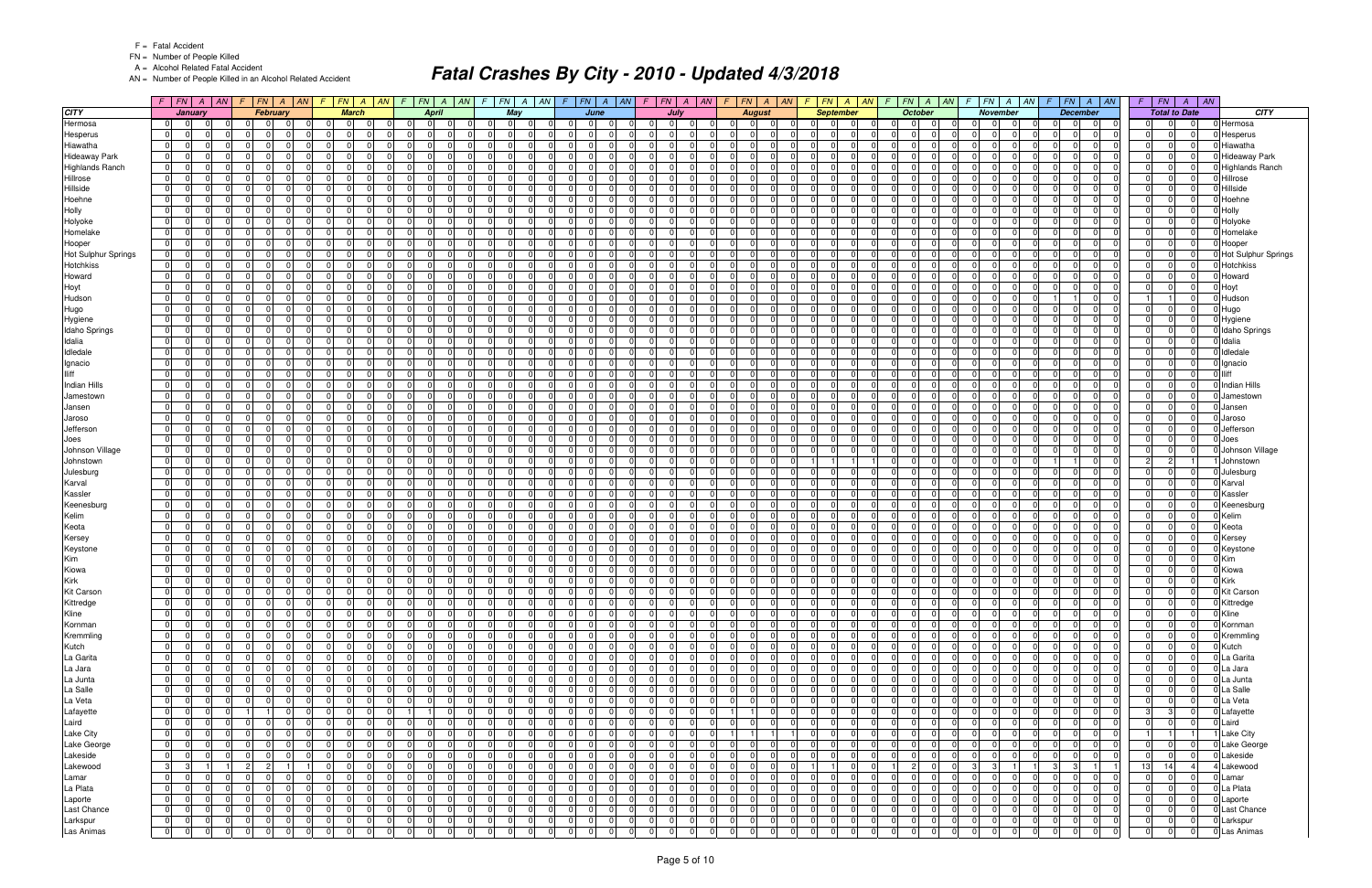FN = Number of People Killed

A = Alcohol Related Fatal Accident

AN = Number of People Killed in an Alcohol Related Accident

|                                  |                                          | $F$   $FN$   $A$   $AN$    |                               | $F$ $ FN $ $A$ $ M $ $F$ $ FN $ $A$ $ M$ |                      |                                           |                                  | $F$ $ FN $ $A$ $ AN $                   | F                                | $FN$ $A$ $AN$                        |                      | $F$ $FN$ $A$ $AN$                                     |                      | $F$ $ FN $ $A$ $ AN $                            |          |                                  |                      | $F$ $ FN $ $A$ $ M $ $F$ $ FN $ $A$ $ M$                                       |                         | $F$ $FN$ $A$ $AN$                                            |          |                                                 | $F$ $FN$ $A$ $AN$    |                               | $F$ $FN$ $A$ $AN$                                                 |                                  |                            | $F$ $FN$ $A$ $AN$          |                            |
|----------------------------------|------------------------------------------|----------------------------|-------------------------------|------------------------------------------|----------------------|-------------------------------------------|----------------------------------|-----------------------------------------|----------------------------------|--------------------------------------|----------------------|-------------------------------------------------------|----------------------|--------------------------------------------------|----------|----------------------------------|----------------------|--------------------------------------------------------------------------------|-------------------------|--------------------------------------------------------------|----------|-------------------------------------------------|----------------------|-------------------------------|-------------------------------------------------------------------|----------------------------------|----------------------------|----------------------------|----------------------------|
| <b>CITY</b>                      | January                                  |                            |                               | February                                 |                      | <b>March</b>                              |                                  | <b>April</b>                            |                                  | May                                  |                      | June                                                  |                      | July                                             |          |                                  | <b>August</b>        | <b>September</b>                                                               |                         | <b>October</b>                                               |          |                                                 | <b>November</b>      |                               | <b>December</b>                                                   |                                  | <b>Total to Date</b>       |                            | <b>CITY</b>                |
| Hermosa                          | 0 I<br>$\overline{0}$                    |                            |                               | $\cap$<br>$\Omega$                       | $\Omega$             | $\Omega$                                  | n I                              | - 0 I                                   | <sup>n</sup>                     | $\Omega$<br>$\Omega$                 | $\Omega$             | $\Omega$<br>$\Omega$                                  | $\Omega$             | $\Omega$                                         |          | <sup>n</sup><br>$\Omega$         | - 0                  | 0I<br>$\Omega$                                                                 | n I                     | $\Omega$                                                     |          | $\Omega$                                        | $\Omega$             | 0I                            | $\Omega$<br>$\Omega$                                              | -01                              | $\Omega$                   | $\Omega$                   | Hermosa                    |
| Hesperus                         | $\overline{0}$<br>$\Omega$               |                            | $\Omega$                      | $\Omega$                                 |                      | $\Omega$                                  | $\overline{0}$                   | - 0                                     | $\Omega$                         | $\Omega$                             |                      | $\Omega$<br>$\Omega$                                  | $\Omega$             | $\Omega$                                         |          | $\Omega$                         | $\Omega$             | $\Omega$<br>$\Omega$<br>$\Omega$                                               | $\Omega$                | $\Omega$                                                     |          | $\Omega$                                        | $\Omega$             |                               | $\Omega$<br>$\Omega$                                              | $\Omega$                         | $\Omega$                   | $\Omega$                   | Hesperus                   |
| Hiawatha                         | 0 I<br>- 01                              | <sup>n</sup>               | $\Omega$                      | $\Omega$                                 | $\Omega$             | $\Omega$<br>$\Omega$                      | 0                                | $\Omega$<br>$\Omega$                    | $\Omega$                         | $\Omega$                             | $\Omega$             | $\Omega$<br>$\Omega$                                  | $\overline{0}$       | $\Omega$<br><sup>n</sup>                         |          | $\Omega$                         | $\Omega$             | $\Omega$<br>$\Omega$<br>$\Omega$                                               | $\overline{0}$          | $\Omega$<br>$\Omega$                                         |          | $\Omega$                                        | $\Omega$             | $\Omega$                      | $\Omega$<br>$\Omega$                                              | - 0 I                            | $\Omega$                   | $\overline{0}$             | Hiawatha                   |
| Hideaway Park                    | 0 I<br>$\Omega$                          |                            | $\Omega$                      | $\Omega$                                 | $\Omega$             | $\Omega$<br>$\Omega$                      | 0                                | $\Omega$                                | $\Omega$                         | $\Omega$                             | $\Omega$             | $\Omega$<br>$\Omega$                                  | $\Omega$             | n                                                |          | $\Omega$                         | $\Omega$             | $\Omega$<br>$\Omega$<br>$\Omega$                                               | $\Omega$                | - 0                                                          |          | $\Omega$                                        | $\Omega$             | $\Omega$                      | $\Omega$<br>$\Omega$                                              | $\overline{0}$                   | $\Omega$                   | $\Omega$                   | Hideaway Park              |
| <b>Highlands Ranch</b>           | 01<br>$\Omega$                           |                            | $\Omega$                      | $\Omega$                                 | $\Omega$             | $\Omega$                                  | $\overline{0}$                   | $\Omega$                                | 0                                | $\Omega$                             | $\Omega$             | 0<br>$\Omega$                                         | - 0 I                | $\Omega$                                         |          | $\Omega$                         | $\Omega$             | $\Omega$<br>0<br><sup>n</sup>                                                  | $\overline{0}$          | - 0                                                          |          | $\Omega$                                        | $\Omega$             | $\Omega$                      | $\Omega$<br>$\Omega$                                              | $\overline{0}$                   | $\Omega$                   | $\Omega$                   | Highlands Ranch            |
| Hillrose                         | $\overline{0}$<br>$\Omega$               |                            | $\Omega$                      | $\Omega$                                 | $\Omega$             | $\Omega$                                  | $\Omega$                         | $\Omega$                                | U                                | $\Omega$                             |                      | $\Omega$<br>$\Omega$                                  | $\Omega$             | ∩                                                |          | $\Omega$                         | $\Omega$             | $\Omega$<br>$\Omega$                                                           | $\Omega$                | n                                                            |          | <sup>0</sup>                                    | $\Omega$             | $\Omega$                      | $\Omega$<br>$\Omega$                                              | $\Omega$                         | $\Omega$                   | $\Omega$                   | Hillrose                   |
| Hillside                         | 01<br>$\Omega$                           |                            | $\Omega$                      | $\mathbf 0$                              | $\Omega$             | $\Omega$<br>$\Omega$                      | 0                                | $\Omega$                                | $\Omega$                         | $\mathbf 0$                          | $\Omega$             | $\Omega$<br>$\Omega$                                  | 0                    | $\Omega$                                         |          | $\Omega$                         | $\Omega$             | $\Omega$<br>$\Omega$<br>$\Omega$                                               | $\overline{0}$          | $\Omega$                                                     |          | $\Omega$                                        | $\Omega$             | $\Omega$                      | $\Omega$<br>$\Omega$                                              | $\overline{0}$                   | $\Omega$                   | $\overline{0}$             | Hillside                   |
| Hoehne                           | 0 I<br>$\Omega$                          |                            | $\Omega$                      | $\Omega$                                 | $\Omega$             | $\Omega$                                  | 0                                | $\Omega$                                | ΩI                               | $\Omega$                             | $\Omega$             | $\Omega$<br>$\Omega$                                  | $\Omega$             | n                                                |          | $\Omega$                         | $\Omega$             | $\Omega$<br>$\Omega$                                                           | $\Omega$                | - 0                                                          |          | ΩI                                              | $\Omega$             | $\Omega$                      | $\Omega$<br>$\Omega$                                              | $\Omega$                         | $\Omega$                   | $\Omega$                   | Hoehne                     |
| Holly                            | 0 I<br>$\Omega$                          |                            | $\Omega$                      | $\Omega$                                 | $\Omega$             | $\mathbf 0$<br><sup>n</sup>               | $\overline{0}$                   | - 0<br>$\Omega$                         | $\Omega$                         | $\mathbf 0$                          | $\Omega$             | $\Omega$<br>$\Omega$                                  | - 0 I                | $\Omega$                                         |          | $\Omega$                         | $\Omega$             | $\Omega$<br>$\Omega$<br>$\Omega$                                               | $\overline{0}$          | $\Omega$<br>$\Omega$                                         |          | $\Omega$                                        | $\mathbf 0$          | $\Omega$                      | $\Omega$<br>$\Omega$                                              | $\overline{0}$                   | $\Omega$                   | $\Omega$                   | Holly                      |
| Holyoke                          | 0                                        |                            | 0                             | $\Omega$                                 |                      | $\Omega$                                  | $\Omega$                         | $\Omega$                                | 0                                | $\Omega$                             |                      | $\Omega$<br>$\Omega$                                  | $\Omega$             |                                                  |          | $\Omega$                         | $\Omega$             | $\Omega$                                                                       | $\Omega$                |                                                              |          | 0                                               | $\Omega$             |                               | $\Omega$<br>0                                                     | $\Omega$                         | $\Omega$                   | $\Omega$                   | Holyoke                    |
| Homelake                         | 0 I<br>$\Omega$                          |                            | $\Omega$                      | $\Omega$                                 | $\Omega$             | $\Omega$                                  | 0                                | $\Omega$<br>$\Omega$                    | $\Omega$                         | $\Omega$                             | $\Omega$             | $\Omega$<br>$\Omega$                                  | - 0 I                | $\Omega$                                         |          | $\Omega$                         | $\Omega$             | $\Omega$<br>$\Omega$                                                           | $\overline{0}$          | $\Omega$                                                     |          | $\Omega$                                        | $\Omega$             | $\Omega$                      | $\Omega$<br>$\Omega$                                              | - 0 I                            | $\Omega$                   | $\Omega$                   | Homelake                   |
| Hooper                           | $\overline{0}$<br>$\Omega$               |                            | $\Omega$                      | $\Omega$                                 | $\Omega$             | $\Omega$<br>$\Omega$                      | 0                                | $\Omega$                                | $\Omega$                         | $\Omega$                             | $\Omega$             | $\Omega$<br>$\Omega$                                  | - 0 I                | <sup>n</sup>                                     |          | $\Omega$                         | $\Omega$             | $\Omega$<br>$\Omega$<br>$\Omega$                                               | - 0 I                   | $\Omega$                                                     |          | $\Omega$                                        | $\Omega$             | $\Omega$                      | $\Omega$<br>$\Omega$                                              | $\overline{0}$                   | $\Omega$                   | $\Omega$                   | Hooper                     |
| <b>Hot Sulphur Springs</b>       | $\overline{0}$<br>- 0                    |                            |                               | $\Omega$                                 | $\Omega$             | 0                                         | $\Omega$                         |                                         |                                  | - 0                                  |                      | 0<br>$\Omega$                                         | $\Omega$             |                                                  |          | <sup>n</sup>                     | $\Omega$             | $\Omega$<br><sup>0</sup>                                                       | $\Omega$                |                                                              |          |                                                 | $\Omega$             | $\Omega$                      | $\Omega$<br>$\Omega$                                              | $\Omega$                         | $\Omega$                   |                            | <b>Hot Sulphur Springs</b> |
| Hotchkiss                        | 0 I<br>$\Omega$                          | $\Omega$                   | $\Omega$                      | $\Omega$                                 | $\Omega$             | - 0 I                                     | 0                                | $\Omega$<br>$\Omega$                    | $\Omega$                         | - 0 I                                | $\Omega$             | $\Omega$<br>$\Omega$                                  | - 0 I                | $\Omega$<br>n                                    |          | $\Omega$                         | $\Omega$             | $\Omega$<br>$\Omega$<br>$\Omega$                                               | 0                       | $\Omega$<br>$\Omega$                                         |          | $\Omega$                                        | - 0 I                | $\Omega$                      | $\Omega$<br>$\Omega$                                              | $\overline{0}$                   | $\Omega$                   | $\Omega$                   | Hotchkiss                  |
| Howard                           | 01<br>$\Omega$                           |                            | $\Omega$                      | $\Omega$                                 | $\Omega$             | $\Omega$                                  | 0                                | $\Omega$                                | $\Omega$                         | $\Omega$                             |                      | $\Omega$<br>$\Omega$                                  | $\Omega$             |                                                  |          | $\Omega$                         | $\Omega$             | $\Omega$<br>$\Omega$                                                           | $\Omega$                | $\Omega$                                                     |          | $\Omega$                                        | $\Omega$             | $\Omega$                      | $\Omega$<br>$\Omega$                                              | $\Omega$                         | $\overline{0}$             | $\Omega$                   | Howard                     |
| Hoyt                             | 0 I<br>$\Omega$                          | $\Omega$                   | $\Omega$                      | $\Omega$                                 | $\Omega$             | $\Omega$<br>$\Omega$                      | 0                                | $\Omega$<br>- 0                         | $\Omega$                         | $\Omega$                             | $\Omega$             | $\Omega$<br>$\Omega$                                  | - 0 I                | $\Omega$<br>$\Omega$                             |          | $\Omega$<br>$\Omega$             | $\Omega$             | $\Omega$<br>$\Omega$<br>$\Omega$                                               | 0                       | $\Omega$<br>$\Omega$                                         |          | $\Omega$                                        | $\Omega$             | $\Omega$                      | $\Omega$<br>$\Omega$                                              | $\Omega$                         | $\Omega$                   | $\Omega$                   | Hoyt                       |
| Hudson                           | 01<br>-0                                 |                            | $\Omega$                      | $\Omega$                                 | - 0 l                | $\Omega$<br>$\Omega$                      | $\overline{0}$                   | $\Omega$<br>$\Omega$                    | $\Omega$                         | $\Omega$                             | $\Omega$             | 0<br>$\Omega$                                         | $\mathbf 0$          | $\Omega$<br>$\Omega$                             |          | $\Omega$                         | $\Omega$             | $\Omega$<br>0<br>$\Omega$                                                      | $\Omega$                | $\Omega$<br>$\Omega$                                         |          | $\Omega$                                        | $\Omega$             | -1                            | $\Omega$<br>11                                                    |                                  |                            | $\Omega$                   | Hudson                     |
| Hugo                             | 0 I<br>$\Omega$                          |                            | $\Omega$                      | $\Omega$                                 | $\Omega$             | $\Omega$<br>$\Omega$                      | 0                                | $\cap$<br>$\Omega$                      | $\Omega$                         | $\Omega$                             | $\Omega$             | $\Omega$<br>$\Omega$                                  | $\Omega$             | $\cap$<br>$\cap$                                 |          | $\Omega$                         | $\Omega$             | $\Omega$<br>$\Omega$<br>$\Omega$                                               | $\Omega$                | $\Omega$<br>- 0                                              |          | $\Omega$                                        | $\Omega$             | $\Omega$                      | $\Omega$<br>$\Omega$                                              | $\overline{0}$                   | $\Omega$                   | $\Omega$                   | Hugo                       |
| Hygiene                          | $\overline{0}$<br>$\Omega$               |                            | $\Omega$                      | $\Omega$                                 | $\Omega$             | $\Omega$                                  | 0                                | $\Omega$<br><sup>0</sup>                | $\Omega$                         | $\Omega$                             | $\Omega$             | 0<br>$\Omega$                                         | - 0 I                | <sup>n</sup><br><sup>n</sup>                     |          | $\Omega$                         | $\Omega$             | $\Omega$<br>$\Omega$<br>$\Omega$                                               | $\Omega$                | <sup>0</sup><br>$\Omega$                                     |          | $\Omega$                                        | $\Omega$             | $\Omega$                      | $\Omega$<br>$\Omega$                                              | $\Omega$                         | $\Omega$                   | $\Omega$                   | Hygiene                    |
| Idaho Springs                    | 0 I<br>$\Omega$                          |                            | $\Omega$                      | $\Omega$                                 | $\Omega$             | - 0 I<br>$\Omega$                         | $\overline{0}$                   | $\Omega$<br>$\Omega$                    | $\Omega$                         | $\mathbf 0$                          | $\Omega$             | $\Omega$<br>$\Omega$                                  | - 0 I                | $\Omega$<br>$\Omega$                             |          | $\Omega$                         | $\Omega$             | $\Omega$<br>$\Omega$<br>$\Omega$                                               | - 0 I                   | $\Omega$<br>$\Omega$                                         |          | $\Omega$                                        | $\mathbf 0$          | $\Omega$                      | -01<br>$\Omega$                                                   | $\overline{0}$                   | $\Omega$                   | $\overline{0}$             | <b>Idaho Springs</b>       |
| Idalia                           | 01<br>-0                                 | $\cap$                     | $\Omega$<br>$\Omega$          | $\Omega$                                 | $\Omega$<br>$\Omega$ | $\Omega$<br>$\Omega$<br>$\Omega$          | $\overline{0}$<br>$\Omega$       | - 0<br>$\Omega$<br>$\Omega$<br>$\Omega$ | $\Omega$<br>$\Omega$<br>$\cap$   | $\Omega$                             | $\Omega$<br>$\Omega$ | 0<br>$\Omega$<br>$\Omega$<br>$\Omega$                 | $\mathbf 0$          | - 0<br>$\Omega$<br>$\Omega$                      |          | $\Omega$<br>$\Omega$             | $\Omega$<br>$\Omega$ | $\Omega$<br>0<br>$\Omega$<br>$\Omega$<br>$\Omega$<br>$\Omega$                  | $\mathbf 0$<br>$\Omega$ | - 0<br>$\cap$<br>$\Omega$                                    |          | $\Omega$<br>$\Omega$                            | $\Omega$             | $\Omega$<br>n l               | $\Omega$<br>$\Omega$<br>$\Omega$<br>$\Omega$                      | $\overline{0}$                   | $\Omega$<br>$\Omega$       | $\Omega$<br>$\Omega$       | Idalia                     |
| Idledale                         | 0 I<br>$\Omega$                          |                            |                               | $\Omega$                                 |                      | $\Omega$<br>$\Omega$                      |                                  | $\Omega$                                |                                  | - 0 I                                |                      | 0                                                     | $\Omega$             |                                                  |          |                                  |                      | $\Omega$                                                                       |                         |                                                              |          |                                                 | $\Omega$             |                               |                                                                   | 0 I                              |                            |                            | Idledale                   |
| Ignacio                          | 01<br>-0<br>0 I<br>$\Omega$              |                            | $\overline{0}$<br>$\Omega$    | $\Omega$<br>$\Omega$                     | 0<br>$\Omega$        | $\Omega$<br>$\Omega$                      | 0 <br> 0                         | -0<br>$\Omega$<br>$\Omega$              | 0<br>$\Omega$                    | $\Omega$<br>$\Omega$                 | 0<br>$\Omega$        | $\Omega$<br>$\Omega$<br>$\Omega$                      | 0 <br>- 0 I          | $\Omega$<br><sup>0</sup><br>$\Omega$<br>$\Omega$ |          | $\overline{0}$<br>$\Omega$       | $\Omega$<br>$\Omega$ | 0<br>$\Omega$<br>$\Omega$<br>$\Omega$                                          | 0                       | -0<br><sup>0</sup><br>$\overline{0}$<br>$\Omega$<br>$\Omega$ |          | $\Omega$<br>$\Omega$                            | $\Omega$<br>$\Omega$ | $\Omega$<br>$\Omega$          | $\Omega$<br>$\Omega$<br>$\Omega$<br>$\Omega$                      | $\overline{0}$<br>$\overline{0}$ | $\Omega$<br>$\Omega$       | $\Omega$<br>$\Omega$       | Ignacio<br>liff            |
|                                  | 01<br>$\Omega$                           | <sup>n</sup>               | $\Omega$                      | $\Omega$                                 | - 0 l                | $\Omega$<br>$\Omega$                      | $\overline{0}$                   | $\Omega$<br>$\Omega$                    | $\Omega$                         | $\Omega$                             | $\Omega$             | 0<br>$\Omega$                                         | $\mathbf 0$          | $\Omega$<br>- 0                                  |          | $\Omega$                         | $\Omega$             | $\Omega$<br>$\Omega$<br>$\Omega$                                               | $\overline{0}$          | $\Omega$<br>$\Omega$                                         |          | $\Omega$                                        | $\Omega$             | $\Omega$                      | $\Omega$<br>$\Omega$                                              | $\overline{0}$                   | $\Omega$                   | $\Omega$                   | ndian Hills                |
| <b>Indian Hills</b><br>Jamestown | 0 I<br>$\Omega$                          |                            |                               | $\Omega$                                 | $\Omega$             | 0                                         | $\overline{0}$                   | $\Omega$                                | 0                                | $\Omega$                             | $\Omega$             | 0<br>$\Omega$                                         | - 0 I                |                                                  |          | 0                                | $\Omega$             | $\Omega$<br>0                                                                  | $\overline{0}$          |                                                              |          | 0                                               | $\Omega$             | $\Omega$                      | $\Omega$<br>0                                                     | $\overline{0}$                   | $\Omega$                   | $\Omega$                   | Jamestowr                  |
| Jansen                           | $\overline{0}$<br>- 0                    |                            | $\Omega$                      | $\Omega$                                 |                      | $\Omega$                                  | $\overline{0}$                   | n                                       | 0                                | $\Omega$                             |                      | 0<br><sup>n</sup>                                     | $\Omega$             |                                                  |          | $\Omega$                         | - 0                  | $\Omega$                                                                       | $\Omega$                |                                                              |          | 0                                               | $\Omega$             |                               | $\Omega$<br><sup>n</sup>                                          | $\Omega$                         | $\Omega$                   | $\Omega$                   | Jansen                     |
| Jaroso                           | 01<br>$\Omega$                           |                            | $\Omega$                      | $\Omega$                                 | $\Omega$             | $\Omega$                                  | 0                                | $\Omega$                                | $\Omega$                         | $\mathbf 0$                          | $\Omega$             | $\Omega$<br>$\Omega$                                  | $\mathbf 0$          | $\Omega$                                         |          | $\Omega$                         | $\Omega$             | $\Omega$<br>$\Omega$<br>$\Omega$                                               | $\overline{0}$          | $\Omega$                                                     |          | $\Omega$                                        | $\Omega$             | $\Omega$                      | $\Omega$<br>$\Omega$                                              | - 0 I                            | $\Omega$                   | $\overline{0}$             | Jaroso                     |
| Jefferson                        | 0 I<br>$\Omega$                          |                            | $\Omega$                      | $\Omega$                                 | $\Omega$             | $\Omega$                                  | 0                                | $\Omega$                                | ΩI                               | $\Omega$                             |                      | $\Omega$<br>$\Omega$                                  | $\Omega$             | n                                                |          | $\Omega$                         | $\Omega$             | $\Omega$<br>$\Omega$                                                           | $\Omega$                | - 0                                                          |          | ΩI                                              | $\Omega$             | $\Omega$                      | $\Omega$<br>$\Omega$                                              | $\Omega$                         | $\Omega$                   | $\Omega$                   | Jefferson                  |
| Joes                             | 0 I<br>$\Omega$                          |                            | $\overline{0}$                | $\Omega$                                 | $\overline{0}$       | - 0 I<br>$\Omega$                         | $\overline{0}$                   | - 0<br>$\Omega$                         | $\Omega$                         | $\mathbf 0$                          | $\Omega$             | $\Omega$<br>$\Omega$                                  | - 0 I                | $\Omega$<br>$\Omega$                             |          | $\Omega$                         | $\Omega$             | $\Omega$<br>$\Omega$<br>$\Omega$                                               | $\overline{0}$          | $\Omega$<br>$\Omega$                                         |          | $\Omega$                                        | $\mathbf 0$          | $\Omega$                      | $\Omega$<br>$\Omega$                                              | $\overline{0}$                   | $\Omega$                   | $\Omega$                   | Joes                       |
| Johnson Village                  | 0 <br>$\Omega$                           |                            | 0                             | $\Omega$                                 |                      | $\Omega$                                  | $\Omega$                         | $\Omega$                                | 0                                | $\Omega$                             |                      | $\Omega$<br>$\Omega$                                  | $\Omega$             |                                                  |          | $\Omega$                         | $\Omega$             | $\Omega$<br>$\Omega$                                                           | $\Omega$                |                                                              |          | 0                                               | $\Omega$             |                               | $\Omega$<br>0                                                     | $\Omega$                         | $\Omega$                   | $\Omega$                   | Johnson Village            |
| Johnstown                        | 0 I<br>$\Omega$                          |                            | $\Omega$                      | $\Omega$                                 | $\Omega$             | $\Omega$                                  | 0                                | $\Omega$<br>$\Omega$                    | $\Omega$                         | $\Omega$                             | $\Omega$             | $\Omega$<br>$\Omega$                                  | - 0 I                | $\Omega$                                         |          | $\Omega$                         | $\Omega$             | $\mathbf{1}$                                                                   | $\overline{0}$          | $\Omega$                                                     |          | $\Omega$                                        | $\Omega$             | $\mathbf{1}$                  | $\Omega$                                                          | $\overline{2}$                   | $\overline{2}$             |                            | Johnstown                  |
| Julesburg                        | $\overline{0}$<br>$\Omega$               |                            | $\Omega$                      | $\Omega$                                 | $\Omega$             | $\Omega$<br>$\Omega$                      | 0                                | $\Omega$                                | $\Omega$                         | $\Omega$                             | $\Omega$             | $\Omega$<br>$\Omega$                                  | - 0 I                | n                                                |          | $\Omega$                         | $\Omega$             | $\Omega$<br>$\Omega$<br>$\Omega$                                               | $\overline{0}$          | $\Omega$                                                     |          | $\Omega$                                        | $\Omega$             | $\Omega$                      | $\Omega$<br>$\Omega$                                              | $\overline{0}$                   | $\Omega$                   | $\Omega$                   | Julesburg                  |
| Karval                           | 0 I<br>$\Omega$                          |                            | $\Omega$                      | $\Omega$                                 | $\Omega$             | $\Omega$<br>$\Omega$                      | $\overline{0}$                   | $\Omega$                                | 0                                | $\Omega$                             | $\Omega$             | 0<br>$\Omega$                                         | - 0 I                | $\Omega$                                         |          | $\Omega$                         | $\Omega$             | $\Omega$<br>$\Omega$<br>$\Omega$                                               | $\overline{0}$          | $\Omega$                                                     |          | 0                                               | $\Omega$             | $\Omega$                      | $\Omega$<br>$\Omega$                                              | $\overline{0}$                   | $\Omega$                   | $\Omega$                   | Karval                     |
| Kassler                          | $\overline{0}$<br>$\Omega$               |                            | $\Omega$                      | $\Omega$                                 | $\Omega$             | $\Omega$                                  | 0                                | $\Omega$                                | $\Omega$                         | $\Omega$                             |                      | $\Omega$<br>$\Omega$                                  | $\Omega$             | ∩                                                |          | $\Omega$                         | $\Omega$             | $\Omega$<br>$\Omega$<br>$\Omega$                                               |                         | $\overline{0}$<br>- 0                                        |          | $\Omega$                                        | $\Omega$             | $\Omega$                      | $\Omega$<br>$\Omega$                                              | $\Omega$                         | $\Omega$                   | $\Omega$                   | Kassler                    |
| Keenesburg                       | 0 I<br>$\Omega$                          |                            | $\Omega$                      | $\Omega$                                 |                      | $\Omega$                                  | $\overline{0}$                   | $\Omega$                                | $\Omega$                         | $\Omega$                             |                      | $\Omega$<br>$\Omega$                                  | - 0 I                | $\Omega$                                         |          | $\Omega$                         | $\Omega$             | $\Omega$<br>$\Omega$                                                           | - 0 I                   | $\Omega$                                                     |          | $\Omega$                                        | $\Omega$             |                               | $\Omega$<br>$\Omega$                                              | - 0 I                            | $\Omega$                   | $\Omega$                   | Keenesburg                 |
| Kelim                            | 0 I<br>$\Omega$                          |                            | $\Omega$                      | $\Omega$                                 | $\Omega$             | $\Omega$<br>$\Omega$                      | 0                                | $\Omega$                                | $\Omega$                         | $\Omega$                             |                      | $\Omega$<br>$\Omega$                                  | - 0 I                | n                                                |          | $\Omega$                         | $\Omega$             | $\Omega$<br>$\Omega$<br>$\Omega$                                               | $\overline{0}$          | - 0                                                          |          | $\Omega$                                        | $\Omega$             | $\Omega$                      | $\Omega$<br>$\Omega$                                              | $\Omega$                         | $\Omega$                   | $\Omega$                   | Kelim                      |
| Keota                            | 01<br>- 0                                |                            | $\Omega$                      | $\Omega$                                 | $\Omega$             | $\Omega$<br>$\Omega$                      | $\Omega$                         | $\Omega$<br>$\Omega$                    | $\Omega$                         | $\mathbf 0$                          | $\Omega$             | 0<br>$\Omega$                                         | $\mathbf 0$          | n<br>$\Omega$                                    |          | $\Omega$                         | $\Omega$             | $\Omega$<br>0<br>$\Omega$                                                      | $\Omega$                | - 0                                                          |          | $\Omega$                                        | $\Omega$             | $\Omega$                      | $\Omega$<br>$\Omega$                                              | $\overline{0}$                   | $\Omega$                   | $\Omega$                   | Keota                      |
| Kersey                           | 0                                        |                            | $\Omega$                      | $\Omega$                                 | $\Omega$             | $\Omega$                                  | 0                                | <sup>n</sup><br>- 0                     | $\Omega$                         | $\Omega$                             | $\Omega$             | $\Omega$<br>$\Omega$                                  | $\Omega$             |                                                  |          | $\Omega$                         | $\Omega$             | $\Omega$<br>$\Omega$<br>$\Omega$                                               | - 0 I                   | n                                                            |          | $\Omega$                                        | $\Omega$             | $\Omega$                      | $\Omega$<br>$\Omega$                                              | $\Omega$                         | $\Omega$                   | $\Omega$                   | Kersev                     |
| Keystone                         | 01<br>$\Omega$                           |                            | $\Omega$                      | $\Omega$                                 | $\Omega$             | $\Omega$<br>$\Omega$                      | 0                                | $\Omega$<br>$\Omega$                    | $\Omega$                         | $\Omega$                             | $\Omega$             | 0<br>$\Omega$                                         | - 0 I                | <sup>0</sup><br>$\Omega$                         |          | $\Omega$                         | $\Omega$             | $\Omega$<br>$\Omega$<br>$\Omega$                                               | $\Omega$                | $\Omega$<br>$\Omega$                                         |          | $\Omega$                                        | $\Omega$             | $\Omega$                      | $\Omega$<br>$\Omega$                                              | $\Omega$                         | $\Omega$                   | $\Omega$                   | Keystone                   |
| Kim                              | 0 I<br>$\Omega$                          |                            | $\Omega$                      | $\Omega$                                 | $\Omega$             | - 0 I<br>$\Omega$                         | $\overline{0}$                   | $\Omega$<br>$\Omega$                    | $\Omega$                         | $\mathbf 0$                          | $\Omega$             | $\Omega$<br>$\Omega$                                  | - 0 I                | $\Omega$<br>$\Omega$                             |          | $\Omega$                         | $\Omega$             | $\Omega$<br>$\Omega$<br>$\Omega$                                               | $\overline{0}$          | $\Omega$<br>$\Omega$                                         |          | $\Omega$                                        | $\mathbf 0$          | $\Omega$                      | $\Omega$<br>$\Omega$                                              | - 0 I                            | $\Omega$                   | $\overline{0}$             | Kim                        |
| Kiowa                            | 0 I<br>$\Omega$                          |                            | $\Omega$                      | $\Omega$                                 | $\Omega$             | $\Omega$<br>$\Omega$                      | $\overline{0}$                   | $\Omega$<br>-0                          | $\Omega$                         | $\Omega$                             | - 0 l                | $\Omega$<br>$\Omega$                                  | $\mathbf 0$          | - 0<br>$\Omega$                                  |          | $\Omega$                         | $\Omega$             | $\Omega$<br>0<br>$\Omega$                                                      | $\overline{0}$          | - 0<br>$\Omega$                                              |          | $\Omega$                                        | $\Omega$             | $\Omega$                      | $\Omega$<br>$\Omega$                                              | $\overline{0}$                   | $\Omega$                   | $\Omega$                   | Kiowa                      |
| Kirk                             | $\overline{0}$<br>$\Omega$               | $\Omega$                   | $\Omega$                      | $\Omega$                                 | $\Omega$             | - 0 I<br>$\Omega$                         | 0                                | $\Omega$<br>$\Omega$                    | $\Omega$                         | $\mathbf 0$                          | $\Omega$             | $\Omega$<br>$\Omega$                                  | - 0 I                | $\Omega$<br>$\Omega$                             |          | $\Omega$                         | $\Omega$             | $\Omega$<br>$\Omega$<br>$\Omega$                                               | $\overline{0}$          | $\Omega$<br>$\Omega$                                         |          | $\Omega$<br>$\Omega$                            | - 0 I                | $\Omega$                      | $\Omega$<br>$\Omega$                                              | 0 I                              | $\Omega$                   | n l                        | <b>Kirk</b>                |
| <b>Kit Carson</b>                | $\overline{0}$<br>$\mathbf 0$            | $\Omega$                   | $\overline{0}$                | $\mathbf 0$<br>$\Omega$                  | $\mathbf{0}$         | $\Omega$<br>$\Omega$                      | 0                                | $\mathbf 0$<br>$\Omega$                 | $\overline{0}$<br>$\Omega$       | $\mathbf 0$                          | $\Omega$             | $\Omega$<br>$\Omega$                                  | 0                    | $\Omega$                                         |          | $\mathbf 0$<br>$\Omega$          | $\mathbf 0$          | $\Omega$<br>$\Omega$<br>$\Omega$                                               | 0                       | $\Omega$<br>$\Omega$                                         |          | 0 <br>$\Omega$                                  | $\Omega$             | $\Omega$                      | $\Omega$<br>$\Omega$                                              | - 0 I                            | $\Omega$                   |                            | <b>Kit Carson</b>          |
| Kittredge                        | $\overline{0}$<br> 0                     | $\Omega$                   | $\Omega$                      | .0                                       |                      | $\overline{0}$<br>$\mathbf 0$             | $\overline{0}$                   | $\Omega$                                | $\Omega$                         | 0                                    |                      | $\overline{0}$<br>$\mathbf 0$                         | $\overline{0}$       | $\Omega$                                         |          | $\Omega$                         | $\Omega$             | $\overline{0}$<br>$\Omega$                                                     | $\overline{0}$          | $\Omega$                                                     |          | $\Omega$                                        | $\Omega$             |                               | $\overline{0}$<br>$\overline{0}$                                  |                                  | $\Omega$                   | $\Omega$                   | 0 Kittredge                |
| Kline                            | 0 <br>$\overline{0}$                     | $\Omega$                   | $\Omega$                      | $\mathbf 0$<br>$\Omega$                  | $\overline{0}$       | $\mathbf 0$<br>$\mathbf 0$                | 0                                | - 01<br>- 0 I                           | $\Omega$<br>- 01                 | 0                                    | $\overline{0}$       | $\Omega$<br>$\mathbf 0$                               | $\mathbf 0$          | $\Omega$<br>$\Omega$                             |          | $\Omega$<br>$\Omega$             | $\mathbf 0$          | $\overline{0}$<br>$\mathbf 0$<br>$\mathbf 0$                                   | $\overline{0}$          | $\Omega$<br>$\Omega$                                         |          | $\Omega$<br>$\Omega$                            | $\mathbf 0$          | $\overline{0}$                | $\overline{0}$<br>$\mathbf 0$                                     | 01                               | 0                          | 0                          | Kline                      |
| Kornman                          | $\overline{0}$<br>- 01                   |                            | $\Omega$                      | $\Omega$<br>- 0 I                        | $\overline{0}$       | 0 <br>$\Omega$                            | 0                                | $\overline{0}$<br>$\Omega$              | $\Omega$<br>$\Omega$             | - 0 I                                | $\mathbf 0$          | 0 <br>$\overline{0}$                                  | 0                    | $\Omega$<br>$\Omega$                             |          | $\Omega$<br>$\Omega$             | - 0 I                | $\overline{0}$<br> 0 <br>$\Omega$                                              | 0                       | $\Omega$<br>$\Omega$                                         |          | $\Omega$<br>$\Omega$                            | - 0 I                | $\overline{0}$                | $\overline{0}$<br>$\overline{0}$                                  | $\overline{0}$                   | $\overline{0}$             | $\overline{0}$             | Kornman                    |
| Kremmling                        | $\overline{0}$<br> 0                     | $\Omega$                   | $\overline{0}$                | - 01<br>$\overline{0}$                   | $\overline{0}$       | 0 <br>$\mathbf 0$                         | $\overline{0}$                   | $\overline{0}$<br>$\overline{0}$        | $\overline{0}$<br>$\overline{0}$ | 0                                    | 0                    | 0 <br>$\mathbf 0$                                     | 0                    | $\mathbf 0$<br>$\Omega$                          |          | $\overline{0}$<br>$\overline{0}$ | 0                    | $\overline{0}$<br> 0 <br>$\mathbf 0$                                           | 0                       | $\mathbf 0$<br>- 0 I                                         |          | 0 <br>$\overline{0}$                            | 0                    | $\overline{0}$                | $\overline{0}$<br>$\mathbf 0$                                     | 01                               | $\overline{0}$             | $\overline{0}$             | Kremmling                  |
| Kutch                            | $\overline{0}$<br> 0                     |                            | $\overline{0}$                | $\mathbf 0$                              | $\overline{0}$       | 0 <br>- 01                                | 0                                | $\Omega$<br>$\overline{0}$              | $\overline{0}$<br>- 0 l          | $\mathbf 0$                          | $\overline{0}$       | 0 <br>$\overline{0}$                                  | 0                    | $\overline{0}$<br>$\Omega$                       |          | $\overline{0}$<br>$\Omega$       | $\mathbf 0$          | $\overline{0}$<br> 0 <br>$\overline{0}$                                        | 0                       | $\overline{0}$<br> 0                                         |          | $\overline{0}$<br>$\mathbf 0$                   | - 0 I                | $\overline{0}$                | $\overline{0}$<br>$\overline{0}$                                  | 0 I                              | $\Omega$                   | 0 I                        | Kutch                      |
| La Garita                        | 0 <br>$\mathbf 0$                        | $\Omega$                   | $\mathbf 0$                   | $\mathbf 0$<br>$\Omega$                  | $\overline{0}$       | 0 <br>$\mathbf 0$                         | 0                                | $\overline{0}$<br>$\overline{0}$        | $\mathbf 0$<br>- 01              | 0                                    | 0                    | 0 <br>$\mathbf 0$                                     | 0                    | $\Omega$<br>$\overline{0}$                       |          | $\mathbf 0$<br>$\Omega$          | $\mathbf 0$          | $\mathbf 0$<br>$\overline{0}$<br>$\mathbf 0$                                   | 0                       | $\Omega$<br>- 0 I                                            |          | $\overline{0}$<br>$\Omega$                      | 0                    | $\overline{0}$                | $\overline{0}$<br>$\mathbf 0$                                     | $\overline{0}$                   | $\overline{0}$             | $\mathbf 0$                | La Garita                  |
| La Jara<br>La Junta              | $\overline{0}$<br>$\overline{0}$<br> 0   | $\Omega$                   | $\mathbf 0$<br>$\overline{0}$ | 0 I<br> 0 <br>$\Omega$                   | $\overline{0}$       | 0 <br>$\Omega$<br>$\mathbf 0$<br>$\Omega$ | $\overline{0}$<br>$\overline{0}$ | $\overline{0}$<br>- 0 I<br>$\Omega$     | $\overline{0}$<br>$\overline{0}$ | $\overline{0}$<br> 0 <br>$\mathbf 0$ | $\overline{0}$       | 0 <br>$\overline{0}$<br>$\overline{0}$<br>$\mathbf 0$ | 0 <br>$\overline{0}$ | $\Omega$<br>$\Omega$<br>$\Omega$                 |          | $\mathbf 0$<br>- 0 I<br>0        | 0 <br>$\Omega$       | $\overline{0}$<br> 0 <br>$\mathbf 0$<br>$\mathbf 0$<br>$\mathbf 0$<br>$\Omega$ | 0                       | - O I<br>- 0 I<br>$\overline{0}$<br>$\Omega$                 |          | $\overline{0}$<br>$\mathbf 0$<br>$\overline{0}$ | 0 <br>$\mathbf 0$    | $\overline{0}$<br>$\mathbf 0$ | $\overline{0}$<br>$\mathbf 0$<br>$\overline{0}$<br>$\overline{0}$ | $\overline{0}$<br>$\overline{0}$ | $\overline{0}$<br>$\Omega$ | $\overline{0}$<br>$\Omega$ | La Jara<br>La Junta        |
| La Salle                         | 0 <br> 0                                 | $\Omega$                   | $\overline{0}$                | $\mathbf 0$                              | $\Omega$             | 0 <br>$\Omega$                            | 0                                | - 0 l<br> 0                             | $\overline{0}$<br>$\Omega$       | 0                                    | $\Omega$             | 0 <br>$\overline{0}$                                  | 0                    | $\Omega$<br>$\Omega$                             |          | $\overline{0}$                   | $\mathbf 0$          | $\Omega$<br> 0 <br>$\Omega$                                                    | 0                       | $\Omega$<br>- 01                                             |          | $\overline{0}$<br>$\overline{0}$                | 0                    | $\Omega$                      | 0 <br>$\overline{0}$                                              | 0 I                              | $\Omega$                   | $\overline{0}$             | La Salle                   |
|                                  | $\mathbf 0$                              |                            | $\mathbf 0$                   | $\mathbf 0$                              | $\mathbf{0}$         | 0 <br>$\overline{0}$                      | 0                                | $\Omega$<br>$\mathbf 0$                 | $\overline{0}$<br>$\Omega$       | 0                                    | $\overline{0}$       | $\overline{0}$<br>$\overline{0}$                      | 0                    | $\Omega$<br>$\Omega$                             |          | $\mathbf 0$                      | $\mathbf 0$          | $\mathbf{0}$<br> 0 <br>$\overline{0}$                                          | 0                       | $\Omega$<br>$\Omega$                                         |          | $\overline{0}$<br>$\Omega$                      | 0                    | $\mathbf 0$                   | 0 <br>$\overline{0}$                                              | $\overline{0}$                   | $\overline{0}$             | $\Omega$                   |                            |
| La Veta<br>Lafayette             | $\overline{0}$<br>$\overline{0}$<br>- 01 | $\Omega$                   |                               | $\mathbf 0$                              | $\overline{0}$       | 0 <br>- 01                                | $1 \vert$                        | $\overline{0}$                          | $\Omega$<br>$\overline{0}$       | 0                                    | 0                    | 0 <br>$\overline{0}$                                  | $\overline{0}$       | $\Omega$<br>$\Omega$                             |          |                                  | $\mathbf 0$          | $\mathbf 0$<br>$\overline{0}$<br>- 01                                          | 0                       | - 01<br>$\Omega$                                             |          | $\Omega$<br>$\Omega$                            | 0                    | $\overline{0}$                | 0 <br>$\overline{0}$                                              | $\mathbf{3}$                     | $\mathbf{3}$               | $\overline{0}$             | La Veta<br>Lafayette       |
| Laird                            | $\overline{0}$<br>$\mathbf 0$            |                            | $\overline{0}$                | $\mathbf 0$                              | $\mathbf 0$          | 0 <br>$\mathbf 0$                         | 0                                | $\Omega$<br>$\mathbf 0$                 | $\overline{0}$<br>$\Omega$       | 0                                    | $\mathbf 0$          | $\overline{0}$<br>$\mathbf{0}$                        | 0                    | $\Omega$<br>$\Omega$                             |          | $\overline{0}$                   | $\mathbf 0$          | $\mathbf 0$<br>$\mathbf{0}$<br>$\overline{0}$                                  | 0                       | $\Omega$<br>$\Omega$                                         |          | $\mathbf 0$<br> 0                               | 0                    | $\mathbf 0$                   | 0 <br>$\overline{0}$                                              | 0                                | $\overline{0}$             | $\Omega$                   | Laird                      |
| Lake City                        | $\overline{0}$<br>$\mathbf 0$            |                            | $\overline{0}$                | $\mathbf 0$                              | $\Omega$             | 0 <br>$\Omega$                            | 0                                | $\mathbf 0$<br>$\Omega$                 | $\overline{0}$                   | 0                                    | $\mathbf{0}$         | 0 <br>$\overline{0}$                                  | 0                    | $\Omega$<br>$\Omega$                             |          | 11                               |                      | $\Omega$<br> 0 <br>$\Omega$                                                    | 0                       | $\mathbf 0$                                                  |          | $\overline{0}$                                  | 0                    | $\mathbf 0$                   | 0 <br>$\mathbf 0$                                                 |                                  | 11                         |                            | Lake City                  |
| Lake George                      | $\overline{0}$<br>$\overline{0}$         |                            | $\overline{0}$                | $\Omega$                                 | $\Omega$             | - 0 I<br>- 01                             | 0                                | $\Omega$<br>$\mathbf 0$                 | $\overline{0}$                   | - 0 I                                | $\Omega$             | $\overline{0}$<br>$\overline{0}$                      | $\overline{0}$       | $\Omega$<br>$\Omega$                             |          | $\overline{0}$                   | $\Omega$             | $\Omega$<br>$\Omega$<br>$\overline{0}$                                         | 0                       | $\Omega$<br>$\Omega$                                         |          | $\overline{0}$<br>$\Omega$                      | - 0 I                | $\mathbf 0$                   | 0 <br>$\overline{0}$                                              | $\overline{0}$                   | $\overline{0}$             | 0                          | Lake George                |
| Lakeside                         | $\overline{0}$<br>- 01                   | $\Omega$                   | $\mathbf 0$                   | $\mathbf 0$                              | $\overline{0}$       | 0 <br>- 01                                | 0                                | - 01<br>$\overline{0}$                  | $\Omega$<br>$\Omega$             | 0                                    | $\overline{0}$       | 0 <br>$\overline{0}$                                  | $\overline{0}$       | $\Omega$<br>$\Omega$                             |          | $\Omega$<br>$\Omega$             | $\mathbf 0$          | $\mathbf 0$<br> 0 <br>- 01                                                     | 0                       | - 01<br>$\Omega$                                             |          | $\Omega$<br>$\Omega$                            | 0                    | $\overline{0}$                | $\overline{0}$<br>$\overline{0}$                                  | $\overline{0}$                   | 0                          | $\overline{0}$             | Lakeside                   |
| Lakewood                         | 3 <sup>l</sup><br>3                      |                            | $\vert$ 2                     | $\overline{2}$                           | $\mathbf 0$          | 0 <br>0                                   | 0                                | $\Omega$<br>$\mathbf 0$                 | $\overline{0}$                   | 0                                    | $\mathbf{0}$         | $\mathbf{0}$<br>$\mathbf{0}$                          | 0                    | $\Omega$                                         |          | $\mathbf 0$                      | $\Omega$             | $\mathbf{1}$<br>11<br>0                                                        |                         | $\vert$ 2<br>11                                              |          | 3 <br>3                                         |                      | 3                             | 3 <br>$\mathbf{1}$                                                | 13                               | 14                         | 4                          | Lakewood                   |
| Lamar                            | $\overline{0}$<br> 0                     | $\Omega$                   | $\overline{0}$                | $\mathbf 0$                              | $\Omega$             | 0 <br>$\Omega$                            | $\overline{0}$                   | $\Omega$<br>$\overline{0}$              | $\overline{0}$<br>$\overline{0}$ | 0                                    | $\Omega$             | 0 <br>$\overline{0}$                                  | 0                    | $\Omega$<br>$\Omega$                             |          | $\overline{0}$<br>$\Omega$       | 0                    | $\overline{0}$<br> 0 <br>$\overline{0}$                                        | 0                       | $\overline{0}$<br>$\Omega$                                   |          | $\overline{0}$<br>- 0 l                         | 0                    | $\Omega$                      | $\overline{0}$<br>$\overline{0}$                                  | 0 I                              | $\Omega$                   | $\overline{0}$             | Lamar                      |
| La Plata                         | $\overline{0}$<br>$\mathbf 0$            | $\Omega$                   | 0                             | $\mathbf 0$                              | $\overline{0}$       | 0 <br>$\overline{0}$                      | 0                                | $\Omega$<br>$\overline{0}$              | $\overline{0}$<br>$\overline{0}$ | 0                                    | 0                    | 0 <br>$\overline{0}$                                  | 0                    | $\overline{0}$<br>$\mathbf 0$                    |          | $\overline{0}$                   | $\mathbf 0$          | $\mathbf 0$<br> 0 <br>$\overline{0}$                                           | 0                       | $\mathbf 0$<br>$\Omega$                                      |          | $\overline{0}$<br>$\overline{0}$                | 0                    | 0                             | $\overline{0}$<br>$\overline{0}$                                  | $\overline{0}$                   | $\overline{0}$             | $\overline{0}$             | La Plata                   |
| Laporte                          | $\overline{0}$<br>$\mathbf 0$            | $\Omega$                   | $\mathbf 0$                   | $\mathbf 0$<br>$\Omega$                  | 0                    | $\overline{0}$<br>$\mathbf 0$             | 0                                | $\mathbf 0$<br>$\overline{0}$           | $\mathbf 0$<br>- 01              | 0                                    | 0                    | $\overline{0}$<br>$\mathbf 0$                         | 0                    | $\Omega$<br>$\Omega$                             |          | $\mathbf 0$<br>$\Omega$          | $\mathbf 0$          | 0 <br>$\overline{0}$<br>$\mathbf 0$                                            | 0                       | $\Omega$<br>$\Omega$                                         |          | $\overline{0}$<br>-01                           | 0                    | 0                             | $\overline{0}$<br>$\mathbf 0$                                     | $\overline{0}$                   | $\overline{0}$             | 0                          | Laporte                    |
| Last Chance                      | $\overline{0}$<br>$\Omega$               |                            | $\mathbf 0$                   | $\Omega$                                 | $\Omega$             | 0 <br>$\Omega$                            | 0                                | $\Omega$<br>$\Omega$                    | $\overline{0}$<br>$\Omega$       | - 0 I                                | $\Omega$             | $\overline{0}$<br>$\overline{0}$                      | $\overline{0}$       | $\Omega$<br>$\Omega$                             |          | $\mathbf 0$                      | $\mathbf 0$          | $\Omega$<br> 0 <br>$\Omega$                                                    | 0                       | $\Omega$<br>$\Omega$                                         |          | $\overline{0}$<br>$\Omega$                      | 0                    | $\overline{0}$                | 0 <br>$\mathbf 0$                                                 | $\overline{0}$                   | $\Omega$                   | $\Omega$                   | <b>Last Chance</b>         |
| Larkspur                         | $\overline{0}$<br>0                      | $\overline{0}$<br>0        | $\overline{0}$                | $\mathbf{0}$<br>$\overline{0}$           | 0                    | 0 <br>0                                   | 0                                | $\overline{0}$<br>$\overline{0}$        | 0 <br>$\overline{0}$             | 0                                    | $\mathbf 0$          | 0 <br>$\mathbf 0$                                     | 0                    | $\overline{0}$<br>0                              | 0        | 0 <br>$\overline{0}$             | $\mathbf{0}$         | $\overline{0}$<br> 0 <br>0                                                     | 0                       | $\overline{0}$<br>0                                          |          | 0 <br>$\overline{0}$                            | 0                    | $\overline{0}$                | 0 <br>$\mathbf 0$                                                 | $\overline{0}$                   | $\overline{0}$             | 0                          | Larkspur                   |
| Las Animas                       | $\overline{0}$<br>$\overline{0}$         | $\overline{0}$<br>$\Omega$ | $\overline{0}$                | $\overline{0}$<br> 0                     | $\overline{0}$       | $\overline{0}$<br>$\mathbf 0$             | $\overline{0}$                   | $\overline{0}$<br> 0 <br>$\Omega$       | $\overline{0}$<br> 0             | 0                                    | $\overline{0}$       | $\overline{0}$<br>$\mathbf 0$                         | 0                    | $\overline{0}$<br>$\overline{0}$                 | $\Omega$ | $\overline{0}$<br>$\overline{0}$ | 0                    | $\overline{0}$<br>$\overline{0}$<br>$\mathbf 0$                                | $\overline{0}$          | $\overline{0}$<br>$\overline{0}$                             | $\Omega$ | 0 <br>$\overline{0}$                            | 0                    | $\overline{0}$                | 0 <br>$\mathbf 0$                                                 | $\overline{0}$                   | $\overline{0}$             | 0                          | 0 Las Animas               |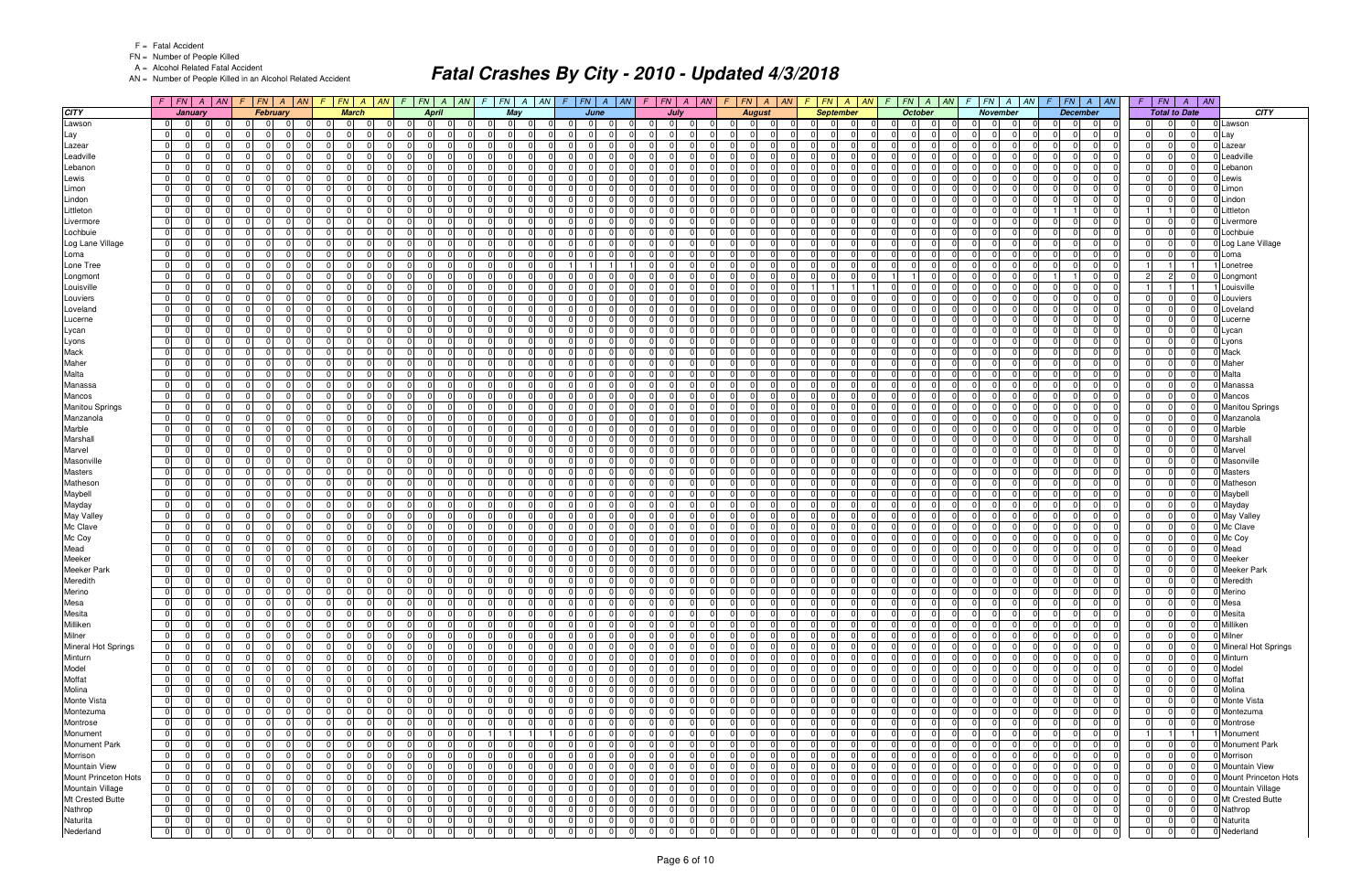FN = Number of People Killed

A = Alcohol Related Fatal Accident

AN = Number of People Killed in an Alcohol Related Accident

|                          | $F$   $FN$   $A$   $AN$                      |                                                                   | $F$ $ FN $ $A$ $ AN $ $F$ $ FN $ $A$ $ AN $                      | $F$ $FN$ $A$ $AN$                               | $F$ $ FN $ $A$ $ AN $ $F$ $ FN $ $A$ $ AN$      |                                                                           | $F$ $ FN $ $A$ $ AN $                                 | $F$ $ FN $ $A$ $ AN $ $F$ $ FN $ $A$ $ AN$                           |                                                                                  | $F$ $ FN $ $A$ $ AN $                                             |                                          | $F$ $FN$ $A$ $AN$ $F$ $FN$ $A$ $AN$                                                       | $F$   $FN$   $A$   $AN$                                                |                            |
|--------------------------|----------------------------------------------|-------------------------------------------------------------------|------------------------------------------------------------------|-------------------------------------------------|-------------------------------------------------|---------------------------------------------------------------------------|-------------------------------------------------------|----------------------------------------------------------------------|----------------------------------------------------------------------------------|-------------------------------------------------------------------|------------------------------------------|-------------------------------------------------------------------------------------------|------------------------------------------------------------------------|----------------------------|
| <b>CITY</b>              | January                                      | February                                                          | <b>March</b>                                                     | <b>April</b>                                    | May                                             | June                                                                      | July                                                  | <b>August</b>                                                        | <b>September</b>                                                                 | October                                                           | <b>November</b>                          | <b>December</b>                                                                           | <b>Total to Date</b>                                                   | CITY                       |
| Lawson                   | 0 I<br>$\overline{0}$                        | $\Omega$<br>$\Omega$                                              | $\Omega$<br>$\Omega$                                             | 0 <br>.0<br>$\Omega$                            | $\Omega$<br>$\Omega$<br>$\Omega$                | $\Omega$<br>$\overline{0}$                                                | - 01<br>$\Omega$                                      | $\Omega$<br>$\Omega$<br>$\Omega$                                     | $\Omega$<br>$\Omega$<br>$\Omega$                                                 | - 01<br>$\Omega$                                                  | ΩI                                       | $\overline{0}$<br>-01<br>$\Omega$<br>$\Omega$                                             | $\Omega$<br>$\Omega$<br>$\Omega$                                       | Lawson                     |
| Lay                      | $\overline{0}$<br>$\Omega$                   | 0<br>$\Omega$                                                     | 0 I<br>0                                                         | 0 <br>$\Omega$                                  | 0<br>$\Omega$                                   | $\Omega$<br> 0                                                            | $\Omega$<br>$\Omega$                                  | 0                                                                    | $\Omega$<br>$\Omega$<br>$\overline{0}$                                           | $\Omega$<br>$\overline{0}$<br>$\Omega$                            | $\overline{0}$<br>$\Omega$               | 0 <br>0<br>0                                                                              | 0 <br>0<br>$\overline{0}$                                              | Lay                        |
| Lazear                   | 0 I<br>- 01                                  | $\Omega$<br>.0                                                    | $\Omega$<br>$\Omega$<br>$\Omega$                                 | $\overline{0}$<br>- 01<br>$\Omega$              | $\Omega$<br>$\mathbf 0$                         | -01<br>$\Omega$<br>$\Omega$                                               | 0 I<br>$\overline{0}$                                 | $\Omega$<br>01<br>$\Omega$                                           | $\Omega$<br>$\Omega$<br>$\overline{0}$                                           | 0 I<br> 0 <br>$\Omega$                                            | $\overline{0}$                           | -01<br>- 0 I<br>$\Omega$<br>$\Omega$                                                      | $\overline{0}$<br>-01<br>$\Omega$                                      | Lazear                     |
| Leadville                | 01<br>$\Omega$                               | $\Omega$<br>$\Omega$                                              | $\Omega$<br>$\Omega$<br>$\Omega$                                 | 0 <br>$\Omega$                                  | $\Omega$<br>$\Omega$                            | -01<br>0                                                                  | $\Omega$<br>$\Omega$                                  | $\Omega$<br>$\Omega$                                                 | $\Omega$<br>$\Omega$<br>$\Omega$                                                 | $\Omega$<br>$\Omega$<br>$\Omega$                                  | $\Omega$<br>$\Omega$                     | $\Omega$<br>$\Omega$<br>$\overline{0}$                                                    | $\Omega$<br>$\Omega$<br> 0                                             | Leadville                  |
| _ebanon                  | 01<br>$\Omega$                               | $\Omega$<br>$\overline{0}$                                        | $\Omega$<br>$\Omega$<br>$\Omega$                                 | 0 I<br>$\Omega$                                 | $\Omega$<br>$\mathbf 0$                         | $\Omega$<br>$\Omega$<br>$\overline{0}$                                    | $\Omega$<br>$\Omega$                                  | $\Omega$<br>$\Omega$                                                 | $\Omega$<br>$\Omega$<br>$\overline{0}$                                           | 0 I<br>$\overline{0}$<br>$\Omega$                                 | $\Omega$                                 | - 0 I<br>$\Omega$<br>$\Omega$<br>$\overline{0}$                                           | $\Omega$<br> 0 <br>$\overline{0}$                                      | Lebanor                    |
| Lewis                    | $\overline{0}$<br>$\Omega$                   | $\Omega$<br>$\Omega$                                              | $\Omega$                                                         | $\Omega$<br>$\Omega$                            | $\Omega$<br>$\Omega$                            | $\Omega$<br>$\Omega$                                                      | $\Omega$<br>$\Omega$                                  | $\Omega$<br>$\Omega$                                                 | $\Omega$<br>$\Omega$                                                             | $\Omega$<br>$\Omega$<br>$\Omega$                                  | $\Omega$<br>$\Omega$                     | $\Omega$<br>$\Omega$                                                                      | $\Omega$<br>$\Omega$<br>$\Omega$                                       | Lewis                      |
| Limon                    | 01<br>- 01                                   | $\Omega$<br>$\overline{0}$                                        | $\Omega$<br>$\Omega$<br>$\Omega$                                 | 01<br>- 01                                      | $\overline{0}$<br>$\mathbf 0$                   | $\Omega$<br>$\Omega$<br>-01                                               | $\mathbf 0$<br>01                                     | $\Omega$<br>$\overline{0}$<br>$\overline{0}$                         | $\Omega$<br>$\Omega$<br>$\overline{0}$                                           | 0 I<br>$\overline{0}$<br>$\Omega$                                 | $\overline{0}$                           | - 0 I<br>$\Omega$<br>$\Omega$<br>$\overline{0}$                                           | $\Omega$<br> 0 <br>$\overline{0}$                                      | Limon                      |
| Lindon                   | 0 I<br>$\Omega$                              | $\Omega$<br>$\Omega$                                              | $\Omega$<br>0<br>$\Omega$                                        | 0 <br>$\Omega$                                  | $\Omega$<br>$\Omega$                            | $\Omega$<br>0                                                             | $\Omega$<br>$\Omega$                                  | $\Omega$<br>$\Omega$                                                 | $\Omega$<br>$\Omega$<br>$\Omega$                                                 | $\Omega$<br>$\Omega$<br>$\Omega$                                  | $\Omega$<br>$\Omega$                     | $\Omega$<br>$\overline{0}$<br>$\Omega$                                                    | $\Omega$<br> 0 <br>$\Omega$                                            | Lindon                     |
| Littleton                | 0 I<br>- 01                                  | $\Omega$<br>$\mathbf 0$                                           | $\Omega$<br>$\Omega$<br>$\Omega$                                 | 0 I<br>$\Omega$<br>$\Omega$                     | $\Omega$<br>$\mathbf 0$                         | $\Omega$<br>$\Omega$<br>$\overline{0}$                                    | $\mathbf 0$<br>$\Omega$                               | $\Omega$<br>$\overline{0}$<br>$\Omega$                               | $\Omega$<br>$\Omega$<br>$\overline{0}$                                           | 0 I<br>- 01<br>$\Omega$                                           | 01                                       | - 0 I<br>$\overline{0}$                                                                   | $\overline{0}$                                                         | Littleton                  |
| Livermore                | $\Omega$<br>$\Omega$                         | $\Omega$<br>$\Omega$                                              | $\Omega$                                                         | $\Omega$<br>$\Omega$                            | ΩI<br>$\Omega$                                  | $\Omega$<br>0                                                             | $\Omega$<br>$\Omega$                                  | $\Omega$                                                             | 0<br>$\Omega$                                                                    | $\Omega$<br>$\Omega$                                              | $\Omega$<br>$\Omega$                     | $\Omega$<br>$\Omega$                                                                      | $\overline{0}$<br>$\Omega$<br>$\Omega$                                 | Livermore                  |
| Lochbuie                 | 0 I<br>- 01                                  | $\Omega$<br>$\overline{0}$                                        | $\Omega$<br>$\mathbf 0$<br>$\Omega$                              | 0 I<br>- 01<br>$\Omega$                         | $\Omega$<br>$\mathbf 0$                         | -01<br>$\Omega$<br>$\Omega$                                               | 0 I<br>$\overline{0}$                                 | $\Omega$<br>01<br>$\Omega$<br>$\overline{0}$                         | $\Omega$<br>$\Omega$<br>$\overline{0}$                                           | 0 <br>0 I<br>$\Omega$                                             | $\overline{0}$                           | - 0 I<br>$\Omega$<br>$\Omega$<br>$\overline{0}$                                           | $\Omega$<br>$\Omega$<br>$\overline{0}$                                 | Lochbuie                   |
| Log Lane Village         | 01<br>$\Omega$                               | $\Omega$<br>$\Omega$                                              | $\Omega$<br>$\Omega$<br>$\Omega$                                 | 0 I<br>$\Omega$<br>$\Omega$                     | $\Omega$<br>$\Omega$                            | -01<br>$\Omega$<br>$\Omega$                                               | $\Omega$<br>$\Omega$                                  | $\Omega$<br>$\Omega$<br>$\Omega$                                     | $\Omega$<br>$\Omega$<br>$\overline{0}$                                           | $\Omega$<br>$\overline{0}$<br>$\Omega$                            | $\Omega$<br>$\Omega$                     | $\Omega$<br>$\Omega$<br>$\overline{0}$                                                    | $\Omega$<br> 0 <br>$\Omega$                                            | Log Lane Village           |
| Loma                     | 0 <br>- 0                                    | $\Omega$                                                          | $\Omega$<br><sup>0</sup><br>$\Omega$                             | $\overline{0}$<br>$\Omega$                      | ΩI<br>$\Omega$                                  | $\overline{0}$<br><sup>0</sup>                                            | $\Omega$<br>$\Omega$                                  | $\Omega$<br>n                                                        | $\Omega$<br>$\Omega$<br>$\Omega$                                                 | $\Omega$<br>$\Omega$                                              | $\Omega$<br>$\Omega$                     | $\Omega$<br>$\overline{0}$                                                                | $\Omega$<br> 0 <br>$\overline{0}$                                      | Loma                       |
| Lone Tree                | $\overline{0}$<br>$\Omega$                   | $\Omega$<br>$\Omega$                                              | $\Omega$<br>$\Omega$<br>$\Omega$                                 | 0 I<br>$\Omega$<br>$\Omega$                     | $\Omega$<br>$\mathbf 0$                         |                                                                           | $\mathbf 0$<br>$\Omega$                               | $\Omega$<br>$\Omega$<br>0I                                           | $\Omega$<br>$\Omega$<br>$\overline{0}$                                           | 0 <br>$\Omega$<br>$\Omega$                                        | $\overline{0}$                           | $\Omega$<br>-01<br>$\Omega$<br>$\Omega$                                                   |                                                                        | Lonetree                   |
| Longmon                  | 0 <br>$\Omega$                               | 0<br>$\Omega$                                                     | $\Omega$<br>$\Omega$<br>$\Omega$                                 | 0 <br>$\Omega$                                  | $\overline{0}$<br>$\Omega$                      | $\Omega$<br> 0                                                            | $\Omega$<br>$\Omega$                                  | $\overline{0}$<br>$\Omega$                                           | $\Omega$<br>$\overline{0}$<br>$\Omega$                                           | $\Omega$                                                          | $\overline{0}$<br>$\Omega$               | 0                                                                                         | $\vert$ 2<br>2 <sup>1</sup><br>$\overline{0}$                          | Longmont                   |
| Louisville               | $\overline{0}$<br>$\Omega$<br>0 I            | $\Omega$<br>$\Omega$                                              | $\Omega$<br>$\Omega$<br>$\Omega$                                 | 0 I<br>$\Omega$<br>$\Omega$                     | $\overline{0}$<br>$\mathbf 0$<br>$\Omega$       | $\Omega$<br>$\Omega$<br>-01                                               | 0 I<br>-01                                            | $\Omega$<br>$\overline{0}$<br>$\Omega$<br>$\Omega$                   | $\overline{1}$                                                                   | 0 I<br>$\Omega$<br>- 01                                           | $\overline{0}$<br>- 0                    | -01<br>$\Omega$<br>$\Omega$<br>-01                                                        | $\mathbf{1}$                                                           | Louisville                 |
| Louviers                 | 01<br>$\Omega$                               | $\Omega$<br>$\overline{0}$                                        | $\Omega$<br>$\Omega$<br>$\Omega$                                 | 0 I<br>$\Omega$<br>$\Omega$                     | $\Omega$<br>$\mathbf 0$                         | $\Omega$<br>$\Omega$<br>$\overline{0}$                                    | $\mathbf 0$<br>$\Omega$                               | $\overline{0}$<br>$\Omega$<br>$\Omega$                               | $\Omega$<br>$\Omega$<br>$\overline{0}$                                           | $\overline{0}$<br>$\overline{0}$<br>$\Omega$                      | 01                                       | - 0 I<br>$\Omega$<br>$\Omega$<br>$\overline{0}$                                           | $\Omega$<br>$\mathbf 0$<br>$\overline{0}$                              | Louviers                   |
| Loveland                 | 0 I<br>$\Omega$                              | $\Omega$<br>0                                                     | $\Omega$<br>$\Omega$<br>$\Omega$                                 | 0 I<br>$\Omega$<br>$\Omega$                     | $\Omega$<br>$\Omega$                            | $\Omega$<br>-01<br>0                                                      | $\Omega$<br>$\Omega$                                  | $\Omega$<br>$\Omega$<br>$\Omega$<br>0I                               | $\Omega$<br>-01<br>$\Omega$                                                      | $\Omega$<br>$\Omega$<br>$\overline{0}$                            | $\Omega$                                 | $\Omega$<br>-01<br>- 0 I<br>$\Omega$                                                      | $\Omega$<br>$\overline{0}$<br> 0                                       | Loveland                   |
| Lucerne                  | 01<br>$\Omega$                               | $\Omega$<br>$\Omega$                                              | $\Omega$<br>$\Omega$<br>$\Omega$                                 | $\overline{0}$<br>$\Omega$<br><sup>0</sup>      | $\Omega$<br>$\Omega$                            | $\Omega$<br>0<br>$\overline{0}$                                           | $\mathbf 0$<br>$\Omega$                               | <sup>0</sup><br>$\Omega$<br>$\Omega$                                 | $\Omega$<br>$\Omega$<br>$\overline{0}$                                           | $\overline{0}$<br>$\overline{0}$<br>$\Omega$                      | $\Omega$<br>$\Omega$                     | $\Omega$<br>$\Omega$<br>$\overline{0}$                                                    | $\Omega$<br> 0 <br>$\Omega$                                            | Lucerne                    |
| Lycan                    | 0 I<br>$\Omega$                              | $\Omega$<br>$\Omega$                                              | $\Omega$<br>- 0 I<br>$\Omega$                                    | 0 I<br>$\Omega$<br>$\Omega$                     | 01<br>$\mathbf 0$                               | $\Omega$<br>-01<br>$\Omega$                                               | $\mathbf 0$<br>$\Omega$                               | $\overline{0}$<br>$\Omega$<br>$\Omega$                               | $\Omega$<br>$\Omega$<br>-01                                                      | $\overline{0}$<br>$\Omega$<br>0 I                                 | $\overline{0}$                           | -01<br>$\Omega$<br>$\overline{0}$<br>-01                                                  | 0 <br>0 I<br>$\Omega$                                                  | Lycan                      |
| Lyons                    | 01<br>$\Omega$                               | $\Omega$<br>$\overline{0}$                                        | $\Omega$<br>$\Omega$<br>$\Omega$                                 | 0 I<br>- 0<br>$\Omega$                          | $\Omega$<br>$\Omega$                            | $\Omega$<br>$\Omega$<br>-01                                               | $\Omega$<br>$\Omega$                                  | $\Omega$<br>$\Omega$<br>$\Omega$                                     | $\Omega$<br>$\Omega$<br>$\overline{0}$                                           | $\overline{0}$<br>$\Omega$<br><sup>n</sup>                        | $\Omega$<br>$\Omega$                     | $\Omega$<br>-01<br>$\Omega$                                                               | $\Omega$<br> 0 <br>01                                                  | Lyons                      |
| Mack                     | 0 I<br>U<br>$\Omega$                         | $\Omega$<br>$\Omega$                                              | $\Omega$<br>- 0 I<br>$\Omega$                                    | $\Omega$<br>$\Omega$<br>$\Omega$                | $\Omega$<br>$\mathbf 0$                         | $\Omega$<br>$\Omega$<br>-01                                               | $\Omega$<br>$\Omega$                                  | $\Omega$<br>$\Omega$<br>$\Omega$                                     | $\Omega$<br>$\Omega$<br>$\Omega$                                                 | $\Omega$<br>$\Omega$<br>$\Omega$                                  | $\Omega$                                 | $\Omega$<br>-01<br>- 0 I<br>$\Omega$                                                      | $\Omega$<br>-01<br>$\Omega$                                            | Mack                       |
| Maher                    | 01<br>$\Omega$                               | $\overline{0}$<br>$\Omega$                                        | 0<br>0 I<br>$\Omega$<br>$\Omega$<br>$\Omega$                     | 01<br>$\Omega$<br>0<br>$\Omega$                 | $\overline{0}$<br>$\Omega$                      | $\Omega$<br>-01<br>0<br>$\Omega$                                          | 0<br>$\Omega$                                         | $\overline{0}$<br>$\Omega$<br>$\Omega$<br>$\Omega$                   | 0<br>$\Omega$<br>-01<br>$\Omega$<br>$\Omega$<br>$\Omega$                         | 01<br>-01<br>$\Omega$<br>$\Omega$                                 | $\overline{0}$<br>$\Omega$               | $\overline{0}$<br>-01<br>$\Omega$<br>0                                                    | $\overline{0}$<br> 0 <br>$\overline{0}$<br>$\Omega$                    | Maher                      |
| Malta                    | 0 I<br>$\Omega$<br>$\Omega$                  | $\Omega$<br>$\Omega$                                              | $\Omega$                                                         | 0 I<br>$\Omega$                                 | $\Omega$<br>$\Omega$                            | -01                                                                       | $\Omega$<br>$\Omega$                                  | $\overline{0}$<br>$\Omega$                                           |                                                                                  | $\Omega$<br>-01<br>$\Omega$                                       | $\Omega$                                 | -01<br>$\Omega$<br>$\Omega$                                                               | -01<br>$\Omega$                                                        | Malta                      |
| Manassa<br>Mancos        | 01<br>$\Omega$<br>$\overline{0}$<br>$\Omega$ | $\Omega$<br>$\overline{0}$<br>0<br>$\Omega$                       | $\Omega$<br>$\mathbf 0$<br>$\Omega$<br>$\Omega$<br>0<br>$\Omega$ | 0 I<br>$\Omega$<br>$\Omega$<br> 0 <br>$\Omega$  | $\Omega$<br>$\mathbf 0$<br>$\Omega$<br>$\Omega$ | $\Omega$<br>$\Omega$<br>$\overline{0}$<br>$\Omega$<br>0<br>$\overline{0}$ | $\mathbf 0$<br>$\Omega$<br>$\Omega$<br>$\Omega$       | $\overline{0}$<br>$\Omega$<br>$\overline{0}$<br>$\Omega$<br>$\Omega$ | $\Omega$<br>$\Omega$<br>$\overline{0}$<br>$\Omega$<br>$\Omega$<br>$\overline{0}$ | 0 I<br>- 01<br>$\overline{0}$<br>$\overline{0}$                   | $\Omega$<br>$\Omega$<br>$\Omega$         | - 0 I<br>$\Omega$<br>$\Omega$<br>$\overline{0}$<br>$\Omega$<br>$\Omega$<br>$\overline{0}$ | $\overline{0}$<br> 0 <br>0 I<br> 0 <br>$\overline{0}$<br>$\Omega$      | Manassa<br>Mancos          |
| <b>Manitou Springs</b>   | 01<br>$\Omega$                               | $\Omega$<br>$\Omega$                                              | $\Omega$                                                         | 0 <br>$\Omega$                                  | $\Omega$<br>$\Omega$                            | $\Omega$<br><sup>0</sup>                                                  | $\Omega$<br>$\Omega$                                  | $\Omega$                                                             | $\Omega$<br>- 0                                                                  | $\Omega$<br>$\Omega$<br><sup>n</sup>                              | $\Omega$<br>$\Omega$                     | $\overline{0}$<br>0.                                                                      | $\Omega$<br><sup>n</sup><br>$\Omega$                                   | <b>Manitou Springs</b>     |
| Manzanola                | 01<br>- 01                                   | $\Omega$<br>$\overline{0}$                                        | $\Omega$<br>$\Omega$<br>$\Omega$                                 | 01<br>$\Omega$                                  | $\overline{0}$<br>$\mathbf 0$                   | $\Omega$<br>$\Omega$<br>$\overline{0}$                                    | $\mathbf 0$<br>$\Omega$                               | $\Omega$<br>$\overline{0}$<br>$\Omega$                               | $\Omega$<br>$\Omega$<br>$\overline{0}$                                           | 0 I<br>$\overline{0}$<br>$\Omega$                                 | 01                                       | - 0 I<br>$\Omega$<br>$\Omega$<br>$\overline{0}$                                           | 0 I<br>$\Omega$<br> 0                                                  | Manzanola                  |
| Marble                   | 0 I<br>$\Omega$                              | $\Omega$<br>$\Omega$                                              | $\Omega$<br>0<br>$\Omega$                                        | 0 <br>$\Omega$                                  | $\Omega$<br>$\Omega$                            | $\Omega$<br>0                                                             | $\Omega$<br>$\Omega$                                  | $\Omega$                                                             | $\Omega$<br>$\Omega$<br>$\Omega$                                                 | $\Omega$<br>$\Omega$<br>$\Omega$                                  | $\Omega$<br>$\Omega$                     | $\Omega$<br>$\Omega$<br>$\overline{0}$                                                    | $\Omega$<br>-01<br>$\Omega$                                            | Marble                     |
| Marshall                 | 0 I<br>- 01                                  | $\Omega$<br>$\mathbf 0$                                           | $\Omega$<br>$\Omega$<br>$\Omega$                                 | 0 I<br>$\Omega$<br>$\Omega$                     | $\Omega$<br>$\mathbf 0$                         | $\Omega$<br>$\Omega$<br>$\overline{0}$                                    | $\mathbf 0$<br>$\Omega$                               | $\Omega$<br>$\overline{0}$<br>$\Omega$                               | $\Omega$<br>$\Omega$<br>$\overline{0}$                                           | 0 I<br>- 01<br>$\Omega$                                           | 01                                       | - 0 I<br>$\Omega$<br>$\Omega$<br>$\overline{0}$                                           | $\Omega$<br> 0 <br>$\overline{0}$                                      | Marshal                    |
| Marvel                   | 0 <br>$\Omega$                               | $\Omega$<br>$\Omega$                                              | $\Omega$                                                         | 0 <br>$\Omega$                                  | $\overline{0}$<br>$\Omega$                      | $\Omega$<br>0                                                             | $\Omega$<br>$\Omega$                                  | $\overline{0}$                                                       | $\Omega$<br>0                                                                    | $\Omega$<br>$\Omega$                                              | $\Omega$<br>$\Omega$                     | -01<br>$\Omega$                                                                           | -01<br>$\Omega$<br>$\Omega$                                            | Marvel                     |
| Masonville               | 0 I<br>- 01                                  | $\Omega$<br>$\overline{0}$                                        | $\Omega$<br>$\mathbf 0$<br>$\Omega$                              | 0 I<br>- 01<br>$\Omega$                         | $\Omega$<br>$\mathbf 0$                         | -01<br>$\Omega$<br>$\Omega$                                               | 0 I<br>$\overline{0}$                                 | $\Omega$<br>01<br>$\Omega$                                           | $\Omega$<br>$\Omega$<br>$\Omega$                                                 | 0 <br>0 I<br>$\Omega$                                             | $\overline{0}$                           | - 0 I<br>$\Omega$<br>$\Omega$<br>$\overline{0}$                                           | $\Omega$<br>$\Omega$<br>$\overline{0}$                                 | Masonville                 |
| Masters                  | 01<br>$\Omega$                               | $\Omega$<br>$\Omega$                                              | $\Omega$<br>$\Omega$<br>$\Omega$                                 | 0 <br>$\Omega$<br>$\Omega$                      | $\Omega$<br>$\Omega$                            | -01<br>$\Omega$<br>$\Omega$                                               | $\Omega$<br>$\Omega$                                  | $\Omega$<br>$\Omega$                                                 | $\Omega$<br>$\Omega$<br>$\overline{0}$                                           | $\Omega$<br>$\overline{0}$<br>$\Omega$                            | 01<br>$\Omega$                           | $\Omega$<br>$\overline{0}$<br>$\Omega$                                                    | $\Omega$<br> 0 <br>0 I                                                 | <b>Masters</b>             |
| Matheson                 | 0 I<br>$\Omega$                              | $\Omega$<br>$\Omega$                                              | $\Omega$<br>$\Omega$<br>$\Omega$                                 | 0 I<br>- 0<br>$\Omega$                          | $\Omega$<br>$\Omega$                            | $\Omega$<br>-01<br>$\Omega$                                               | $\Omega$<br>$\Omega$                                  | $\Omega$<br>$\Omega$                                                 | $\Omega$<br>$\Omega$<br>$\overline{0}$                                           | 0 I<br>- 01<br>$\Omega$                                           | $\Omega$<br>$\Omega$                     | $\Omega$<br>$\Omega$<br>$\overline{0}$                                                    | $\Omega$<br>$\overline{0}$<br>$\overline{0}$                           | Mathesor                   |
| Maybell                  | $\overline{0}$<br>$\Omega$                   | $\Omega$<br>$\Omega$                                              | $\Omega$<br>$\Omega$<br>$\Omega$                                 | $\overline{0}$<br>$\Omega$                      | $\Omega$<br>$\Omega$                            | -01<br>0                                                                  | $\Omega$<br>$\Omega$                                  | $\Omega$<br>$\Omega$                                                 | $\Omega$<br>$\Omega$                                                             | $\Omega$<br>$\Omega$<br>$\Omega$                                  | $\Omega$<br>$\Omega$                     | -01<br>$\Omega$                                                                           | $\Omega$<br>-01<br>$\Omega$                                            | Maybell                    |
| Mayday                   | 0 I<br>$\Omega$                              | $\Omega$<br>.0                                                    | $\Omega$<br>$\Omega$                                             | $\overline{0}$<br>$\Omega$                      | $\overline{0}$<br>$\mathbf 0$                   | -01<br>$\Omega$                                                           | $\mathbf 0$<br>$\Omega$                               | $\overline{0}$<br>$\Omega$                                           | $\Omega$<br>$\Omega$<br>$\Omega$                                                 | 0 I<br>$\overline{0}$<br>$\Omega$                                 | 01                                       | - 0 I<br>$\Omega$<br>$\Omega$<br>$\overline{0}$                                           | 0 <br> 0 <br>$\Omega$                                                  | Mayday                     |
| <b>May Valley</b>        | $\overline{0}$<br>$\Omega$                   | $\Omega$<br>$\Omega$                                              | $\Omega$<br>$\Omega$<br>$\Omega$                                 | 0 <br>$\Omega$                                  | $\Omega$<br>$\Omega$                            | -01<br>$\Omega$<br>0                                                      | $\Omega$<br>$\Omega$                                  | 01<br>$\Omega$                                                       | $\Omega$<br>$\Omega$<br>$\Omega$                                                 | $\Omega$<br>$\Omega$<br>$\Omega$                                  | $\Omega$<br>$\Omega$                     | $\Omega$<br>$\Omega$<br>$\overline{0}$                                                    | $\Omega$<br> 0 <br>$\Omega$                                            | May Valley                 |
| Mc Clave                 | 01<br>-0                                     | $\Omega$<br>$\Omega$                                              | $\Omega$<br>$\Omega$<br>$\Omega$                                 | $\Omega$<br>$\Omega$<br>$\Omega$                | $\Omega$<br>$\mathbf 0$                         | $\Omega$<br>0<br>$\overline{0}$                                           | $\Omega$<br>$\Omega$                                  | $\Omega$<br>$\Omega$                                                 | $\Omega$<br>$\Omega$<br>$\overline{0}$                                           | $\Omega$<br>$\Omega$<br>$\Omega$                                  | $\Omega$                                 | - 0 I<br>$\Omega$<br>$\Omega$<br>$\overline{0}$                                           | $\Omega$<br>$\overline{0}$<br>$\Omega$                                 | Mc Clave                   |
| Mc Coy                   | 0 <br>- 0                                    | $\Omega$<br>$\Omega$                                              | $\Omega$<br>$\Omega$<br>$\Omega$                                 | 0 <br>$\Omega$                                  | $\Omega$<br>$\Omega$                            | $\Omega$<br>-01<br>$\Omega$                                               | $\Omega$<br>$\Omega$                                  | $\Omega$<br>$\Omega$                                                 | $\Omega$<br>$\Omega$<br>$\overline{0}$                                           | $\overline{0}$<br>$\Omega$<br>$\Omega$                            | $\Omega$                                 | $\Omega$<br>$\Omega$<br>$\overline{0}$<br>$\Omega$                                        | $\Omega$<br>$\Omega$<br> 0                                             | Mc Coy                     |
| Mead                     | 01<br>$\Omega$                               | $\Omega$<br>$\Omega$                                              | $\Omega$<br>$\Omega$<br>$\Omega$                                 | 0 <br>$\Omega$<br>0                             | $\Omega$<br>$\overline{0}$                      | $\Omega$<br>$\Omega$<br>-01                                               | $\mathbf 0$<br>$\Omega$                               | 0<br>01<br>$\Omega$                                                  | $\Omega$<br>$\Omega$<br>$\overline{0}$                                           | $\overline{0}$<br>$\overline{0}$<br>$\Omega$                      | $\Omega$<br>$\Omega$                     | $\Omega$<br>-01<br>$\Omega$                                                               | $\Omega$<br> 0 <br>$\Omega$                                            | Mead                       |
| Meeker                   | 0 I<br>- 01                                  | $\Omega$<br>$\Omega$                                              | $\Omega$<br>$\Omega$<br>$\Omega$                                 | 0 I<br>$\Omega$<br>$\Omega$                     | 01<br>$\mathbf 0$                               | $\Omega$<br>-01<br>$\Omega$                                               | $\mathbf 0$<br>$\Omega$                               | $\overline{0}$<br>$\Omega$<br>0I                                     | $\Omega$<br>$\Omega$<br>-01                                                      | 0 I<br>$\overline{0}$<br>$\Omega$                                 | $\overline{0}$                           | -01<br>$\Omega$<br>$\Omega$<br>-01                                                        | $\Omega$<br>-01<br>0 I                                                 | Meeker                     |
| <b>Meeker Park</b>       | 0 <br>$\Omega$<br><sup>n</sup>               | $\Omega$<br>$\overline{0}$                                        | $\Omega$<br>$\Omega$<br>- 01                                     | 0 I<br>$\Omega$<br>$\Omega$                     | $\Omega$<br>$\mathbf 0$                         | $\Omega$<br>$\Omega$<br> 0                                                | $\Omega$<br>$\Omega$                                  | 01<br>$\Omega$<br>$\Omega$                                           | $\Omega$<br>$\Omega$<br>$\overline{0}$                                           | $\overline{0}$<br>$\overline{0}$<br>$\Omega$                      | $\Omega$                                 | $\Omega$<br>$\Omega$<br> 0 <br>-01                                                        | $\Omega$<br> 0 <br>$\Omega$                                            | <b>Meeker Park</b>         |
| Meredith                 | 01<br>- 01<br>$\Omega$                       | $\Omega$<br>$\mathbf 0$                                           | $\overline{0}$<br>$\Omega$<br>$\Omega$                           | 0 I<br>$\Omega$<br>$\Omega$                     | $\Omega$<br>$\mathbf 0$                         | $\Omega$<br>-01<br>$\Omega$                                               | $\mathbf 0$<br>$\Omega$                               | $\Omega$<br>$\Omega$<br>0I                                           | $\Omega$<br>$\Omega$<br>$\overline{0}$                                           | 0 I<br>$\overline{0}$<br>$\Omega$                                 | $\Omega$<br>$\Omega$                     | $\Omega$<br>-01<br>- 0 I<br>$\Omega$                                                      | $\Omega$<br>-01<br>$\Omega$                                            | Meredith                   |
| Merino                   | 0 <br>$\mathbf 0$<br>$\Omega$                | $\overline{0}$<br>$\Omega$<br>$\overline{0}$                      | $\overline{0}$<br> 0 <br>$\overline{0}$                          | $\overline{0}$<br>$\overline{0}$<br>$\Omega$    | $\overline{0}$<br>$\mathbf 0$<br>$\Omega$       | 0 <br> 0 <br>0                                                            | $\overline{0}$<br>$\Omega$                            | $\overline{0}$<br>$\Omega$<br>$\overline{0}$                         | $\mathbf 0$<br>$\overline{0}$<br>$\overline{0}$                                  | $\overline{0}$<br>-01<br>$\Omega$                                 | $\overline{0}$<br>$\Omega$               | 0<br>$\overline{0}$<br>$\overline{0}$<br>$\Omega$                                         | $\overline{0}$<br> 0                                                   | Merino                     |
| Mesa                     | $\overline{0}$<br>$\Omega$<br> 0             | $\overline{0}$<br>.0                                              | $\overline{0}$<br>0 I                                            | 0 <br>$\mathbf 0$<br>$\overline{0}$             | 01<br>- 0 I                                     | 0 <br>$\overline{0}$                                                      | $\overline{0}$<br>$\overline{0}$                      | $\Omega$<br>$\overline{0}$<br>$\Omega$                               | $\overline{0}$<br>$\overline{0}$                                                 | $\overline{0}$<br>-01<br>$\Omega$                                 | 01<br>$\Omega$                           | 0 <br>$\overline{0}$                                                                      | 0 <br>$\Omega$<br> 0                                                   | 0 Mesa                     |
| Mesita                   | $\overline{0}$<br>$\overline{0}$<br>$\Omega$ | $\Omega$<br>$\mathbf 0$                                           | $\overline{0}$<br> 0 <br>$\mathbf 0$                             | $\overline{0}$<br>$\mathbf 0$<br>$\Omega$       | $\overline{0}$<br> 0 <br>$\Omega$               | 0<br>$\overline{0}$<br>-01                                                | 01<br>$\overline{0}$                                  | $\Omega$<br>$\overline{0}$<br> 0 <br>$\Omega$                        | 0<br>$\overline{0}$<br>-01                                                       | $\overline{0}$<br> 0 <br>$\Omega$                                 | $\overline{0}$<br>- 0                    | $\overline{0}$<br>0<br>$\overline{0}$<br> 0                                               | $\overline{0}$<br>$\overline{0}$<br>$\mathbf 0$                        | Mesita                     |
| Milliken                 | 0 <br>- 01                                   | $\Omega$<br>$\Omega$<br>$\mathbf 0$                               | $\Omega$<br> 0 <br>$\Omega$                                      | $\overline{0}$<br> 0 <br>$\Omega$               | 0 <br>- 0 I<br>$\Omega$                         | $\Omega$<br>$\overline{0}$<br> 0                                          | $\Omega$<br>$\overline{0}$                            | $\Omega$<br>$\overline{0}$<br>$\Omega$<br>$\mathbf 0$                | $\Omega$<br>$\overline{0}$<br> 0                                                 | 0 <br> 0 <br>$\Omega$                                             | $\overline{0}$<br>$\Omega$               | $\overline{0}$<br>$\Omega$<br>$\overline{0}$<br> 0                                        | $\Omega$<br> 0 <br>$\overline{0}$                                      | Milliken                   |
| Milner                   | $\overline{0}$<br>$\mathbf 0$<br>$\Omega$    | $\overline{0}$<br>$\Omega$<br>$\mathbf{0}$                        | $\overline{0}$<br>01<br>$\mathbf 0$                              | $\overline{0}$<br> 0 <br>$\overline{0}$         | $\overline{0}$<br> 0 <br>- 0                    | 0 <br>0<br> 0                                                             | 01<br>$\overline{0}$                                  | $\Omega$<br> 0 <br>- 01<br>$\mathbf{0}$                              | 0<br> 0 <br> 0                                                                   | $\overline{0}$<br> 0 <br>$\Omega$                                 | $\overline{0}$<br>$\Omega$               | 0<br> 0 <br> 0 <br>0 I                                                                    | $\overline{0}$<br> 0 <br> 0                                            | Milner                     |
| Mineral Hot Springs      | $\overline{0}$<br> 0                         | $\overline{0}$<br>$\mathbf 0$                                     | $\mathbf 0$<br> 0 <br>$\overline{0}$                             | $\overline{0}$<br> 0 <br>$\Omega$               | $\overline{0}$<br>$\mathbf 0$<br>$\Omega$       | $\mathbf 0$<br> 0 <br> 0                                                  | 0 <br>01                                              | $\overline{0}$<br>$\Omega$<br>$\mathbf 0$                            | $\mathbf 0$<br> 0 <br> 0                                                         | $\overline{0}$<br>$\overline{0}$<br>$\Omega$                      | $\overline{0}$                           | 0 <br> 0 <br>- 0 I<br>0                                                                   | $\overline{0}$<br> 0 <br>$\overline{0}$                                | <b>Mineral Hot Springs</b> |
| Minturn                  | 01<br>$\mathbf 0$<br>$\Omega$                | $\overline{0}$<br>$\Omega$<br>$\mathbf{0}$                        | $\overline{0}$<br>0 I<br>$\mathbf 0$                             | $\overline{0}$<br>$\mathbf 0$<br>$\overline{0}$ | $\overline{0}$<br> 0 <br>- 0                    | 0<br>$\overline{0}$<br> 0                                                 | 01<br> 0                                              | $\Omega$<br>$\overline{0}$<br>- 01<br>$\mathbf{0}$                   | $\mathbf 0$<br>$\overline{0}$<br> 0                                              | 01<br> 0 <br>$\Omega$                                             | $\overline{0}$<br>$\Omega$               | $\overline{0}$<br>$\overline{0}$<br>$\overline{0}$<br> 0                                  | $\Omega$<br> 0 <br>01                                                  | Minturn                    |
| Model<br>Moffat          | 0 <br>$\overline{0}$<br>$\Omega$<br> 0       | $\overline{0}$<br>$\Omega$<br> 0 <br>$\Omega$                     | $\overline{0}$<br>01<br>$\mathbf 0$<br>0                         | $\overline{0}$<br> 0 <br>$\Omega$<br>0          | $\overline{0}$<br>$\Omega$<br> 0                | $\overline{0}$<br> 0 <br> 0 <br>0                                         | 01<br>$\overline{0}$<br>$\overline{0}$<br>$\mathbf 0$ | $\Omega$<br>$\overline{0}$<br>$\Omega$<br> 0 <br>$\overline{0}$      | $\overline{0}$<br>$\overline{0}$<br> 0 <br>$\overline{0}$                        | 0 <br>$\overline{0}$<br>$\Omega$<br>$\overline{0}$<br>$\mathbf 0$ | 0 <br>- 01<br>$\overline{0}$<br>$\Omega$ | $\overline{0}$<br> 0 <br>01<br>$\overline{0}$                                             | $\overline{0}$<br>$\overline{0}$<br>$\overline{0}$<br>$\mathbf 0$<br>0 | Model<br>Moffat            |
|                          | $\overline{0}$                               | 0                                                                 | 0<br>$\Omega$<br>$\overline{0}$<br>$\overline{0}$                | 0 <br> 0 <br>$\overline{0}$<br>$\Omega$         | 0 <br>0<br>$\overline{0}$<br>- 0                | 0 <br> 0 <br> 0 <br>$\Omega$                                              | $\overline{0}$<br> 0                                  | $\Omega$<br>$\overline{0}$<br>$\Omega$<br>$\Omega$                   | 0 <br> 0 <br>$\Omega$<br>$\overline{0}$                                          | $\overline{0}$<br>$\overline{0}$<br>$\Omega$                      | $\overline{0}$<br>- 0                    | 0 <br>0<br> 0 <br>$\Omega$<br>$\overline{0}$                                              | 0 <br>$\overline{0}$<br> 0 <br>$\Omega$                                | Molina                     |
| Molina                   | $\mathbf 0$<br>$\mathbf 0$                   | $\overline{0}$<br>$\overline{0}$<br>$\overline{0}$<br>$\mathbf 0$ | $\mathbf 0$<br> 0 <br>$\overline{0}$                             | $\overline{0}$<br> 0 <br>$\Omega$               | 0 <br>$\overline{0}$<br> 0                      | $\overline{0}$<br> 0 <br>0                                                | 0 <br>$\overline{0}$                                  | $\overline{0}$<br>$\overline{0}$<br>$\Omega$<br>$\Omega$             | $\mathbf 0$<br>$\overline{0}$<br> 0                                              | 0 <br> 0 <br>$\Omega$                                             | $\overline{0}$                           | $\overline{0}$<br>$\overline{0}$<br> 0 <br>- 0 I<br>0                                     | $\overline{0}$<br>$\Omega$                                             | <b>Monte Vista</b>         |
| Monte Vista<br>Montezuma | $\overline{0}$<br>$\overline{0}$<br>$\Omega$ | $\Omega$<br>$\mathbf 0$<br>$\Omega$                               | $\Omega$<br>0 I<br>$\mathbf 0$                                   | $\overline{0}$<br>$\overline{0}$<br>$\Omega$    | $\overline{0}$<br>$\mathbf 0$<br>$\Omega$       | $\overline{0}$<br>$\overline{0}$<br> 0                                    | -01<br>0 I                                            | $\overline{0}$<br>$\Omega$<br>$\Omega$<br>$\mathbf 0$                | $\Omega$<br> 0 <br>$\overline{0}$                                                | $\overline{0}$<br> 0 <br>$\Omega$                                 | $\overline{0}$<br>$\Omega$               | $\Omega$<br> 0 <br>- 0 I<br>$\overline{0}$                                                | 0 <br>$\Omega$<br> 0 <br>$\overline{0}$                                | Montezuma                  |
| Montrose                 | $\overline{0}$<br>$\mathbf 0$                | $\overline{0}$<br>$\mathbf 0$                                     | $\mathbf 0$<br> 0 <br>0                                          | $\overline{0}$<br>$\overline{0}$<br>$\Omega$    | $\overline{0}$<br> 0                            | 0 <br>$\mathbf 0$<br>$\overline{0}$                                       | $\overline{0}$<br>$\overline{0}$                      | $\Omega$<br>$\overline{0}$<br>$\Omega$                               | $\mathbf 0$<br>$\overline{0}$<br> 0                                              | 0 <br> 0 <br>$\Omega$                                             | $\overline{0}$                           | $\overline{0}$<br>$\mathbf 0$<br>$\overline{0}$<br> 0                                     | 0 <br>$\Omega$<br> 0                                                   | Montrose                   |
| Monument                 | $\overline{0}$<br>$\mathbf 0$                | $\overline{0}$<br>$\mathbf{0}$                                    | 0 <br>$\Omega$<br>$\Omega$                                       | $\overline{0}$<br> 0 <br>$\Omega$               |                                                 | $\overline{0}$<br> 0 <br>$\Omega$                                         | 01<br>$\overline{0}$                                  | $\overline{0}$<br>$\Omega$<br>$\Omega$                               | $\overline{0}$<br> 0 <br>0                                                       | $\overline{0}$<br> 0 <br>$\Omega$                                 | $\overline{0}$                           | $\overline{0}$<br>0<br> 0 <br> 0                                                          | $\overline{1}$<br>11                                                   | Monument                   |
| Monument Park            | $\overline{0}$<br>$\overline{0}$             | $\Omega$<br>0                                                     | $\Omega$<br>$\Omega$<br>$\overline{0}$                           | 0 <br>$\overline{0}$<br>$\Omega$                | $\overline{0}$<br>$\Omega$                      | $\Omega$<br> 0 <br>$\Omega$                                               | $\Omega$<br>$\overline{0}$                            | $\overline{0}$<br>$\Omega$<br>$\Omega$                               | $\Omega$<br> 0 <br>$\Omega$                                                      | 0 <br> 0 <br>$\Omega$                                             | $\overline{0}$<br>$\Omega$               | $\Omega$<br> 0 <br>$\Omega$                                                               | $\Omega$<br> 0 <br> 0                                                  | <b>Monument Park</b>       |
| Morrison                 | $\overline{0}$<br>- 01<br>$\Omega$           | $\Omega$<br>$\mathbf 0$                                           | $\Omega$<br>0 I<br>- 01                                          | $\overline{0}$<br>$\overline{0}$<br>$\Omega$    | $\overline{0}$<br>$\mathbf 0$<br>$\Omega$       | $\Omega$<br> 0 <br>$\overline{0}$                                         | 0 I<br>$\overline{0}$                                 | $\Omega$<br>$\overline{0}$<br>$\mathbf 0$                            | $\Omega$<br>$\overline{0}$<br> 0                                                 | 0 I<br>$\overline{0}$<br>$\Omega$                                 | $\overline{0}$<br>$\Omega$               | $\Omega$<br> 0 <br>- 0 I<br>$\overline{0}$                                                | $\Omega$<br>$\overline{0}$<br>$\overline{0}$                           | Morrison                   |
| Mountain View            | 0 <br>$\mathbf 0$                            | $\overline{0}$<br>$\Omega$                                        | $\mathbf 0$<br> 0 <br>$\overline{0}$                             | 0 <br>$\overline{0}$                            | $\overline{0}$<br>$\mathbf 0$                   | 0 <br>$\mathbf 0$<br>$\overline{0}$                                       | 0 <br>$\overline{0}$                                  | $\mathbf 0$<br>$\Omega$                                              | $\mathbf 0$<br>$\overline{0}$<br> 0                                              | 0 <br> 0 <br>$\Omega$                                             | $\overline{0}$                           | $\mathbf 0$<br> 0 <br>$\overline{0}$<br>$\overline{0}$                                    | 0 <br> 0 <br>$\overline{0}$                                            | <b>Mountain View</b>       |
| Mount Princeton Hots     | $\overline{0}$<br> 0 <br>$\Omega$            | $\overline{0}$<br>$\mathbf 0$                                     | $\Omega$<br>$\overline{0}$<br>$\overline{0}$                     | $\overline{0}$<br> 0 <br>$\Omega$               | $\overline{0}$<br> 0 <br>- 0                    | $\Omega$<br> 0 <br> 0                                                     | $\overline{0}$<br> 0                                  | $\Omega$<br>$\overline{0}$<br>$\mathbf 0$<br>$\Omega$                | $\Omega$<br> 0 <br> 0                                                            | $\overline{0}$<br>$\overline{0}$<br>$\Omega$                      | $\overline{0}$<br>- 0                    | $\Omega$<br> 0 <br> 0 <br>$\overline{0}$                                                  | $\overline{0}$<br> 0 <br>$\Omega$                                      | Mount Princeton Hots       |
| Mountain Village         | $\overline{0}$<br>$\overline{0}$<br>$\Omega$ | $\overline{0}$<br>$\overline{0}$                                  | $\mathbf 0$<br> 0 <br>$\overline{0}$                             | $\overline{0}$<br>$\mathbf{0}$<br>$\Omega$      | $\overline{0}$<br> 0 <br>- 0                    | 0 <br> 0 <br>0                                                            | $\mathbf 0$<br>$\overline{0}$                         | 0 <br>$\Omega$<br>$\Omega$                                           | $\mathbf 0$<br>$\overline{0}$<br> 0                                              | $\overline{0}$<br> 0 <br>$\Omega$                                 | $\overline{0}$                           | - 0 I<br>0<br> 0 <br> 0                                                                   | $\overline{0}$<br>$\overline{0}$<br> 0                                 | Mountain Village           |
| Mt Crested Butte         | $\overline{0}$<br>$\mathbf 0$<br>$\Omega$    | $\overline{0}$<br>$\Omega$<br>$\overline{0}$                      | 0<br>0 I<br>$\mathbf 0$                                          | 0 <br>$\mathbf 0$<br>$\Omega$                   | $\overline{0}$<br> 0 <br>$\Omega$               | 0<br>$\overline{0}$<br> 0                                                 | $\Omega$<br>$\overline{0}$                            | $\overline{0}$<br>$\Omega$<br>$\Omega$<br>$\Omega$                   | $\Omega$<br>$\overline{0}$<br> 0                                                 | 0 <br> 0 <br>$\Omega$                                             | $\overline{0}$                           | $\overline{0}$<br>$\overline{0}$<br>$\overline{0}$<br> 0                                  | $\overline{0}$<br> 0 <br> 0                                            | Mt Crested Butte           |
| Nathrop                  | $\overline{0}$<br>$\Omega$                   | $\overline{0}$<br>.0                                              | $\Omega$<br> 0 <br>$\Omega$                                      | 0 <br>$\Omega$<br>$\mathbf 0$                   | $\overline{0}$<br>$\mathbf 0$                   | $\Omega$<br>$\overline{0}$<br> 0                                          | $\Omega$<br>01                                        | $\Omega$<br>$\overline{0}$<br>$\Omega$                               | $\Omega$<br>$\overline{0}$<br> 0                                                 | 0 <br> 0 <br>$\Omega$                                             | $\overline{0}$                           | $\Omega$<br>- 0 I<br>$\overline{0}$<br> 0                                                 | $\overline{0}$<br> 0 <br> 0                                            | Nathrop                    |
| Naturita                 | $\overline{0}$<br> 0 <br>$\overline{0}$      | $\overline{0}$<br>$\mathbf{0}$<br>0<br>0                          | $\mathbf 0$<br>$\overline{0}$<br>$\mathbf 0$                     | $\overline{0}$<br> 0 <br>$\overline{0}$         | $\overline{0}$<br> 0 <br>$\overline{0}$         | 0<br> 0 <br> 0                                                            | $\overline{0}$<br>$\overline{0}$                      | $\overline{0}$<br>$\overline{0}$<br>$\mathbf{0}$<br>0                | 0<br>$\overline{0}$<br> 0                                                        | $\overline{0}$<br> 0 <br>$\overline{0}$                           | $\overline{0}$<br>- 0                    | 0<br> 0 <br> 0 <br>-01                                                                    | $\overline{0}$<br> 0 <br> 0                                            | Naturita                   |
| Nederland                | $\overline{0}$<br> 0 <br>$\Omega$            | $\overline{0}$<br>$\Omega$<br>$\overline{0}$<br>$\overline{0}$    | $\mathbf 0$<br>$\overline{0}$<br>$\overline{0}$                  | $\overline{0}$<br>$\overline{0}$<br> 0          | $\overline{0}$<br>$\overline{0}$<br> 0          | $\mathbf 0$<br>$\overline{0}$<br> 0                                       | $\overline{0}$<br> 0                                  | $\overline{0}$<br> 0 <br>$\overline{0}$<br>$\overline{0}$            | $\mathbf 0$<br> 0 <br> 0                                                         | $\overline{0}$<br>$\overline{0}$<br>$\overline{0}$                | $\overline{0}$<br>$\overline{0}$         | $\mathbf 0$<br> 0 <br> 0 <br>$\overline{0}$                                               | $\overline{0}$<br> 0 <br>$\overline{0}$                                | 0 Nederland                |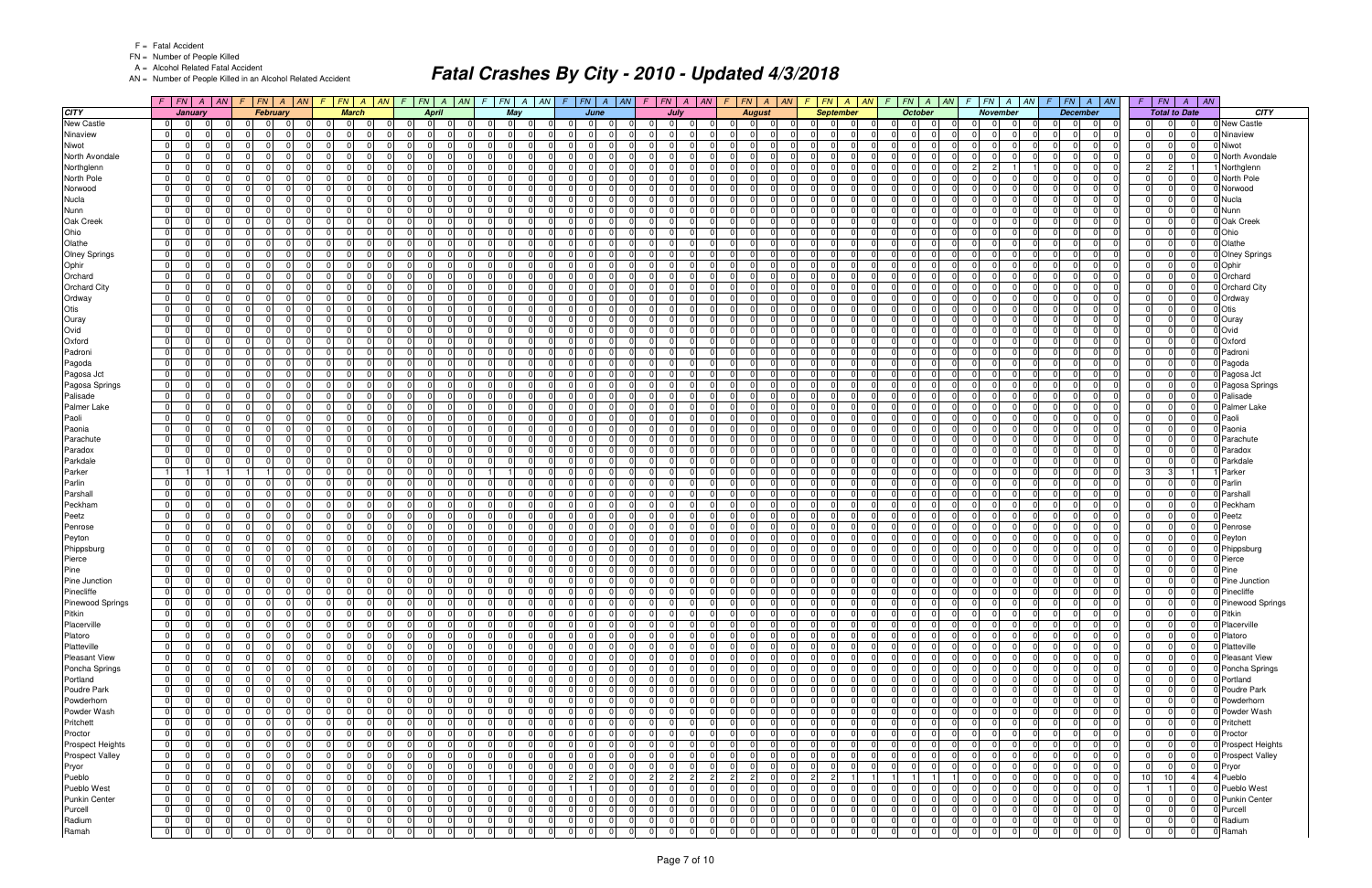FN = Number of People Killed

A = Alcohol Related Fatal Accident

AN = Number of People Killed in an Alcohol Related Accident

|                                     |                                  | $F$ $ FN $ $A$ $ AN $            | F |                      | FN A AN              |                      | $F$ $FN$ $A$ $AN$ $F$      |                 |                                  |                      | FN A AN                    | $\mathcal{F}$  |                                  |                            |                                      | $ FN $ A $ AN $ F $ FN $ A $ AN$          |                                  | $F$ $ FN $ $A$ $ AN $                                 | F.                               |                                                          | $ FN $ A $ AN $ F $ FN $ A $ AN$                             |                            |                                  | $F$ $ FN $ $A$ $ AN $                        | $\mathcal{F}$                    | FN A AN                          | $F$ $FN$ $A$ $AN$                                         |                            |                      | $F$ $FN$ $A$ $AN$          |                                  |
|-------------------------------------|----------------------------------|----------------------------------|---|----------------------|----------------------|----------------------|----------------------------|-----------------|----------------------------------|----------------------|----------------------------|----------------|----------------------------------|----------------------------|--------------------------------------|-------------------------------------------|----------------------------------|-------------------------------------------------------|----------------------------------|----------------------------------------------------------|--------------------------------------------------------------|----------------------------|----------------------------------|----------------------------------------------|----------------------------------|----------------------------------|-----------------------------------------------------------|----------------------------|----------------------|----------------------------|----------------------------------|
| <b>CITY</b>                         |                                  | January                          |   | <b>February</b>      |                      |                      | <b>March</b>               |                 |                                  | <b>April</b>         |                            |                | May                              |                            |                                      | June                                      |                                  | July                                                  |                                  | <b>August</b>                                            | <b>September</b>                                             |                            |                                  | October                                      |                                  | <b>November</b>                  | <b>December</b>                                           |                            |                      | <b>Total to Date</b>       | <b>CITY</b>                      |
| <b>New Castle</b>                   | 0 I                              | $\Omega$                         |   | $\Omega$             |                      | $\Omega$             | $\Omega$                   |                 |                                  | $\Omega$             | $\Omega$                   |                | $\overline{0}$                   | n                          | $\Omega$                             | $\Omega$<br>$\Omega$                      | $\Omega$                         | $\overline{0}$                                        |                                  | $\Omega$                                                 |                                                              | $\Omega$                   | -01                              | - 01                                         |                                  | $\Omega$                         | $\Omega$<br>$\Omega$                                      | $\Omega$                   |                      |                            | New Castle                       |
| Ninaview                            | $\overline{0}$                   | <sup>0</sup>                     |   | $\mathbf 0$          |                      | 0                    | $\Omega$                   |                 | $\Omega$                         |                      | $\Omega$                   |                | $\Omega$                         |                            | 0                                    | $\mathbf 0$<br>0                          | $\Omega$                         | $\Omega$<br>$\overline{0}$                            | $\Omega$                         | $\Omega$                                                 | 0<br>$\Omega$                                                | 0                          | $\overline{0}$                   | $\overline{0}$<br><sup>n</sup>               | $\overline{0}$                   | $\Omega$                         | 0 I<br>$\Omega$<br> 0                                     | $\Omega$                   | $\overline{0}$       | $\Omega$                   | Ninaview                         |
| Niwot                               | $\overline{0}$                   | <sup>0</sup>                     |   | - 0 I                | $\Omega$             | - 0 I                | $\Omega$                   |                 | $\overline{0}$                   |                      | $\Omega$                   |                | -01                              | $\Omega$                   | $\Omega$                             | $\Omega$<br>$\Omega$                      | $\overline{0}$                   | $\Omega$<br>$\Omega$                                  | $\overline{0}$                   | $\Omega$<br>$\Omega$                                     | $\Omega$<br>$\Omega$                                         | -01                        | 0 I                              | $\overline{0}$<br>$\Omega$                   | $\Omega$                         | $\mathbf 0$                      | $\Omega$<br>$\Omega$<br>$\Omega$                          | 0 I                        | $\Omega$             | $\Omega$                   | Niwot                            |
| North Avondale                      | $\overline{0}$                   | <sup>0</sup>                     |   | $\Omega$             | n                    | $\overline{0}$       | $\Omega$                   |                 | $\Omega$                         |                      | $\Omega$                   |                | $\Omega$                         | $\Omega$                   | $\Omega$                             | $\Omega$<br>$\Omega$                      | $\Omega$                         | $\Omega$<br>$\Omega$                                  | $\Omega$                         | $\cap$<br>$\Omega$                                       | $\Omega$<br>$\Omega$                                         | - 0                        | $\Omega$                         | $\Omega$                                     | $\Omega$                         | $\Omega$                         | $\Omega$<br>$\Omega$                                      | $\Omega$                   | $\Omega$             | $\Omega$                   | Vorth Avondale                   |
| Northglenn                          | $\overline{0}$                   | <sup>0</sup>                     |   | $\Omega$             |                      | $\Omega$             |                            |                 | $\Omega$                         |                      | $\Omega$                   |                | $\Omega$                         | $\Omega$                   | $\Omega$                             | $\Omega$<br>$\Omega$                      | $\Omega$                         | $\Omega$                                              | $\Omega$                         | $\Omega$<br>$\Omega$                                     | $\Omega$<br>$\Omega$                                         | $\Omega$                   | 0 I                              | $\Omega$                                     | $\overline{2}$                   |                                  | $\Omega$<br>$\Omega$<br>$\Omega$                          | $\overline{2}$             | $\overline{2}$       |                            | Northglenn                       |
| North Pole                          | $\overline{0}$                   | $\Omega$                         |   | $\Omega$             |                      | $\Omega$             | U                          |                 | $\Omega$                         |                      | $\Omega$                   |                | $\Omega$                         | $\Omega$                   | $\Omega$                             | $\Omega$<br>U                             | $\Omega$                         | $\Omega$<br>$\Omega$                                  | $\Omega$                         |                                                          | $\Omega$                                                     | $\Omega$                   | $\Omega$                         | $\Omega$                                     | $\Omega$                         | $\Omega$                         | $\Omega$<br>$\Omega$                                      | $\Omega$                   | $\Omega$             | $\Omega$                   | North Pole                       |
| Norwood                             | 01                               | 0                                |   | $\mathbf 0$          | $\Omega$             | 0                    | $\Omega$                   |                 | 0 I                              |                      | $\Omega$                   |                | $\overline{0}$                   | $\Omega$                   | $\Omega$                             | - 0 I<br>$\Omega$                         | 0 I                              | $\overline{0}$<br>$\Omega$                            | 01                               | $\Omega$                                                 | $\Omega$<br>$\Omega$                                         | $\overline{0}$             | 0 I                              | $\overline{0}$                               | $\overline{0}$                   | $\mathbf 0$                      | $\Omega$<br>$\Omega$<br>$\Omega$                          | 0 I                        | $\Omega$             | $\overline{0}$             | Norwood                          |
| <b>Nucla</b>                        | $\overline{0}$                   | 0                                |   | $\Omega$             | n                    | $\Omega$             | <sup>n</sup>               |                 | $\Omega$                         |                      | $\Omega$                   |                | $\Omega$                         | $\Omega$                   | $\Omega$                             | $\Omega$<br><sup>n</sup>                  | $\Omega$                         | $\Omega$<br>$\Omega$                                  | $\Omega$                         | - 0                                                      | $\Omega$<br>$\Omega$                                         | - 0                        | $\Omega$                         | $\Omega$                                     | $\Omega$                         | $\Omega$                         | $\Omega$<br>$\Omega$                                      | $\Omega$                   | $\Omega$             | $\Omega$                   | Nucla                            |
| Nunn                                | $\overline{0}$<br>$\overline{0}$ | 0<br>U                           |   | $\Omega$<br>$\Omega$ | $\Omega$             | - 0 I<br>$\Omega$    | $\Omega$                   |                 | $\Omega$<br>$\Omega$             |                      | $\Omega$<br>$\Omega$       |                | $\Omega$<br>$\Omega$             | $\Omega$                   | $\Omega$<br>$\Omega$                 | $\Omega$<br>$\Omega$<br>$\Omega$<br>U     | 0 I<br>$\Omega$                  | $\Omega$<br>$\Omega$<br>$\Omega$                      | $\overline{0}$<br>$\Omega$       | $\Omega$<br>$\Omega$                                     | $\Omega$<br>$\Omega$<br>U                                    | $\Omega$                   | 0 I<br>$\Omega$                  | - 01<br>$\Omega$<br>$\Omega$                 | $\Omega$<br>$\Omega$             | $\mathbf 0$<br>$\Omega$          | $\Omega$<br>$\Omega$<br>- 01<br>$\Omega$<br>$\Omega$      | $\overline{0}$<br>$\Omega$ | $\Omega$<br>$\Omega$ | $\Omega$<br>$\Omega$       | Nunn                             |
| Oak Creek<br>Ohio                   | 01                               | 0                                |   | $\mathbf 0$          | $\Omega$             | $\Omega$             | $\Omega$                   |                 | $\overline{0}$                   |                      | $\Omega$                   |                | $\overline{0}$                   | $\Omega$                   | $\Omega$                             | $\Omega$<br>$\Omega$                      | 0 I                              | $\overline{0}$<br>$\Omega$                            | $\overline{0}$                   | $\Omega$<br>$\Omega$                                     | $\Omega$<br>$\Omega$                                         | $\Omega$                   | 0 I                              | $\overline{0}$<br>$\Omega$                   | $\Omega$                         | $\mathbf 0$                      | $\Omega$<br>$\Omega$<br>$\Omega$                          | 0 I                        | $\Omega$             | $\Omega$                   | Oak Creek<br>Ohio                |
| Olathe                              | $\overline{0}$                   | <sup>0</sup>                     |   | $\Omega$             | n                    | $\overline{0}$       | $\Omega$                   |                 | $\Omega$                         |                      | $\Omega$                   |                | $\Omega$                         | $\Omega$                   | $\Omega$                             | $\Omega$<br>$\Omega$                      | $\Omega$                         | $\Omega$<br>$\Omega$                                  | $\Omega$                         | $\cap$<br>$\Omega$                                       | $\Omega$<br>$\Omega$                                         | $\Omega$                   | $\Omega$                         | $\Omega$                                     | $\Omega$                         | $\Omega$                         | $\Omega$<br>$\Omega$<br>$\Omega$                          | $\Omega$                   | $\Omega$             | $\Omega$                   | Olathe                           |
| Olney Springs                       | 01                               | <sup>0</sup>                     |   | $\Omega$             |                      | $\Omega$             | <sup>n</sup>               |                 | $\Omega$                         |                      | $\Omega$                   |                | $\Omega$                         | $\Omega$                   | $\Omega$                             | 0<br>$\overline{0}$                       | 0I                               | $\Omega$                                              | $\Omega$                         |                                                          | n<br>$\Omega$                                                | - 0                        | $\overline{0}$                   | $\Omega$                                     | $\Omega$                         | $\Omega$                         | $\Omega$<br>$\Omega$<br>$\Omega$                          | $\Omega$                   | $\Omega$             | $\Omega$                   | <b>Olney Springs</b>             |
| Ophir                               | $\overline{0}$                   | $\Omega$                         |   | $\Omega$             |                      | $\Omega$             | U                          |                 | $\Omega$                         |                      | $\Omega$                   |                | $\Omega$                         | $\Omega$                   | $\Omega$                             | $\Omega$<br>U                             | $\Omega$                         | nl                                                    | $\Omega$                         |                                                          | $\Omega$                                                     |                            | $\Omega$                         | $\Omega$                                     | $\Omega$                         | $\Omega$                         | $\Omega$<br>$\Omega$<br>$\Omega$                          | $\overline{0}$             | $\Omega$             | $\Omega$                   | Ophir                            |
| Orchard                             | $\overline{0}$                   | 0                                |   | $\Omega$             |                      | $\mathbf 0$          | 0                          |                 | $\Omega$                         |                      | $\Omega$                   |                | $\Omega$                         | $\Omega$                   | $\Omega$                             | $\Omega$<br>$\Omega$                      | $\Omega$                         | $\Omega$<br>$\Omega$                                  | $\Omega$                         | $\Omega$                                                 | $\Omega$                                                     | $\Omega$                   | $\Omega$                         | $\Omega$                                     | $\overline{0}$                   | $\Omega$                         | $\Omega$<br>0                                             | $\Omega$                   | 0                    | $\Omega$                   | Orchard                          |
| <b>Orchard City</b>                 | $\overline{0}$                   | $\Omega$<br>$\Omega$             |   | - 0 I                | $\Omega$             | $\overline{0}$       | $\Omega$                   |                 | $\Omega$                         |                      | $\Omega$                   |                | -01                              | $\Omega$                   | $\Omega$                             | $\Omega$<br>$\Omega$                      | $\Omega$                         | $\Omega$<br>$\Omega$                                  | $\overline{0}$                   | $\Omega$<br>$\Omega$                                     | $\Omega$<br>$\Omega$                                         | $\Omega$                   | 0 I                              | -01                                          | $\Omega$                         | $\mathbf 0$                      | $\Omega$<br> 0 <br>$\Omega$                               | $\Omega$                   | $\Omega$             | $\Omega$                   | <b>Orchard City</b>              |
| Ordway                              | $\overline{0}$                   | 0                                |   | $\Omega$             | - 0                  | $\Omega$             | $\Omega$                   |                 | $\Omega$                         | $\Omega$             | $\Omega$                   |                | $\Omega$                         | $\Omega$                   | $\Omega$                             | $\Omega$<br>$\mathbf 0$                   | 0 I                              | $\Omega$<br>$\Omega$                                  | $\overline{0}$                   | $\Omega$<br>$\Omega$                                     | $\Omega$<br>$\Omega$                                         | - 0                        | $\overline{0}$                   | $\Omega$<br>$\Omega$                         | $\Omega$                         | $\mathbf 0$                      | $\Omega$<br>$\Omega$<br>- 01                              | 0 I                        | $\Omega$             | 0                          | Ordway                           |
| Otis                                | 01                               | $\Omega$                         |   | $\Omega$             | $\Omega$             | 0                    | ΩI                         |                 | $\Omega$                         |                      | $\Omega$                   |                | $\Omega$                         | $\Omega$                   | $\Omega$                             | $\Omega$<br>$\Omega$                      | $\Omega$                         | $\Omega$<br>$\Omega$                                  | $\Omega$                         | $\Omega$<br>$\Omega$                                     | $\Omega$<br>$\Omega$                                         | $\Omega$                   | 0 I                              | $\Omega$<br>$\Omega$                         | $\Omega$                         | $\Omega$                         | $\Omega$<br>$\Omega$<br>$\Omega$                          | $\overline{0}$             | $\Omega$             | $\overline{0}$             | Otis                             |
| Ouray                               | $\Omega$                         | U                                |   | $\Omega$             |                      | $\Omega$             |                            |                 | $\Omega$                         |                      | $\Omega$                   |                | $\Omega$                         | $\Omega$                   | $\Omega$                             | $\Omega$<br>n                             | $\Omega$                         | $\Omega$<br>$\Omega$                                  | $\Omega$                         |                                                          | $\Omega$                                                     | $\Omega$                   | $\Omega$                         | $\Omega$                                     | $\Omega$                         | $\Omega$                         | 0<br>$\Omega$                                             | $\Omega$                   |                      | $\Omega$                   | Ouray                            |
| Ovid                                | $\overline{0}$                   | $\Omega$                         |   | - 0 I                | $\Omega$             | - 0 l                | $\Omega$                   |                 | $\overline{0}$                   |                      | $\Omega$                   |                | -01                              | $\Omega$                   | $\Omega$                             | $\Omega$<br>- 0 I                         | $\overline{0}$                   | $\Omega$<br>$\Omega$                                  | $\overline{0}$                   | $\Omega$<br>. OI                                         | $\Omega$<br>$\Omega$                                         | $\Omega$                   | 0 I                              | $\overline{0}$<br>$\Omega$                   | $\overline{0}$                   | $\mathbf 0$                      | 0 <br>$\overline{0}$<br>$\Omega$                          | 0 I                        | $\Omega$             | $\overline{0}$             | Ovid                             |
| Oxford                              | 01                               | 0                                |   | $\Omega$             |                      | $\Omega$             |                            |                 | $\Omega$                         |                      | $\Omega$                   |                | $\Omega$                         | $\Omega$                   | $\Omega$                             | $\Omega$<br>n                             | $\Omega$                         | $\Omega$                                              | $\Omega$                         | $\Omega$<br>$\Omega$                                     | $\Omega$<br>$\Omega$                                         | - 0                        | $\Omega$                         | - 0                                          | $\Omega$                         | $\Omega$                         | $\Omega$<br>$\Omega$<br>$\Omega$                          | $\Omega$                   | $\Omega$             | $\Omega$                   | Oxford                           |
| Padroni                             | $\overline{0}$                   | $\Omega$                         |   | $\Omega$             | $\Omega$             | 0                    | $\Omega$                   | $\cap$          | $\Omega$                         | $\Omega$             | $\Omega$                   |                | $\Omega$                         | $\Omega$                   | $\Omega$                             | $\Omega$<br>$\Omega$                      | $\overline{0}$                   | $\Omega$<br>$\Omega$                                  | $\overline{0}$                   | $\Omega$<br>$\Omega$                                     | $\Omega$<br>$\Omega$                                         | $\Omega$                   | $\Omega$                         | $\Omega$<br>$\Omega$                         | $\Omega$                         | - 0 l                            | $\Omega$<br>$\Omega$<br>$\Omega$                          | $\overline{0}$             | $\Omega$             | n l                        | Padroni                          |
| Pagoda                              | $\overline{0}$                   | 0                                |   | $\Omega$             |                      | $\mathbf 0$          | 0                          |                 | $\Omega$                         |                      | $\Omega$                   |                | $\Omega$                         | $\Omega$                   | $\Omega$                             | $\Omega$<br>0                             | $\Omega$                         | $\Omega$<br>$\Omega$                                  | $\Omega$                         | n                                                        | $\Omega$                                                     | $\Omega$                   | $\Omega$                         | $\Omega$                                     | $\overline{0}$                   | $\Omega$                         | $\Omega$<br>$\Omega$                                      | $\Omega$                   | 0                    | $\Omega$                   | Pagoda                           |
| Pagosa Jct                          | $\overline{0}$                   | $\Omega$<br>$\Omega$             |   | - 0 l                | $\Omega$             | $\overline{0}$       | $\Omega$                   |                 | $\Omega$                         |                      | $\Omega$                   |                | $\Omega$                         | $\Omega$                   | $\Omega$                             | $\Omega$<br>$\Omega$                      | $\Omega$                         | $\Omega$<br>$\Omega$                                  | $\Omega$                         | $\Omega$<br>$\Omega$                                     | $\Omega$<br>$\Omega$                                         | $\Omega$                   | $\Omega$                         | $\overline{0}$<br>$\Omega$                   | $\Omega$                         | $\mathbf 0$                      | $\Omega$<br>$\Omega$<br>$\Omega$                          | $\Omega$                   | $\Omega$             | $\Omega$                   | Pagosa Jct                       |
| Pagosa Springs                      | $\overline{0}$                   | <sup>0</sup>                     |   | $\Omega$             | n                    | $\Omega$             | <sup>n</sup>               |                 | $\Omega$                         |                      | $\Omega$                   |                | $\Omega$                         | $\Omega$                   | $\Omega$                             | $\Omega$<br>$\Omega$                      | 0 I                              | $\Omega$<br>$\Omega$                                  | $\overline{0}$                   | $\Omega$<br>$\Omega$                                     | $\Omega$<br>$\Omega$                                         | $\Omega$                   | $\overline{0}$                   | $\Omega$<br>$\Omega$                         | $\Omega$                         | $\Omega$                         | $\Omega$<br>$\Omega$<br>- 01                              | $\Omega$                   | $\Omega$             | $\Omega$                   | Pagosa Springs                   |
| Palisade                            | $\overline{0}$                   | <sup>0</sup><br>$\Omega$         |   | $\Omega$             |                      | $\Omega$             | <sup>n</sup>               |                 | $\Omega$                         |                      | $\Omega$                   |                | $\Omega$                         | n                          | $\Omega$                             | $\Omega$<br>0                             | $\Omega$                         | $\Omega$                                              | $\Omega$                         | $\Omega$<br>n                                            | $\Omega$<br>$\Omega$                                         | $\Omega$                   | 0 I                              | $\Omega$                                     | $\Omega$                         | $\Omega$                         | $\Omega$<br>$\Omega$<br>$\Omega$                          | 0 I                        | $\Omega$             | $\Omega$                   | Palisade                         |
| Palmer Lake                         | $\overline{0}$                   |                                  |   | $\Omega$             |                      | $\Omega$             | <sup>n</sup>               |                 | $\Omega$                         |                      | $\Omega$<br>$\Omega$       |                | $\Omega$                         |                            |                                      | $\Omega$<br>n<br>$\Omega$                 | $\Omega$                         | $\Omega$                                              | $\Omega$                         |                                                          | $\Omega$                                                     |                            | $\Omega$                         | $\Omega$                                     | $\Omega$                         | $\Omega$                         | 0<br>$\Omega$                                             | $\Omega$                   | $\Omega$             |                            | Palmer Lake                      |
| Paoli<br>Paonia                     | 01                               | 0<br><sup>0</sup>                |   | $\Omega$<br>$\Omega$ |                      | $\Omega$<br>$\Omega$ | 0<br>ΩI                    |                 | $\Omega$<br>$\Omega$             |                      | $\Omega$                   |                | $\Omega$<br>$\Omega$             | $\Omega$<br>$\Omega$       | $\Omega$<br>$\Omega$                 | $\Omega$<br>$\Omega$<br><sup>n</sup>      | 0 I<br>$\Omega$                  | $\Omega$<br>$\Omega$<br>$\Omega$                      | $\Omega$<br>$\Omega$             | $\Omega$                                                 | $\Omega$<br>$\Omega$<br>$\Omega$<br>$\Omega$                 | $\Omega$<br>$\Omega$       | 0 I<br>$\Omega$                  | $\overline{0}$<br>$\Omega$                   | $\Omega$<br>$\Omega$             | $\Omega$<br>$\Omega$             | $\Omega$<br>$\Omega$<br>$\Omega$<br>$\Omega$<br>$\Omega$  | $\Omega$<br>$\Omega$       | $\Omega$<br>$\Omega$ | $\Omega$<br>$\Omega$       | Paoli<br>Paonia                  |
| Parachute                           | 01<br>$\overline{0}$             | <sup>0</sup>                     |   | $\Omega$             | $\Omega$             | $\Omega$             | $\Omega$                   |                 | $\Omega$                         |                      | $\Omega$                   |                | $\Omega$                         | $\Omega$                   | $\Omega$                             | $\Omega$<br>$\Omega$                      | 0 I                              | $\Omega$<br>$\Omega$                                  | $\overline{0}$                   | $\Omega$<br>$\Omega$                                     | $\Omega$<br>$\Omega$                                         | $\Omega$                   | 0 I                              | - 01<br>$\Omega$                             | $\Omega$                         | $\mathbf 0$                      | $\Omega$<br>$\Omega$<br>- 01                              | $\overline{0}$             | $\Omega$             | $\Omega$                   | Parachute                        |
| Paradox                             | $\overline{0}$                   | 0                                |   | $\Omega$             |                      | $\mathbf 0$          | $\Omega$                   |                 | $\Omega$                         |                      | $\Omega$                   |                | $\Omega$                         | $\Omega$                   | $\Omega$                             | - 0 I<br>$\Omega$                         | $\Omega$                         | $\Omega$<br>$\Omega$                                  | $\Omega$                         |                                                          | $\Omega$<br>$\Omega$                                         | $\Omega$                   | 0                                | $\Omega$                                     | $\overline{0}$                   | $\Omega$                         | $\Omega$<br>$\mathbf 0$                                   | $\Omega$                   | $\Omega$             | $\Omega$                   | Paradox                          |
| Parkdale                            | $\overline{0}$                   | <sup>0</sup>                     |   | $\Omega$             |                      | $\Omega$             |                            |                 | $\Omega$                         |                      | $\Omega$                   |                | $\Omega$                         | $\Omega$                   | $\Omega$                             | $\Omega$<br>U                             | $\overline{0}$                   | $\Omega$<br>$\Omega$                                  | $\Omega$                         | $\Omega$                                                 | $\Omega$<br>$\Omega$                                         |                            | 0                                | -01                                          | $\Omega$                         | $\Omega$                         | $\Omega$                                                  | $\Omega$                   |                      | $\Omega$                   | Parkdale                         |
| Parker                              |                                  |                                  |   |                      | n                    | $\overline{0}$       | $\Omega$                   |                 | $\Omega$                         |                      | $\Omega$                   |                |                                  | $\Omega$                   | $\Omega$                             | $\Omega$<br>$\Omega$                      | $\Omega$                         | $\Omega$<br>$\Omega$                                  | - 0 I                            | $\Omega$                                                 | $\Omega$<br>$\Omega$                                         | - 0                        | $\Omega$                         | $\overline{0}$<br>$\Omega$                   | $\Omega$                         | $\Omega$                         | $\Omega$<br>$\Omega$<br>$\Omega$                          | 3                          | $\overline{3}$       |                            | Parker                           |
| Parlin                              | 01                               | 0                                |   | $\Omega$             |                      | $\Omega$             |                            |                 | $\Omega$                         |                      | $\Omega$                   |                | $\Omega$                         | $\Omega$                   | $\Omega$                             | U<br>$\Omega$                             | $\Omega$                         | $\Omega$                                              | $\Omega$                         | $\Omega$                                                 | $\Omega$<br>$\Omega$                                         | $\Omega$                   | 0                                | $\Omega$                                     | $\Omega$                         | $\Omega$                         | $\Omega$<br>$\Omega$<br>$\Omega$                          | $\Omega$                   | $\Omega$             | $\Omega$                   | Parlin                           |
| Parshall                            | $\overline{0}$                   | $\Omega$                         |   | $\Omega$             |                      | $\Omega$             | ΩI                         |                 | $\Omega$                         |                      | $\Omega$                   |                | $\Omega$                         | $\Omega$                   | $\Omega$                             | $\Omega$<br>$\Omega$                      | $\Omega$                         | $\Omega$<br>$\Omega$                                  | $\Omega$                         |                                                          | $\Omega$                                                     | $\Omega$                   | $\Omega$                         | $\Omega$<br>$\Omega$                         | $\Omega$                         | $\Omega$                         | $\Omega$<br>$\Omega$                                      | $\Omega$                   | $\Omega$             | $\Omega$                   | Parshall                         |
| Peckham                             | 01                               | 0                                |   | $\Omega$             |                      | $\Omega$             | 0                          |                 | $\Omega$                         |                      | $\Omega$                   |                | $\Omega$                         | $\Omega$                   | $\Omega$                             | $\Omega$<br>$\Omega$                      | $\Omega$                         | $\Omega$                                              | $\Omega$                         | $\Omega$                                                 | $\Omega$                                                     | $\Omega$                   | $\Omega$                         | $\overline{0}$                               | $\Omega$                         | $\Omega$                         | $\Omega$<br>$\Omega$                                      | $\Omega$                   | 0                    | $\Omega$                   | Peckhan                          |
| Peetz                               | 01                               | <sup>0</sup>                     |   | $\Omega$             | n                    | $\Omega$             | $\Omega$                   |                 | $\Omega$                         |                      | $\Omega$                   |                | $\Omega$                         | $\Omega$                   | $\Omega$                             | $\Omega$<br>0                             | $\Omega$                         | $\Omega$<br>$\Omega$                                  | $\Omega$                         | $\cap$                                                   | $\Omega$<br>$\Omega$                                         | - 0                        | $\Omega$                         | $\Omega$                                     | $\Omega$                         | $\Omega$                         | $\Omega$<br>$\Omega$                                      | $\Omega$                   | $\Omega$             | $\Omega$                   | Peetz                            |
| Penrose                             | $\overline{0}$                   | 0                                |   | $\Omega$             | $\Omega$             | - 0 l                | $\Omega$                   |                 | $\Omega$                         |                      | $\Omega$                   |                | $\Omega$                         | $\Omega$                   | $\Omega$                             | $\Omega$<br>$\mathbf 0$                   | 0 I                              | $\Omega$<br>$\Omega$                                  | $\overline{0}$                   | - 0<br>$\Omega$                                          | $\Omega$<br>$\Omega$                                         | $\overline{0}$             | 0 I                              | $\Omega$<br>$\Omega$                         | $\Omega$                         | $\mathbf 0$                      | $\Omega$<br>$\Omega$<br>- 01                              | 0 I                        | $\Omega$             | $\Omega$                   | Penrose                          |
| Peyton                              | $\overline{0}$                   | 0                                |   | $\Omega$             |                      | $\Omega$             | <sup>n</sup>               |                 | $\Omega$                         |                      | $\Omega$                   |                | $\Omega$                         | n                          | $\Omega$                             | $\Omega$<br><sup>n</sup>                  | $\Omega$                         | $\Omega$<br>$\Omega$                                  | $\Omega$                         |                                                          | 0                                                            | $\Omega$                   | $\Omega$                         | $\Omega$                                     | $\Omega$                         | $\Omega$                         | $\Omega$<br>$\Omega$                                      | $\Omega$                   | $\Omega$             | $\Omega$                   | Peyton                           |
| Phippsburg                          | $\overline{0}$                   | <sup>0</sup>                     |   | $\mathbf 0$          | n                    | $\Omega$             | $\Omega$                   |                 | $\Omega$                         |                      | $\Omega$                   |                | $\Omega$                         | $\Omega$                   | $\Omega$                             | $\Omega$<br>0                             | 0 I                              | $\Omega$<br>$\Omega$                                  | $\overline{0}$                   | $\Omega$                                                 | $\Omega$<br>$\Omega$                                         | $\Omega$                   | $\overline{0}$                   | $\overline{0}$<br>$\Omega$                   | $\Omega$                         | $\Omega$                         | $\Omega$<br>$\Omega$<br>$\Omega$                          | $\Omega$                   | $\Omega$             | $\Omega$                   | Phippsburg                       |
| Pierce                              | $\overline{0}$                   | 0                                |   | $\Omega$             | n                    | - 0 l                | $\Omega$                   |                 | $\Omega$                         |                      | $\Omega$                   |                | $\Omega$                         | $\Omega$                   | $\Omega$                             | - 0 l<br>$\Omega$                         | 0 I                              | $\Omega$<br>$\Omega$                                  | $\overline{0}$                   | $\Omega$                                                 | $\Omega$<br>$\Omega$                                         | $\Omega$                   | 0 I                              | -01                                          | $\Omega$                         | $\mathbf 0$                      | $\Omega$<br>$\Omega$<br>$\Omega$                          | 0 I                        | $\Omega$             | $\Omega$                   | Pierce                           |
| Pine                                | 01                               | 0                                |   | $\mathbf 0$          | - 0                  | $\Omega$             | $\Omega$                   |                 | $\Omega$                         |                      | $\Omega$                   |                | $\Omega$                         | - 0                        | $\Omega$                             | $\mathbf 0$<br>0                          | $\Omega$                         | $\Omega$<br><sup>n</sup>                              | 01                               | $\Omega$<br>$\Omega$                                     | $\Omega$<br>$\Omega$                                         | $\overline{0}$             | $\overline{0}$                   | $\Omega$<br>$\Omega$                         | $\Omega$                         | $\Omega$                         | $\Omega$<br>$\Omega$<br>$\Omega$                          | $\Omega$                   | $\Omega$             | $\Omega$                   | Pine                             |
| Pine Junction                       | 0                                | $\Omega$                         |   | - 0 I                | - 0                  | 0                    | $\Omega$                   |                 | $\Omega$                         | $\cap$               | $\Omega$                   |                | $\Omega$                         | $\Omega$                   | $\Omega$                             | - 0 I<br>$\Omega$                         | $\overline{0}$                   | $\Omega$<br>$\Omega$                                  | $\overline{0}$                   | $\Omega$<br>$\Omega$                                     | $\Omega$<br>$\Omega$                                         | $\Omega$                   | 0 I                              | $\Omega$<br>$\Omega$                         | $\Omega$                         | $\mathbf 0$                      | $\Omega$<br>$\Omega$<br>$\Omega$                          | $\overline{0}$             | $\Omega$             | $\Omega$                   | Pine Junction                    |
| Pinecliffe                          | $\overline{0}$<br>$\overline{0}$ | $\Omega$<br> 0 <br> 0 <br> 0     |   | - 0 I                | $\Omega$<br>$\Omega$ | 0 <br>$\mathbf 0$    | $\overline{0}$<br>$\Omega$ |                 | 0 I<br>$\Omega$                  |                      | $\Omega$<br>$\overline{0}$ | $\Omega$       | $\overline{0}$<br>$\overline{0}$ | $\Omega$<br>$\Omega$       | $\Omega$<br>$\mathbf 0$              | $\Omega$<br>$\mathbf 0$<br>$\overline{0}$ | 0 <br>$\Omega$                   | $\Omega$<br>$\Omega$<br>$\overline{0}$<br>$\mathbf 0$ | $\overline{0}$<br>$\overline{0}$ | $\Omega$<br>$\Omega$<br>$\Omega$                         | $\Omega$<br>$\overline{0}$<br>$\overline{0}$<br>$\Omega$     | $\Omega$<br>$\overline{0}$ | $\overline{0}$<br>$\overline{0}$ | $\overline{0}$<br>0<br> 0 <br>$\overline{0}$ | $\overline{0}$<br>01             | $\Omega$<br>0 I                  | $\Omega$<br>$\Omega$<br>$\Omega$<br>$\overline{0}$        | 0 I                        | $\Omega$<br>$\Omega$ | $\Omega$                   | Pinecliffe<br>0 Pinewood Springs |
| <b>Pinewood Springs</b><br>Pitkin   | 0                                | $\Omega$<br> 0                   |   | 0 <br>$\mathbf 0$    | $\Omega$             | 0                    | $\Omega$                   | $\Omega$        | $\Omega$                         | $\overline{0}$       | $\Omega$                   | $\Omega$       | $\overline{0}$                   | $\overline{0}$             | $\overline{0}$                       | 0 <br>$\overline{0}$<br> 0                | 0                                | $\overline{0}$<br>$\Omega$                            | 0                                | - 01<br>- 0 I                                            | $\overline{0}$<br>$\overline{0}$                             | 0                          | $\overline{0}$                   | 0 <br>$\Omega$                               | $\overline{0}$                   | 0 <br>$\Omega$                   | 0 <br>$\overline{0}$<br> 0 <br>$\overline{0}$             | 0                          | $\mathbf 0$          | 0                          | Pitkin                           |
| Placerville                         | 0                                | $\Omega$<br>$\Omega$             |   | - 0 I                | $\Omega$             | 0                    | $\Omega$                   |                 | $\overline{0}$                   | $\Omega$             | $\Omega$                   |                | -01                              | $\Omega$                   | $\mathbf{0}$                         | $\Omega$<br> 0                            | $\overline{0}$                   | $\overline{0}$<br>$\Omega$                            | $\overline{0}$                   | $\Omega$<br>$\Omega$                                     | $\Omega$<br>$\Omega$                                         | 0                          | 0                                | $\overline{0}$<br>$\Omega$                   | $\overline{0}$                   | - 0 I                            | $\Omega$<br> 0 <br>$\overline{0}$                         | $\overline{0}$             | $\overline{0}$       | $\overline{0}$             | Placerville                      |
| Platoro                             | $\overline{0}$                   | 0 I<br>0                         |   | 0                    | 0                    | 0                    | $\overline{0}$             | $\Omega$        | $\overline{0}$                   | 0                    | $\Omega$                   | $\Omega$       | 0                                | $\overline{0}$             | $\overline{0}$                       | 0 <br>$\overline{0}$                      | 0                                | $\overline{0}$<br>$\overline{0}$                      | 0                                | -01<br>0 I                                               | 0<br>$\overline{0}$                                          | 0                          | $\overline{0}$                   | 0 <br>$\Omega$                               | $\overline{0}$                   | 0                                | $\mathbf 0$<br>$\overline{0}$<br>$\mathbf 0$              | 0                          | $\overline{0}$       | $\Omega$                   | Platoro                          |
| Platteville                         | 0                                | $\Omega$<br>$\Omega$             |   | - 0 I                | $\Omega$             | $\overline{0}$       | $\overline{0}$             | $\Omega$        | $\overline{0}$                   | $\Omega$             | -01                        | $\Omega$       | -01                              | $\Omega$                   | $\overline{0}$                       | 0 <br>$\Omega$                            | $\overline{0}$                   | 0 <br>$\overline{0}$                                  | $\overline{0}$                   | $\Omega$<br>- 0 I                                        | $\mathbf 0$<br>$\Omega$                                      | 0                          | $\overline{0}$                   | 0 <br>$\Omega$                               | $\overline{0}$                   | $\mathbf 0$                      | $\mathbf 0$<br>$\overline{0}$<br>$\overline{0}$           | $\overline{0}$             | $\overline{0}$       | $\overline{0}$             | Platteville                      |
| <b>Pleasant View</b>                | $\overline{0}$                   | 0<br>$\Omega$                    |   | 0                    | $\Omega$             | 0                    | $\Omega$                   | $\Omega$        | 0 I                              | 0                    | $\Omega$                   | $\Omega$       | 0                                | $\Omega$                   | $\overline{0}$                       | $\overline{0}$<br> 0                      | 0 I                              | 01<br>$\Omega$                                        | $\overline{0}$                   | - 01<br>$\Omega$                                         | $\overline{0}$<br>$\overline{0}$                             | 0                          | $\overline{0}$                   | 0 <br>$\Omega$                               | $\overline{0}$                   | 0                                | $\overline{0}$<br> 0 <br>$\mathbf 0$                      | $\overline{0}$             | $\overline{0}$       | $\Omega$                   | <b>Pleasant View</b>             |
| Poncha Springs                      | $\overline{0}$                   | $\Omega$<br>$\Omega$             |   | 0                    | $\Omega$             | $\overline{0}$       | $\Omega$                   | $\Omega$        | $\overline{0}$                   | $\Omega$             | -01                        | $\Omega$       | -01                              | $\Omega$                   | $\overline{0}$                       | 0 <br>$\Omega$                            | $\overline{0}$                   | $\overline{0}$<br>$\Omega$                            | 0                                | - 01<br>- 0 I                                            | $\mathbf 0$<br>$\overline{0}$                                | 0                          | $\overline{0}$                   | 0 <br>$\Omega$                               | $\overline{0}$                   | $\overline{0}$<br>$\Omega$       | $\overline{0}$<br>$\overline{0}$<br>$\overline{0}$        | $\overline{0}$             | $\Omega$             | 0                          | Poncha Springs                   |
| Portland                            | $\overline{0}$                   | 0                                |   | $\Omega$             |                      | $\mathbf 0$          | 0                          |                 | $\Omega$                         |                      | $\Omega$                   |                | $\Omega$                         | $\Omega$                   | $\mathbf 0$                          | 0 <br>$\Omega$                            | $\Omega$                         | 0 <br>$\Omega$                                        | $\overline{0}$                   | $\Omega$                                                 | $\mathbf 0$<br>0                                             | $\overline{0}$             | $\overline{0}$                   | $\mathbf 0$                                  | $\overline{0}$                   | 0                                | $\overline{0}$<br>0                                       | $\Omega$                   | $\overline{0}$       | $\Omega$                   | Portland                         |
| Poudre Park                         | $\overline{0}$                   | $\Omega$<br>$\Omega$             |   | 0                    | $\Omega$             | 0                    | $\Omega$                   |                 | $\overline{0}$                   | $\Omega$             | $\Omega$                   | $\Omega$       | 0                                | $\Omega$                   | $\overline{0}$                       | 0 <br>$\Omega$                            | $\overline{0}$                   | $\overline{0}$<br>$\overline{0}$                      | 0                                | - 01<br>- 0 I                                            | $\mathbf 0$<br>$\overline{0}$                                | 0                          | $\overline{0}$                   | $\overline{0}$<br>$\Omega$                   | $\overline{0}$                   | 0 <br>- 0                        | $\Omega$<br>$\overline{0}$<br>$\overline{0}$              | 0                          | $\Omega$             | $\overline{0}$             | Poudre Park                      |
| Powderhorn                          | 0                                | $\Omega$                         |   | - 0 I                | $\Omega$             | 0                    | $\Omega$                   | $\Omega$        | $\overline{0}$                   |                      | $\Omega$                   |                | - Ol                             | $\Omega$                   | $\overline{0}$                       | 0 <br>$\Omega$                            | $\overline{0}$                   | 0 <br>$\Omega$                                        | 0                                | $\Omega$<br>$\Omega$                                     | $\mathbf 0$<br>$\overline{0}$                                | 0                          | 0                                | 0 <br>$\Omega$                               | $\overline{0}$                   | 0                                | $\mathbf 0$<br> 0 <br>$\overline{0}$                      | $\overline{0}$             | $\overline{0}$       | $\Omega$                   | Powderhorn                       |
| Powder Wash                         | $\overline{0}$                   | $\Omega$<br>$\Omega$             |   | - 0 I                | $\Omega$             | 0                    | $\Omega$                   | $\Omega$        | $\overline{0}$                   | $\Omega$             | $\Omega$                   | $\Omega$       | -01                              | $\Omega$                   | $\overline{0}$                       | 0 <br>$\overline{0}$                      | 0 I                              | $\overline{0}$<br>$\Omega$                            | 0                                | - 01<br>- 0 I                                            | $\mathbf 0$<br>$\overline{0}$                                | 0                          | $\overline{0}$                   | 0 <br>$\Omega$                               | $\overline{0}$                   | 0                                | $\overline{0}$<br> 0 <br>$\mathbf 0$                      | $\overline{0}$             | $\overline{0}$       | 0                          | Powder Wash                      |
| Pritchett                           | $\overline{0}$                   | $\Omega$                         |   | - 0 I                | $\Omega$             | 0                    | $\Omega$                   |                 | $\overline{0}$                   |                      | $\Omega$                   |                | - Ol                             | $\Omega$                   | $\mathbf 0$                          | 0 <br>$\Omega$                            | $\overline{0}$                   | $\overline{0}$<br>$\Omega$                            | 0                                | $\Omega$<br>$\Omega$                                     | $\mathbf 0$<br>$\overline{0}$                                | -01                        | 0                                | $\mathbf{0}$<br>$\Omega$                     | $\overline{0}$                   | 0                                | $\Omega$<br>$\overline{0}$<br>$\overline{0}$              | $\overline{0}$             | $\Omega$             | $\Omega$                   | Pritchett                        |
| Proctor                             | 0                                | $\Omega$<br>$\Omega$             |   | 0                    | $\mathbf 0$          | 0                    | $\mathbf 0$                |                 | 0                                | $\Omega$             | $\Omega$                   | $\Omega$       | 0                                | $\overline{0}$             | $\overline{0}$                       | 0 <br>$\overline{0}$                      | 0                                | 0 <br>$\overline{0}$                                  | $\overline{0}$                   | $\Omega$<br>-01                                          | 0<br>$\overline{0}$                                          | 0                          | $\overline{0}$                   | 0 <br>$\Omega$                               | $\overline{0}$                   | 0                                | 0 <br>0<br>$\mathbf 0$                                    | 0                          | $\overline{0}$       | $\overline{0}$             | Proctor                          |
| Prospect Heights                    | $\overline{0}$                   | $\Omega$<br>0                    |   | - 0 I                | $\Omega$             | 0                    | $\Omega$                   | $\Omega$        | $\overline{0}$                   |                      | $\Omega$                   |                | -01                              | $\Omega$                   | $\Omega$                             | 0 <br>$\Omega$                            | $\Omega$                         | 0 <br>$\Omega$                                        | $\overline{0}$                   | $\Omega$<br>$\Omega$                                     | $\mathbf 0$<br>$\Omega$                                      | 0                          | 0                                | 0 <br>$\Omega$                               | $\overline{0}$                   | - 0 I                            | $\Omega$<br> 0 <br>$\overline{0}$                         | $\overline{0}$             | $\Omega$             | $\Omega$                   | <b>Prospect Heights</b>          |
| <b>Prospect Valley</b>              | $\overline{0}$                   | $\Omega$<br>$\Omega$             |   | $\mathbf 0$          | $\Omega$             | 0                    | $\Omega$                   | $\Omega$        | $\overline{0}$                   | $\Omega$             | $\Omega$                   | $\Omega$       | -01                              | $\Omega$                   | $\overline{0}$                       | 0 <br>$\Omega$                            | 0 I                              | 0 <br>$\Omega$                                        | 0                                | - 01<br>- 0 I                                            | $\Omega$<br>$\overline{0}$                                   | 0                          | $\overline{0}$                   | $\overline{0}$<br>$\Omega$                   | $\overline{0}$                   | 0 <br>$\Omega$                   | $\overline{0}$<br> 0 <br>$\mathbf 0$                      | $\overline{0}$             | $\Omega$             | $\overline{0}$             | <b>Prospect Valley</b>           |
| Pryor                               | $\overline{0}$                   | $\Omega$                         |   | $\Omega$             |                      | $\mathbf 0$          | $\Omega$                   |                 | $\Omega$                         |                      | $\Omega$                   |                | $\Omega$                         | $\Omega$                   | $\mathbf 0$                          | 0 <br>$\Omega$                            | $\Omega$                         | 0 <br>$\Omega$                                        | $\overline{0}$                   | $\Omega$                                                 | $\mathbf 0$<br>$\overline{0}$                                | $\overline{0}$             | 0                                | $\overline{0}$                               | $\overline{0}$                   | $\mathbf 0$                      | $\Omega$<br>$\overline{0}$<br>$\mathbf{0}$                | $\overline{0}$             | $\overline{0}$       | $\overline{0}$             | Pryor                            |
| Pueblo                              | $\overline{0}$<br> 0             | 0 <br>$\Omega$<br>$\Omega$       |   | 0 <br>- 0 I          | $\Omega$<br>$\Omega$ | 0 <br> 0             | $\Omega$<br>$\Omega$       |                 | $\overline{0}$<br>$\overline{0}$ | $\Omega$<br>$\Omega$ | 0 <br>$\Omega$             | $\Omega$       | 11<br>-01                        | $\overline{0}$<br>$\Omega$ | $\overline{2}$<br>$\mathbf{1}$<br>-1 | 0 <br>$\vert$ 2<br> 0                     | $\overline{2}$<br>$\overline{0}$ | $\overline{2}$<br>$\vert$ 2<br>$\Omega$<br> 0         | $\overline{2}$<br> 0             | $\overline{2}$<br>$\overline{0}$<br>$\Omega$<br>$\Omega$ | $\overline{2}$<br>$\vert$ 2<br>$\mathbf 0$<br>$\overline{0}$ | 0                          | $\overline{0}$                   | 11<br> 0 <br>$\Omega$                        | $\overline{0}$<br>$\overline{0}$ | 01<br>- 0<br> 0                  | $\mathbf 0$<br> 0 <br>$\overline{0}$<br>$\mathbf 0$<br> 0 | 10                         | 10 <sup>1</sup>      | $\overline{4}$<br>$\Omega$ | Pueblo                           |
| Pueblo West<br><b>Punkin Center</b> | $\overline{0}$                   | $\Omega$                         |   | $\mathbf 0$          | - 0                  | 0                    | $\Omega$                   |                 | $\Omega$                         |                      | $\Omega$                   |                | $\overline{0}$                   | $\Omega$                   | $\Omega$                             | 0 <br>$\Omega$                            | $\Omega$                         | 0 I<br>$\Omega$                                       | $\Omega$                         | $\Omega$<br>$\Omega$                                     | $\Omega$<br>$\Omega$                                         | 0                          | 0                                | $\overline{0}$<br>$\Omega$                   | $\Omega$                         | $\mathbf 0$                      | $\mathbf{0}$<br>0<br>$\overline{0}$<br>$\mathbf 0$        | 0 I                        | $\overline{0}$       | $\Omega$                   | Pueblo West<br>Punkin Center     |
| Purcell                             | 0                                | $\Omega$<br>$\Omega$             |   | 0                    | $\Omega$             | 0                    | $\Omega$                   | $\Omega$        | $\overline{0}$                   | $\Omega$             | $\Omega$                   | $\Omega$       | -01                              | $\Omega$                   | $\overline{0}$                       | 0 <br> 0                                  | $\overline{0}$                   | $\overline{0}$<br>$\Omega$                            | 0                                | $\Omega$<br>$\Omega$                                     | $\mathbf 0$<br>$\overline{0}$                                | 0                          | $\overline{0}$                   | 0 <br>$\Omega$                               | $\overline{0}$                   | 0 <br>$\Omega$                   | $\mathbf 0$<br> 0 <br>$\overline{0}$                      | $\overline{0}$             | $\mathbf 0$          | $\Omega$                   | Purcell                          |
| Radium                              | 0                                | $\overline{0}$                   |   | 0                    | 0                    | 0                    | $\overline{0}$             |                 | 0                                | $\overline{0}$       | $\overline{0}$             | $\overline{0}$ | 0                                | $\overline{0}$             | $\mathbf 0$                          | $\overline{0}$<br> 0                      | 0                                | $\mathbf 0$<br>01                                     | 0                                | $\Omega$<br>-01                                          | $\mathbf 0$<br>$\overline{0}$                                | 0                          | $\overline{0}$                   | 0 <br>$\Omega$                               | $\overline{0}$                   | 0                                | $\mathbf 0$<br> 0 <br>0                                   | $\overline{0}$             | $\overline{0}$       | 0                          | Radium                           |
| Ramah                               | 0                                | $\overline{0}$<br>$\overline{0}$ |   | 0 <br>$\Omega$       | $\overline{0}$       | $\overline{0}$       | $\overline{0}$             | $\Omega$<br>- 0 | $\overline{0}$                   | $\overline{0}$       | $\overline{0}$             | $\overline{0}$ | 0                                | $\Omega$<br>$\Omega$       | $\mathbf 0$                          | 0 <br> 0                                  | $\overline{0}$                   | $\overline{0}$<br> 0                                  | $\overline{0}$                   | $\overline{0}$<br>$\overline{0}$                         | $\mathbf 0$<br>$\overline{0}$<br>$\Omega$                    | 0                          | $\overline{0}$                   | $\overline{0}$<br>$\overline{0}$             | $\overline{0}$<br>$\Omega$       | $\overline{0}$<br>$\overline{0}$ | $\mathbf 0$<br>$\overline{0}$<br>$\mathbf 0$              | $\overline{0}$             | $\mathbf 0$          | 0                          | Ramah                            |
|                                     |                                  |                                  |   |                      |                      |                      |                            |                 |                                  |                      |                            |                |                                  |                            |                                      |                                           |                                  |                                                       |                                  |                                                          |                                                              |                            |                                  |                                              |                                  |                                  |                                                           |                            |                      |                            |                                  |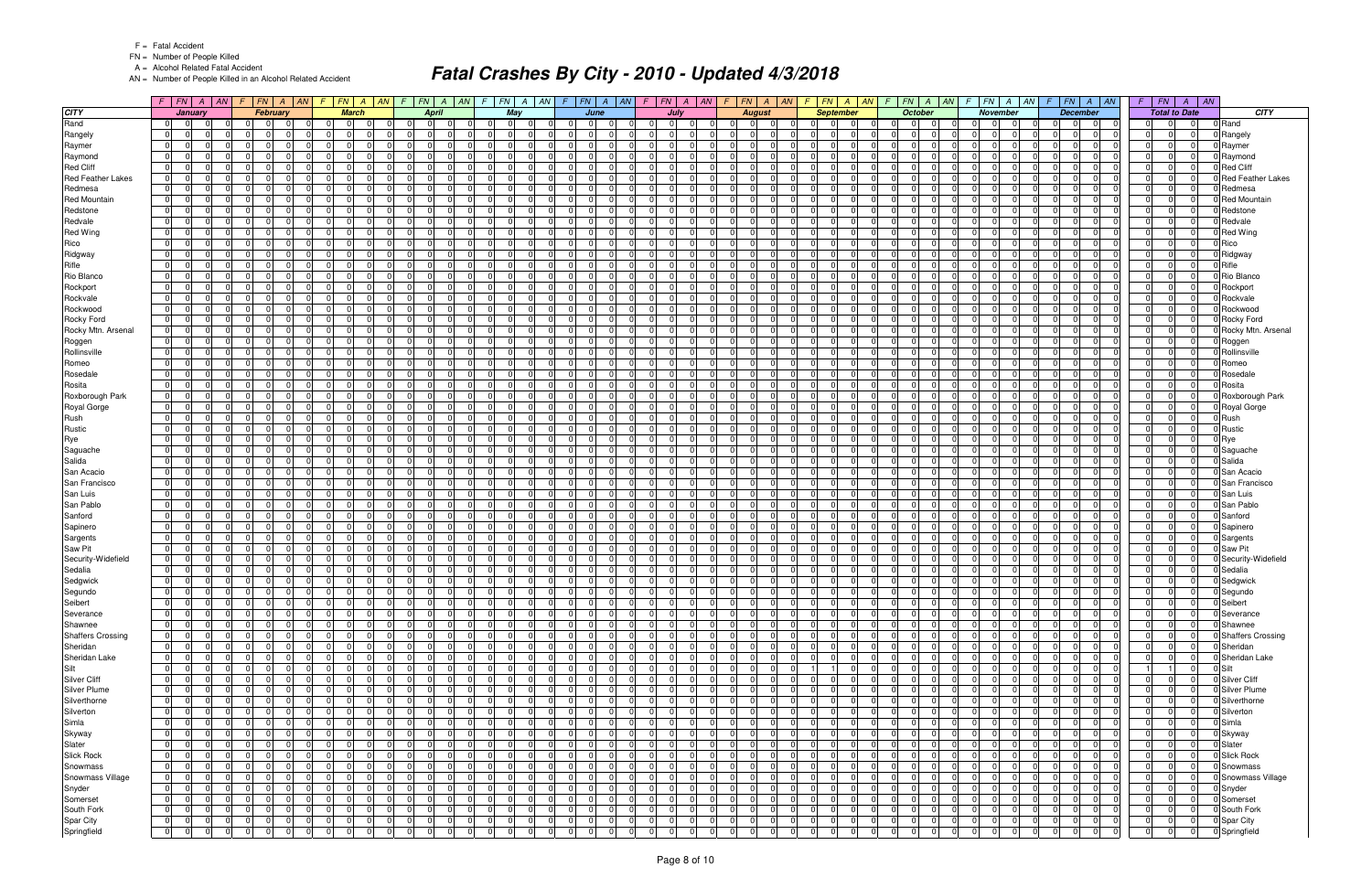FN = Number of People Killed

A = Alcohol Related Fatal Accident

AN = Number of People Killed in an Alcohol Related Accident

|                            |                                  | $F$   $FN$   $A$   $AN$    |                      | $F$ $FN$ $A$ $AN$                         |                | F.                      | $FN$ $A$ $AN$                                | $F$ $ FN $ $A$ $ M $                               |                      | F.                         |                                                                | $FN$ $A$ $AN$ $F$ $FN$ $A$ $AN$                  |                |                      | $F$   $FN$   $A$   $AN$                      | F.                                      |                      |                             |                         | $FN \mid A \mid AN$<br>F.        | F.                   | FN A AN                                                     | $F$ $ FN $ $A$ $ AN$                                  | FN<br>$A \mid AN$<br>F.                      |                             |
|----------------------------|----------------------------------|----------------------------|----------------------|-------------------------------------------|----------------|-------------------------|----------------------------------------------|----------------------------------------------------|----------------------|----------------------------|----------------------------------------------------------------|--------------------------------------------------|----------------|----------------------|----------------------------------------------|-----------------------------------------|----------------------|-----------------------------|-------------------------|----------------------------------|----------------------|-------------------------------------------------------------|-------------------------------------------------------|----------------------------------------------|-----------------------------|
| <b>CITY</b>                |                                  | January                    |                      | February                                  |                |                         | <b>March</b>                                 | <b>April</b>                                       |                      |                            | May                                                            | June                                             |                |                      | July                                         | <b>August</b>                           |                      | <b>September</b>            |                         | <b>October</b>                   |                      | November                                                    | <b>December</b>                                       | <b>Total to Date</b>                         | <b>CITY</b>                 |
| Rand                       | $\overline{0}$                   | $\overline{0}$             |                      | $\Omega$<br>- 0                           |                | $\Omega$                | - 01<br>$\Omega$                             | 0 I<br>n I                                         | $\Omega$             | 0                          | 0 <br>- 0                                                      | $\Omega$<br>$\overline{0}$<br>$\Omega$           |                | $\Omega$             | $\Omega$<br>$\Omega$                         | 0 <br>$\Omega$                          |                      | $\Omega$                    | <sup>0</sup>            | 01                               | $\Omega$             | $\Omega$<br>- 01<br>- 01                                    | $\overline{0}$<br>$\Omega$<br>. OI                    | $\Omega$<br>n I                              | 0 Rand                      |
| Rangely                    | $\overline{0}$<br>- 0            |                            |                      | $\Omega$<br>$\Omega$<br>- 0               |                | $\Omega$                | $\Omega$                                     | $\Omega$<br>$\Omega$                               | $\Omega$             | $\Omega$                   | - 0 I                                                          | $\Omega$<br>$\Omega$                             |                |                      | $\Omega$<br>$\Omega$                         | $\Omega$<br>$\overline{0}$              |                      | $\overline{0}$              | $\Omega$                | - 0 I                            | $\Omega$             | $\Omega$<br>$\Omega$                                        | $\Omega$<br>$\Omega$<br>$\Omega$                      | $\Omega$<br> 0                               | Rangely                     |
| Raymer                     | 0                                | $\Omega$                   | $\Omega$             | $\Omega$                                  |                | $\Omega$                | $\Omega$<br>$\Omega$                         | $\Omega$<br>$\Omega$                               | $\Omega$             | $\Omega$                   | $\Omega$                                                       | $\Omega$<br>$\Omega$                             |                |                      | $\Omega$<br>$\Omega$                         | $\Omega$<br>$\Omega$                    |                      | $\Omega$                    | $\Omega$                | $\Omega$                         | $\Omega$             | $\Omega$<br>$\Omega$                                        | $\Omega$<br>$\Omega$                                  | $\Omega$<br>$\Omega$                         | 0 Raymer                    |
| Raymond                    | $\overline{0}$                   | $\Omega$                   | $\Omega$             | $\Omega$                                  |                | $\Omega$                | $\Omega$<br>$\Omega$                         | - 01<br>$\Omega$                                   | $\Omega$             | $\Omega$                   | - 0 I<br>- 0                                                   | 0 <br>$\Omega$                                   |                |                      | $\Omega$<br>$\Omega$                         | -01<br>$\Omega$                         |                      | $\overline{0}$              | $\Omega$                | $\mathbf 0$                      | $\Omega$             | $\Omega$<br>$\Omega$                                        | $\Omega$<br>$\Omega$                                  | $\Omega$<br>$\Omega$                         | 0 Raymond                   |
| <b>Red Cliff</b>           | $\overline{0}$                   | $\Omega$                   | $\Omega$             |                                           |                | $\Omega$                | $\Omega$<br>U                                | $\Omega$                                           | $\Omega$             | $\Omega$                   | - 0 I                                                          | 0 <br>$\Omega$                                   |                | $\Omega$             | $\Omega$<br>$\Omega$                         | $\Omega$<br>$\Omega$                    |                      | $\Omega$                    | $\Omega$                | $\Omega$                         | $\Omega$             | n<br>$\Omega$                                               | $\Omega$<br>$\Omega$                                  | $\Omega$<br>$\Omega$                         | Red Cliff                   |
| <b>Red Feather Lakes</b>   | $\overline{0}$                   | $\Omega$                   | $\Omega$             | $\Omega$                                  |                | 0 I                     | $\Omega$<br>$\Omega$                         | $\overline{0}$<br>$\Omega$                         | $\Omega$             | $\Omega$                   | $\overline{0}$<br>- 0                                          | 0 <br>$\Omega$                                   |                | $\Omega$             | $\Omega$<br>$\Omega$                         | $\Omega$<br>$\overline{0}$              |                      | $\overline{0}$              | $\Omega$                | $\mathbf 0$                      | $\Omega$             | $\Omega$<br>$\Omega$                                        | $\Omega$<br>$\Omega$                                  | $\Omega$<br>$\Omega$                         | <b>Red Feather Lakes</b>    |
| Redmesa                    | $\Omega$                         | $\Omega$                   | 0                    |                                           |                | $\Omega$                | $\Omega$                                     | $\Omega$                                           | $\Omega$             | $\Omega$                   | - 0 I                                                          | $\Omega$<br>$\Omega$                             |                |                      | $\Omega$                                     | $\Omega$<br>$\Omega$                    |                      | $\Omega$                    | $\Omega$                | $\Omega$                         | $\Omega$             | $\Omega$                                                    | $\Omega$<br>$\Omega$                                  | $\Omega$<br>$\Omega$                         | Redmesa                     |
| <b>Red Mountain</b>        | $\overline{0}$                   | $\Omega$                   | $\Omega$             | $\Omega$                                  |                | $\Omega$                | $\Omega$<br>0<br>$\Omega$                    | $\Omega$<br>$\Omega$<br>$\Omega$                   | $\Omega$<br>$\Omega$ | $\Omega$                   | - 0 I<br>- 0                                                   | $\overline{0}$<br>$\Omega$<br>O                  |                | $\Omega$             | $\Omega$<br>$\Omega$<br>$\Omega$             | $\Omega$<br>-01<br>$\Omega$             |                      | $\Omega$                    | $\Omega$<br>$\Omega$    | $\mathbf 0$                      | $\Omega$<br>$\Omega$ | $\Omega$<br>$\Omega$<br>$\Omega$<br>$\Omega$                | $\Omega$<br>$\Omega$<br>$\Omega$                      | $\Omega$<br>$\Omega$<br>$\Omega$<br>$\Omega$ | 0 Red Mountain              |
| Redstone                   | 0 <br>$\overline{0}$             | $\Omega$<br>$\Omega$       | $\Omega$<br>U        | $\Omega$<br>$\Omega$                      |                | 0 <br>$\Omega$          | $\Omega$<br>$\Omega$                         | $\Omega$<br>$\Omega$<br>- 0                        | $\Omega$             | $\Omega$<br>$\Omega$       | - 0 I<br>$\Omega$<br>$\mathbf 0$<br>- 0                        | 0 <br>$\Omega$<br> 0 <br>$\Omega$                |                | $\Omega$             | 0I<br>$\Omega$<br>$\Omega$                   | -01<br>$\Omega$<br>$\overline{0}$       |                      | $\mathbf{0}$<br>$\mathbf 0$ | $\Omega$                | $\mathbf 0$<br>$\Omega$          | $\Omega$             | $\Omega$<br>$\Omega$                                        | $\Omega$<br>$\Omega$<br>$\Omega$                      | $\Omega$<br> 0                               | Redstone<br>0 Redvale       |
| Redvale<br><b>Red Wing</b> | 0                                | $\Omega$                   | $\Omega$             |                                           |                | $\Omega$                | $\Omega$<br>U                                | $\Omega$<br>$\Omega$                               | $\Omega$             | $\Omega$                   | $\Omega$                                                       | $\Omega$<br>$\Omega$                             |                |                      | $\Omega$<br>$\Omega$                         | $\Omega$<br>$\Omega$                    |                      | $\Omega$                    | $\Omega$                | $\Omega$                         | $\Omega$             | $\Omega$<br>$\Omega$                                        | $\Omega$<br>$\Omega$                                  | $\Omega$                                     | 0 Red Wing                  |
| Rico                       | $\mathbf 0$                      | $\Omega$                   | $\Omega$             | $\Omega$                                  |                | $\Omega$                | $\Omega$<br>0                                | - 01<br>$\Omega$                                   | $\Omega$             | $\Omega$                   | - 0 I<br>-0                                                    | 0 <br>$\Omega$                                   |                |                      | -01<br>$\Omega$                              | -01<br>$\Omega$                         |                      | $\overline{0}$              | $\Omega$                | $\mathbf 0$                      | $\Omega$             | $\Omega$<br>$\Omega$                                        | $\Omega$<br>$\Omega$                                  | 0 <br>$\Omega$                               | 0 Rico                      |
| Ridgway                    | $\overline{0}$                   | $\Omega$                   | $\Omega$             | $\Omega$                                  |                | $\Omega$                | $\Omega$<br>$\Omega$                         | $\Omega$<br>$\Omega$                               | $\Omega$             | $\Omega$                   | - 0 I<br>$\Omega$                                              | $\overline{0}$<br>$\Omega$                       |                | $\Omega$             | $\Omega$<br>0I                               | $\Omega$<br>-01                         |                      | $\Omega$                    | $\Omega$                | $\mathbf 0$                      | $\Omega$             | $\Omega$<br>$\Omega$                                        | $\Omega$<br>$\Omega$<br>$\Omega$                      | $\Omega$<br>$\Omega$                         | 0 Ridgway                   |
| Rifle                      | $\mathbf 0$                      | - 0                        | $\Omega$             | $\Omega$                                  |                | - 0 I                   | $\Omega$<br>$\Omega$                         | $\Omega$<br>$\Omega$                               | $\Omega$             | $\Omega$                   | $\mathbf 0$<br>- 0                                             | 0 <br>$\Omega$                                   |                |                      | $\Omega$<br>0I                               | $\Omega$<br>$\overline{0}$              |                      | $\Omega$                    | $\Omega$                | $\mathbf 0$                      | $\Omega$             | $\Omega$<br>$\Omega$                                        | $\Omega$<br>$\Omega$                                  | $\Omega$<br>$\Omega$                         | Rifle                       |
| Rio Blanco                 | $\overline{0}$                   | $\Omega$<br>$\Omega$       | $\Omega$             | $\Omega$<br>$\Omega$                      |                | 0                       | $\Omega$<br>$\Omega$                         | $\Omega$<br>- 0                                    | $\Omega$             | $\Omega$                   | - 0 I<br>- 0                                                   | 0 <br>$\Omega$                                   |                | $\cap$               | $\Omega$<br>$\Omega$                         | $\Omega$<br>-01                         |                      | $\overline{0}$              | $\Omega$                | $\mathbf 0$                      | $\Omega$             | $\Omega$<br>$\Omega$                                        | $\Omega$<br>$\Omega$<br>$\Omega$                      | $\Omega$<br>$\Omega$                         | 0 Rio Blanco                |
| Rockport                   | 0                                | $\Omega$                   | $\Omega$             |                                           |                | $\Omega$                | $\Omega$<br><sup>0</sup>                     | $\Omega$<br>$\Omega$                               | $\Omega$             | $\Omega$                   | - 0 I                                                          | $\overline{0}$<br>$\Omega$                       |                |                      | $\Omega$<br>$\Omega$                         | $\Omega$<br>-01                         |                      | $\Omega$                    | $\Omega$                | $\Omega$                         | $\Omega$             | $\Omega$<br>$\Omega$                                        | $\Omega$<br>$\Omega$                                  | $\Omega$<br>$\Omega$                         | 0 Rockport                  |
| Rockvale                   | $\overline{0}$                   | $\cap$<br>$\Omega$         | $\Omega$             | $\Omega$                                  |                | 0 I                     | $\Omega$<br>$\Omega$                         | $\overline{0}$<br>$\Omega$                         | $\Omega$             | $\Omega$                   | - 0 I<br>$\Omega$                                              | $\overline{0}$<br>$\Omega$<br>$\Omega$           |                | $\Omega$             | $\Omega$<br>. OI                             | 0 <br>-01                               |                      | $\overline{0}$              | $\Omega$                | $\Omega$<br>$\mathbf 0$          | $\Omega$             | $\overline{0}$<br>$\Omega$                                  | $\Omega$<br>$\Omega$<br>$\Omega$                      | $\overline{0}$<br> 0 <br>$\Omega$            | Rockvale                    |
| Rockwood                   | $\overline{0}$                   | - 0                        | $\Omega$             |                                           |                | 0                       | $\Omega$<br><sup>0</sup>                     | $\Omega$<br>$\Omega$                               | $\Omega$             | $\Omega$                   | - 0 I<br>$\sqrt{ }$                                            | 0 <br>$\Omega$                                   |                | $\cap$               | $\Omega$<br>$\Omega$                         | $\Omega$<br>$\overline{0}$              |                      | $\Omega$                    | $\Omega$                | $\Omega$                         | $\Omega$             | $\Omega$<br>$\Omega$                                        | $\Omega$<br>$\Omega$                                  | $\Omega$<br>$\Omega$                         | Rockwood                    |
| Rocky Ford                 | $\overline{0}$                   | $\Omega$<br>$\Omega$       | $\Omega$             | $\Omega$<br>$\Omega$                      |                | $\Omega$                | $\Omega$<br>$\Omega$                         | $\Omega$<br>$\Omega$                               | $\Omega$             | $\Omega$                   | $\overline{0}$<br>$\Omega$                                     | 0 <br>$\Omega$<br>$\cap$                         |                | $\Omega$             | $\Omega$<br>$\Omega$                         | 0 I<br>-01                              |                      | $\mathbf 0$<br>$\cap$       | $\Omega$                | $\mathbf 0$                      | $\Omega$             | $\Omega$<br>n l                                             | $\Omega$<br>$\Omega$<br>-01                           | $\Omega$<br>$\Omega$                         | <b>D</b> Rocky Ford         |
| Rocky Mtn. Arsenal         | $\overline{0}$                   | $\overline{0}$             | $\Omega$             |                                           |                | $\Omega$                | $\Omega$<br><sup>n</sup>                     | $\Omega$<br>$\Omega$                               | $\Omega$             | $\Omega$                   | - 0 I                                                          | $\overline{0}$<br>$\Omega$                       |                |                      | $\Omega$<br>$\Omega$                         | $\Omega$<br>$\Omega$                    |                      | $\overline{0}$              | $\Omega$                | $\Omega$                         | $\Omega$             | $\Omega$<br>$\Omega$                                        | $\Omega$<br>$\Omega$                                  | $\Omega$<br>$\Omega$                         | D Rocky Mtn. Arsenal        |
| Roggen                     | $\overline{0}$                   | $\Omega$<br>$\Omega$       | $\Omega$             | $\Omega$                                  |                | $\Omega$                | $\Omega$<br>$\Omega$                         | $\Omega$<br>- 0                                    | $\Omega$             | $\Omega$                   | - 0 l<br>- 0                                                   | 0 <br>$\Omega$                                   |                | $\Omega$             | $\Omega$<br>0I                               | $\Omega$<br>-01                         |                      | $\mathbf 0$                 | $\Omega$                | $\cap$<br>$\mathbf 0$            | $\Omega$             | $\Omega$<br>$\Omega$                                        | $\Omega$<br>$\Omega$<br>$\Omega$                      | $\Omega$<br> 0                               | 0 Roggen                    |
| Rollinsville               | 0                                | $\Omega$                   | $\Omega$             | $\Omega$                                  |                | 0                       | $\Omega$<br>$\Omega$                         | $\Omega$<br>$\Omega$                               | $\Omega$             | $\Omega$                   | $\mathbf 0$<br>- 0                                             | - 0 I<br>$\Omega$<br>U                           |                |                      | $\Omega$<br>$\Omega$                         | $\Omega$<br>$\overline{0}$              |                      | $\Omega$                    | $\Omega$                | $\mathbf 0$                      | $\Omega$             | $\Omega$<br>$\Omega$                                        | $\Omega$<br>$\Omega$<br>$\Omega$                      | $\Omega$<br>$\Omega$                         | Rollinsville                |
| Romeo                      | $\overline{0}$                   | $\Omega$<br>$\Omega$       | $\Omega$             | $\Omega$<br>$\Omega$                      |                | 0                       | $\Omega$<br>$\Omega$                         | $\Omega$<br>- 0                                    | $\Omega$             | $\Omega$                   | - 0 I<br>- 0                                                   | 0 <br>$\Omega$                                   |                | $\Omega$             | $\Omega$<br>$\Omega$                         | $\Omega$<br>-01                         |                      | $\overline{0}$              | $\Omega$                | $\Omega$                         | $\Omega$             | $\Omega$<br>$\Omega$                                        | $\Omega$<br>$\cap$<br>$\Omega$                        | $\Omega$<br>$\Omega$                         | Romeo                       |
| Rosedale                   | 0                                | $\Omega$                   | $\Omega$             |                                           |                | $\Omega$                | $\Omega$<br>$\Omega$                         | $\Omega$<br>$\Omega$                               | $\Omega$             | $\Omega$                   | - 0 I                                                          | $\overline{0}$<br>$\Omega$                       |                |                      | $\Omega$<br>$\Omega$                         | $\Omega$<br>-01                         |                      | $\Omega$                    | $\Omega$                | $\Omega$                         | $\Omega$             | $\Omega$<br>$\Omega$                                        | $\Omega$<br>$\Omega$                                  | $\Omega$<br>$\Omega$                         | 0 Rosedale                  |
| Rosita                     | $\overline{0}$                   | $\Omega$<br>$\Omega$       | $\Omega$             | $\Omega$                                  |                | - 0 I                   | $\Omega$<br>$\Omega$                         | $\overline{0}$<br>$\Omega$                         | $\Omega$             | $\Omega$                   | - 0 I<br>$\Omega$                                              | $\overline{0}$<br>$\Omega$<br>$\Omega$           |                | $\Omega$             | $\Omega$<br>0I                               | 0 <br>-01                               |                      | $\overline{0}$              | $\Omega$                | $\mathbf 0$                      | $\Omega$             | $\overline{0}$<br>$\Omega$                                  | $\Omega$<br>$\Omega$<br>$\Omega$                      | $\Omega$<br> 0                               | 0 Rosita                    |
| Roxborough Park            | $\overline{0}$                   | - 0                        | <sup>n</sup>         |                                           |                | $\Omega$                | $\Omega$<br>n                                | n I                                                | $\Omega$             | $\Omega$                   | $\mathbf 0$<br>- C                                             | 0 <br>$\Omega$                                   |                |                      | n I<br>$\Omega$                              | $\Omega$<br>$\overline{0}$              |                      | $\Omega$                    | $\Omega$                | $\Omega$                         | $\Omega$             | $\Omega$<br>$\Omega$                                        | $\Omega$<br>- 0                                       | $\Omega$<br>$\Omega$                         | 0 Roxborough Park           |
| Royal Gorge                | $\overline{0}$                   | $\Omega$<br>$\Omega$       | $\Omega$             | $\Omega$                                  |                | - 0 I                   | $\Omega$<br>$\Omega$                         | $\overline{0}$<br>$\Omega$                         | $\Omega$             | $\Omega$                   | - 0 I<br>- 0                                                   | 0 <br>$\Omega$                                   |                | $\Omega$             | $\Omega$<br>$\Omega$                         | $\Omega$<br>$\overline{0}$              |                      | $\overline{0}$              | $\Omega$                | $\mathbf 0$                      | $\Omega$             | $\Omega$<br>$\Omega$                                        | $\Omega$<br>$\Omega$<br>$\cap$                        | $\Omega$<br> 0                               | 0 Royal Gorge               |
| Rush                       | 0                                | $\Omega$                   | $\Omega$             | $\Omega$                                  |                | 0                       | $\Omega$<br>$\Omega$                         | $\Omega$<br>$\Omega$                               | $\Omega$             | $\Omega$                   | 0 <br>$\Omega$                                                 | 0 <br>$\Omega$                                   |                | $\Omega$             | $\Omega$<br>$\Omega$                         | $\Omega$<br>-01                         |                      | $\overline{0}$              | $\Omega$                | $\Omega$                         | $\Omega$             | $\Omega$<br>$\Omega$                                        | $\Omega$<br>$\Omega$                                  | 0 <br>$\Omega$                               | 0 Rush                      |
| Rustic                     | $\overline{0}$                   | $\Omega$                   | $\Omega$             |                                           |                | $\Omega$                | $\Omega$<br>$\Omega$                         | $\Omega$<br>$\Omega$                               | $\Omega$             | $\Omega$                   | - 0 I<br>$\Omega$                                              | $\overline{0}$<br>$\Omega$<br>U                  |                | $\Omega$             | $\Omega$<br>$\Omega$                         | $\Omega$<br>-01                         |                      | $\Omega$                    | $\Omega$                | $\mathbf 0$                      | $\Omega$             | $\Omega$<br>$\Omega$                                        | $\Omega$<br>$\Omega$<br><sup>n</sup>                  | $\Omega$<br>$\Omega$                         | 0 Rustic                    |
| Rye                        | 0                                | - 0                        | $\Omega$             | $\Omega$                                  |                | - 0 I                   | $\Omega$<br>$\Omega$                         | $\Omega$<br>- 0                                    | $\Omega$             | $\Omega$                   | - 0 I<br>$\Omega$                                              | 0 <br>$\Omega$<br>$\Omega$                       |                | $\Omega$             | $\Omega$<br>$\Omega$                         | $\Omega$<br>-01                         |                      | $\Omega$                    | $\Omega$                | $\mathbf 0$                      | $\Omega$             | n<br>$\Omega$                                               | $\Omega$<br>$\Omega$<br>$\cap$                        | $\Omega$<br>$\Omega$                         | 0 Rye                       |
| Saguache                   | $\overline{0}$                   | $\Omega$                   | <sup>0</sup>         | $\Omega$<br>$\Omega$                      |                | $\Omega$                | $\Omega$<br>0                                | $\Omega$<br>$\Omega$                               | $\Omega$             | $\Omega$                   | - 0 I<br>$\Omega$                                              | 0                                                | $\Omega$       |                      | $\Omega$<br>$\Omega$                         | $\Omega$<br>$\overline{0}$              |                      | $\overline{0}$              | $\Omega$                | $\mathbf 0$                      | $\Omega$             | $\Omega$<br>$\Omega$                                        | $\Omega$<br>$\Omega$                                  | $\Omega$<br> 0                               | 0 Saguache                  |
| Salida                     | 0                                | $\Omega$                   | $\Omega$             | $\Omega$                                  |                | $\Omega$                | $\Omega$<br>$\Omega$                         | $\Omega$<br>$\Omega$                               | $\Omega$             | $\Omega$                   | 0 <br>$\Omega$                                                 | $\Omega$<br>$\Omega$                             |                |                      | $\Omega$<br>$\Omega$                         | $\Omega$<br>-01                         |                      | $\Omega$                    | $\Omega$                | $\Omega$                         | $\Omega$             | n<br>$\Omega$                                               | $\Omega$<br>$\Omega$                                  | $\Omega$<br>$\Omega$                         | 0 Salida                    |
| San Acacio                 | 0                                | $\Omega$                   |                      | $\Omega$<br>$\Omega$                      |                | $\Omega$                | $\Omega$<br>0                                | - 01<br>$\Omega$                                   | $\Omega$             | $\Omega$                   | - 0 I<br>$\Omega$                                              | 0 <br>$\Omega$                                   |                |                      | $\overline{0}$<br>$\Omega$                   | -01<br>$\Omega$                         |                      | $\overline{0}$              | $\Omega$                | $\mathbf 0$                      | $\Omega$             | $\Omega$<br>$\Omega$                                        | $\Omega$<br>$\Omega$                                  | $\Omega$<br>$\Omega$                         | 0 San Acacio                |
| San Francisco              | 0                                | $\Omega$                   | $\Omega$             |                                           |                | $\Omega$                | $\Omega$<br>$\Omega$                         | $\Omega$<br>-C                                     | $\Omega$             | $\Omega$                   | - 0 I<br>$\Omega$                                              | $\Omega$<br>$\Omega$                             |                | $\Omega$             | $\Omega$<br>$\Omega$                         | $\Omega$<br>$\Omega$                    |                      | $\Omega$                    | $\Omega$                | $\Omega$                         | $\Omega$             | n<br>$\Omega$                                               | $\Omega$<br>$\Omega$                                  | $\Omega$<br>$\Omega$                         | 0 San Francisco             |
| San Luis                   | $\overline{0}$                   | $\Omega$<br>$\Omega$       | $\Omega$             | $\Omega$                                  |                | $\Omega$                | $\Omega$<br>0                                | $\overline{0}$<br>$\Omega$                         | $\Omega$             | $\Omega$                   | $\overline{0}$<br>$\Omega$                                     | 0 <br>$\Omega$                                   |                | $\Omega$             | -01<br>$\Omega$                              | 0 <br>$\overline{0}$                    |                      | $\overline{0}$              | $\Omega$                | $\mathbf 0$                      | $\Omega$             | $\Omega$<br>$\Omega$                                        | $\Omega$<br>$\Omega$<br>$\cap$                        | $\Omega$<br> 0                               | 0 San Luis                  |
| San Pablo                  | $\mathbf{0}$                     | $\Omega$<br><sup>n</sup>   | 0                    |                                           |                | $\Omega$                | $\Omega$<br><sup>0</sup>                     | $\Omega$<br>$\Omega$                               | $\Omega$             | $\Omega$                   | - 0 I                                                          | $\Omega$<br>$\Omega$<br>U                        |                |                      | $\Omega$<br>$\Omega$                         | $\Omega$<br>$\Omega$                    |                      | $\Omega$                    | $\Omega$                | $\Omega$                         | $\Omega$             | $\Omega$<br>$\Omega$                                        | $\Omega$<br>$\Omega$<br><sup>n</sup>                  | $\Omega$<br>$\Omega$                         | 0 San Pablo                 |
| Sanford<br>Sapinero        | $\overline{0}$<br>$\overline{0}$ | $\Omega$<br>$\Omega$       | $\Omega$<br>$\Omega$ | $\Omega$<br>$\Omega$                      |                | $\Omega$<br>$\Omega$    | $\Omega$<br>$\Omega$<br>$\Omega$<br>$\Omega$ | $\overline{0}$<br>$\Omega$<br>$\Omega$<br>$\Omega$ | $\Omega$<br>$\Omega$ | $\Omega$<br>$\Omega$       | - 0 I<br>$\Omega$<br>- 0 I<br>- 0                              | $\overline{0}$<br>$\Omega$<br>- 0 I<br>$\Omega$  |                | $\Omega$             | $\Omega$<br>$\Omega$<br>$\Omega$<br>$\Omega$ | 0 <br>-01<br>$\Omega$<br>-01            |                      | $\Omega$<br>$\Omega$        | $\Omega$<br>$\Omega$    | $\mathbf 0$<br>$\mathbf 0$       | $\Omega$<br>$\Omega$ | $\Omega$<br>$\Omega$<br>$\Omega$<br>$\Omega$                | $\Omega$<br>$\Omega$<br>$\Omega$<br>$\Omega$          | $\Omega$<br>$\Omega$<br>$\Omega$<br>$\Omega$ | 0 Sanford<br>0 Sapinero     |
| Sargents                   | $\mathbf 0$                      | - 0                        | $\Omega$             |                                           |                | $\Omega$                | $\Omega$<br>$\Omega$                         | $\Omega$<br>$\Omega$                               | $\Omega$             | $\Omega$                   | $\mathbf 0$<br>- 0                                             | - 0 I<br>$\Omega$                                |                | $\cap$               | $\Omega$<br>$\Omega$                         | $\Omega$<br>$\overline{0}$              |                      | $\overline{0}$              | $\Omega$                | $\Omega$                         | $\Omega$             | $\Omega$<br>$\Omega$                                        | $\Omega$<br>$\Omega$                                  | $\Omega$<br>$\Omega$                         | 0 Sargents                  |
| Saw Pit                    | $\overline{0}$                   | $\cap$<br>$\Omega$         | $\Omega$             | $\Omega$                                  |                | $\Omega$                | $\Omega$<br>$\Omega$                         | $\Omega$<br>$\Omega$                               | $\Omega$             | $\Omega$                   | 0 I<br>$\Omega$                                                | 0 <br>$\Omega$                                   |                | $\Omega$             | $\Omega$<br>$\Omega$                         | 0 <br>-01                               |                      | 0                           | $\Omega$                | - 0 I                            | $\Omega$             | $\Omega$<br>$\Omega$                                        | $\Omega$<br>$\Omega$<br>$\Omega$                      | $\Omega$<br>$\Omega$                         | 0 Saw Pit                   |
| Security-Widefield         | $\overline{0}$                   | -0                         | $\Omega$             | $\Omega$                                  |                | $\Omega$                | $\Omega$<br>0                                | $\Omega$<br>$\Omega$                               | $\Omega$             | $\Omega$                   | - 0 I                                                          | $\overline{0}$<br>$\overline{0}$                 |                |                      | $\Omega$<br>$\Omega$                         | $\Omega$<br>$\overline{0}$              |                      | $\overline{0}$              | $\mathbf 0$             | 0                                | $\Omega$             | $\Omega$<br>$\Omega$                                        | $\Omega$<br>$\mathbf 0$                               | $\Omega$<br>$\Omega$                         | 0 Security-Widefield        |
| Sedalia                    | $\overline{0}$                   | $\Omega$<br>$\Omega$       |                      | $\Omega$<br>$\Omega$<br>$\Omega$          |                | 0 I                     | $\Omega$<br>$\Omega$                         | $\mathbf 0$<br>$\Omega$                            | $\Omega$             | $\Omega$                   | $\overline{0}$<br>$\Omega$                                     | $\overline{0}$<br>$\Omega$                       |                | $\Omega$             | $\Omega$<br>$\Omega$                         | $\Omega$<br>-01                         |                      | $\overline{0}$              | $\Omega$                | $\Omega$<br>0 I                  | $\Omega$             | $\overline{0}$<br>$\Omega$                                  | $\Omega$<br>$\Omega$<br>$\Omega$                      | $\Omega$<br> 0                               | 0 Sedalia                   |
| Sedgwick                   | $\mathbf 0$                      | -0                         | $\Omega$             | $\Omega$<br>$\Omega$                      |                | - 01                    | $\Omega$<br>$\Omega$                         | - 01<br>$\Omega$                                   | $\Omega$             | $\Omega$                   | 0 <br>$\Omega$                                                 | 0 <br>$\mathbf 0$                                |                | $\Omega$             | $\Omega$<br>$\Omega$                         | 0 <br> 0                                |                      | $\overline{0}$              | $\Omega$                | 0 <br>$\Omega$                   | $\Omega$             | $\Omega$<br>$\Omega$                                        | $\Omega$<br>$\overline{0}$                            | $\Omega$<br>$\Omega$                         | 0 Sedgwick                  |
| Segundo                    | 0                                | $\Omega$                   | $\Omega$             | $\Omega$<br>$\Omega$                      |                | $\Omega$                | $\Omega$<br>$\Omega$                         | 0 <br>$\Omega$                                     | $\Omega$             | $\overline{0}$             | - 0 I<br>$\Omega$                                              | 0 <br>$\Omega$<br>$\Omega$                       |                | $\Omega$             | $\Omega$<br>$\Omega$                         | $\Omega$<br>$\Omega$                    |                      | $\Omega$                    | $\Omega$                | $\Omega$<br>$\Omega$             | $\Omega$             | $\overline{0}$<br>$\Omega$                                  | $\Omega$<br>$\Omega$<br>$\Omega$                      | $\Omega$<br>$\Omega$                         | 0 Segundo                   |
| Seibert                    | $\overline{0}$                   | $\mathbf 0$<br>0           | $\overline{0}$       | $\mathbf{0}$                              | $\overline{0}$ | 0                       | $\overline{0}$<br>$\overline{0}$             | $\overline{0}$<br> 0                               | $\overline{0}$       | 0                          | $\overline{0}$<br> 0                                           | $\mathbf 0$<br>0<br>0                            |                | $\overline{0}$       | 0<br>$\overline{0}$                          | $\overline{0}$<br> 0                    |                      | $\overline{0}$              | 0                       | $\mathbf{0}$                     | 0                    | $\overline{0}$<br>0                                         | $\mathbf 0$<br>0<br>$\overline{0}$                    | $\Omega$<br>$\Omega$                         | 0 Seibert                   |
| Severance                  | 0                                | $\overline{0}$<br>$\Omega$ |                      | $\overline{0}$<br>$\overline{0}$          | -01            | 0 I                     | 0 <br>$\overline{0}$                         | $\mathbf 0$<br>0 I                                 | 0 I                  | $\overline{0}$             | $\overline{0}$<br>- 01                                         | 0 <br>$\Omega$<br>$\mathbf 0$                    |                | $\Omega$             | 0 <br>0 I                                    | $\overline{0}$<br> 0                    | - 0                  | $\overline{0}$<br>$\Omega$  | $\overline{0}$          | $\Omega$<br>$\overline{0}$       | $\overline{0}$       | 0 <br>$\overline{0}$                                        | $\overline{0}$<br>0 I<br> 0                           | 0 <br> 0                                     | 0 Severance                 |
| Shawnee                    | 0                                | $\overline{0}$<br>$\Omega$ | $\Omega$             | $\Omega$<br>$\Omega$                      |                | $\overline{0}$          | $\Omega$<br>$\Omega$                         | - 01<br>$\Omega$                                   | 0                    | $\Omega$                   | $\overline{0}$<br>$\overline{0}$                               | 0 <br>$\mathbf 0$<br>$\Omega$                    |                | $\Omega$             | $\overline{0}$<br>-01                        | 0 <br> 0                                |                      | $\mathbf 0$<br>$\Omega$     | $\mathbf 0$             | 0                                | $\Omega$             | $\overline{0}$<br>$\mathbf 0$                               | $\Omega$<br> 0 <br>0                                  | $\Omega$<br>$\overline{0}$                   | 0 Shawnee                   |
| <b>Shaffers Crossing</b>   | $\overline{0}$                   | $\Omega$<br>- O I          |                      | $\overline{0}$<br>$\mathbf 0$             | $\overline{0}$ | $\overline{0}$          | $\overline{0}$<br>$\Omega$                   | 0 <br>0 I                                          | $\overline{0}$       | 0                          | 0 <br>$\overline{0}$                                           | $\overline{0}$<br>$\Omega$                       | $\overline{0}$ | $\Omega$             | 0 <br>0 I                                    | 0 <br>$\overline{0}$                    | - 0                  | 0 <br>$\Omega$              | 0                       | $\Omega$<br>0 I                  | $\Omega$             | $\overline{0}$<br>$\overline{0}$<br>$\Omega$                | $\overline{0}$<br> 0 <br>$\overline{0}$               | $\Omega$<br>$\Omega$                         | 0 Shaffers Crossing         |
| Sheridan                   | 0                                | $\Omega$                   | $\overline{0}$       | $\Omega$                                  |                | $\overline{0}$          | $\Omega$<br>$\Omega$                         | $\overline{0}$<br> 0                               | $\mathbf 0$          | 0                          | $\overline{0}$<br>$\Omega$                                     | $\overline{0}$<br>$\mathbf 0$                    |                |                      | 0 <br>-01                                    | $\overline{0}$<br> 0                    |                      | $\overline{0}$              | $\mathbf 0$             | 0                                | $\Omega$             | $\overline{0}$<br>$\mathbf 0$                               | $\mathbf 0$<br>$\Omega$<br>$\overline{0}$             | $\Omega$<br>$\overline{0}$                   | 0 Sheridan                  |
| Sheridan Lake              | 0                                | $\overline{0}$<br>$\Omega$ |                      | $\overline{0}$<br>$\overline{0}$          | $\overline{0}$ | $\overline{0}$          | 0 <br>$\overline{0}$                         | 0 <br>01                                           | $\overline{0}$       | $\overline{0}$             | $\overline{0}$<br>$\overline{0}$                               | $\overline{0}$<br>$\Omega$                       | $\overline{0}$ | - 01                 | 0 <br>0 I                                    | $\overline{0}$<br> 0                    | - 0                  | $\overline{0}$<br>$\Omega$  | 0                       | $\Omega$<br>01                   | $\overline{0}$       | $\overline{0}$<br>$\overline{0}$<br>$\Omega$                | $\overline{0}$<br>$\overline{0}$<br> 0                | $\overline{0}$<br> 0 <br>$\Omega$            | 0 Sheridan Lake             |
| Silt                       | 0                                | $\Omega$                   | $\Omega$             | - 0                                       |                | 0                       | $\Omega$<br>$\Omega$                         | $\overline{0}$<br>$\Omega$                         | 0                    | $\Omega$                   | $\overline{0}$<br> 0                                           | 0 <br>$\mathbf 0$<br>$\Omega$                    |                |                      | $\overline{0}$<br>$\Omega$                   | $\overline{0}$<br> 0                    |                      |                             | $\mathbf 0$             | 0 <br>$\Omega$                   | $\Omega$             | $\overline{0}$<br>$\mathbf 0$                               | $\Omega$<br> 0 <br>$\Omega$                           | $\Omega$                                     | 0 Silt                      |
| Silver Cliff               | 0                                | - 01<br>$\Omega$           | $\Omega$             | $\overline{0}$<br>$\Omega$                |                | $\overline{0}$          | $\Omega$<br>$\Omega$                         | 0 <br>- 0 I                                        | $\overline{0}$       | 0                          | $\overline{0}$<br>$\Omega$                                     | 0 <br>$\Omega$<br>$\overline{0}$                 |                | $\Omega$             | 0 <br>- OI                                   | 0 <br> 0                                |                      | 0                           | $\mathbf 0$             | $\Omega$<br>01                   | $\Omega$             | $\overline{0}$<br>$\mathbf 0$                               | $\Omega$<br>$\Omega$<br> 0                            | $\Omega$<br>$\overline{0}$                   | 0 Silver Cliff              |
| Silver Plume               | 0                                | $\Omega$                   | $\Omega$             | $\Omega$                                  |                | 0                       | $\Omega$<br>$\Omega$                         | $\mathbf{0}$<br>$\Omega$                           | $\Omega$             | $\Omega$                   | $\overline{0}$<br>- 0                                          | $\overline{0}$<br>$\overline{0}$                 |                |                      | $\overline{0}$<br>$\Omega$                   | 0 <br> 0                                |                      | $\mathbf{0}$                | $\overline{0}$          | 0                                | $\Omega$             | $\overline{0}$<br>$\overline{0}$                            | $\mathbf 0$<br>$\Omega$<br> 0                         | $\Omega$<br>$\Omega$                         | 0 Silver Plume              |
| Silverthorne               | 0                                | $\Omega$                   | $\Omega$             | $\Omega$                                  |                | 0                       | $\Omega$<br>$\Omega$                         | $\mathbf 0$<br> 0                                  | - 0 I                | $\overline{0}$             | $\overline{0}$<br>$\Omega$                                     | 0 <br>$\mathbf 0$<br>$\Omega$                    |                | $\Omega$             | 0 <br>01                                     | 0 <br>$\overline{0}$                    |                      | $\overline{0}$              | $\mathbf 0$             | 01                               | $\Omega$             | $\overline{0}$<br>$\mathbf 0$                               | $\mathbf 0$<br> 0 <br>$\Omega$                        | $\Omega$<br> 0                               | 0 Silverthorne              |
| Silverton                  | 0                                | - 01<br>$\Omega$           | $\Omega$             | $\Omega$<br>- 0                           |                | 0                       | $\Omega$<br>$\Omega$                         | $\overline{0}$<br>0 I                              | 0                    | $\Omega$                   | $\overline{0}$<br>$\Omega$                                     | 0 <br>$\mathbf 0$<br>$\Omega$                    |                | $\Omega$             | 0 <br>$\Omega$                               | 0 <br> 0                                |                      | 0                           | $\overline{0}$          | $\mathbf 0$                      | $\Omega$             | $\overline{0}$<br>$\mathbf{0}$                              | $\Omega$<br> 0 <br>$\Omega$                           | $\Omega$<br> 0                               | 0 Silverton                 |
| Simla                      | 0                                | $\Omega$<br>$\Omega$       | $\Omega$             | $\Omega$<br>$\Omega$                      |                | $\overline{0}$          | $\overline{0}$<br>$\Omega$                   | $\overline{0}$<br>0 I                              | $\overline{0}$       | $\overline{0}$             | 0 <br>$\overline{0}$                                           | 0 <br>$\Omega$                                   | $\overline{0}$ | $\Omega$             | $\overline{0}$<br>0 I                        | $\overline{0}$<br> 0                    | - 0                  | 0 <br>$\Omega$              | $\overline{0}$          | $\Omega$<br>01                   | $\Omega$             | $\overline{0}$<br>$\overline{0}$<br>$\Omega$                | $\Omega$<br> 0 <br>- 0 I                              | $\Omega$<br> 0                               | 0 Simla                     |
| Skyway                     | 0                                | $\Omega$                   | $\overline{0}$       | $\Omega$<br>- 0                           |                | 0                       | $\Omega$<br>$\Omega$                         | $\overline{0}$<br>0 I                              | 0                    | $\overline{0}$             | $\overline{0}$<br>- 0                                          | $\overline{0}$<br>$\mathbf 0$                    |                |                      | 0 <br>$\Omega$                               | 0 <br> 0                                |                      | $\mathbf 0$                 | $\mathbf 0$             | 0                                | $\Omega$             | $\overline{0}$<br>$\mathbf 0$                               | $\mathbf 0$<br>$\Omega$<br> 0                         | $\Omega$<br>$\Omega$                         | 0 Skyway                    |
| Slater                     | 0                                | $\Omega$<br>$\Omega$       | $\Omega$             | $\Omega$                                  |                | 0 I                     | $\Omega$<br>$\Omega$                         | 0 <br>0 I                                          | - 0 I                | 0                          | $\overline{0}$<br>$\Omega$                                     | 0 <br>$\mathbf 0$<br>$\Omega$                    |                | $\Omega$             | 0 <br>0 I                                    | $\overline{0}$<br> 0                    |                      | 0                           | $\Omega$                | 01                               | $\Omega$             | $\overline{0}$<br>$\overline{0}$                            | $\Omega$<br>$\Omega$<br> 0                            | $\Omega$<br>$\Omega$                         | 0 Slater                    |
| <b>Slick Rock</b>          | 0                                | $\Omega$<br>$\Omega$       | $\Omega$             | $\Omega$                                  |                | 0                       | $\overline{0}$<br>$\Omega$                   | $\overline{0}$<br>0 I                              | - 0 I                | $\Omega$                   | $\overline{0}$<br>- 01                                         | 0 <br>$\mathbf 0$<br>$\Omega$                    |                | $\Omega$             | 0 <br>- 0 I                                  | $\overline{0}$<br> 0                    |                      | 0                           | $\mathbf 0$             | 0                                | $\Omega$             | $\overline{0}$<br>$\overline{0}$                            | $\mathbf 0$<br>$\Omega$<br> 0                         | $\Omega$<br>$\Omega$                         | 0 Slick Rock                |
| Snowmass                   | 0                                | $\Omega$                   | $\Omega$             | $\Omega$<br>$\Omega$                      |                | - ol                    | $\Omega$<br>$\Omega$                         | $\overline{0}$<br>$\Omega$                         | - 0 I                | $\Omega$                   | $\overline{0}$<br>$\Omega$                                     | 0 <br>$\mathbf{0}$<br>$\Omega$                   |                | $\Omega$             | 0 <br>- 0 I                                  | $\overline{0}$<br> 0                    |                      | $\mathbf 0$<br>$\Omega$     | $\mathbf 0$             | $\mathbf 0$                      | $\Omega$             | $\overline{0}$<br>$\overline{0}$                            | $\Omega$<br> 0 <br>$\Omega$                           | $\Omega$<br> 0                               | 0 Snowmass                  |
| Snowmass Village           | 0                                | $\Omega$<br>$\Omega$       |                      | $\overline{0}$<br>$\mathbf 0$<br>$\Omega$ |                | $\overline{0}$          | $\Omega$<br>$\Omega$                         | $\overline{0}$<br>0 I                              | 0                    | 0                          | $\overline{0}$<br>$\Omega$                                     | 0 <br>$\Omega$                                   | $\overline{0}$ | $\Omega$             | 0 <br>0 I                                    | 0 <br> 0                                |                      | $\overline{0}$              | 0                       | 01                               | $\Omega$             | $\overline{0}$<br>$\overline{0}$                            | $\mathbf 0$<br>$\Omega$<br> 0                         | $\Omega$<br>$\Omega$                         | 0 Snowmass Village          |
| Snyder                     | 0                                | $\Omega$                   | $\overline{0}$       | $\Omega$                                  |                | 0                       | $\Omega$<br>$\Omega$                         | $\mathbf 0$<br>0 I                                 | - 0 I                | $\overline{0}$             | $\overline{0}$<br>$\Omega$                                     | 0 <br>$\mathbf 0$<br>$\Omega$<br>$\Omega$        |                | $\Omega$             | 0 <br>- OI                                   | 0 <br> 0                                |                      | $\overline{0}$              | $\mathbf 0$             | 01                               | $\Omega$             | $\overline{0}$<br>$\mathbf 0$                               | 0 <br>$\overline{0}$<br>$\Omega$                      | $\Omega$<br> 0 <br>$\Omega$                  | 0 Snyder                    |
| Somerset<br>South Fork     | 0 <br> 0                         | $\Omega$<br>$\Omega$       | $\overline{0}$       | 0 I<br>$\Omega$<br>$\Omega$               |                | - 0 I<br>$\overline{0}$ | - 01<br>$\Omega$<br>- 01<br>$\Omega$         | $\overline{0}$<br>- 0 I<br>$\overline{0}$          | $\mathbf 0$          | $\Omega$<br>$\overline{0}$ | $\overline{0}$<br>$\Omega$                                     | 0 <br>$\Omega$<br> 0 <br>$\mathbf 0$<br>$\Omega$ |                | $\Omega$<br>$\Omega$ | $\overline{0}$<br>$\Omega$                   | $\overline{0}$<br> 0 <br>$\overline{0}$ |                      | 0 <br> 0 <br>$\Omega$       | $\Omega$<br>$\mathbf 0$ | $\mathbf 0$<br>$\Omega$          | $\Omega$<br>$\Omega$ | $\overline{0}$<br>$\mathbf 0$<br>$\overline{0}$<br>$\Omega$ | 0 <br>$\Omega$<br>$\Omega$<br>$\mathbf 0$<br>$\Omega$ | $\overline{0}$<br> 0 <br>$\Omega$            | 0 Somerset                  |
| Spar City                  | 0                                | 0<br>$\Omega$<br>$\Omega$  | $\overline{0}$       | $\overline{0}$<br> 0                      | $\overline{0}$ | $\overline{0}$          | $\overline{0}$<br>$\Omega$                   | 0 <br>$\mathbf 0$<br> 0                            | 0 <br>$\overline{0}$ | 0                          | $\overline{0}$<br>$\overline{0}$<br>$\overline{0}$<br>$\Omega$ | $\overline{0}$<br>$\mathbf 0$<br>$\Omega$        |                | $\overline{0}$       | 01<br>$\overline{0}$<br> 0 <br>01            | 0 <br> 0 <br> 0                         |                      | 0 <br>$\Omega$              | $\mathbf 0$             | 01<br>$\overline{0}$<br> 0       | $\Omega$             | $\mathbf 0$<br>$\overline{0}$<br>$\overline{0}$             | 0 <br>$\mathbf 0$<br>$\overline{0}$<br> 0             | $\Omega$<br>$\mathbf 0$<br> 0                | 0 South Fork<br>0 Spar City |
|                            |                                  | 0 <br>$\overline{0}$       |                      | $\overline{0}$<br> 0                      | 0              | $\overline{0}$          | 0 <br>$\overline{0}$                         | $\overline{0}$<br>$\overline{0}$                   | $\overline{0}$       | $\overline{0}$             | $\overline{0}$                                                 | $\overline{0}$<br>$\overline{0}$<br>$\mathbf 0$  |                | $\mathbf 0$          | 0                                            | $\overline{0}$<br>$\overline{0}$        | $\Omega$<br>$\Omega$ | $\overline{0}$<br> 0        | 0                       | $\overline{0}$<br>$\overline{0}$ | $\overline{0}$       | $\overline{0}$<br>$\mathbf 0$<br>$\Omega$                   | $\overline{0}$<br> 0 <br> 0                           | 0 <br> 0 <br>$\Omega$                        |                             |
| Springfield                | $\overline{0}$                   |                            |                      |                                           |                |                         |                                              |                                                    |                      |                            | $\overline{0}$                                                 |                                                  |                |                      | $\overline{0}$                               |                                         |                      |                             |                         |                                  |                      |                                                             |                                                       |                                              | 0 Springfield               |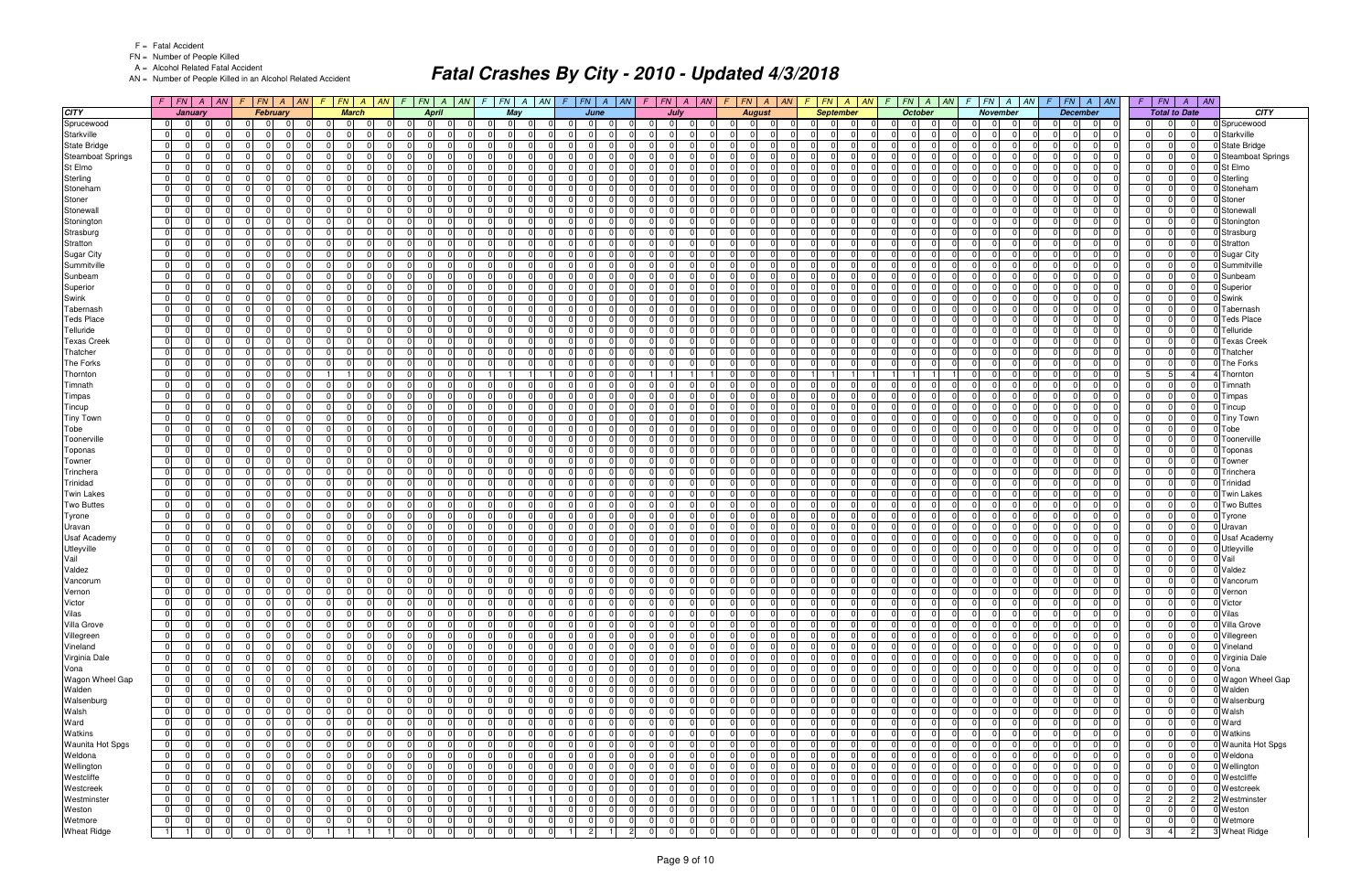FN = Number of People Killed

A = Alcohol Related Fatal Accident

AN = Number of People Killed in an Alcohol Related Accident

|                                |                                  | $F$ $\mid$ $FN$ $\mid$ $A$ $\mid$ $AN$ $\mid$ $F$ $\mid$ $FN$ $\mid$ $A$ $\mid$ $AN$ |                                           |                            |                         | $F$   FN   A   AN   F   FN   A   AN |                            |                                  |                |                          | F.             | $FN \mid A \mid AN$     |                            |                                |                            | $F$ $ FN $ $A$ $ AN $ |                                  | $F$   $FN$   $A$   $AN$    |                                  | F.                         |                                          | $FN$ $A$ $AN$ $F$    |                         | $FN \mid A \mid AN$                                      | $\sqrt{F}$ |                                  | $FN \mid A \mid AN$                       |          | F.                         | $FN$ $A$ $AN$                     |                         | $F$ $FN$ $A$ $AN$                                                    | $F \perp$               | FN                               | $\mathcal{A}$        | $\parallel$ AN |                                 |
|--------------------------------|----------------------------------|--------------------------------------------------------------------------------------|-------------------------------------------|----------------------------|-------------------------|-------------------------------------|----------------------------|----------------------------------|----------------|--------------------------|----------------|-------------------------|----------------------------|--------------------------------|----------------------------|-----------------------|----------------------------------|----------------------------|----------------------------------|----------------------------|------------------------------------------|----------------------|-------------------------|----------------------------------------------------------|------------|----------------------------------|-------------------------------------------|----------|----------------------------|-----------------------------------|-------------------------|----------------------------------------------------------------------|-------------------------|----------------------------------|----------------------|----------------|---------------------------------|
| <b>CITY</b>                    |                                  | <b>January</b>                                                                       | <b>February</b>                           |                            |                         | <b>March</b>                        |                            |                                  | <b>April</b>   |                          |                | May                     |                            |                                |                            | June                  |                                  | July                       |                                  |                            | <b>August</b>                            |                      |                         | <b>September</b>                                         |            |                                  | October                                   |          |                            | <b>November</b>                   |                         | <b>December</b>                                                      |                         |                                  | <b>Total to Date</b> |                | <b>CITY</b>                     |
| Sprucewood                     | 0 <sup>1</sup>                   | - 01                                                                                 | $\Omega$                                  | - 0                        | $\Omega$                | $\overline{0}$                      |                            | $\Omega$                         | $\Omega$       | $\Omega$                 |                | $\mathbf 0$             | - 0                        | - 0                            | $\Omega$                   | - 0                   | 0I                               | - OI                       | $\Omega$                         |                            | $\Omega$<br>0 I                          |                      | $\Omega$                | <sup>0</sup><br>$\Omega$                                 |            | -01                              | -01<br>$\Omega$                           |          | $\Omega$                   | - 01<br>- 01                      | $\Omega$                | $\overline{0}$<br>$\Omega$                                           | $\overline{0}$          | $\Omega$                         | $\Omega$             |                | Sprucewood                      |
| Starkville                     | $\overline{0}$                   | $\Omega$<br>n                                                                        | $\Omega$                                  | $\Omega$                   | - 0 I                   | $\Omega$                            |                            | $\Omega$                         |                | 0                        |                | - 0 I                   | - 0                        | $\Omega$                       | $\Omega$                   | $\Omega$              | $\Omega$                         | $\Omega$                   |                                  | $\Omega$                   | $\Omega$                                 | $\Omega$             | $\Omega$                | 0<br>$\Omega$                                            |            | 0                                | $\Omega$<br>U                             |          | $\Omega$                   | $\Omega$<br>$\cap$                | $\Omega$                | $\Omega$<br>$\Omega$                                                 | - 0 I                   | $\Omega$                         | $\Omega$             |                | Starkville                      |
| <b>State Bridge</b>            | $\overline{0}$                   | $\Omega$<br>O.                                                                       | $\Omega$                                  | $\Omega$                   | $\Omega$                | $\Omega$                            |                            | $\Omega$                         |                | $\Omega$                 |                | $\Omega$                | ∩                          | $\Omega$                       | <sup>0</sup>               | $\Omega$              | $\Omega$                         | nl                         | $\Omega$                         | $\Omega$                   |                                          |                      |                         | $\Omega$                                                 |            | $\Omega$                         | $\Omega$                                  |          | $\Omega$                   | $\Omega$                          | $\Omega$                | $\Omega$<br>$\Omega$                                                 | 0                       | $\Omega$                         | $\Omega$             |                | <b>State Bridge</b>             |
| <b>Steamboat Springs</b>       | 0                                | $\Omega$<br>0                                                                        | - 0 I                                     | $\Omega$                   | $\Omega$                | $\Omega$                            |                            | $\Omega$                         |                | 0                        |                | $\mathbf 0$             | $\Omega$                   | $\Omega$                       | $\Omega$                   | $\Omega$              | 0 I                              | $\Omega$                   | $\Omega$                         |                            | 01                                       | $\Omega$             | $\Omega$                | $\Omega$<br>$\Omega$                                     |            | 0 I                              | $\Omega$                                  |          | $\Omega$                   | $\Omega$                          | $\Omega$                | $\Omega$<br>$\Omega$                                                 | $\mathbf 0$             | $\Omega$                         | $\Omega$             |                | <b>Steamboat Springs</b>        |
| St Elmo                        | $\overline{0}$                   | $\Omega$<br>n.                                                                       | $\Omega$                                  | $\Omega$                   | $\Omega$                | $\Omega$                            |                            | $\Omega$                         |                | 0                        |                | $\Omega$                | n                          | $\Omega$                       | <sup>0</sup>               | $\Omega$              | <sup>0</sup>                     | $\Omega$                   |                                  |                            | $\Omega$<br>- 0                          |                      |                         | 0<br>$\Omega$                                            |            | $\Omega$                         | $\Omega$                                  |          | $\Omega$                   | $\Omega$                          | $\Omega$                | $\Omega$<br>$\Omega$                                                 | $\Omega$                | $\Omega$                         | $\Omega$             |                | St Elmo                         |
| Sterling                       | 0                                | $\Omega$<br>$\Omega$                                                                 | $\Omega$<br>$\Omega$<br>$\Omega$          | $\Omega$<br>$\Omega$       | - 0 I<br>$\Omega$       | $\overline{0}$<br>$\Omega$          | $\cap$                     | $\Omega$<br>$\Omega$             |                | $\Omega$<br>$\Omega$     |                | $\mathbf 0$<br>$\Omega$ | $\Omega$                   | $\Omega$<br>$\Omega$           | $\Omega$                   | $\Omega$<br>$\Omega$  | 0 I<br>$\Omega$                  | $\Omega$<br>$\Omega$       | $\Omega$                         | $\overline{0}$<br>$\Omega$ | $\Omega$                                 | $\Omega$             | $\Omega$                | $\Omega$<br>$\Omega$<br>U                                |            | 0 I<br>$\Omega$                  | $\Omega$<br>$\Omega$<br>$\Omega$          |          | $\Omega$<br>0              | $\overline{0}$<br>$\Omega$        | $\Omega$                | $\Omega$<br>$\Omega$<br>$\Omega$<br>0                                | - 0 I<br>$\Omega$       | $\Omega$<br>$\Omega$             | $\Omega$<br>$\Omega$ |                | Sterling                        |
| Stoneham<br>Stoner             | 0 <br> 0                         | - 0<br>$\Omega$                                                                      | $\Omega$                                  | $\Omega$                   | - 0 I                   | $\Omega$                            |                            | $\Omega$                         |                | $\Omega$                 |                | - 0 I                   | $\Omega$                   | $\Omega$                       | $\Omega$                   | $\Omega$              | 0 I                              | $\Omega$                   | $\Omega$                         |                            | $\overline{0}$                           | $\Omega$             | $\Omega$                | 0<br>$\Omega$                                            |            | 0 I                              | $\Omega$<br>$\Omega$                      |          | $\Omega$                   | $\Omega$                          | $\Omega$                | $\Omega$<br>$\Omega$                                                 | $\mathbf 0$             | $\Omega$                         | $\Omega$             |                | Stoneham<br>Stoner              |
| Stonewall                      | 0                                | - 0<br>$\Omega$                                                                      | $\Omega$                                  | $\Omega$                   | $\Omega$                | $\Omega$                            |                            | $\Omega$                         |                | 0                        |                | $\Omega$                | $\Omega$                   | $\Omega$                       | $\Omega$                   | $\Omega$              | $\Omega$                         | $\Omega$                   | $\Omega$                         |                            | $\overline{0}$                           | $\Omega$             | $\Omega$                | 0<br>$\Omega$                                            |            | 0                                | $\Omega$                                  |          | $\Omega$                   | $\Omega$                          | $\Omega$                | $\Omega$<br>$\Omega$                                                 | 0                       | $\Omega$                         | $\Omega$             |                | Stonewall                       |
| Stonington                     | 0                                | - 0<br>n                                                                             | $\Omega$                                  | $\Omega$                   | - 0 l                   | $\Omega$                            |                            | $\Omega$                         |                | 0                        |                | $\Omega$                | $\Omega$                   | $\Omega$                       | 0                          | $\Omega$              | 0 I                              | $\Omega$                   | $\Omega$                         |                            | 01<br>$\Omega$                           | $\Omega$             | $\Omega$                | 0<br>$\Omega$                                            |            | 0 I                              | $\Omega$                                  |          | 0                          | $\Omega$                          | $\Omega$                | $\Omega$<br>$\Omega$                                                 | - 0 l                   | $\Omega$                         | $\Omega$             |                | Stoningtor                      |
| Strasburg                      | 0                                | $\Omega$<br>n.                                                                       | $\Omega$                                  | $\Omega$                   | $\Omega$                | $\Omega$                            |                            | $\Omega$                         |                | $\Omega$                 |                | $\Omega$                | $\Omega$                   | $\Omega$                       | <sup>0</sup>               | $\Omega$              | $\Omega$                         | nl                         | $\Omega$                         | $\Omega$                   |                                          |                      |                         | $\Omega$<br>$\Omega$                                     |            | $\Omega$                         | $\Omega$                                  |          | $\Omega$                   | $\Omega$                          | $\Omega$                | $\Omega$<br>$\Omega$                                                 | $\Omega$                | $\Omega$                         | $\Omega$             |                | Strasburg                       |
| Stratton                       | $\overline{0}$                   | $\Omega$<br>$\Omega$                                                                 | $\Omega$                                  | $\Omega$                   | $\overline{0}$          | $\Omega$                            |                            | $\Omega$                         |                | $\Omega$                 |                | $\mathbf 0$             | $\Omega$                   | $\overline{0}$                 | $\Omega$                   | $\Omega$              | 0 I                              | $\Omega$                   | $\Omega$                         |                            | 01                                       | $\Omega$             | $\Omega$                | $\Omega$<br>$\Omega$                                     |            | 0 I                              | $\Omega$                                  |          | $\Omega$                   | $\Omega$                          | $\Omega$                | $\Omega$<br>$\Omega$                                                 | $\mathbf 0$             | $\Omega$                         | $\Omega$             |                | Stratton                        |
| <b>Sugar City</b>              | 0                                | $\Omega$<br>$\Omega$                                                                 | $\Omega$                                  | $\Omega$                   | $\Omega$                | $\Omega$                            | $\Omega$                   | $\Omega$                         |                | 0                        |                | $\mathbf 0$             | $\Omega$                   | $\overline{0}$                 | $\Omega$                   | - 0 l                 | $\Omega$                         | $\Omega$                   | $\Omega$                         |                            | $\overline{0}$<br>$\Omega$               | $\Omega$             | $\Omega$                | 0<br>$\Omega$                                            |            | 0                                | $\Omega$<br>$\Omega$                      |          | $\Omega$                   | $\Omega$                          | $\Omega$                | $\Omega$<br>$\Omega$                                                 | - 0 l                   | $\Omega$                         | $\Omega$             |                | Sugar City                      |
| Summitville                    | 0                                | $\Omega$<br><sup>n</sup>                                                             | $\Omega$                                  | $\Omega$                   | - 0 I                   | $\overline{0}$                      |                            | $\Omega$                         |                | 0                        |                | $\Omega$                | $\Omega$                   | $\Omega$                       | <sup>n</sup>               | $\Omega$              | <sup>0</sup>                     | $\Omega$                   | $\Omega$                         | $\overline{0}$             |                                          | $\Omega$             | $\Omega$                | 0<br>- 0                                                 |            | 0 I                              | $\Omega$                                  |          | $\Omega$                   | $\Omega$                          | $\Omega$                | $\Omega$<br>$\Omega$                                                 | - 0 I                   | $\Omega$                         | $\Omega$             |                | Summitville                     |
| Sunbeam                        | 0                                | - 0<br>$\Omega$                                                                      | $\Omega$                                  | $\Omega$                   | - 0 I                   | $\Omega$                            | $\Omega$                   | $\Omega$                         |                | $\Omega$                 |                | $\Omega$                | $\Omega$                   | $\Omega$                       | $\Omega$                   | $\Omega$              | $\Omega$                         | $\Omega$                   | $\Omega$                         |                            | $\overline{0}$<br>$\Omega$               | $\Omega$             | $\Omega$                | $\Omega$<br>$\Omega$                                     |            | 0 I                              | $\Omega$<br>$\Omega$                      |          | $\Omega$                   | $\Omega$<br>$\Omega$              | $\Omega$                | $\Omega$<br>$\Omega$                                                 | - 0 I                   | $\Omega$                         | $\Omega$             |                | Sunbeam                         |
| Superior                       | 0                                | $\Omega$<br>n.                                                                       | $\Omega$                                  | $\Omega$                   | 0                       | $\Omega$                            |                            | $\Omega$                         |                | 0                        |                | $\Omega$                | n                          | $\Omega$                       | <sup>0</sup>               | $\Omega$              | $\Omega$                         | $\Omega$                   | $\Omega$                         | $\Omega$                   |                                          | $\Omega$             | $\Omega$                | 0<br>$\Omega$                                            |            | $\overline{0}$                   | $\Omega$                                  |          | $\Omega$                   | $\Omega$                          | $\Omega$                | $\Omega$<br>$\Omega$                                                 | $\Omega$                | $\Omega$                         | $\Omega$             |                | Superior                        |
| Swink                          | 0                                | $\Omega$<br>$\Omega$                                                                 | $\Omega$<br>$\Omega$                      | $\Omega$                   | $\overline{0}$          | $\overline{0}$                      | $\Omega$                   | $\overline{0}$                   |                | $\Omega$                 |                | - 0 I                   | $\Omega$                   | $\overline{0}$                 | $\Omega$                   | $\Omega$              | $\overline{0}$                   | 0 I                        | $\Omega$                         | $\overline{0}$             | $\Omega$                                 | . OI                 | $\Omega$                | $\Omega$<br>$\Omega$                                     |            | 0 I                              | $\Omega$<br>$\Omega$                      |          | $\Omega$                   | $\overline{0}$                    | $\Omega$                | $\Omega$<br>$\Omega$                                                 | - 0 I                   | $\Omega$                         | $\overline{0}$       |                | Swink                           |
| Tabernash                      | 0                                | - 0                                                                                  | $\Omega$                                  | $\Omega$                   | $\Omega$                | $\Omega$                            |                            | $\Omega$                         |                | <sup>0</sup>             |                | $\Omega$                | n                          | $\Omega$                       | <sup>n</sup>               | $\Omega$              | $\Omega$                         | $\Omega$                   | $\Omega$                         | $\Omega$                   |                                          | $\Omega$             | $\Omega$                | 0<br>$\Omega$                                            |            | 0                                | $\Omega$                                  |          | $\Omega$                   | $\Omega$                          | $\Omega$                | $\Omega$<br>$\Omega$                                                 | - 0 I                   | $\Omega$                         | $\Omega$             |                | Tabernasł                       |
| <b>Teds Place</b>              | 0                                | $\Omega$<br>$\Omega$                                                                 | $\Omega$<br>$\Omega$                      | $\Omega$                   | $\overline{0}$          | $\Omega$                            | $\cap$                     | $\Omega$                         |                | $\Omega$                 |                | $\Omega$                | $\Omega$                   | $\Omega$                       | $\Omega$                   | $\Omega$              | $\Omega$                         | $\Omega$                   | $\Omega$                         | $\overline{0}$             | $\Omega$                                 | $\Omega$             | $\Omega$                | $\Omega$<br>$\Omega$                                     |            | $\Omega$                         | $\Omega$<br>$\Omega$                      |          | $\Omega$                   | -01<br>$\cap$                     | $\Omega$                | $\Omega$<br>$\Omega$                                                 | - 0 I                   | $\Omega$                         | $\Omega$             |                | <b>Teds Place</b>               |
| Telluride                      | 0 <br>$\Omega$                   | $\Omega$<br>0<br>$\Omega$<br>$\Omega$                                                | $\Omega$<br>$\Omega$<br>$\Omega$          | $\Omega$<br>$\Omega$       | $\mathbf 0$<br>$\Omega$ | $\Omega$<br>$\Omega$                | $\Omega$                   | $\Omega$<br>$\Omega$             |                | 0<br>$\Omega$            |                | $\Omega$<br>- 0 I       | $\Omega$<br>$\Omega$       | $\Omega$<br>$\overline{0}$     | $\Omega$<br>$\Omega$       | $\Omega$<br>$\Omega$  | $\Omega$<br>$\Omega$             | $\Omega$<br>$\Omega$       | $\Omega$<br>$\Omega$             | $\Omega$                   | $\Omega$<br>$\Omega$                     | $\Omega$<br>$\Omega$ | $\Omega$                | $\Omega$<br>$\Omega$<br>$\Omega$<br>$\Omega$             |            | 0 <br>$\Omega$                   | $\Omega$<br>$\Omega$<br>$\Omega$          |          | $\Omega$<br>$\Omega$       | $\Omega$<br>$\Omega$              | $\Omega$<br>$\Omega$    | $\Omega$<br>$\Omega$<br>$\Omega$<br>$\Omega$                         | 0 I<br>- 0 I            | $\Omega$<br>$\Omega$             | $\Omega$<br>$\Omega$ |                | Telluride<br><b>Texas Creek</b> |
| <b>Texas Creek</b><br>Thatcher | 0                                | $\Omega$<br><sup>n</sup>                                                             | $\Omega$                                  | $\Omega$                   | - 0 I                   | $\overline{0}$                      |                            | $\Omega$                         |                | 0                        |                | $\Omega$                | $\Omega$                   | $\Omega$                       | $\Omega$                   | $\Omega$              | 0 I                              | $\Omega$                   | $\Omega$                         | $\overline{0}$             |                                          | $\Omega$             | $\Omega$                | $\Omega$<br>$\Omega$                                     |            | 0 I                              | $\Omega$<br>$\Omega$                      |          | $\Omega$                   | $\Omega$                          | $\Omega$                | $\Omega$<br>$\Omega$                                                 | - 0 I                   | $\Omega$                         | $\Omega$             |                | Thatcher                        |
| <b>The Forks</b>               | 0                                | $\Omega$<br>$\Omega$                                                                 | $\Omega$                                  | $\Omega$                   | - 0 I                   | $\Omega$                            | $\Omega$                   | $\Omega$                         |                | $\Omega$                 |                | $\Omega$                | $\Omega$                   | $\Omega$                       | $\Omega$                   | $\Omega$              | $\Omega$                         | $\Omega$                   | $\Omega$                         | $\overline{0}$             | $\Omega$                                 | $\Omega$             | $\Omega$                | $\Omega$<br>$\Omega$                                     |            | 0 I                              | $\cap$<br>$\Omega$                        |          | $\Omega$                   | $\Omega$<br>$\cap$                | $\Omega$                | $\Omega$<br>$\Omega$                                                 | - 0 I                   | $\Omega$                         | $\Omega$             |                | <b>The Forks</b>                |
| Thornton                       | 0                                | $\Omega$<br>n.                                                                       | $\Omega$                                  | $\Omega$                   |                         |                                     |                            | $\Omega$                         |                | 0                        |                |                         |                            | $\Omega$                       | $\Omega$                   | $\Omega$              |                                  |                            |                                  |                            | $\overline{0}$                           | $\Omega$             |                         |                                                          |            |                                  |                                           |          | $\Omega$                   | $\Omega$                          | $\Omega$                | $\Omega$<br>$\Omega$                                                 | 5 <sup>1</sup>          | 5 <sup>1</sup>                   |                      |                | Thornton                        |
| Timnath                        | 0                                | $\Omega$<br>$\Omega$                                                                 | $\Omega$<br>$\Omega$                      | $\Omega$                   | $\overline{0}$          | $\overline{0}$                      | $\Omega$                   | $\overline{0}$                   |                | $\Omega$                 |                | - 0 I                   | $\Omega$                   | $\overline{0}$                 | $\Omega$                   | $\Omega$              | $\overline{0}$                   | 0 I                        | $\Omega$                         |                            | $\overline{0}$<br>$\Omega$               | $\Omega$             | $\Omega$                | $\Omega$<br>$\Omega$                                     |            | 0 I                              | $\Omega$<br>- 01                          |          | $\Omega$                   | $\overline{0}$                    | $\Omega$                | $\Omega$<br>$\Omega$                                                 | - 0 l                   | $\Omega$                         | $\Omega$             |                | Timnath                         |
| Timpas                         | $\overline{0}$                   | - 0<br><sup>n</sup>                                                                  | $\Omega$                                  | $\Omega$                   | $\Omega$                | n I                                 |                            | n I                              |                | <sup>0</sup>             |                | n I                     | n                          | $\Omega$                       | <sup>n</sup>               | $\Omega$              | 0                                | $\Omega$                   | <sup>n</sup>                     | $\Omega$                   | - 0                                      | n                    | $\Omega$                | <sup>0</sup><br>- 0                                      |            | $\overline{0}$                   | - 0                                       |          | $\Omega$                   | $\Omega$                          | $\Omega$                | $\Omega$<br>$\Omega$                                                 | - 0 l                   | $\Omega$                         | $\Omega$             |                | Timpas                          |
| Tincup                         | $\overline{0}$                   | $\Omega$<br>$\Omega$                                                                 | $\Omega$                                  | $\Omega$                   | - 0 l                   | $\overline{0}$                      | $\cap$                     | $\Omega$                         |                | $\Omega$                 |                | $\Omega$                | $\Omega$                   | $\Omega$                       | $\Omega$                   | $\Omega$              | 0 I                              | 0 I                        | $\Omega$                         | $\overline{0}$             |                                          | $\Omega$             | $\Omega$                | 0<br>$\Omega$                                            |            | 0 I                              | $\Omega$<br>$\Omega$                      |          | $\Omega$                   | $\overline{0}$                    | $\Omega$                | $\Omega$<br>$\Omega$                                                 | - 0 l                   | $\Omega$                         | $\Omega$             |                | Tincup                          |
| <b>Tiny Town</b>               | 0                                | 0                                                                                    | $\Omega$                                  | $\Omega$                   | $\mathbf 0$             | $\Omega$                            |                            | $\Omega$                         |                | $\Omega$                 |                | $\Omega$                | n                          | $\Omega$                       | 0                          | $\Omega$              | $\Omega$                         | $\Omega$                   | $\Omega$                         | $\Omega$                   |                                          | $\Omega$             | $\Omega$                | $\Omega$<br>$\Omega$                                     |            | $\Omega$                         | $\Omega$                                  |          | $\Omega$                   | $\Omega$                          | $\Omega$                | $\Omega$<br>$\Omega$                                                 | $\Omega$                | $\Omega$                         | $\Omega$             |                | Tiny Town                       |
| Tobe                           | 0                                | $\Omega$<br>n.                                                                       | $\Omega$                                  | $\Omega$                   | - 0 l                   | $\Omega$                            |                            | $\Omega$                         |                | 0                        |                | - 0 l                   | $\Omega$                   | $\Omega$                       | $\Omega$                   | $\Omega$              | 0 I                              | $\Omega$                   | $\Omega$                         |                            | $\overline{0}$                           | $\Omega$             | $\Omega$                | $\Omega$<br>$\Omega$                                     |            | 0 I                              | $\Omega$<br>U                             |          | $\Omega$                   | $\Omega$                          | $\Omega$                | $\Omega$<br>$\Omega$                                                 | - 0 l                   | $\Omega$                         | $\Omega$             |                | Tobe                            |
| Toonerville                    | 0                                | - 0<br><sup>n</sup>                                                                  | $\Omega$                                  | $\Omega$                   | ol                      | $\Omega$                            | $\Omega$                   | $\Omega$                         |                | $\Omega$                 |                | $\Omega$                | $\Omega$                   | $\overline{0}$                 | $\Omega$                   | $\Omega$              | $\Omega$                         | $\Omega$                   | $\Omega$                         | - 0 l                      | $\cap$                                   | $\Omega$             | $\Omega$                | $\Omega$<br>$\Omega$                                     |            | $\Omega$                         | $\Omega$<br>$\Omega$                      |          | $\Omega$                   | $\Omega$                          | $\Omega$                | $\Omega$<br>$\Omega$                                                 | 0                       | $\Omega$                         | $\Omega$             |                | Toonerville                     |
| Toponas                        | $\overline{0}$                   | $\Omega$<br>0                                                                        | $\Omega$                                  | $\Omega$                   | - 0 l                   | $\Omega$                            |                            | $\Omega$                         |                | 0                        |                | $\mathbf 0$             | $\Omega$                   | $\Omega$                       | 0                          | $\Omega$              | 0 I                              | $\mathbf 0$                | $\Omega$                         |                            | 01                                       | $\Omega$             | $\Omega$                | 0<br>$\Omega$                                            |            | 0 I                              | $\Omega$                                  |          | 0                          | $\Omega$                          | $\Omega$                | $\Omega$<br>$\Omega$                                                 | - 0 l                   | $\Omega$                         | $\Omega$             |                | Toponas                         |
| Towner                         | 0                                | $\Omega$<br>$\Omega$                                                                 | $\Omega$                                  | $\Omega$                   | 0                       | $\Omega$                            | $\Omega$                   | $\Omega$                         |                | $\Omega$                 |                | $\Omega$                | $\Omega$                   | $\Omega$                       | $\Omega$                   | $\Omega$              | $\Omega$                         | $\Omega$                   | $\Omega$                         | $\Omega$                   |                                          | $\Omega$             | $\Omega$                | $\Omega$<br>$\Omega$                                     |            | $\Omega$                         | $\Omega$<br>$\Omega$                      |          | $\Omega$                   | $\Omega$                          | $\Omega$                | $\Omega$<br>$\Omega$                                                 | $\Omega$                | $\Omega$                         | $\Omega$             |                | Towner                          |
| Trinchera<br>Trinidad          | $\overline{0}$<br> 0             | $\Omega$<br>$\Omega$<br>$\Omega$<br>n.                                               | $\Omega$<br>$\Omega$                      | $\Omega$<br>$\Omega$       | 0 <br>$\Omega$          | $\Omega$<br>$\Omega$                | - 0                        | 01<br>$\Omega$                   |                | $\Omega$<br><sup>0</sup> |                | $\mathbf 0$<br>$\Omega$ | $\Omega$<br>$\Omega$       | $\Omega$<br>$\Omega$           | $\Omega$<br><sup>0</sup>   | - 0 I<br>$\Omega$     | 0 I<br>$\Omega$                  | $\overline{0}$<br>$\Omega$ | $\Omega$<br>$\Omega$             | $\Omega$                   | 01<br>$\cap$                             | $\Omega$<br>$\Omega$ | $\Omega$<br>$\Omega$    | $\Omega$<br>- 01<br><sup>0</sup><br>$\Omega$             |            | 0 I<br>$\Omega$                  | $\Omega$<br>$\Omega$                      |          | $\Omega$<br>$\Omega$       | $\Omega$<br>$\Omega$              | $\Omega$<br>$\Omega$    | $\Omega$<br>$\Omega$<br>$\Omega$<br>$\Omega$                         | $\mathbf 0$<br>$\Omega$ | $\Omega$<br>$\Omega$             | $\Omega$<br>$\Omega$ |                | Trinchera<br>Trinidad           |
| <b>Twin Lakes</b>              | 0                                | $\Omega$<br>$\Omega$                                                                 | $\Omega$                                  | $\Omega$                   | - 0 I                   | $\overline{0}$                      | $\cap$                     | $\Omega$                         |                | $\Omega$                 |                | - 0 I                   | $\Omega$                   | $\Omega$                       | $\Omega$                   | $\Omega$              | 0 I                              | 0 I                        | $\Omega$                         | $\overline{0}$             | $\Omega$                                 | $\Omega$             | $\Omega$                | $\Omega$<br>$\Omega$                                     |            | 0 I                              | $\Omega$<br>$\Omega$                      |          | $\Omega$                   | -01                               | $\Omega$                | $\Omega$<br>$\Omega$                                                 | - 0 I                   | $\Omega$                         | $\Omega$             |                | Twin Lakes                      |
| <b>Two Buttes</b>              | $\overline{0}$                   | n.                                                                                   | $\Omega$                                  | $\Omega$                   | $\Omega$                | $\Omega$                            |                            | $\Omega$                         |                | $\Omega$                 |                | $\Omega$                | $\Omega$                   | $\Omega$                       | 0                          | $\Omega$              | $\Omega$                         | $\Omega$                   | $\Omega$                         | $\Omega$                   |                                          | $\Omega$             |                         | $\Omega$<br>$\Omega$                                     |            | $\Omega$                         | $\Omega$                                  |          | $\Omega$                   | $\Omega$                          | $\Omega$                | $\Omega$<br>$\Omega$                                                 | $\Omega$                | $\Omega$                         | $\Omega$             |                | <b>Two Buttes</b>               |
| Tyrone                         | 0                                | $\Omega$<br>$\Omega$                                                                 | - 0 I                                     | $\Omega$                   | - 0 I                   | $\Omega$                            |                            | $\overline{0}$                   |                | $\Omega$                 |                | - 0 I                   | $\Omega$                   | $\Omega$                       | $\Omega$                   | $\Omega$              | 0 I                              | 0                          | $\Omega$                         |                            | $\overline{0}$                           | $\Omega$             | $\Omega$                | $\Omega$<br>$\Omega$                                     |            | 0 I                              | $\Omega$<br>U                             |          | $\Omega$                   | $\Omega$                          | $\Omega$                | $\Omega$<br>$\Omega$                                                 | $\mathbf 0$             | $\Omega$                         | $\Omega$             |                | J Tyrone                        |
| Uravan                         | 0                                | $\Omega$<br>$\Omega$                                                                 | $\Omega$                                  | $\Omega$                   | $\Omega$                | $\Omega$                            |                            | $\Omega$                         |                | 0                        |                | - 0 I                   | $\Omega$                   | $\Omega$                       | $\Omega$                   | $\Omega$              | $\overline{0}$                   | $\Omega$                   | $\Omega$                         | $\Omega$                   |                                          | $\Omega$             |                         | $\Omega$<br>$\Omega$                                     |            | 0 I                              | $\Omega$<br>$\Omega$                      |          | $\Omega$                   | $\Omega$                          | $\Omega$                | $\Omega$<br>$\Omega$                                                 | - 0 I                   | $\Omega$                         | $\Omega$             |                | Uravan                          |
| <b>Usaf Academy</b>            | 0                                | - 0<br>n                                                                             | $\Omega$                                  | $\Omega$                   | $\Omega$                | n I                                 |                            | $\Omega$                         |                | <sup>0</sup>             |                | $\Omega$                | - 0                        | $\Omega$                       | <sup>n</sup>               | $\Omega$              | $\Omega$                         | $\Omega$                   |                                  | $\Omega$                   |                                          | $\Omega$             | $\Omega$                | <sup>0</sup><br>- 0                                      |            | $\overline{0}$                   | - 0                                       |          | $\Omega$                   | $\Omega$                          | $\Omega$                | $\Omega$<br>$\Omega$                                                 | $\mathbf 0$             | $\Omega$                         | $\Omega$             |                | <b>Usaf Academy</b>             |
| Utleyville                     | 0                                | $\Omega$<br>$\Omega$                                                                 | $\Omega$<br>$\Omega$                      | $\Omega$                   | $\overline{0}$          | $\Omega$                            | $\Omega$                   | $\Omega$                         |                | $\Omega$                 |                | $\Omega$                | $\Omega$                   | $\Omega$                       | $\Omega$                   | $\Omega$              | $\overline{0}$                   | $\Omega$                   | $\Omega$                         | $\overline{0}$             | $\Omega$                                 | $\Omega$             | $\Omega$                | $\Omega$<br>$\Omega$                                     |            | $\Omega$                         | $\Omega$<br>$\Omega$                      |          | $\Omega$                   | $\Omega$<br>$\Omega$              | $\Omega$                | $\Omega$<br>$\Omega$                                                 | 0 I                     | $\Omega$                         | $\Omega$             |                | Utleyville                      |
| Vail                           | 0                                |                                                                                      | $\Omega$                                  | $\Omega$                   | $\overline{0}$          | $\Omega$                            |                            | $\overline{0}$                   |                | $\Omega$                 |                | $\mathbf 0$             | $\Omega$                   | $\overline{0}$                 | $\Omega$                   | $\Omega$              | $\Omega$                         | $\Omega$                   | $\Omega$                         | $\overline{0}$             |                                          | $\Omega$             |                         | $\Omega$<br>$\Omega$                                     |            | 0                                | $\Omega$                                  |          | $\overline{0}$             | $\Omega$                          | $\Omega$                | $\Omega$<br>$\Omega$                                                 | $\Omega$                | $\Omega$                         | $\Omega$             |                | Vail                            |
| Valdez                         | $\Omega$                         | $\Omega$<br>$\Omega$                                                                 | $\Omega$<br>$\Omega$                      | $\Omega$                   | $\overline{0}$          | $\overline{0}$                      | $\Omega$                   | $\overline{0}$                   |                | $\Omega$                 |                | $\overline{0}$          | $\Omega$                   | $\overline{0}$                 | $\Omega$                   | $\Omega$              | $\Omega$                         | 0 I                        | $\Omega$                         |                            | 0 <br>$\Omega$                           | 0I                   | $\Omega$                | $\Omega$<br>$\Omega$                                     |            | 0 I                              | $\overline{0}$<br>$\Omega$                |          | $\Omega$                   | -01                               | $\Omega$                | $\Omega$<br>$\Omega$                                                 | - 0 l                   | $\Omega$                         | $\Omega$             |                | Valdez                          |
| Vancorum                       | 0                                | $\Omega$<br>$\Omega$                                                                 | $\Omega$<br>-01                           | $\Omega$                   | 0                       | $\overline{0}$                      | $\Omega$                   | $\Omega$                         |                | $\Omega$                 |                | $\mathbf 0$             | $\Omega$                   | $\overline{0}$                 | 0                          | $\mathbf 0$           | 0 I                              | $\Omega$                   | $\Omega$                         | $\mathbf 0$                |                                          | $\Omega$             | $\Omega$                | 0<br>$\Omega$                                            |            | 0 I                              | $\Omega$<br>$\Omega$                      |          | $\Omega$                   | $\overline{0}$<br>$\Omega$        | 0                       | $\Omega$<br>$\Omega$                                                 | 0                       | $\Omega$                         | $\Omega$             |                | Vancorum                        |
| Vernon                         | $\overline{0}$                   | $\overline{0}$<br>$\Omega$                                                           | $\Omega$<br>$\overline{0}$                | $\Omega$                   | 0                       | $\Omega$                            |                            | $\overline{0}$                   | $\Omega$       | $\Omega$                 |                | $\Omega$                | $\Omega$                   | - Ol                           | $\Omega$                   | $\Omega$              | $\Omega$                         | $\Omega$                   | $\Omega$                         |                            | $\overline{0}$<br>$\Omega$               | $\Omega$             | $\Omega$                | $\Omega$<br>$\Omega$                                     |            | $\overline{0}$                   | $\Omega$                                  |          | $\Omega$                   | $\Omega$<br>$\Omega$              | $\Omega$                | $\Omega$<br>$\Omega$                                                 | $\overline{0}$          | $\Omega$                         | $\Omega$             |                | Vernon                          |
| Victor                         | $\overline{0}$                   | 0<br>0                                                                               | 0                                         | 0                          | 0                       | $\overline{0}$                      | $\overline{0}$<br>$\Omega$ | 0                                |                | 0<br>$\Omega$            |                | 0                       | 0<br>$\Omega$              | $\mathbf 0$                    | $\overline{0}$             | 0                     | 0 I                              | $\overline{0}$             | $\overline{0}$<br>$\overline{0}$ |                            | $\overline{0}$<br> 0                     | 0                    | $\Omega$                | $\overline{0}$<br>$\overline{0}$                         |            | 0                                | $\overline{0}$<br>0<br>$\Omega$           |          | 01                         | $\mathbf 0$<br>0                  |                         | $\overline{0}$<br>$\mathbf 0$<br> 0                                  | - 0 I                   | $\overline{0}$                   | $\Omega$             |                | 0 Victor<br>0 Vilas             |
| Vilas<br>Villa Grove           | $\overline{0}$<br>$\overline{0}$ | $\mathbf 0$<br> 0 <br>$\overline{0}$<br>0                                            | 0 I<br>$\Omega$<br>$\Omega$<br>-01        | $\overline{0}$<br>$\Omega$ | 0 <br> 0                | $\overline{0}$<br>$\overline{0}$    | $\Omega$                   | $\overline{0}$<br>$\Omega$       | $\Omega$       | $\mathbf 0$              |                | 0 <br> 0                | $\Omega$                   | 0 <br>$\overline{0}$           | $\overline{0}$<br>0        | 0 <br> 0              | 0 I<br>0 I                       | $\overline{0}$<br>01       | $\Omega$                         | $\mathbf 0$                | $\overline{0}$<br>$\overline{0}$<br>- 01 | - 0 I<br>$\Omega$    | $\Omega$                | 0 <br>$\overline{0}$<br>$\overline{0}$<br>$\mathbf 0$    |            | $\overline{0}$<br>$\overline{0}$ | 0 <br>$\overline{0}$<br>$\Omega$          |          | $\overline{0}$<br>$\Omega$ | 0 <br>-01<br>-01<br>$\Omega$      | - 0 I<br>$\mathbf 0$    | $\overline{0}$<br>$\overline{0}$<br>$\overline{0}$                   | $\overline{0}$<br> 0    | $\overline{0}$<br>$\overline{0}$ | 0 <br>$\Omega$       |                | 0 Villa Grove                   |
| Villegreen                     | $\overline{0}$                   | $\overline{0}$<br>$\overline{0}$                                                     | $\Omega$<br>- 0 I                         | $\overline{0}$             | $\overline{0}$          | $\overline{0}$                      | $\overline{0}$             | $\overline{0}$                   | $\Omega$       | - 0 I                    |                | 0                       | $\Omega$                   | 0                              | $\Omega$                   | - 01                  | 0 I                              | $\overline{0}$             | $\Omega$                         |                            | $\overline{0}$<br>$\Omega$               | - 0 I                | $\Omega$                | 0 <br>$\overline{0}$                                     |            | $\overline{0}$                   | $\overline{0}$<br>$\Omega$                |          | $\Omega$                   | $\overline{0}$<br>-01             | $\overline{0}$          | $\overline{0}$<br>$\overline{0}$                                     | $\overline{0}$          | $\overline{0}$                   | $\Omega$             |                | 0 Villegreen                    |
| Vineland                       | $\overline{0}$                   | 0<br>$\overline{0}$                                                                  | $\Omega$                                  | $\mathbf 0$                | 0                       | $\overline{0}$                      |                            | $\overline{0}$                   |                | $\mathbf 0$              |                | 0                       | 0                          | $\mathbf 0$                    | $\overline{0}$             | 0                     | $\overline{0}$                   | 01                         | $\Omega$                         |                            | $\overline{0}$                           | $\Omega$             |                         | $\overline{0}$<br>$\overline{0}$                         |            | 0                                | 0                                         |          | $\overline{0}$             | $\overline{0}$                    | $\mathbf 0$             | $\overline{0}$<br>$\overline{0}$                                     | 0 I                     | $\overline{0}$                   | $\Omega$             |                | 0 Vineland                      |
| Virginia Dale                  | $\overline{0}$                   | $\overline{0}$<br> 0                                                                 | - 01<br>0 I                               | 0                          | $\overline{0}$          | $\overline{0}$                      | $\overline{0}$             | $\overline{0}$                   | $\Omega$       | 0                        |                | 0                       | $\overline{0}$             | 0                              | $\overline{0}$             | 0                     | 0 I                              | $\overline{0}$             | $\overline{0}$                   |                            | $\overline{0}$<br>- 01                   | - 0 I                | $\Omega$                | 0 <br>$\overline{0}$                                     |            | $\overline{0}$                   | 0 <br>$\overline{0}$                      |          | 0                          | $\overline{0}$<br> 0              | $\overline{0}$          | 0 <br>$\overline{0}$                                                 | $\overline{0}$          | $\overline{0}$                   | $\Omega$             |                | 0 Virginia Dale                 |
| Vona                           | 0                                | 0<br>$\Omega$                                                                        | $\Omega$<br>0I                            | $\Omega$                   | 0                       | $\overline{0}$                      |                            | $\Omega$                         |                | $\mathbf 0$              |                | - 0 I                   | 0                          | $\overline{0}$                 | $\Omega$                   | 0                     | 0 I                              | 0                          | 0                                | 0                          |                                          | $\Omega$             | $\Omega$                | $\overline{0}$<br>$\mathbf 0$                            |            | $\overline{0}$                   | 0                                         |          | $\Omega$                   | $\Omega$<br>$\overline{0}$        | $\mathbf 0$             | $\overline{0}$<br>$\Omega$                                           | 0                       | $\Omega$                         | $\Omega$             |                | 0 Vona                          |
| Wagon Wheel Gap                | $\overline{0}$                   | $\Omega$<br>$\Omega$                                                                 | $\Omega$<br>- 0 I                         | $\overline{0}$             | $\overline{0}$          | $\overline{0}$                      | $\Omega$                   | $\overline{0}$                   |                | $\mathbf 0$              |                | 0                       | $\Omega$                   | 0                              | $\overline{0}$             | 0                     | 0 I                              | 01                         | $\Omega$                         |                            | $\overline{0}$<br>- 01                   | $\Omega$             | $\Omega$                | $\overline{0}$<br>$\mathbf 0$                            |            | $\overline{0}$                   | - 01<br>$\Omega$                          |          | $\overline{0}$             | - 0 I<br>$\overline{0}$           | 0                       | $\overline{0}$<br>$\overline{0}$                                     | $\overline{0}$          | $\overline{0}$                   | $\Omega$             |                | 0 Wagon Wheel Gap               |
| Walden                         | $\overline{0}$                   | $\mathbf 0$<br>$\Omega$                                                              | $\Omega$                                  | $\Omega$                   | $\overline{0}$          | $\overline{0}$                      |                            | $\overline{0}$                   |                | $\Omega$                 |                | 0                       | $\Omega$                   | $\mathbf 0$                    | $\Omega$                   | 0                     | $\overline{0}$                   | 0                          | $\Omega$                         | 0                          |                                          | $\Omega$             | $\Omega$                | $\overline{0}$<br>$\overline{0}$                         |            | $\overline{0}$                   | $\mathbf 0$                               |          | $\overline{0}$             | -01                               | $\mathbf 0$             | $\mathbf{0}$<br>$\overline{0}$                                       | 0                       | $\overline{0}$                   | $\Omega$             |                | Walden                          |
| Walsenburg                     | 0                                | $\overline{0}$<br>$\Omega$                                                           | - 0 I<br>$\Omega$                         | 0                          | 0                       | $\overline{0}$                      |                            | $\overline{0}$                   |                | $\mathbf 0$              |                | 0                       | $\Omega$                   | $\overline{0}$                 | $\overline{0}$             | 0                     | 0 I                              | 0                          | $\overline{0}$                   |                            | $\overline{0}$                           | -01                  | $\Omega$                | $\overline{0}$<br>$\mathbf 0$                            |            | $\overline{0}$                   | $\mathbf 0$                               |          | $\overline{0}$             | 0                                 | $\overline{0}$          | 0 <br>$\overline{0}$                                                 | $\overline{0}$          | $\overline{0}$                   | $\Omega$             |                | 0 Walsenburg                    |
| Walsh                          | $\overline{0}$                   | $\overline{0}$<br>$\Omega$                                                           | $\Omega$<br>$\Omega$                      | $\Omega$                   | 0                       | $\overline{0}$                      |                            | $\overline{0}$                   |                | $\Omega$                 |                | 0                       | $\Omega$                   | $\mathbf 0$                    | $\Omega$                   | 0                     | $\overline{0}$                   | $\overline{0}$             | $\Omega$                         |                            | $\overline{0}$<br>$\Omega$               | $\Omega$             | $\Omega$                | $\Omega$<br>$\overline{0}$                               |            | $\overline{0}$                   | $\overline{0}$<br>$\Omega$                |          | $\Omega$                   | $\Omega$<br>$\mathbf 0$           | $\mathbf 0$             | $\overline{0}$<br>$\overline{0}$                                     | 0                       | $\Omega$                         | $\Omega$             |                | Walsh                           |
| Ward                           | 0                                | $\Omega$<br>$\Omega$                                                                 | $\Omega$<br>- 0 I                         | -01                        | $\overline{0}$          | 0                                   | $\Omega$                   | $\overline{0}$                   | $\Omega$       | $\overline{0}$           |                | $\overline{0}$          | $\Omega$                   | $\overline{0}$                 | $\Omega$                   | - 01                  | 0 I                              | $\overline{0}$             | $\overline{0}$                   |                            | 0 <br>$\Omega$                           | - 0 I                | $\Omega$                | $\overline{0}$<br>$\mathbf 0$                            |            | $\overline{0}$                   | - 01<br>$\Omega$                          |          | $\Omega$                   | -01<br>$\Omega$                   | 0                       | $\overline{0}$<br>$\overline{0}$                                     | $\overline{0}$          | $\overline{0}$                   | $\Omega$             |                | Ward                            |
| Watkins                        | $\overline{0}$                   | $\mathbf 0$<br>$\Omega$<br>$\Omega$                                                  | $\Omega$                                  | $\mathbf 0$                | 0                       | $\overline{0}$                      |                            | $\mathbf 0$                      |                | $\mathbf 0$<br>$\Omega$  |                | 0                       | $\Omega$                   | $\mathbf 0$                    | $\overline{0}$<br>$\Omega$ | 0                     | $\Omega$                         | 0                          | $\mathbf 0$<br>$\Omega$          |                            | $\overline{0}$<br>$\Omega$               | $\Omega$             | $\mathbf 0$<br>$\Omega$ | $\overline{0}$<br>$\mathbf{0}$                           |            | 0                                | 0<br>$\Omega$                             |          | $\overline{0}$<br>$\Omega$ | $\overline{0}$<br>$\Omega$        | $\mathbf 0$<br>$\Omega$ | $\overline{0}$<br>$\overline{0}$                                     | 0                       | $\overline{0}$                   | $\Omega$             |                | Watkins                         |
| Waunita Hot Spgs<br>Weldona    | $\overline{0}$<br>$\overline{0}$ | $\Omega$<br>$\overline{0}$<br>$\Omega$                                               | $\Omega$<br>- 0 I<br>$\Omega$<br>$\Omega$ | -01<br>$\overline{0}$      | $\overline{0}$<br> 0    | 0 <br> 0                            | - 0                        | $\overline{0}$<br>$\overline{0}$ |                | $\mathbf 0$              |                | 0 <br>- 0 I             | $\Omega$<br>$\overline{0}$ | $\overline{0}$<br>$\mathbf{0}$ | $\Omega$                   | 0 <br> 0              | $\overline{0}$<br>$\overline{0}$ | 0 <br> 0                   | $\Omega$                         | 0                          | 0                                        | $\Omega$<br>$\Omega$ | $\mathbf 0$             | 0 <br>$\overline{0}$<br>$\overline{0}$<br>$\overline{0}$ |            | $\overline{0}$<br>$\overline{0}$ | $\overline{0}$<br>$\Omega$<br>$\mathbf 0$ |          | $\Omega$                   | $\overline{0}$<br>$\Omega$<br>-01 | $\mathbf 0$             | $\overline{0}$<br>$\overline{0}$<br>$\overline{0}$<br>$\overline{0}$ | $\overline{0}$<br> 0    | $\overline{0}$<br>$\overline{0}$ | $\Omega$             |                | 0 Waunita Hot Spgs<br>0 Weldona |
| Wellington                     | $\overline{0}$                   | $\Omega$<br>$\overline{0}$                                                           | $\Omega$<br>- 0 I                         | -01                        | 0                       | $\overline{0}$                      | $\Omega$                   | $\overline{0}$                   |                | $\mathbf 0$              |                | - 0 I                   | $\Omega$                   | $\mathbf 0$                    | $\Omega$                   | 0                     | $\overline{0}$                   | $\overline{0}$             | $\Omega$                         |                            | $\overline{0}$<br>$\Omega$               | $\Omega$             | $\Omega$                | 0<br>$\overline{0}$                                      |            | $\overline{0}$                   | $\Omega$<br>$\Omega$                      |          | $\Omega$                   | -01<br>$\Omega$                   | 0                       | $\overline{0}$<br>$\overline{0}$                                     | 0                       | $\overline{0}$                   | $\Omega$             |                | Wellington                      |
| Westcliffe                     | $\overline{0}$                   | $\mathbf 0$<br>$\overline{0}$                                                        | - 0 I                                     | $\overline{0}$             | $\overline{0}$          | $\overline{0}$                      |                            | $\overline{0}$                   |                | $\mathbf 0$              |                | 0                       | 0                          | $\mathbf 0$                    | $\mathbf{0}$               | 0                     | $\overline{0}$                   | 0                          | $\mathbf 0$                      |                            | 0                                        | $\Omega$             | $\mathbf 0$             | 0 <br>$\mathbf{0}$                                       |            | $\overline{0}$                   | $\Omega$<br>$\mathbf 0$                   |          | $\mathbf 0$                | $\mathbf 0$<br> 0                 | 0                       | $\mathbf{0}$<br>$\overline{0}$                                       | $\overline{0}$          | $\overline{0}$                   | $\Omega$             |                | Westcliffe                      |
| Westcreek                      | 0                                | $\Omega$<br>$\Omega$                                                                 | - 0 I                                     | $\overline{0}$             | 0                       | $\overline{0}$                      |                            | $\overline{0}$                   |                | $\mathbf 0$              |                | 0                       | $\Omega$                   | $\overline{0}$                 | $\overline{0}$             | 0                     | 0 I                              | 0                          | $\Omega$                         |                            | $\overline{0}$                           | $\Omega$             | $\Omega$                | $\overline{0}$<br>$\mathbf 0$                            |            | $\overline{0}$                   | $\mathbf 0$                               |          | $\overline{0}$             | 0                                 | $\overline{0}$          | $\overline{0}$<br>$\overline{0}$                                     | $\overline{0}$          | $\overline{0}$                   | $\Omega$             |                | Westcreek                       |
| Westminster                    | 0                                | $\Omega$<br>$\Omega$                                                                 | $\Omega$                                  | $\Omega$                   | 0                       | $\overline{0}$                      |                            | $\overline{0}$                   |                | $\Omega$                 |                |                         |                            | $\overline{0}$                 | $\Omega$                   | 0                     | 0 I                              | 0                          | $\Omega$                         |                            | 01<br>$\Omega$                           | $\Omega$             | $\overline{1}$          |                                                          |            | $\overline{0}$                   | $\mathbf 0$<br>$\Omega$                   |          | $\Omega$                   | $\Omega$                          | $\overline{0}$          | $\Omega$<br>$\overline{0}$                                           | $\overline{2}$          | $\overline{2}$                   | $\overline{2}$       |                | Westminster                     |
| Weston                         | $\overline{0}$                   | 0<br>$\overline{0}$                                                                  | $\Omega$<br>- 0 I                         | 0                          | $\overline{0}$          | 0                                   |                            | $\overline{0}$                   | $\Omega$       | $\mathbf 0$              |                | 0                       | 0                          | $\overline{0}$                 | $\overline{0}$             | 0                     | 0                                | 01                         | $\Omega$                         | $\mathbf 0$                | $\Omega$                                 | - 0 I                | 0                       | $\overline{0}$<br>$\mathbf 0$                            |            | $\overline{0}$                   | $\mathbf 0$<br>$\Omega$                   |          | $\mathbf 0$                | $\Omega$<br> 0                    | - 01                    | $\Omega$<br>$\overline{0}$                                           | $\overline{0}$          | $\overline{0}$                   | $\Omega$             |                | Weston                          |
| Wetmore                        | 0                                | $\Omega$<br>0                                                                        | $\Omega$<br>$\overline{0}$                | -01                        | $\overline{0}$          | $\overline{0}$                      | $\Omega$                   | $\overline{0}$                   | $\Omega$       | $\mathbf 0$              |                | 0                       | $\Omega$                   | 0                              | $\mathbf{0}$               | - 01                  | $\overline{0}$                   | $\overline{0}$             | $\Omega$                         | 0                          | $\Omega$                                 | - 0 I                | $\mathbf 0$             | 0 <br>$\overline{0}$                                     |            | $\overline{0}$                   | $\Omega$<br>$\mathbf 0$                   |          | $\overline{0}$             | $\mathbf 0$<br> 0                 | $\overline{0}$          | 0 <br>$\overline{0}$                                                 | $\overline{0}$          | $\overline{0}$                   | $\Omega$             |                | Wetmore                         |
| <b>Wheat Ridge</b>             | 11                               | 0 <br>$\mathbf{1}$                                                                   | $\overline{0}$<br>$\overline{0}$          | 0                          | $\overline{1}$          |                                     |                            | $\overline{0}$                   | $\overline{0}$ | 0                        | $\overline{0}$ | 0                       | $\overline{0}$             | 11                             | $\vert$ 2                  | -2                    | $\overline{0}$                   | $\overline{0}$             | $\overline{0}$                   |                            | $\overline{0}$<br>$\mathbf 0$            | $\overline{0}$       |                         | $\overline{0}$<br>$\overline{0}$<br>$\overline{0}$       |            | $\overline{0}$                   | 0 <br>$\overline{0}$                      | $\Omega$ | 0                          | $\overline{0}$<br> 0              | $\overline{0}$          | $\overline{0}$<br>$\mathbf 0$                                        | $\mathbf{3}$            | $\overline{4}$                   | $2 \mid$             |                | 3 Wheat Ridge                   |